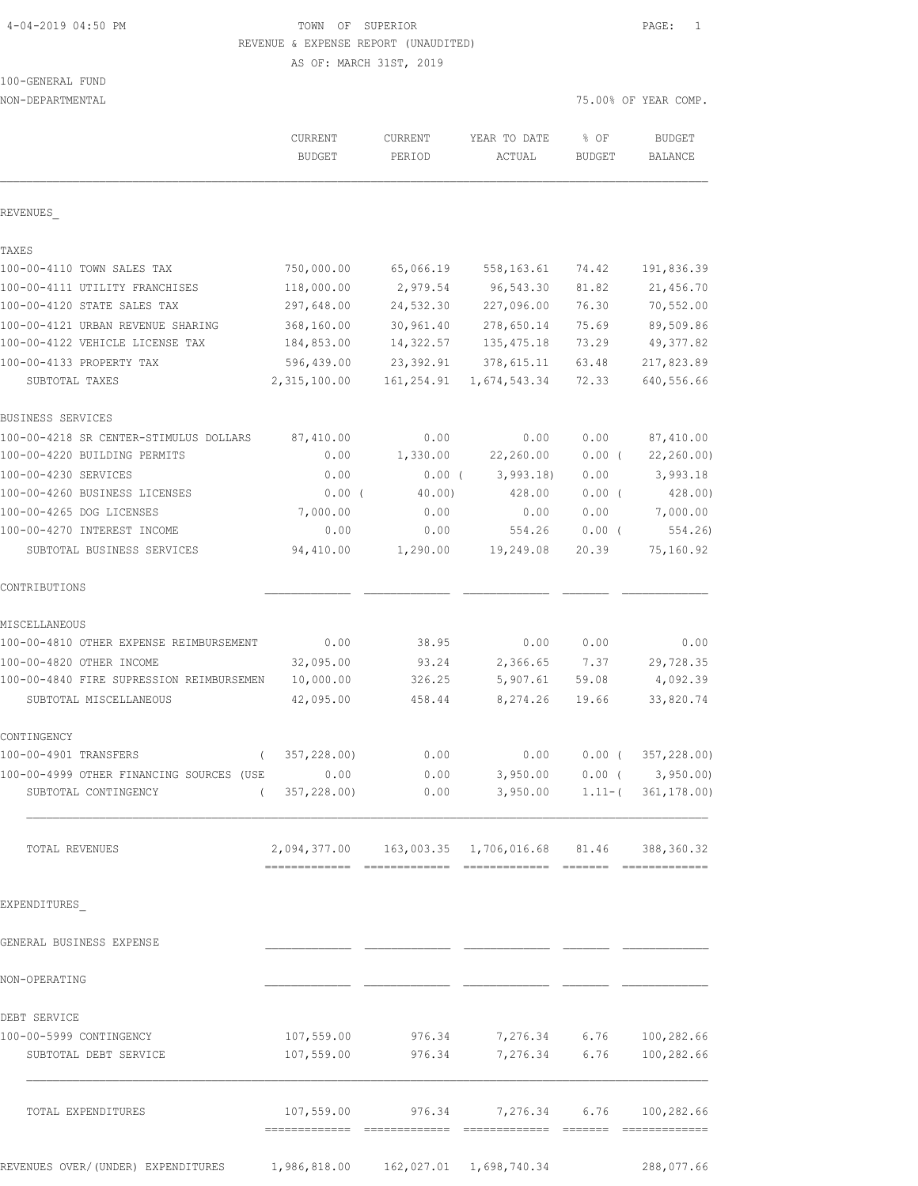# 4-04-2019 04:50 PM TOWN OF SUPERIOR PAGE: 1 REVENUE & EXPENSE REPORT (UNAUDITED)

AS OF: MARCH 31ST, 2019

# 100-GENERAL FUND

| NON-DEPARTMENTAL                              |                                                           |                   |                                              |                       | 75.00% OF YEAR COMP.            |
|-----------------------------------------------|-----------------------------------------------------------|-------------------|----------------------------------------------|-----------------------|---------------------------------|
|                                               | CURRENT<br><b>BUDGET</b>                                  | CURRENT<br>PERIOD | YEAR TO DATE<br>ACTUAL                       | % OF<br><b>BUDGET</b> | <b>BUDGET</b><br><b>BALANCE</b> |
| REVENUES                                      |                                                           |                   |                                              |                       |                                 |
| TAXES                                         |                                                           |                   |                                              |                       |                                 |
| 100-00-4110 TOWN SALES TAX                    | 750,000.00                                                | 65,066.19         | 558,163.61                                   | 74.42                 | 191,836.39                      |
| 100-00-4111 UTILITY FRANCHISES                | 118,000.00                                                | 2,979.54          | 96,543.30                                    | 81.82                 | 21,456.70                       |
| 100-00-4120 STATE SALES TAX                   | 297,648.00                                                | 24,532.30         | 227,096.00                                   | 76.30                 | 70, 552.00                      |
| 100-00-4121 URBAN REVENUE SHARING             | 368,160.00                                                | 30,961.40         | 278,650.14                                   | 75.69                 | 89,509.86                       |
| 100-00-4122 VEHICLE LICENSE TAX               | 184,853.00                                                | 14,322.57         | 135, 475.18                                  | 73.29                 | 49, 377.82                      |
| 100-00-4133 PROPERTY TAX                      | 596,439.00                                                | 23,392.91         | 378,615.11                                   | 63.48                 | 217,823.89                      |
| SUBTOTAL TAXES                                | 2,315,100.00                                              | 161,254.91        | 1,674,543.34                                 | 72.33                 | 640,556.66                      |
| BUSINESS SERVICES                             |                                                           |                   |                                              |                       |                                 |
| 100-00-4218 SR CENTER-STIMULUS DOLLARS        | 87,410.00                                                 | 0.00              | 0.00                                         | 0.00                  | 87,410.00                       |
| 100-00-4220 BUILDING PERMITS                  | 0.00                                                      | 1,330.00          | 22,260.00                                    | $0.00$ (              | 22, 260.00                      |
| 100-00-4230 SERVICES                          | 0.00                                                      | $0.00$ (          | 3,993.18                                     | 0.00                  | 3,993.18                        |
| 100-00-4260 BUSINESS LICENSES                 | $0.00$ (                                                  | 40.00)            | 428.00                                       | 0.00(                 | 428.00)                         |
| 100-00-4265 DOG LICENSES                      | 7,000.00                                                  | 0.00              | 0.00                                         | 0.00                  | 7,000.00                        |
| 100-00-4270 INTEREST INCOME                   | 0.00                                                      | 0.00              | 554.26                                       | 0.00(                 | 554.26                          |
| SUBTOTAL BUSINESS SERVICES                    | 94,410.00                                                 | 1,290.00          | 19,249.08                                    | 20.39                 | 75,160.92                       |
| CONTRIBUTIONS                                 |                                                           |                   |                                              |                       |                                 |
| MISCELLANEOUS                                 |                                                           |                   |                                              |                       |                                 |
| 100-00-4810 OTHER EXPENSE REIMBURSEMENT       | 0.00                                                      | 38.95             | 0.00                                         | 0.00                  | 0.00                            |
| 100-00-4820 OTHER INCOME                      | 32,095.00                                                 | 93.24             | 2,366.65                                     | 7.37                  | 29,728.35                       |
| 100-00-4840 FIRE SUPRESSION REIMBURSEMEN      | 10,000.00                                                 | 326.25            | 5,907.61                                     | 59.08                 | 4,092.39                        |
| SUBTOTAL MISCELLANEOUS                        | 42,095.00                                                 | 458.44            | 8, 274.26                                    | 19.66                 | 33,820.74                       |
| CONTINGENCY                                   |                                                           |                   |                                              |                       |                                 |
| 100-00-4901 TRANSFERS<br>$\left($             | 357,228.00)                                               | 0.00              | 0.00                                         | $0.00$ (              | 357,228.00)                     |
| 100-00-4999 OTHER FINANCING SOURCES (USE 6.00 |                                                           | 0.00              |                                              |                       | $3,950.00$ 0.00 ( $3,950.00$ )  |
| SUBTOTAL CONTINGENCY                          | (357, 228.00)                                             |                   | $0.00$ $3,950.00$ $1.11-(361,178.00)$        |                       |                                 |
| TOTAL REVENUES                                | 2,094,377.00  163,003.35  1,706,016.68  81.46  388,360.32 |                   |                                              |                       |                                 |
| EXPENDITURES                                  |                                                           |                   |                                              |                       |                                 |
| GENERAL BUSINESS EXPENSE                      |                                                           |                   |                                              |                       |                                 |
|                                               |                                                           |                   |                                              |                       |                                 |
| NON-OPERATING                                 |                                                           |                   |                                              |                       |                                 |
| DEBT SERVICE                                  |                                                           |                   |                                              |                       |                                 |
| 100-00-5999 CONTINGENCY                       |                                                           |                   | $107,559.00$ 976.34 7,276.34 6.76 100,282.66 |                       |                                 |
| SUBTOTAL DEBT SERVICE                         |                                                           |                   | 107,559.00 976.34 7,276.34 6.76 100,282.66   |                       |                                 |
| TOTAL EXPENDITURES                            |                                                           | 107,559.00 976.34 | 7,276.34 6.76                                |                       | 100,282.66                      |
|                                               |                                                           |                   |                                              |                       |                                 |

REVENUES OVER/(UNDER) EXPENDITURES 1,986,818.00 162,027.01 1,698,740.34 288,077.66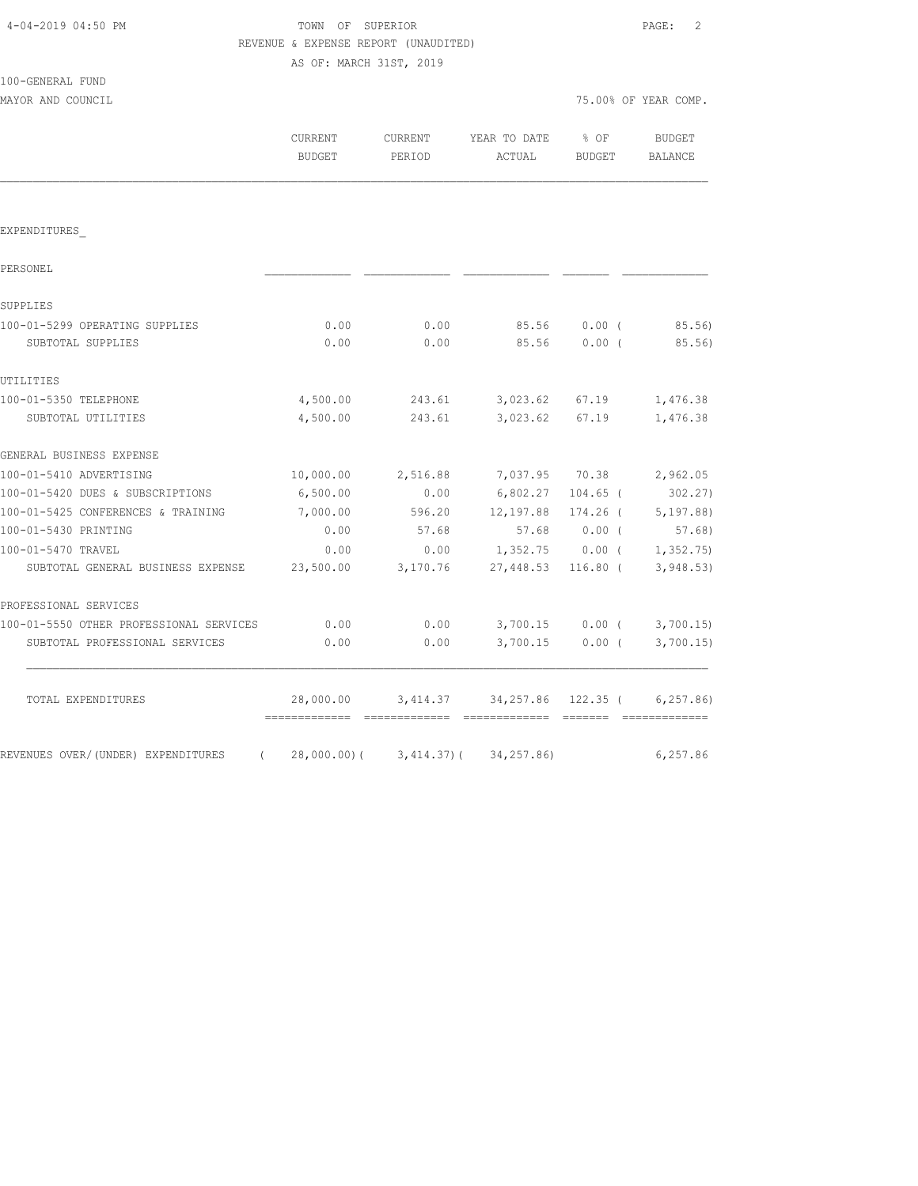|                                         | AS OF: MARCH 31ST, 2019  |                   |                        |                         |                             |  |
|-----------------------------------------|--------------------------|-------------------|------------------------|-------------------------|-----------------------------|--|
| 100-GENERAL FUND<br>MAYOR AND COUNCIL   |                          |                   |                        | 75.00% OF YEAR COMP.    |                             |  |
|                                         | CURRENT<br><b>BUDGET</b> | CURRENT<br>PERIOD | YEAR TO DATE<br>ACTUAL | $8$ OF<br><b>BUDGET</b> | BUDGET<br><b>BALANCE</b>    |  |
|                                         |                          |                   |                        |                         |                             |  |
| EXPENDITURES                            |                          |                   |                        |                         |                             |  |
| PERSONEL                                |                          |                   |                        |                         |                             |  |
| SUPPLIES                                |                          |                   |                        |                         |                             |  |
| 100-01-5299 OPERATING SUPPLIES          | 0.00                     | 0.00              | 85.56                  | $0.00$ (                | 85.56)                      |  |
| SUBTOTAL SUPPLIES                       | 0.00                     | 0.00              | 85.56                  | $0.00$ (                | 85.56)                      |  |
| UTILITIES                               |                          |                   |                        |                         |                             |  |
| 100-01-5350 TELEPHONE                   | 4,500.00                 | 243.61            |                        | 3,023.62 67.19          | 1,476.38                    |  |
| SUBTOTAL UTILITIES                      | 4,500.00                 | 243.61            | 3,023.62               | 67.19                   | 1,476.38                    |  |
| GENERAL BUSINESS EXPENSE                |                          |                   |                        |                         |                             |  |
| 100-01-5410 ADVERTISING                 | 10,000.00                | 2,516.88          | 7,037.95 70.38         |                         | 2,962.05                    |  |
| 100-01-5420 DUES & SUBSCRIPTIONS        | 6,500.00                 | 0.00              | 6,802.27               | $104.65$ (              | 302.27)                     |  |
| 100-01-5425 CONFERENCES & TRAINING      | 7,000.00                 | 596.20            | 12,197.88              | $174.26$ (              | 5,197.88)                   |  |
| 100-01-5430 PRINTING                    | 0.00                     | 57.68             | 57.68                  | $0.00$ (                | 57.68)                      |  |
| 100-01-5470 TRAVEL                      | 0.00                     | 0.00              |                        |                         | $1,352.75$ 0.00 ( 1,352.75) |  |
| SUBTOTAL GENERAL BUSINESS EXPENSE       | 23,500.00                | 3,170.76          | 27,448.53              |                         | $116.80$ ( 3,948.53)        |  |
| PROFESSIONAL SERVICES                   |                          |                   |                        |                         |                             |  |
| 100-01-5550 OTHER PROFESSIONAL SERVICES | 0.00                     | 0.00              |                        |                         | $3,700.15$ 0.00 ( 3,700.15) |  |
| SUBTOTAL PROFESSIONAL SERVICES          | 0.00                     | 0.00              | 3,700.15               | $0.00$ (                | 3,700.15                    |  |
| TOTAL EXPENDITURES                      | 28,000.00                |                   | 3,414.37 34,257.86     | $122.35$ (              | 6, 257.86                   |  |

REVENUES OVER/(UNDER) EXPENDITURES (28,000.00)(3,414.37)(34,257.86) 6,257.86

 4-04-2019 04:50 PM TOWN OF SUPERIOR PAGE: 2 REVENUE & EXPENSE REPORT (UNAUDITED)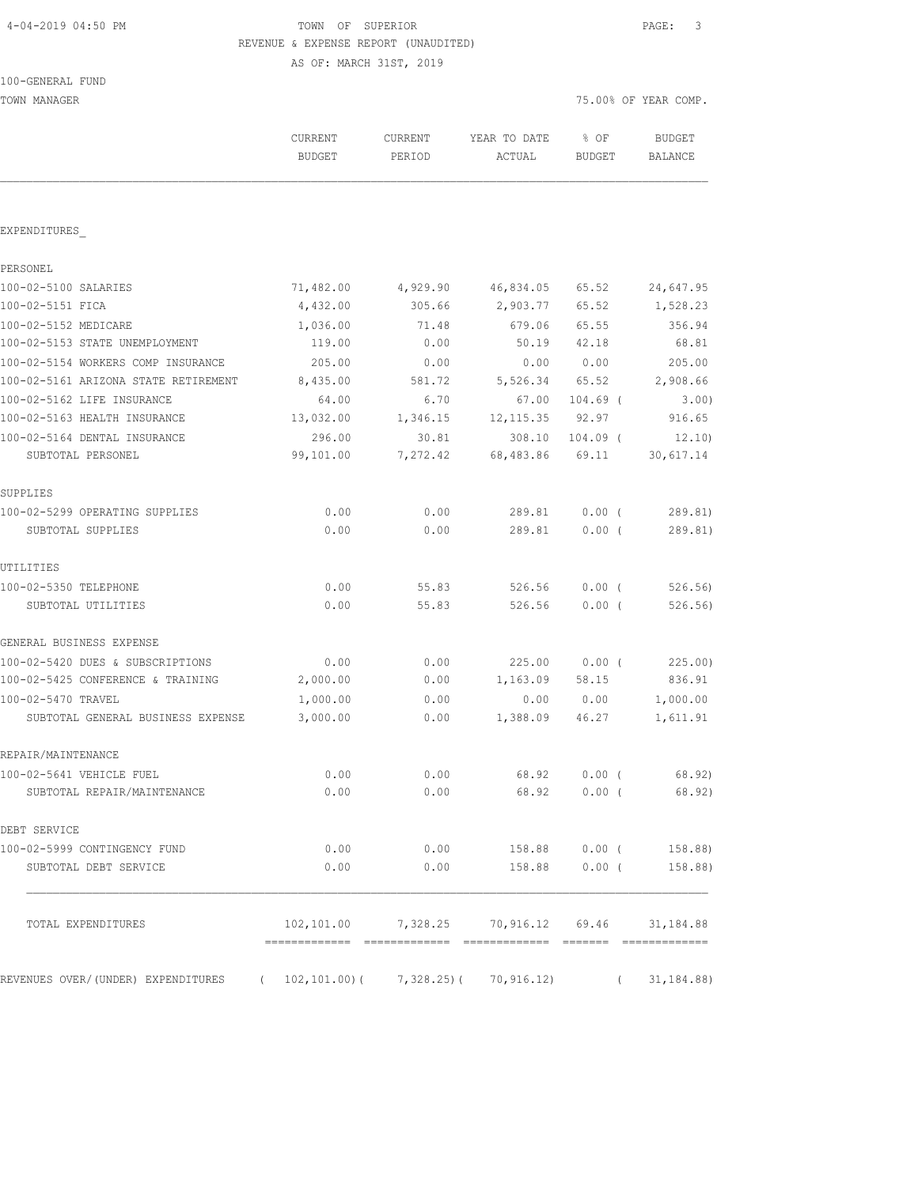# 4-04-2019 04:50 PM TOWN OF SUPERIOR PAGE: 3 REVENUE & EXPENSE REPORT (UNAUDITED)

| 100-GENERAL<br>FUND |  |
|---------------------|--|
|---------------------|--|

| TOWN MANAGER                         |                                          |                   |                                          |                       | 75.00% OF YEAR COMP.     |  |
|--------------------------------------|------------------------------------------|-------------------|------------------------------------------|-----------------------|--------------------------|--|
|                                      | CURRENT<br><b>BUDGET</b>                 | CURRENT<br>PERIOD | YEAR TO DATE<br>ACTUAL                   | % OF<br><b>BUDGET</b> | BUDGET<br><b>BALANCE</b> |  |
| EXPENDITURES                         |                                          |                   |                                          |                       |                          |  |
| PERSONEL                             |                                          |                   |                                          |                       |                          |  |
| 100-02-5100 SALARIES                 | 71,482.00                                | 4,929.90          | 46,834.05                                | 65.52                 | 24,647.95                |  |
| 100-02-5151 FICA                     | 4,432.00                                 | 305.66            | 2,903.77                                 | 65.52                 | 1,528.23                 |  |
| 100-02-5152 MEDICARE                 | 1,036.00                                 | 71.48             | 679.06                                   | 65.55                 | 356.94                   |  |
| 100-02-5153 STATE UNEMPLOYMENT       | 119.00                                   | 0.00              | 50.19                                    | 42.18                 | 68.81                    |  |
| 100-02-5154 WORKERS COMP INSURANCE   | 205.00                                   | 0.00              | 0.00                                     | 0.00                  | 205.00                   |  |
| 100-02-5161 ARIZONA STATE RETIREMENT | 8,435.00                                 | 581.72            | 5,526.34 65.52                           |                       | 2,908.66                 |  |
| 100-02-5162 LIFE INSURANCE           | 64.00                                    | 6.70              | 67.00                                    | $104.69$ (            | 3.00)                    |  |
| 100-02-5163 HEALTH INSURANCE         | 13,032.00                                | 1,346.15          | 12, 115.35 92.97                         |                       | 916.65                   |  |
| 100-02-5164 DENTAL INSURANCE         | 296.00                                   | 30.81             |                                          | 308.10 104.09 (       | 12.10                    |  |
| SUBTOTAL PERSONEL                    | 99,101.00                                | 7,272.42          | 68,483.86                                | 69.11                 | 30,617.14                |  |
| SUPPLIES                             |                                          |                   |                                          |                       |                          |  |
| 100-02-5299 OPERATING SUPPLIES       | 0.00                                     | 0.00              | 289.81                                   | $0.00$ (              | 289.81)                  |  |
| SUBTOTAL SUPPLIES                    | 0.00                                     | 0.00              | 289.81                                   | $0.00$ (              | 289.81)                  |  |
| UTILITIES                            |                                          |                   |                                          |                       |                          |  |
| 100-02-5350 TELEPHONE                | 0.00                                     | 55.83             | 526.56                                   | $0.00$ (              | 526.56                   |  |
| SUBTOTAL UTILITIES                   | 0.00                                     | 55.83             | 526.56                                   | $0.00$ (              | 526.56)                  |  |
| GENERAL BUSINESS EXPENSE             |                                          |                   |                                          |                       |                          |  |
| 100-02-5420 DUES & SUBSCRIPTIONS     | 0.00                                     | 0.00              |                                          | 225.00 0.00 (         | 225.00)                  |  |
| 100-02-5425 CONFERENCE & TRAINING    | 2,000.00                                 | 0.00              | 1,163.09                                 | 58.15                 | 836.91                   |  |
| 100-02-5470 TRAVEL                   | 1,000.00                                 | 0.00              | 0.00                                     | 0.00                  | 1,000.00                 |  |
| SUBTOTAL GENERAL BUSINESS EXPENSE    | 3,000.00                                 | 0.00              | 1,388.09                                 | 46.27                 | 1,611.91                 |  |
| REPAIR/MAINTENANCE                   |                                          |                   |                                          |                       |                          |  |
| 100-02-5641 VEHICLE FUEL             | 0.00                                     | 0.00              | 68.92                                    | 0.00(                 | 68.92)                   |  |
| SUBTOTAL REPAIR/MAINTENANCE          | 0.00                                     | 0.00              | 68.92                                    | $0.00$ (              | 68.92)                   |  |
| DEBT SERVICE                         |                                          |                   |                                          |                       |                          |  |
| 100-02-5999 CONTINGENCY FUND         | 0.00                                     | 0.00              | 158.88                                   | $0.00$ (              | 158.88)                  |  |
| SUBTOTAL DEBT SERVICE                | 0.00                                     | 0.00              | 158.88                                   | $0.00$ (              | 158.88)                  |  |
| TOTAL EXPENDITURES                   |                                          |                   | $102, 101.00$ 7, 328.25 70, 916.12 69.46 |                       | 31, 184.88               |  |
|                                      |                                          |                   |                                          |                       |                          |  |
| REVENUES OVER/(UNDER) EXPENDITURES   | $(102, 101.00) (7, 328.25) (70, 916.12)$ |                   |                                          | $\sqrt{2}$            | 31,184.88)               |  |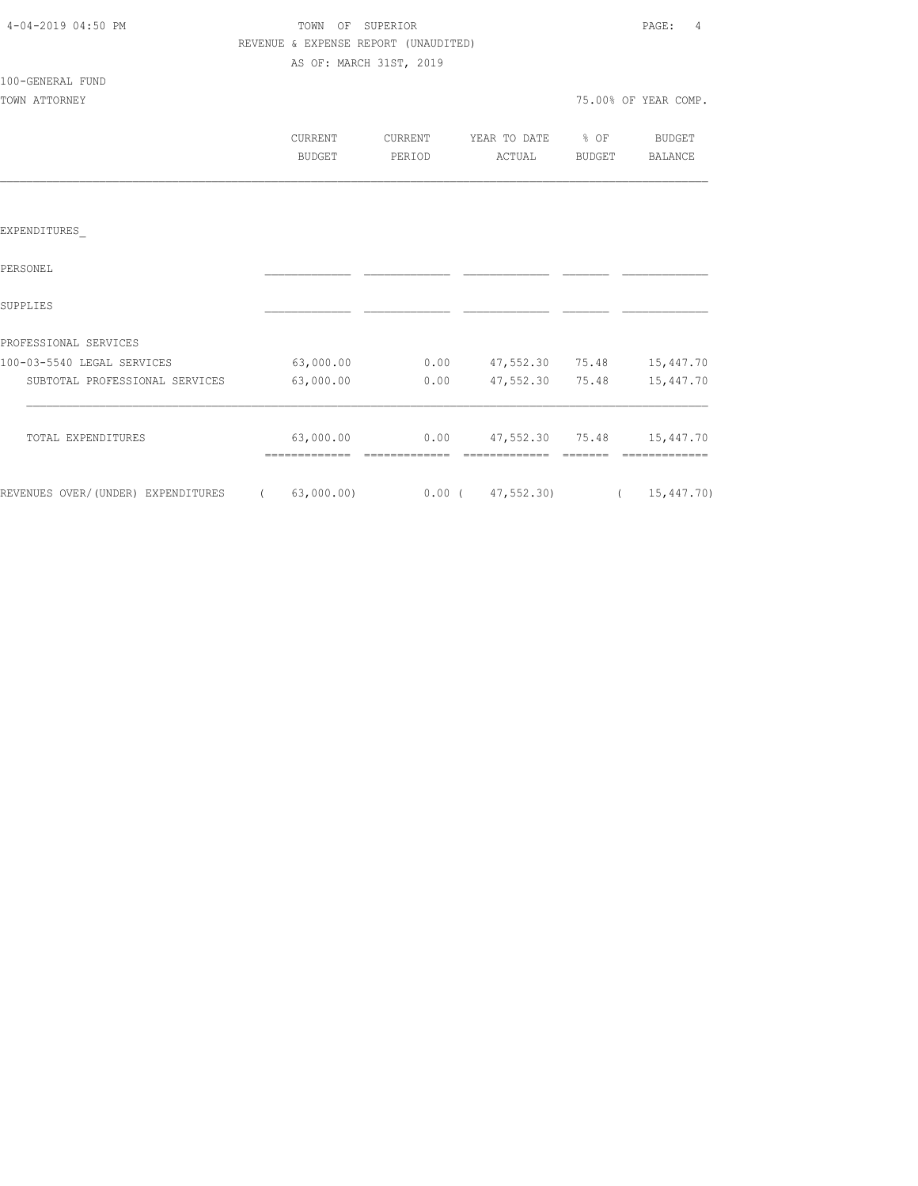| 4-04-2019 04:50 PM                                                          | TOWN OF SUPERIOR |                         |                                      |                                                  |       | PAGE:<br>$\frac{4}{3}$ |  |
|-----------------------------------------------------------------------------|------------------|-------------------------|--------------------------------------|--------------------------------------------------|-------|------------------------|--|
|                                                                             |                  |                         | REVENUE & EXPENSE REPORT (UNAUDITED) |                                                  |       |                        |  |
|                                                                             |                  | AS OF: MARCH 31ST, 2019 |                                      |                                                  |       |                        |  |
| 100-GENERAL FUND                                                            |                  |                         |                                      |                                                  |       |                        |  |
| TOWN ATTORNEY                                                               |                  |                         |                                      |                                                  |       | 75.00% OF YEAR COMP.   |  |
|                                                                             |                  |                         |                                      |                                                  |       |                        |  |
|                                                                             |                  | <b>CURRENT</b>          | CURRENT                              | YEAR TO DATE % OF BUDGET                         |       |                        |  |
|                                                                             |                  | BUDGET                  | PERIOD                               | ACTUAL BUDGET BALANCE                            |       |                        |  |
|                                                                             |                  |                         |                                      |                                                  |       |                        |  |
|                                                                             |                  |                         |                                      |                                                  |       |                        |  |
| EXPENDITURES                                                                |                  |                         |                                      |                                                  |       |                        |  |
| PERSONEL                                                                    |                  |                         |                                      |                                                  |       |                        |  |
|                                                                             |                  |                         |                                      |                                                  |       |                        |  |
| SUPPLIES                                                                    |                  |                         |                                      |                                                  |       |                        |  |
| PROFESSIONAL SERVICES                                                       |                  |                         |                                      |                                                  |       |                        |  |
| 100-03-5540 LEGAL SERVICES                                                  |                  |                         |                                      | 63,000.00   0.00   47,552.30   75.48   15,447.70 |       |                        |  |
| SUBTOTAL PROFESSIONAL SERVICES                                              |                  | 63,000.00               | 0.00                                 | 47,552.30                                        | 75.48 | 15,447.70              |  |
|                                                                             |                  |                         |                                      |                                                  |       |                        |  |
| TOTAL EXPENDITURES                                                          |                  |                         |                                      | 63,000.00   0.00   47,552.30   75.48   15,447.70 |       |                        |  |
|                                                                             |                  |                         |                                      |                                                  |       |                        |  |
| REVENUES OVER/(UNDER) EXPENDITURES (63,000.00) 0.00 (47,552.30) (15,447.70) |                  |                         |                                      |                                                  |       |                        |  |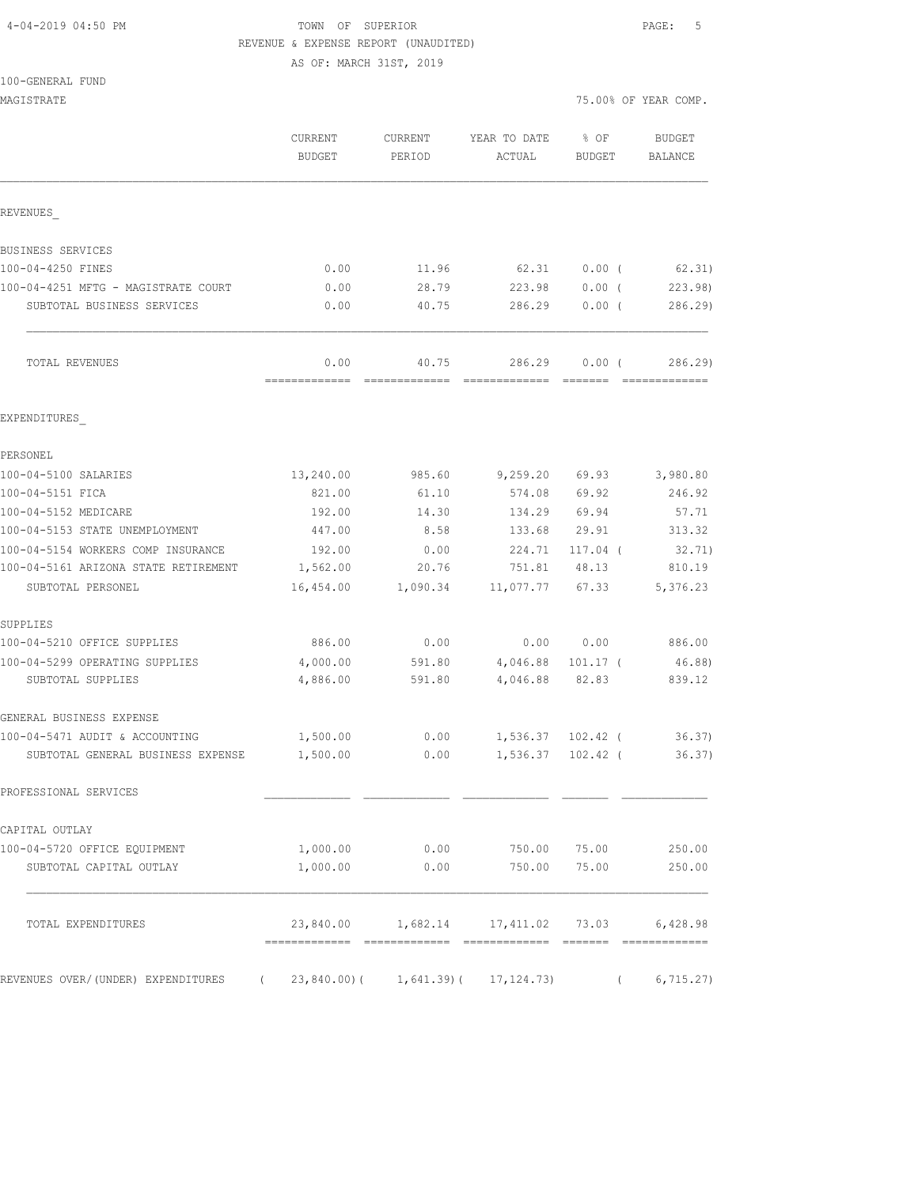## 4-04-2019 04:50 PM TOWN OF SUPERIOR PAGE: 5 REVENUE & EXPENSE REPORT (UNAUDITED)

|  | 100-GENERAL FUND |  |
|--|------------------|--|
|  |                  |  |

| CURRENT<br>YEAR TO DATE<br>% OF<br>CURRENT<br>BUDGET<br>PERIOD<br>ACTUAL<br>BUDGET<br>REVENUES<br>BUSINESS SERVICES<br>100-04-4250 FINES<br>0.00<br>11.96<br>62.31<br>$0.00$ (<br>100-04-4251 MFTG - MAGISTRATE COURT<br>0.00<br>28.79<br>$0.00$ (<br>223.98<br>SUBTOTAL BUSINESS SERVICES<br>0.00<br>40.75<br>286.29<br>0.00(<br>0.00<br>40.75<br>286.29<br>$0.00$ (<br>TOTAL REVENUES<br>EXPENDITURES<br>PERSONEL<br>100-04-5100 SALARIES<br>13,240.00<br>9,259.20 69.93<br>985.60<br>100-04-5151 FICA<br>821.00<br>61.10<br>69.92<br>574.08<br>100-04-5152 MEDICARE<br>192.00<br>69.94<br>14.30<br>134.29<br>100-04-5153 STATE UNEMPLOYMENT<br>447.00<br>8.58<br>133.68<br>29.91<br>100-04-5154 WORKERS COMP INSURANCE<br>192.00<br>0.00<br>224.71<br>$117.04$ (<br>100-04-5161 ARIZONA STATE RETIREMENT<br>1,562.00<br>20.76<br>751.81<br>48.13<br>SUBTOTAL PERSONEL<br>16,454.00<br>1,090.34<br>11,077.77<br>67.33<br>SUPPLIES<br>100-04-5210 OFFICE SUPPLIES<br>886.00<br>0.00<br>0.00 0.00<br>100-04-5299 OPERATING SUPPLIES<br>4,000.00<br>591.80<br>4,046.88<br>$101.17$ (<br>4,886.00<br>591.80<br>4,046.88 82.83<br>SUBTOTAL SUPPLIES<br>GENERAL BUSINESS EXPENSE<br>100-04-5471 AUDIT & ACCOUNTING<br>1,500.00<br>0.00<br>1,536.37 102.42 (<br>SUBTOTAL GENERAL BUSINESS EXPENSE<br>1,500.00<br>0.00<br>1,536.37<br>102.42 (<br>PROFESSIONAL SERVICES<br>CAPITAL OUTLAY<br>0.00<br>100-04-5720 OFFICE EQUIPMENT<br>1,000.00<br>750.00<br>75.00<br>1,000.00<br>0.00<br>750.00<br>75.00<br>SUBTOTAL CAPITAL OUTLAY<br>23,840.00<br>1,682.14 17,411.02 73.03<br>TOTAL EXPENDITURES | MAGISTRATE |  |  | 75.00% OF YEAR COMP. |
|---------------------------------------------------------------------------------------------------------------------------------------------------------------------------------------------------------------------------------------------------------------------------------------------------------------------------------------------------------------------------------------------------------------------------------------------------------------------------------------------------------------------------------------------------------------------------------------------------------------------------------------------------------------------------------------------------------------------------------------------------------------------------------------------------------------------------------------------------------------------------------------------------------------------------------------------------------------------------------------------------------------------------------------------------------------------------------------------------------------------------------------------------------------------------------------------------------------------------------------------------------------------------------------------------------------------------------------------------------------------------------------------------------------------------------------------------------------------------------------------------------------------------------------------------------------------------------------------|------------|--|--|----------------------|
|                                                                                                                                                                                                                                                                                                                                                                                                                                                                                                                                                                                                                                                                                                                                                                                                                                                                                                                                                                                                                                                                                                                                                                                                                                                                                                                                                                                                                                                                                                                                                                                             |            |  |  | BUDGET<br>BALANCE    |
|                                                                                                                                                                                                                                                                                                                                                                                                                                                                                                                                                                                                                                                                                                                                                                                                                                                                                                                                                                                                                                                                                                                                                                                                                                                                                                                                                                                                                                                                                                                                                                                             |            |  |  |                      |
|                                                                                                                                                                                                                                                                                                                                                                                                                                                                                                                                                                                                                                                                                                                                                                                                                                                                                                                                                                                                                                                                                                                                                                                                                                                                                                                                                                                                                                                                                                                                                                                             |            |  |  |                      |
|                                                                                                                                                                                                                                                                                                                                                                                                                                                                                                                                                                                                                                                                                                                                                                                                                                                                                                                                                                                                                                                                                                                                                                                                                                                                                                                                                                                                                                                                                                                                                                                             |            |  |  | 62.31)               |
|                                                                                                                                                                                                                                                                                                                                                                                                                                                                                                                                                                                                                                                                                                                                                                                                                                                                                                                                                                                                                                                                                                                                                                                                                                                                                                                                                                                                                                                                                                                                                                                             |            |  |  | 223.98               |
|                                                                                                                                                                                                                                                                                                                                                                                                                                                                                                                                                                                                                                                                                                                                                                                                                                                                                                                                                                                                                                                                                                                                                                                                                                                                                                                                                                                                                                                                                                                                                                                             |            |  |  | 286.29               |
|                                                                                                                                                                                                                                                                                                                                                                                                                                                                                                                                                                                                                                                                                                                                                                                                                                                                                                                                                                                                                                                                                                                                                                                                                                                                                                                                                                                                                                                                                                                                                                                             |            |  |  | 286.29               |
|                                                                                                                                                                                                                                                                                                                                                                                                                                                                                                                                                                                                                                                                                                                                                                                                                                                                                                                                                                                                                                                                                                                                                                                                                                                                                                                                                                                                                                                                                                                                                                                             |            |  |  |                      |
|                                                                                                                                                                                                                                                                                                                                                                                                                                                                                                                                                                                                                                                                                                                                                                                                                                                                                                                                                                                                                                                                                                                                                                                                                                                                                                                                                                                                                                                                                                                                                                                             |            |  |  |                      |
|                                                                                                                                                                                                                                                                                                                                                                                                                                                                                                                                                                                                                                                                                                                                                                                                                                                                                                                                                                                                                                                                                                                                                                                                                                                                                                                                                                                                                                                                                                                                                                                             |            |  |  | 3,980.80             |
|                                                                                                                                                                                                                                                                                                                                                                                                                                                                                                                                                                                                                                                                                                                                                                                                                                                                                                                                                                                                                                                                                                                                                                                                                                                                                                                                                                                                                                                                                                                                                                                             |            |  |  | 246.92               |
|                                                                                                                                                                                                                                                                                                                                                                                                                                                                                                                                                                                                                                                                                                                                                                                                                                                                                                                                                                                                                                                                                                                                                                                                                                                                                                                                                                                                                                                                                                                                                                                             |            |  |  | 57.71                |
|                                                                                                                                                                                                                                                                                                                                                                                                                                                                                                                                                                                                                                                                                                                                                                                                                                                                                                                                                                                                                                                                                                                                                                                                                                                                                                                                                                                                                                                                                                                                                                                             |            |  |  | 313.32               |
|                                                                                                                                                                                                                                                                                                                                                                                                                                                                                                                                                                                                                                                                                                                                                                                                                                                                                                                                                                                                                                                                                                                                                                                                                                                                                                                                                                                                                                                                                                                                                                                             |            |  |  | 32.71)               |
|                                                                                                                                                                                                                                                                                                                                                                                                                                                                                                                                                                                                                                                                                                                                                                                                                                                                                                                                                                                                                                                                                                                                                                                                                                                                                                                                                                                                                                                                                                                                                                                             |            |  |  | 810.19               |
|                                                                                                                                                                                                                                                                                                                                                                                                                                                                                                                                                                                                                                                                                                                                                                                                                                                                                                                                                                                                                                                                                                                                                                                                                                                                                                                                                                                                                                                                                                                                                                                             |            |  |  | 5,376.23             |
|                                                                                                                                                                                                                                                                                                                                                                                                                                                                                                                                                                                                                                                                                                                                                                                                                                                                                                                                                                                                                                                                                                                                                                                                                                                                                                                                                                                                                                                                                                                                                                                             |            |  |  |                      |
|                                                                                                                                                                                                                                                                                                                                                                                                                                                                                                                                                                                                                                                                                                                                                                                                                                                                                                                                                                                                                                                                                                                                                                                                                                                                                                                                                                                                                                                                                                                                                                                             |            |  |  | 886.00               |
|                                                                                                                                                                                                                                                                                                                                                                                                                                                                                                                                                                                                                                                                                                                                                                                                                                                                                                                                                                                                                                                                                                                                                                                                                                                                                                                                                                                                                                                                                                                                                                                             |            |  |  | 46.88)               |
|                                                                                                                                                                                                                                                                                                                                                                                                                                                                                                                                                                                                                                                                                                                                                                                                                                                                                                                                                                                                                                                                                                                                                                                                                                                                                                                                                                                                                                                                                                                                                                                             |            |  |  | 839.12               |
|                                                                                                                                                                                                                                                                                                                                                                                                                                                                                                                                                                                                                                                                                                                                                                                                                                                                                                                                                                                                                                                                                                                                                                                                                                                                                                                                                                                                                                                                                                                                                                                             |            |  |  |                      |
|                                                                                                                                                                                                                                                                                                                                                                                                                                                                                                                                                                                                                                                                                                                                                                                                                                                                                                                                                                                                                                                                                                                                                                                                                                                                                                                                                                                                                                                                                                                                                                                             |            |  |  | 36.37)               |
|                                                                                                                                                                                                                                                                                                                                                                                                                                                                                                                                                                                                                                                                                                                                                                                                                                                                                                                                                                                                                                                                                                                                                                                                                                                                                                                                                                                                                                                                                                                                                                                             |            |  |  | 36.37)               |
|                                                                                                                                                                                                                                                                                                                                                                                                                                                                                                                                                                                                                                                                                                                                                                                                                                                                                                                                                                                                                                                                                                                                                                                                                                                                                                                                                                                                                                                                                                                                                                                             |            |  |  |                      |
|                                                                                                                                                                                                                                                                                                                                                                                                                                                                                                                                                                                                                                                                                                                                                                                                                                                                                                                                                                                                                                                                                                                                                                                                                                                                                                                                                                                                                                                                                                                                                                                             |            |  |  |                      |
|                                                                                                                                                                                                                                                                                                                                                                                                                                                                                                                                                                                                                                                                                                                                                                                                                                                                                                                                                                                                                                                                                                                                                                                                                                                                                                                                                                                                                                                                                                                                                                                             |            |  |  | 250.00               |
|                                                                                                                                                                                                                                                                                                                                                                                                                                                                                                                                                                                                                                                                                                                                                                                                                                                                                                                                                                                                                                                                                                                                                                                                                                                                                                                                                                                                                                                                                                                                                                                             |            |  |  | 250.00               |
|                                                                                                                                                                                                                                                                                                                                                                                                                                                                                                                                                                                                                                                                                                                                                                                                                                                                                                                                                                                                                                                                                                                                                                                                                                                                                                                                                                                                                                                                                                                                                                                             |            |  |  | 6,428.98             |
| REVENUES OVER/(UNDER) EXPENDITURES<br>$23,840.00$ ( 1,641.39) ( 17,124.73)<br>$\left($                                                                                                                                                                                                                                                                                                                                                                                                                                                                                                                                                                                                                                                                                                                                                                                                                                                                                                                                                                                                                                                                                                                                                                                                                                                                                                                                                                                                                                                                                                      |            |  |  | 6, 715.27)           |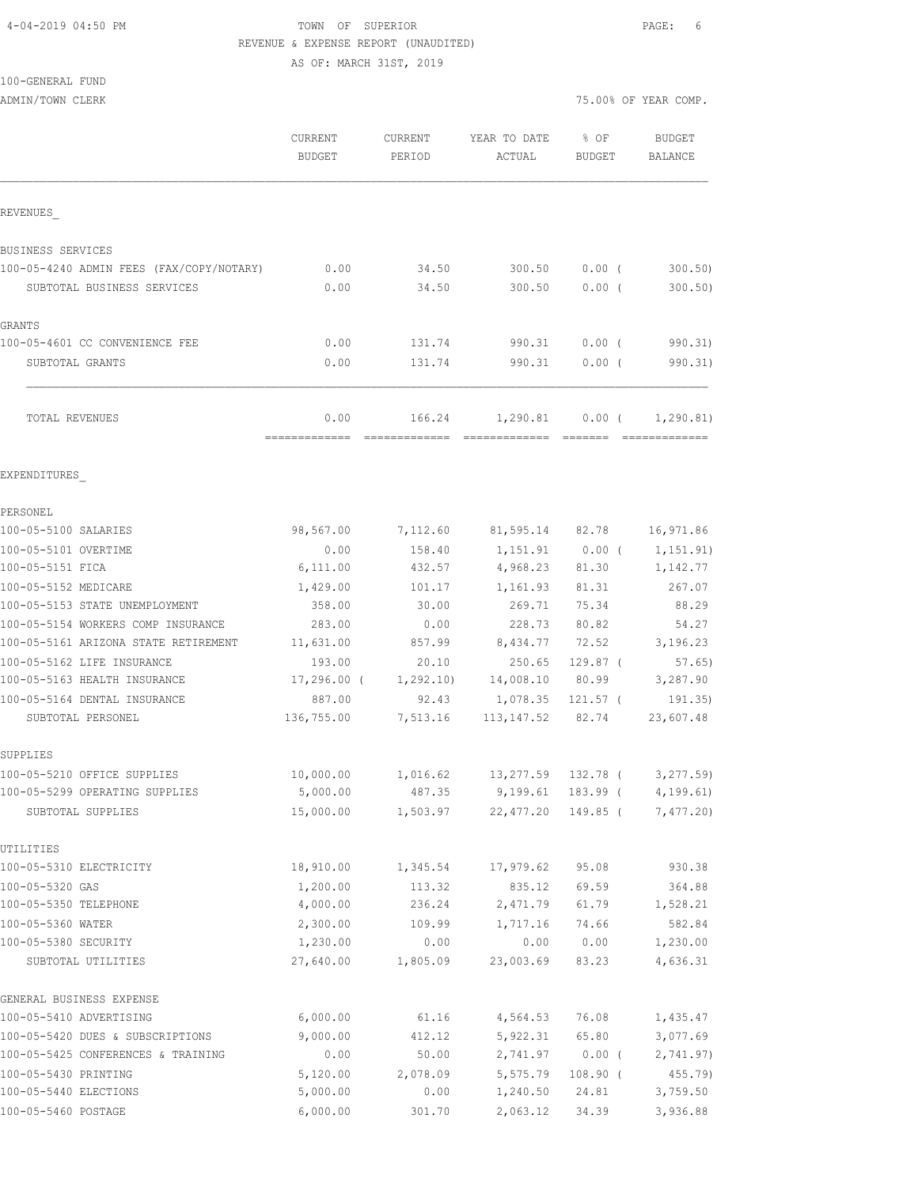### 4-04-2019 04:50 PM TOWN OF SUPERIOR PAGE: 6 REVENUE & EXPENSE REPORT (UNAUDITED) AS OF: MARCH 31ST, 2019

100-GENERAL FUND

|                                          | CURRENT<br><b>BUDGET</b> | CURRENT<br>PERIOD | YEAR TO DATE<br>ACTUAL                  | % OF<br>BUDGET | <b>BUDGET</b><br>BALANCE    |
|------------------------------------------|--------------------------|-------------------|-----------------------------------------|----------------|-----------------------------|
| REVENUES                                 |                          |                   |                                         |                |                             |
| BUSINESS SERVICES                        |                          |                   |                                         |                |                             |
| 100-05-4240 ADMIN FEES (FAX/COPY/NOTARY) | 0.00                     | 34.50             | 300.50                                  | $0.00$ (       | 300.50                      |
| SUBTOTAL BUSINESS SERVICES               | 0.00                     | 34.50             | 300.50                                  | $0.00$ (       | 300.50)                     |
| <b>GRANTS</b>                            |                          |                   |                                         |                |                             |
| 100-05-4601 CC CONVENIENCE FEE           | 0.00                     | 131.74            | 990.31                                  | $0.00$ (       | 990.31)                     |
| SUBTOTAL GRANTS                          | 0.00                     | 131.74            | 990.31                                  | $0.00$ (       | 990.31)                     |
| <b>TOTAL REVENUES</b>                    | 0.00                     | 166.24            |                                         |                | $1,290.81$ 0.00 ( 1,290.81) |
| EXPENDITURES                             |                          |                   |                                         |                |                             |
| PERSONEL                                 |                          |                   |                                         |                |                             |
| 100-05-5100 SALARIES                     | 98,567.00                |                   | 7,112.60 81,595.14 82.78                |                | 16,971.86                   |
| 100-05-5101 OVERTIME                     | 0.00                     | 158.40            | 1,151.91                                | $0.00$ (       | 1,151.91)                   |
| 100-05-5151 FICA                         | 6,111.00                 | 432.57            | 4,968.23 81.30                          |                | 1,142.77                    |
| 100-05-5152 MEDICARE                     | 1,429.00                 | 101.17            | 1,161.93                                | 81.31          | 267.07                      |
| 100-05-5153 STATE UNEMPLOYMENT           | 358.00                   | 30.00             | 269.71                                  | 75.34          | 88.29                       |
| 100-05-5154 WORKERS COMP INSURANCE       | 283.00                   | 0.00              | 228.73                                  | 80.82          | 54.27                       |
| 100-05-5161 ARIZONA STATE RETIREMENT     | 11,631.00                |                   | 857.99 8,434.77 72.52 3,196.23          |                |                             |
| 100-05-5162 LIFE INSURANCE               | 193.00                   | 20.10             | 250.65                                  | 129.87 (       | 57.65)                      |
| 100-05-5163 HEALTH INSURANCE             | 17,296.00 (              |                   | 1,292.10) 14,008.10                     | 80.99          | 3,287.90                    |
| 100-05-5164 DENTAL INSURANCE             | 887.00                   | 92.43             | 1,078.35                                | 121.57 (       | 191.35)                     |
| SUBTOTAL PERSONEL                        | 136,755.00               |                   | 7,513.16 113,147.52 82.74               |                | 23,607.48                   |
| SUPPLIES                                 |                          |                   |                                         |                |                             |
| 100-05-5210 OFFICE SUPPLIES              | 10,000.00                |                   | 1,016.62  13,277.59  132.78  (3,277.59) |                |                             |
| 100-05-5299 OPERATING SUPPLIES           | 5,000.00                 |                   | 487.35 9,199.61 183.99 (                |                | 4,199.61)                   |
| SUBTOTAL SUPPLIES                        | 15,000.00                | 1,503.97          | 22,477.20                               | 149.85 (       | 7,477.20                    |
| UTILITIES                                |                          |                   |                                         |                |                             |
| 100-05-5310 ELECTRICITY                  | 18,910.00                | 1,345.54          | 17,979.62                               | 95.08          | 930.38                      |
| 100-05-5320 GAS                          | 1,200.00                 | 113.32            | 835.12                                  | 69.59          | 364.88                      |
| 100-05-5350 TELEPHONE                    | 4,000.00                 | 236.24            | 2,471.79                                | 61.79          | 1,528.21                    |
| 100-05-5360 WATER                        | 2,300.00                 | 109.99            | 1,717.16                                | 74.66          | 582.84                      |
| 100-05-5380 SECURITY                     | 1,230.00                 | 0.00              | 0.00                                    | 0.00           | 1,230.00                    |
| SUBTOTAL UTILITIES                       | 27,640.00                | 1,805.09          | 23,003.69                               | 83.23          | 4,636.31                    |
| GENERAL BUSINESS EXPENSE                 |                          |                   |                                         |                |                             |
| 100-05-5410 ADVERTISING                  | 6,000.00                 | 61.16             | 4,564.53                                | 76.08          | 1,435.47                    |
| 100-05-5420 DUES & SUBSCRIPTIONS         | 9,000.00                 | 412.12            | 5,922.31                                | 65.80          | 3,077.69                    |
| 100-05-5425 CONFERENCES & TRAINING       | 0.00                     | 50.00             | 2,741.97                                | $0.00$ (       | 2,741.97)                   |
| 100-05-5430 PRINTING                     | 5,120.00                 | 2,078.09          | 5,575.79                                | $108.90$ (     | 455.79)                     |
| 100-05-5440 ELECTIONS                    | 5,000.00                 | 0.00              | 1,240.50                                | 24.81          | 3,759.50                    |
| 100-05-5460 POSTAGE                      | 6,000.00                 | 301.70            | 2,063.12                                | 34.39          | 3,936.88                    |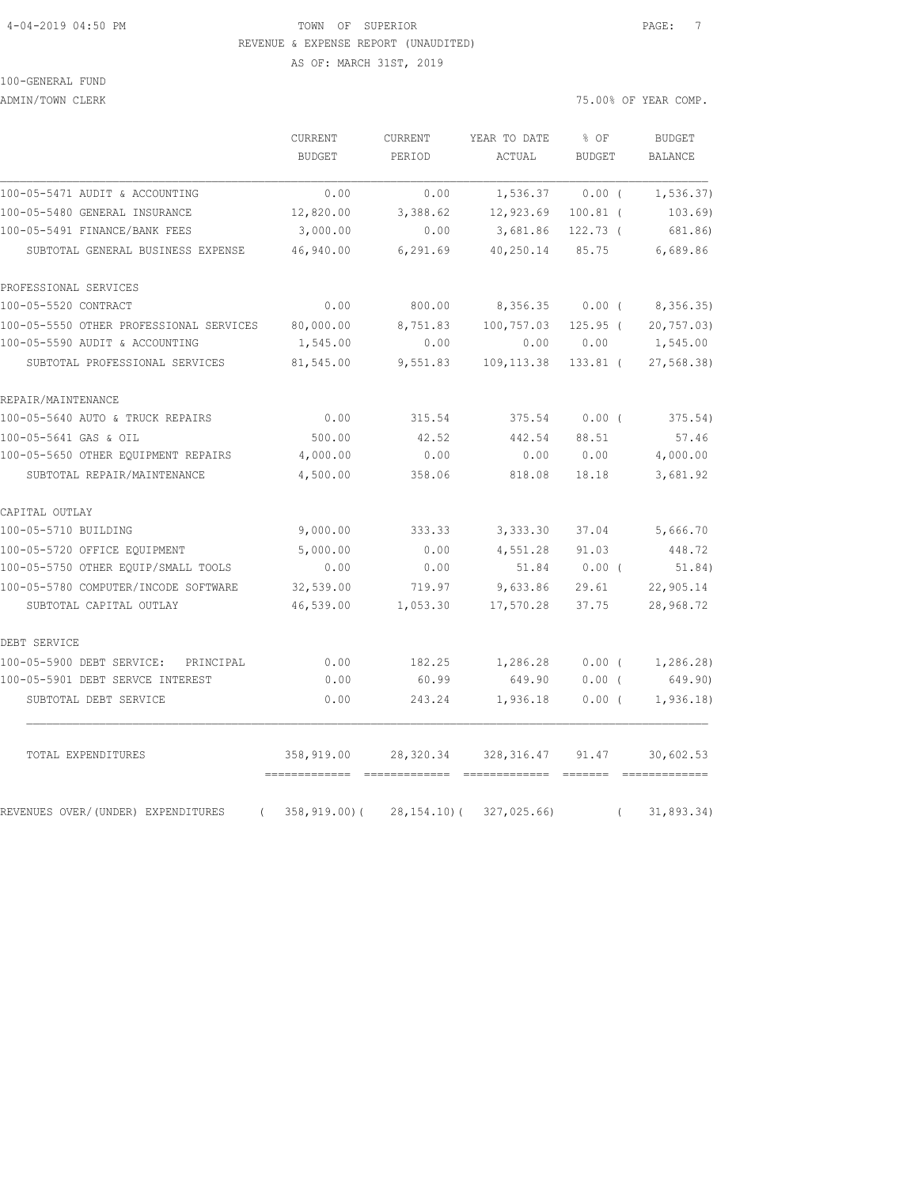## 4-04-2019 04:50 PM TOWN OF SUPERIOR PAGE: 7 REVENUE & EXPENSE REPORT (UNAUDITED) AS OF: MARCH 31ST, 2019

100-GENERAL FUND

ADMIN/TOWN CLERK **2008** OF YEAR COMP.

|                                                | CURRENT<br><b>BUDGET</b>         | CURRENT<br>PERIOD | YEAR TO DATE<br>ACTUAL                                                                                                                                                                                                                                                                                                                                                                                                                                                                                                                                                          | % OF<br><b>BUDGET</b> | <b>BUDGET</b><br><b>BALANCE</b> |
|------------------------------------------------|----------------------------------|-------------------|---------------------------------------------------------------------------------------------------------------------------------------------------------------------------------------------------------------------------------------------------------------------------------------------------------------------------------------------------------------------------------------------------------------------------------------------------------------------------------------------------------------------------------------------------------------------------------|-----------------------|---------------------------------|
| 100-05-5471 AUDIT & ACCOUNTING                 | 0.00                             | 0.00              | 1,536.37                                                                                                                                                                                                                                                                                                                                                                                                                                                                                                                                                                        | $0.00$ (              | 1, 536.37)                      |
| 100-05-5480 GENERAL INSURANCE                  | 12,820.00                        | 3,388.62          | 12,923.69                                                                                                                                                                                                                                                                                                                                                                                                                                                                                                                                                                       | $100.81$ (            | 103.69)                         |
| 100-05-5491 FINANCE/BANK FEES                  | 3,000.00                         | 0.00              | 3,681.86                                                                                                                                                                                                                                                                                                                                                                                                                                                                                                                                                                        | $122.73$ (            | 681.86)                         |
| SUBTOTAL GENERAL BUSINESS EXPENSE              | 46,940.00                        | 6,291.69          | 40,250.14                                                                                                                                                                                                                                                                                                                                                                                                                                                                                                                                                                       | 85.75                 | 6,689.86                        |
| PROFESSIONAL SERVICES                          |                                  |                   |                                                                                                                                                                                                                                                                                                                                                                                                                                                                                                                                                                                 |                       |                                 |
| 100-05-5520 CONTRACT                           | 0.00                             | 800.00            | 8,356.35                                                                                                                                                                                                                                                                                                                                                                                                                                                                                                                                                                        | $0.00$ (              | 8,356.35)                       |
| 100-05-5550 OTHER PROFESSIONAL SERVICES        | 80,000.00                        | 8,751.83          | 100,757.03                                                                                                                                                                                                                                                                                                                                                                                                                                                                                                                                                                      | $125.95$ (            | 20, 757.03                      |
| 100-05-5590 AUDIT & ACCOUNTING                 | 1,545.00                         | 0.00              | 0.00                                                                                                                                                                                                                                                                                                                                                                                                                                                                                                                                                                            | 0.00                  | 1,545.00                        |
| SUBTOTAL PROFESSIONAL SERVICES                 | 81,545.00                        | 9,551.83          | 109, 113.38                                                                                                                                                                                                                                                                                                                                                                                                                                                                                                                                                                     | 133.81 (              | 27, 568.38                      |
| REPAIR/MAINTENANCE                             |                                  |                   |                                                                                                                                                                                                                                                                                                                                                                                                                                                                                                                                                                                 |                       |                                 |
| 100-05-5640 AUTO & TRUCK REPAIRS               | 0.00                             | 315.54            | 375.54                                                                                                                                                                                                                                                                                                                                                                                                                                                                                                                                                                          | $0.00$ (              | 375.54)                         |
| 100-05-5641 GAS & OIL                          | 500.00                           | 42.52             | 442.54                                                                                                                                                                                                                                                                                                                                                                                                                                                                                                                                                                          | 88.51                 | 57.46                           |
| 100-05-5650 OTHER EQUIPMENT REPAIRS            | 4,000.00                         | 0.00              | 0.00                                                                                                                                                                                                                                                                                                                                                                                                                                                                                                                                                                            | 0.00                  | 4,000.00                        |
| SUBTOTAL REPAIR/MAINTENANCE                    | 4,500.00                         | 358.06            | 818.08                                                                                                                                                                                                                                                                                                                                                                                                                                                                                                                                                                          | 18.18                 | 3,681.92                        |
| CAPITAL OUTLAY                                 |                                  |                   |                                                                                                                                                                                                                                                                                                                                                                                                                                                                                                                                                                                 |                       |                                 |
| 100-05-5710 BUILDING                           | 9,000.00                         | 333.33            | 3,333.30                                                                                                                                                                                                                                                                                                                                                                                                                                                                                                                                                                        | 37.04                 | 5,666.70                        |
| 100-05-5720 OFFICE EQUIPMENT                   | 5,000.00                         | 0.00              | 4,551.28                                                                                                                                                                                                                                                                                                                                                                                                                                                                                                                                                                        | 91.03                 | 448.72                          |
| 100-05-5750 OTHER EQUIP/SMALL TOOLS            | 0.00                             | 0.00              | 51.84                                                                                                                                                                                                                                                                                                                                                                                                                                                                                                                                                                           | $0.00$ (              | 51.84)                          |
| 100-05-5780 COMPUTER/INCODE SOFTWARE           | 32,539.00                        | 719.97            | 9,633.86                                                                                                                                                                                                                                                                                                                                                                                                                                                                                                                                                                        | 29.61                 | 22,905.14                       |
| SUBTOTAL CAPITAL OUTLAY                        | 46,539.00                        | 1,053.30          | 17,570.28                                                                                                                                                                                                                                                                                                                                                                                                                                                                                                                                                                       | 37.75                 | 28,968.72                       |
| DEBT SERVICE                                   |                                  |                   |                                                                                                                                                                                                                                                                                                                                                                                                                                                                                                                                                                                 |                       |                                 |
| 100-05-5900 DEBT SERVICE: PRINCIPAL            | 0.00                             | 182.25            | 1,286.28                                                                                                                                                                                                                                                                                                                                                                                                                                                                                                                                                                        | $0.00$ (              | 1,286.28)                       |
| 100-05-5901 DEBT SERVCE INTEREST               | 0.00                             | 60.99             | 649.90                                                                                                                                                                                                                                                                                                                                                                                                                                                                                                                                                                          | $0.00$ (              | 649.90)                         |
| SUBTOTAL DEBT SERVICE                          | 0.00                             | 243.24            | 1,936.18                                                                                                                                                                                                                                                                                                                                                                                                                                                                                                                                                                        | 0.00(                 | 1,936.18                        |
| TOTAL EXPENDITURES                             | 358,919.00                       | 28,320.34         | 328,316.47                                                                                                                                                                                                                                                                                                                                                                                                                                                                                                                                                                      | 91.47                 | 30,602.53                       |
| REVENUES OVER/(UNDER) EXPENDITURES<br>$\left($ | -------------<br>$358, 919.00$ ( | 28, 154.10(       | $\begin{array}{cccccc} \multicolumn{2}{c}{{\color{red}{{\color{magenta}\boldsymbol{\mathsf{G}}}}}{{\color{magenta}\boldsymbol{\mathsf{G}}}}} & \multicolumn{2}{c}{{\color{magenta}\boldsymbol{\mathsf{G}}}}} & \multicolumn{2}{c}{{\color{magenta}\boldsymbol{\mathsf{G}}}}} & \multicolumn{2}{c}{{\color{magenta}\boldsymbol{\mathsf{G}}}}} & \multicolumn{2}{c}{{\color{magenta}\boldsymbol{\mathsf{G}}}}} & \multicolumn{2}{c}{{\color{magenta}\boldsymbol{\mathsf{G}}}}} & \multicolumn{2}{c}{{\color{magenta}\boldsymbol{\mathsf{G}}}}} & \multicolumn{2}{c$<br>327,025.66 | $\left($              | 31,893.34)                      |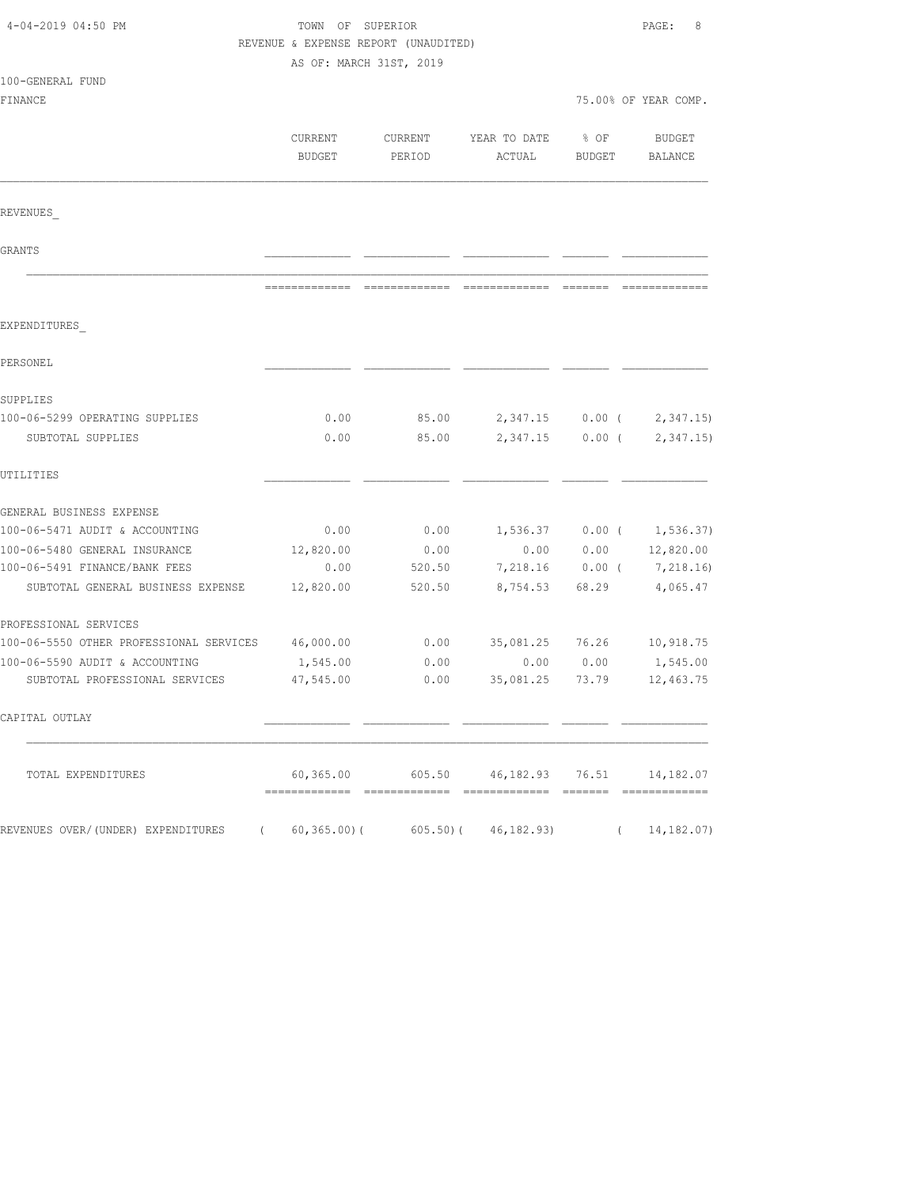| 4-04-2019 04:50 PM                      | TOWN OF SUPERIOR<br>REVENUE & EXPENSE REPORT (UNAUDITED) |                                                      |                        |                       | PAGE:<br>8           |  |
|-----------------------------------------|----------------------------------------------------------|------------------------------------------------------|------------------------|-----------------------|----------------------|--|
|                                         | AS OF: MARCH 31ST, 2019                                  |                                                      |                        |                       |                      |  |
| 100-GENERAL FUND                        |                                                          |                                                      |                        |                       |                      |  |
| FINANCE                                 |                                                          |                                                      |                        |                       | 75.00% OF YEAR COMP. |  |
|                                         | CURRENT<br><b>BUDGET</b>                                 | CURRENT<br>PERIOD                                    | YEAR TO DATE<br>ACTUAL | % OF<br><b>BUDGET</b> | BUDGET<br>BALANCE    |  |
| REVENUES                                |                                                          |                                                      |                        |                       |                      |  |
| GRANTS                                  |                                                          |                                                      |                        |                       |                      |  |
|                                         |                                                          |                                                      |                        |                       |                      |  |
| EXPENDITURES                            |                                                          |                                                      |                        |                       |                      |  |
| PERSONEL                                |                                                          |                                                      |                        |                       |                      |  |
| SUPPLIES                                |                                                          |                                                      |                        |                       |                      |  |
| 100-06-5299 OPERATING SUPPLIES          | 0.00                                                     | 85.00                                                | 2,347.15               | $0.00$ (              | 2,347.15             |  |
| SUBTOTAL SUPPLIES                       | 0.00                                                     | 85.00                                                | 2,347.15               | $0.00$ (              | 2, 347.15            |  |
| UTILITIES                               |                                                          |                                                      |                        |                       |                      |  |
| GENERAL BUSINESS EXPENSE                |                                                          |                                                      |                        |                       |                      |  |
| 100-06-5471 AUDIT & ACCOUNTING          | 0.00                                                     | 0.00                                                 | 1,536.37               | $0.00$ (              | 1, 536.37)           |  |
| 100-06-5480 GENERAL INSURANCE           | 12,820.00                                                | 0.00                                                 | 0.00                   | 0.00                  | 12,820.00            |  |
| 100-06-5491 FINANCE/BANK FEES           | 0.00                                                     | 520.50                                               | 7,218.16               | $0.00$ (              | 7,218.16)            |  |
| SUBTOTAL GENERAL BUSINESS EXPENSE       | 12,820.00                                                | 520.50                                               | 8,754.53               | 68.29                 | 4,065.47             |  |
| PROFESSIONAL SERVICES                   |                                                          |                                                      |                        |                       |                      |  |
| 100-06-5550 OTHER PROFESSIONAL SERVICES | 46,000.00                                                | 0.00                                                 | 35,081.25              | 76.26                 | 10,918.75            |  |
| 100-06-5590 AUDIT & ACCOUNTING          | 1,545.00                                                 | 0.00                                                 | 0.00                   | 0.00                  | 1,545.00             |  |
| SUBTOTAL PROFESSIONAL SERVICES          | 47,545.00                                                | 0.00                                                 | 35,081.25              | 73.79                 | 12,463.75            |  |
| CAPITAL OUTLAY                          |                                                          |                                                      |                        |                       |                      |  |
| TOTAL EXPENDITURES                      |                                                          | $60,365.00$ $605.50$ $46,182.93$ $76.51$ $14,182.07$ |                        |                       |                      |  |
| REVENUES OVER/(UNDER) EXPENDITURES (    |                                                          | 60,365.00)(605.50)(46,182.93)                        |                        |                       | (14, 182.07)         |  |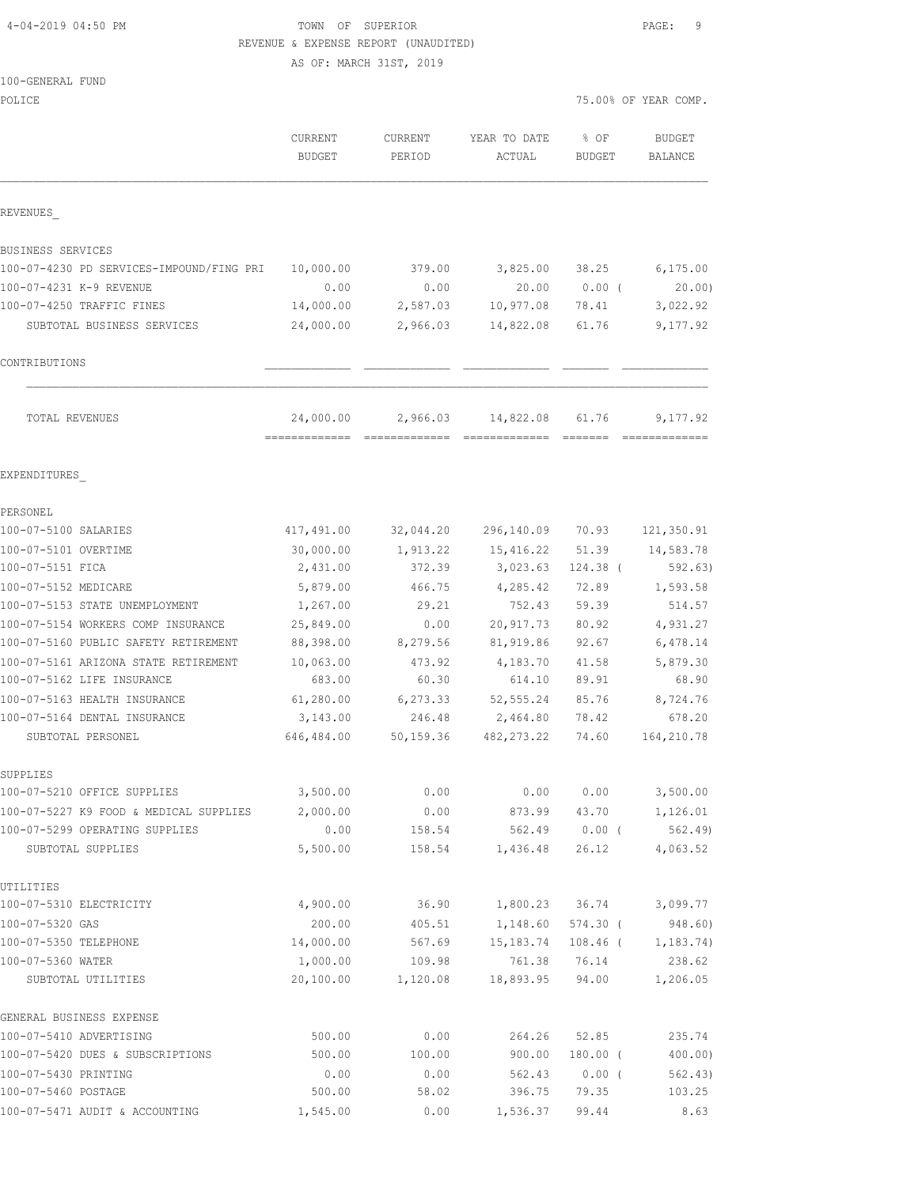## 4-04-2019 04:50 PM TOWN OF SUPERIOR PAGE: 9 REVENUE & EXPENSE REPORT (UNAUDITED)

AS OF: MARCH 31ST, 2019

#### 100-GENERAL FUND

| POLICE                                                     |                          |                          |                        |                       | 75.00% OF YEAR COMP.     |
|------------------------------------------------------------|--------------------------|--------------------------|------------------------|-----------------------|--------------------------|
|                                                            | CURRENT<br><b>BUDGET</b> | <b>CURRENT</b><br>PERIOD | YEAR TO DATE<br>ACTUAL | % OF<br><b>BUDGET</b> | <b>BUDGET</b><br>BALANCE |
| REVENUES                                                   |                          |                          |                        |                       |                          |
| BUSINESS SERVICES                                          |                          |                          |                        |                       |                          |
| 100-07-4230 PD SERVICES-IMPOUND/FING PRI                   | 10,000.00                | 379.00                   | 3,825.00               | 38.25                 | 6, 175.00                |
| 100-07-4231 K-9 REVENUE                                    | 0.00                     | 0.00                     | 20.00                  | $0.00$ (              | 20.00                    |
| 100-07-4250 TRAFFIC FINES                                  | 14,000.00                | 2,587.03                 | 10,977.08              | 78.41                 | 3,022.92                 |
| SUBTOTAL BUSINESS SERVICES                                 | 24,000.00                | 2,966.03                 | 14,822.08              | 61.76                 | 9,177.92                 |
| CONTRIBUTIONS                                              |                          |                          |                        |                       |                          |
| TOTAL REVENUES                                             | 24,000.00                | 2,966.03                 | 14,822.08              | 61.76                 | 9,177.92                 |
| EXPENDITURES                                               |                          |                          |                        |                       |                          |
| PERSONEL                                                   |                          |                          |                        |                       |                          |
| 100-07-5100 SALARIES                                       | 417,491.00               | 32,044.20                | 296,140.09             | 70.93                 | 121,350.91               |
| 100-07-5101 OVERTIME                                       | 30,000.00                | 1,913.22                 | 15, 416.22             | 51.39                 | 14,583.78                |
| 100-07-5151 FICA                                           | 2,431.00                 | 372.39                   | 3,023.63               | 124.38 (              | 592.63)                  |
| 100-07-5152 MEDICARE                                       | 5,879.00                 | 466.75                   | 4,285.42               | 72.89                 | 1,593.58                 |
| 100-07-5153 STATE UNEMPLOYMENT                             | 1,267.00                 | 29.21                    | 752.43                 | 59.39                 | 514.57                   |
| 100-07-5154 WORKERS COMP INSURANCE                         | 25,849.00                | 0.00                     | 20,917.73              | 80.92                 | 4,931.27                 |
| 100-07-5160 PUBLIC SAFETY RETIREMENT                       | 88,398.00                | 8,279.56                 | 81,919.86              | 92.67                 | 6,478.14                 |
| 100-07-5161 ARIZONA STATE RETIREMENT                       | 10,063.00                | 473.92                   | 4,183.70               | 41.58                 | 5,879.30                 |
| 100-07-5162 LIFE INSURANCE<br>100-07-5163 HEALTH INSURANCE | 683.00                   | 60.30                    | 614.10                 | 89.91                 | 68.90                    |
| 100-07-5164 DENTAL INSURANCE                               | 61,280.00<br>3,143.00    | 6,273.33<br>246.48       | 52, 555.24<br>2,464.80 | 85.76<br>78.42        | 8,724.76<br>678.20       |
| SUBTOTAL PERSONEL                                          | 646,484.00               | 50,159.36                | 482, 273.22            | 74.60                 | 164,210.78               |
| SUPPLIES                                                   |                          |                          |                        |                       |                          |
| 100-07-5210 OFFICE SUPPLIES                                | 3,500.00                 | 0.00                     | 0.00                   | 0.00                  | 3,500.00                 |
| 100-07-5227 K9 FOOD & MEDICAL SUPPLIES                     | 2,000.00                 | 0.00                     | 873.99                 | 43.70                 | 1,126.01                 |
| 100-07-5299 OPERATING SUPPLIES                             | 0.00                     | 158.54                   | 562.49                 | $0.00$ (              | 562.49)                  |
| SUBTOTAL SUPPLIES                                          | 5,500.00                 | 158.54                   | 1,436.48               | 26.12                 | 4,063.52                 |
| UTILITIES                                                  |                          |                          |                        |                       |                          |
| 100-07-5310 ELECTRICITY                                    | 4,900.00                 | 36.90                    | 1,800.23               | 36.74                 | 3,099.77                 |
| 100-07-5320 GAS                                            | 200.00                   | 405.51                   | 1,148.60               | $574.30$ (            | 948.60)                  |
| 100-07-5350 TELEPHONE                                      | 14,000.00                | 567.69                   | 15,183.74              | $108.46$ (            | 1,183.74)                |
| 100-07-5360 WATER                                          | 1,000.00                 | 109.98                   | 761.38                 | 76.14                 | 238.62                   |
| SUBTOTAL UTILITIES                                         | 20,100.00                | 1,120.08                 | 18,893.95              | 94.00                 | 1,206.05                 |
| GENERAL BUSINESS EXPENSE                                   |                          |                          |                        |                       |                          |
| 100-07-5410 ADVERTISING                                    | 500.00                   | 0.00                     | 264.26                 | 52.85                 | 235.74                   |
| 100-07-5420 DUES & SUBSCRIPTIONS                           | 500.00                   | 100.00                   | 900.00                 | $180.00$ (            | 400.00)                  |
| 100-07-5430 PRINTING                                       | 0.00                     | 0.00                     | 562.43                 | $0.00$ (              | 562.43)                  |
| 100-07-5460 POSTAGE                                        | 500.00                   | 58.02                    | 396.75                 | 79.35                 | 103.25                   |

100-07-5471 AUDIT & ACCOUNTING 1,545.00 0.00 1,536.37 99.44 8.63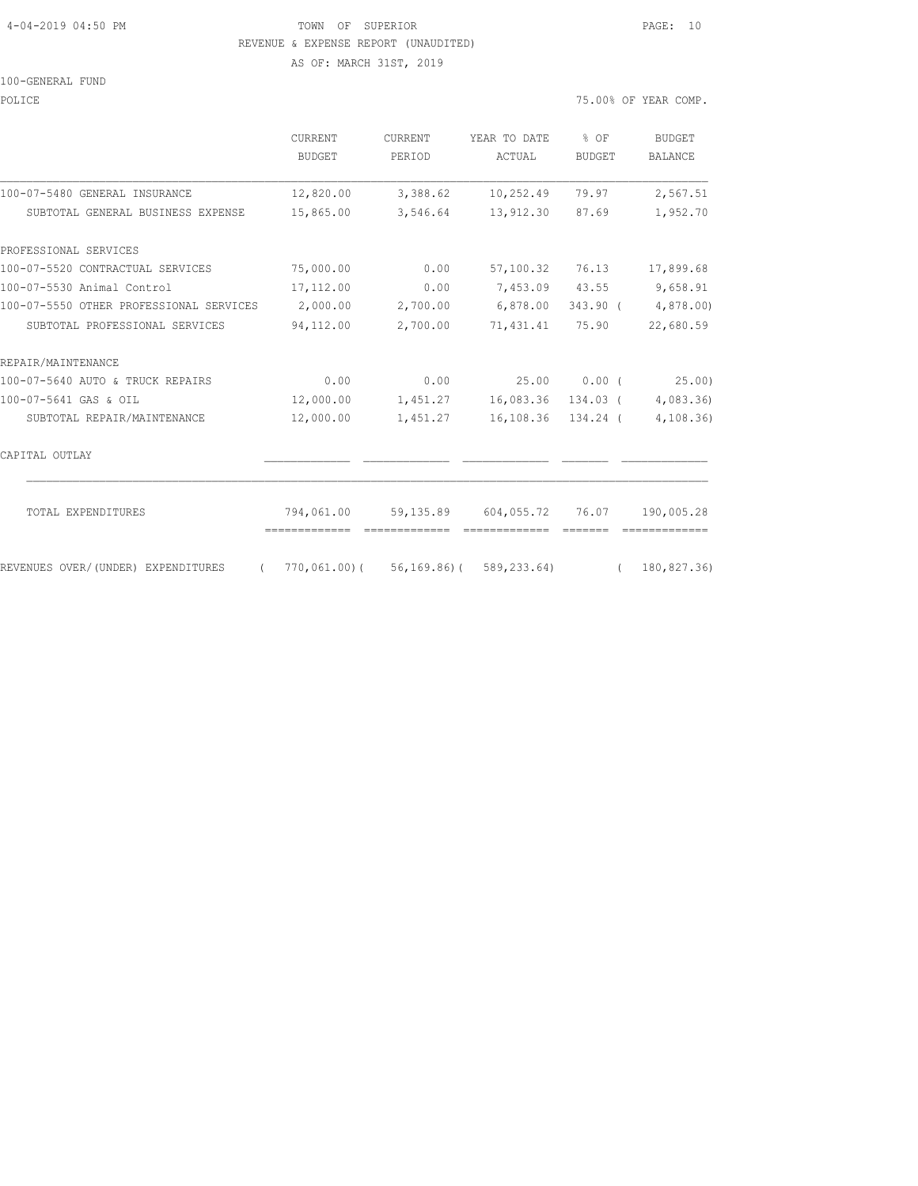#### 4-04-2019 04:50 PM TOWN OF SUPERIOR PAGE: 10 REVENUE & EXPENSE REPORT (UNAUDITED)

AS OF: MARCH 31ST, 2019

100-GENERAL FUND

POLICE 75.00% OF YEAR COMP.

|                                                  | <b>CURRENT</b><br>BUDGET | <b>CURRENT</b><br>PERIOD | YEAR TO DATE<br>ACTUAL                | % OF<br><b>BUDGET</b> | BUDGET<br><b>BALANCE</b> |
|--------------------------------------------------|--------------------------|--------------------------|---------------------------------------|-----------------------|--------------------------|
| 100-07-5480 GENERAL INSURANCE                    | 12,820.00                | 3,388.62                 | 10,252.49                             | 79.97                 | 2,567.51                 |
| SUBTOTAL GENERAL BUSINESS EXPENSE                | 15,865.00                | 3,546.64                 | 13,912.30                             | 87.69                 | 1,952.70                 |
| PROFESSIONAL SERVICES                            |                          |                          |                                       |                       |                          |
| 100-07-5520 CONTRACTUAL SERVICES                 | 75,000.00                | 0.00                     | 57,100.32                             | 76.13                 | 17,899.68                |
| 100-07-5530 Animal Control                       | 17,112.00                | 0.00                     |                                       | 7,453.09 43.55        | 9,658.91                 |
| 100-07-5550 OTHER PROFESSIONAL SERVICES          | 2,000.00                 | 2,700.00                 | 6,878.00                              | 343.90 (              | 4,878.00)                |
| SUBTOTAL PROFESSIONAL SERVICES                   | 94,112.00                | 2,700.00                 | 71,431.41                             | 75.90                 | 22,680.59                |
| REPAIR/MAINTENANCE                               |                          |                          |                                       |                       |                          |
| 100-07-5640 AUTO & TRUCK REPAIRS                 | 0.00                     | 0.00                     | 25.00                                 | 0.00(                 | 25.00)                   |
| 100-07-5641 GAS & OIL                            | 12,000.00                | 1,451.27                 | 16,083.36                             | 134.03 (              | 4,083.36)                |
| SUBTOTAL REPAIR/MAINTENANCE                      | 12,000.00                | 1,451.27                 | 16,108.36 134.24 (                    |                       | 4, 108.36                |
| CAPITAL OUTLAY                                   |                          |                          |                                       |                       |                          |
| TOTAL EXPENDITURES                               | 794,061.00               |                          | 59,135.89 604,055.72 76.07            |                       | 190,005.28               |
| REVENUES OVER/(UNDER) EXPENDITURES<br>$\sqrt{2}$ |                          |                          | $770,061,00$ (56,169.86) (589,233.64) |                       | (180, 827, 36)           |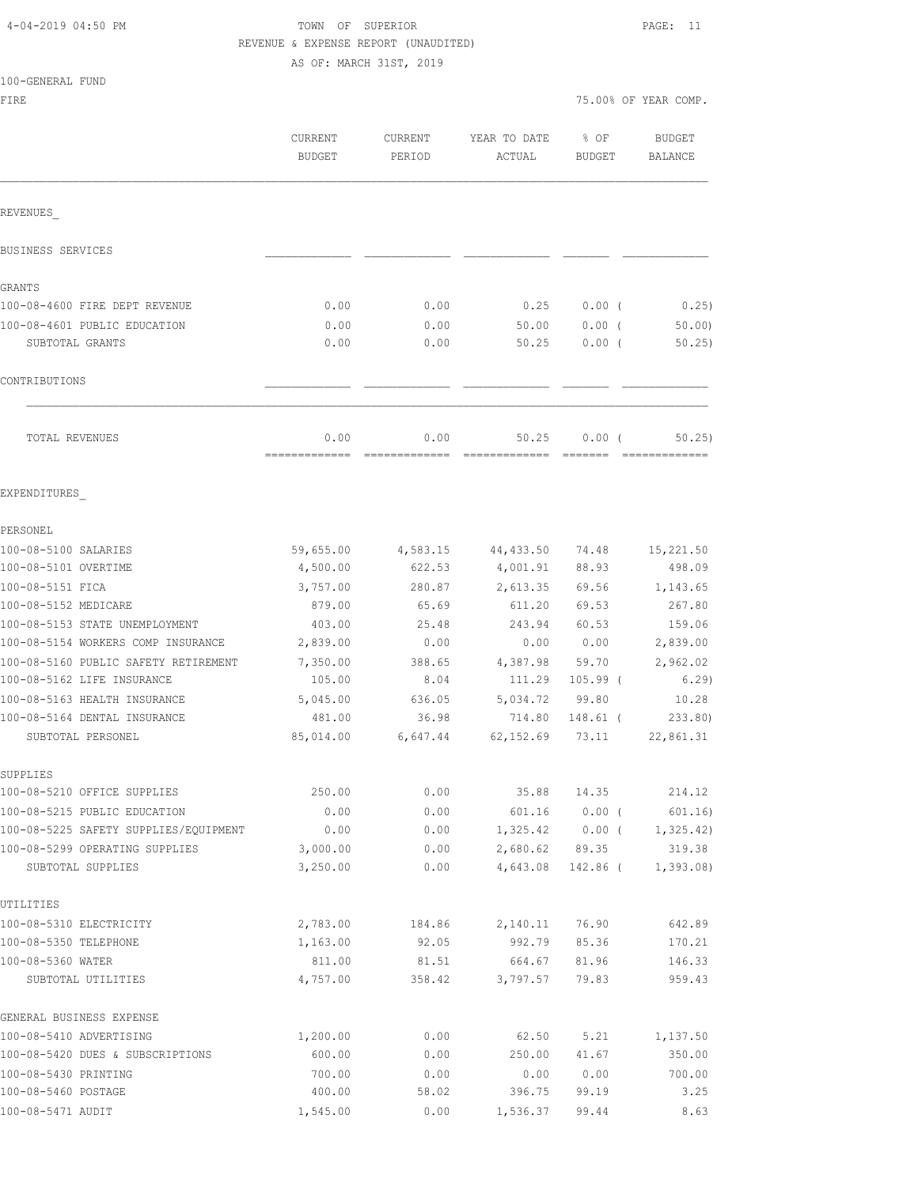| 4-04-2019 04:50 PM |  |  |
|--------------------|--|--|
|--------------------|--|--|

100-GENERAL FUND

## TOWN OF SUPERIOR **PAGE:** 11 REVENUE & EXPENSE REPORT (UNAUDITED)

| FIRE                                                |                          |                   |                        |                       | 75.00% OF YEAR COMP.     |
|-----------------------------------------------------|--------------------------|-------------------|------------------------|-----------------------|--------------------------|
|                                                     | CURRENT<br><b>BUDGET</b> | CURRENT<br>PERIOD | YEAR TO DATE<br>ACTUAL | % OF<br><b>BUDGET</b> | <b>BUDGET</b><br>BALANCE |
| REVENUES                                            |                          |                   |                        |                       |                          |
| BUSINESS SERVICES                                   |                          |                   |                        |                       |                          |
| GRANTS                                              |                          |                   |                        |                       |                          |
| 100-08-4600 FIRE DEPT REVENUE                       | 0.00                     | 0.00              | 0.25                   | $0.00$ (              | 0.25)                    |
| 100-08-4601 PUBLIC EDUCATION                        | 0.00                     | 0.00              | 50.00                  | $0.00$ (              | 50.00                    |
| SUBTOTAL GRANTS                                     | 0.00                     | 0.00              | 50.25                  | $0.00$ (              | 50.25)                   |
| CONTRIBUTIONS                                       |                          |                   |                        |                       |                          |
| TOTAL REVENUES                                      | 0.00<br>-------------    | 0.00              | 50.25                  | 0.00(                 | 50, 25)                  |
| EXPENDITURES                                        |                          |                   |                        |                       |                          |
| PERSONEL                                            |                          |                   |                        |                       |                          |
| 100-08-5100 SALARIES                                | 59,655.00                | 4,583.15          | 44,433.50              | 74.48                 | 15,221.50                |
| 100-08-5101 OVERTIME                                | 4,500.00                 | 622.53            | 4,001.91               | 88.93                 | 498.09                   |
| 100-08-5151 FICA                                    | 3,757.00                 | 280.87            | 2,613.35               | 69.56                 | 1,143.65                 |
| 100-08-5152 MEDICARE                                | 879.00                   | 65.69             | 611.20                 | 69.53                 | 267.80                   |
| 100-08-5153 STATE UNEMPLOYMENT                      | 403.00                   | 25.48             | 243.94                 | 60.53                 | 159.06                   |
| 100-08-5154 WORKERS COMP INSURANCE                  | 2,839.00                 | 0.00              | 0.00                   | 0.00                  | 2,839.00                 |
| 100-08-5160 PUBLIC SAFETY RETIREMENT                | 7,350.00                 | 388.65            | 4,387.98               | 59.70                 | 2,962.02                 |
| 100-08-5162 LIFE INSURANCE                          | 105.00                   | 8.04              | 111.29                 | $105.99$ (            | 6.29                     |
| 100-08-5163 HEALTH INSURANCE                        | 5,045.00                 | 636.05            | 5,034.72               | 99.80                 | 10.28                    |
| 100-08-5164 DENTAL INSURANCE                        | 481.00                   | 36.98             | 714.80                 | 148.61 (              | 233.80)                  |
| SUBTOTAL PERSONEL                                   | 85,014.00                | 6,647.44          | 62, 152.69             | 73.11                 | 22,861.31                |
| SUPPLIES                                            |                          |                   |                        |                       |                          |
| 100-08-5210 OFFICE SUPPLIES                         | 250.00                   | 0.00              | 35.88                  | 14.35                 | 214.12                   |
| 100-08-5215 PUBLIC EDUCATION                        | 0.00                     | 0.00              | 601.16                 | $0.00$ (              | 601.16)                  |
| 100-08-5225 SAFETY SUPPLIES/EQUIPMENT               | 0.00                     | 0.00              | 1,325.42               | $0.00$ (              | 1, 325.42)               |
| 100-08-5299 OPERATING SUPPLIES<br>SUBTOTAL SUPPLIES | 3,000.00<br>3,250.00     | 0.00<br>0.00      | 2,680.62<br>4,643.08   | 89.35<br>142.86 (     | 319.38<br>1, 393.08      |
| UTILITIES                                           |                          |                   |                        |                       |                          |
| 100-08-5310 ELECTRICITY                             | 2,783.00                 | 184.86            | 2,140.11               | 76.90                 | 642.89                   |
| 100-08-5350 TELEPHONE                               | 1,163.00                 | 92.05             | 992.79                 | 85.36                 | 170.21                   |
| 100-08-5360 WATER                                   | 811.00                   | 81.51             | 664.67                 | 81.96                 | 146.33                   |
| SUBTOTAL UTILITIES                                  | 4,757.00                 | 358.42            | 3,797.57               | 79.83                 | 959.43                   |
| GENERAL BUSINESS EXPENSE                            |                          |                   |                        |                       |                          |
| 100-08-5410 ADVERTISING                             | 1,200.00                 | 0.00              | 62.50                  | 5.21                  | 1,137.50                 |
| 100-08-5420 DUES & SUBSCRIPTIONS                    | 600.00                   | 0.00              | 250.00                 | 41.67                 | 350.00                   |
| 100-08-5430 PRINTING                                | 700.00                   | 0.00              | 0.00                   | 0.00                  | 700.00                   |
| 100-08-5460 POSTAGE                                 | 400.00                   | 58.02             | 396.75                 | 99.19                 | 3.25                     |
| 100-08-5471 AUDIT                                   | 1,545.00                 | 0.00              | 1,536.37               | 99.44                 | 8.63                     |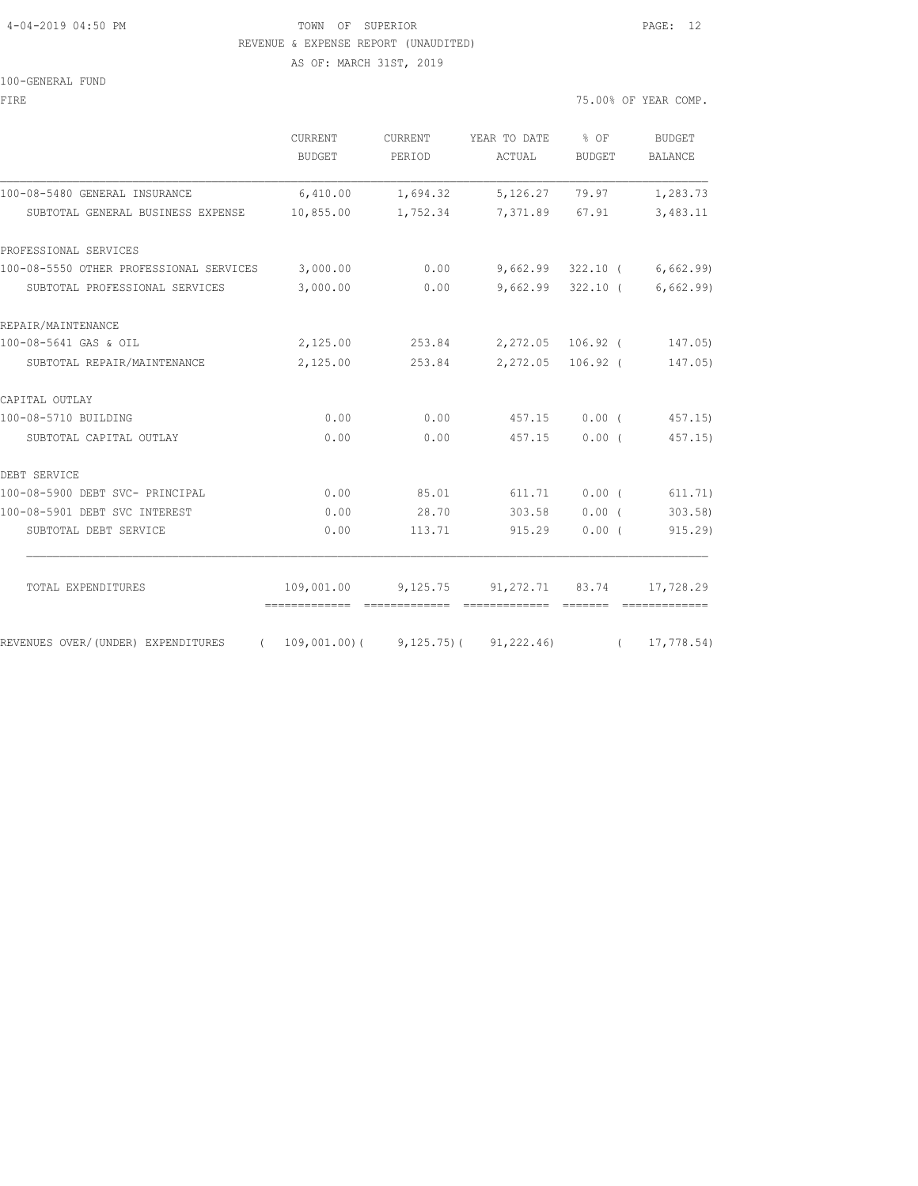#### 4-04-2019 04:50 PM TOWN OF SUPERIOR PAGE: 12 REVENUE & EXPENSE REPORT (UNAUDITED)

AS OF: MARCH 31ST, 2019

#### 100-GENERAL FUND

FIRE 75.00% OF YEAR COMP.

|                                                  | <b>CURRENT</b><br>BUDGET | <b>CURRENT</b><br>PERIOD | YEAR TO DATE % OF<br>ACTUAL                 | BUDGET            | <b>BUDGET</b><br><b>BALANCE</b> |
|--------------------------------------------------|--------------------------|--------------------------|---------------------------------------------|-------------------|---------------------------------|
| 100-08-5480 GENERAL INSURANCE                    | 6,410.00                 | 1,694.32                 |                                             | 5, 126. 27 79. 97 | 1,283.73                        |
| SUBTOTAL GENERAL BUSINESS EXPENSE                | 10,855.00                | 1,752.34                 | 7,371.89 67.91                              |                   | 3,483.11                        |
| PROFESSIONAL SERVICES                            |                          |                          |                                             |                   |                                 |
| 100-08-5550 OTHER PROFESSIONAL SERVICES 3,000.00 |                          | 0.00                     |                                             |                   | $9,662.99$ 322.10 ( 6,662.99)   |
| SUBTOTAL PROFESSIONAL SERVICES                   | 3,000.00                 | 0.00                     |                                             |                   | $9,662.99$ 322.10 (6,662.99)    |
| REPAIR/MAINTENANCE                               |                          |                          |                                             |                   |                                 |
| 100-08-5641 GAS & OIL                            | 2,125.00                 |                          | 253.84 2,272.05 106.92 (                    |                   | 147.05)                         |
| SUBTOTAL REPAIR/MAINTENANCE                      | 2,125.00                 |                          | 253.84 2,272.05 106.92 (                    |                   | 147.05)                         |
| CAPITAL OUTLAY                                   |                          |                          |                                             |                   |                                 |
| 100-08-5710 BUILDING                             | 0.00                     | 0.00                     | 457.15                                      | 0.00(             | 457.15)                         |
| SUBTOTAL CAPITAL OUTLAY                          | 0.00                     | 0.00                     | 457.15                                      | 0.00(             | 457.15)                         |
| DEBT SERVICE                                     |                          |                          |                                             |                   |                                 |
| 100-08-5900 DEBT SVC- PRINCIPAL                  | 0.00                     | 85.01                    | 611.71                                      | $0.00$ (          | 611.71)                         |
| 100-08-5901 DEBT SVC INTEREST                    | 0.00                     | 28.70                    | 303.58                                      | $0.00$ (          | 303.58                          |
| SUBTOTAL DEBT SERVICE                            | 0.00                     | 113.71                   | 915.29                                      | 0.00(             | 915.29                          |
| TOTAL EXPENDITURES                               |                          |                          | 109,001.00 9,125.75 91,272.71 83.74         |                   | 17,728.29                       |
| REVENUES OVER/(UNDER) EXPENDITURES<br>$\left($   |                          |                          | $109,001.00$ ( $9,125.75$ ) ( $91,222.46$ ) | $\left($          | 17,778.54)                      |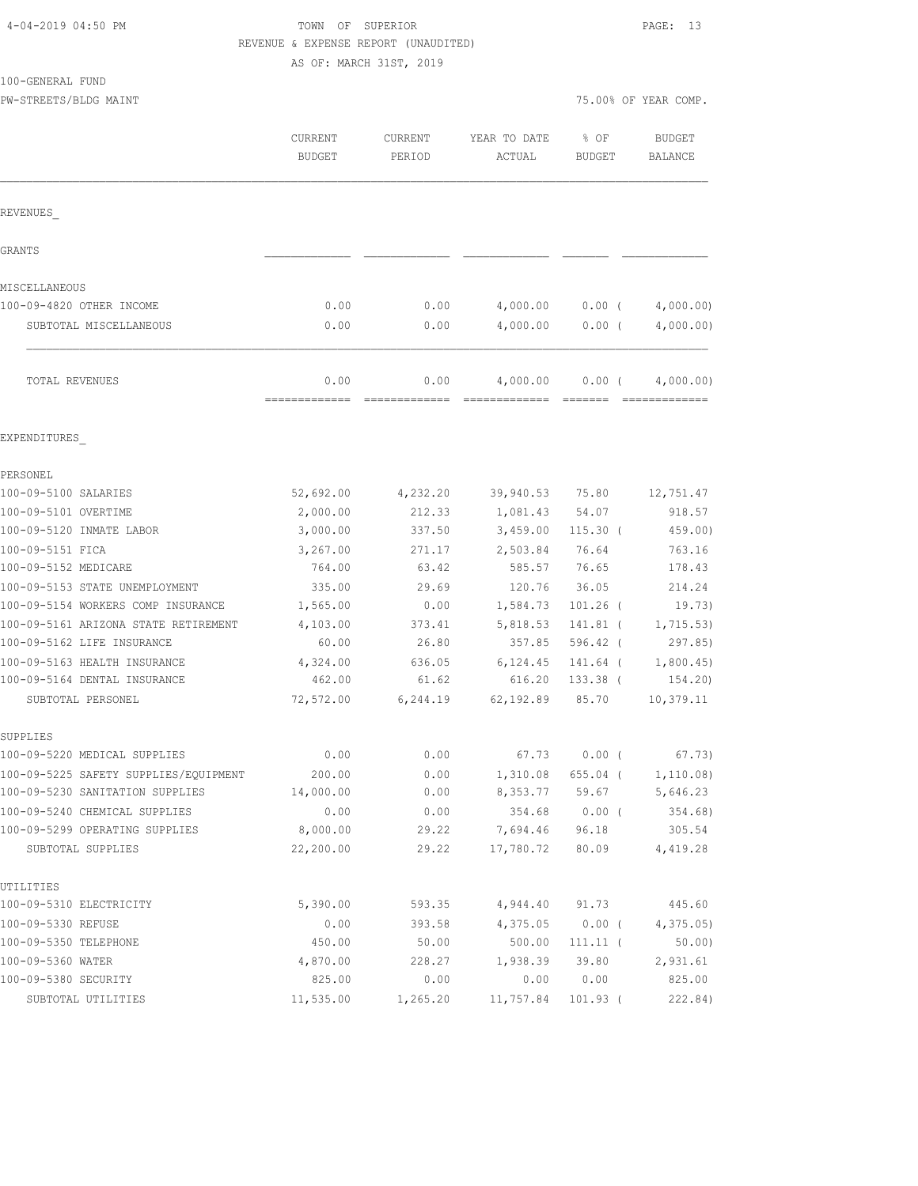| 4-04-2019 04:50 PM |  |  |
|--------------------|--|--|
|--------------------|--|--|

# TOWN OF SUPERIOR **PAGE:** 13 REVENUE & EXPENSE REPORT (UNAUDITED)

| TOO-GEMEKAT LOMD                                                      |                          |                   |                                                    |                   |                          |
|-----------------------------------------------------------------------|--------------------------|-------------------|----------------------------------------------------|-------------------|--------------------------|
| PW-STREETS/BLDG MAINT                                                 |                          |                   |                                                    |                   | 75.00% OF YEAR COMP.     |
|                                                                       | CURRENT<br><b>BUDGET</b> | CURRENT<br>PERIOD | YEAR TO DATE<br>ACTUAL                             | % OF<br>BUDGET    | <b>BUDGET</b><br>BALANCE |
| REVENUES                                                              |                          |                   |                                                    |                   |                          |
| GRANTS                                                                |                          |                   |                                                    |                   |                          |
| MISCELLANEOUS                                                         |                          |                   |                                                    |                   |                          |
| 100-09-4820 OTHER INCOME                                              | 0.00                     | 0.00              | 4,000.00                                           | $0.00$ (          | 4,000.00)                |
| SUBTOTAL MISCELLANEOUS                                                | 0.00                     | 0.00              | 4,000.00                                           | $0.00$ (          | 4,000.00)                |
| TOTAL REVENUES                                                        | 0.00                     | 0.00              | 4,000.00<br>====================================== | $0.00$ (          | 4,000.00)                |
| EXPENDITURES                                                          |                          |                   |                                                    |                   |                          |
| PERSONEL                                                              |                          |                   |                                                    |                   |                          |
| 100-09-5100 SALARIES                                                  | 52,692.00                | 4,232.20          | 39,940.53                                          | 75.80             | 12,751.47                |
| 100-09-5101 OVERTIME                                                  | 2,000.00                 | 212.33            | 1,081.43                                           | 54.07             | 918.57                   |
| 100-09-5120 INMATE LABOR                                              | 3,000.00                 | 337.50            | 3,459.00                                           | $115.30$ (        | 459.00)                  |
| 100-09-5151 FICA                                                      | 3,267.00                 | 271.17            | 2,503.84                                           | 76.64             | 763.16                   |
| 100-09-5152 MEDICARE                                                  | 764.00                   | 63.42             | 585.57                                             | 76.65             | 178.43                   |
| 100-09-5153 STATE UNEMPLOYMENT                                        | 335.00                   | 29.69             | 120.76                                             | 36.05             | 214.24                   |
| 100-09-5154 WORKERS COMP INSURANCE                                    | 1,565.00                 | 0.00              | 1,584.73                                           | $101.26$ (        | 19.73)                   |
| 100-09-5161 ARIZONA STATE RETIREMENT                                  | 4,103.00                 | 373.41            | 5,818.53                                           | 141.81 (          | 1,715.53)                |
| 100-09-5162 LIFE INSURANCE                                            | 60.00                    | 26.80             | 357.85                                             | 596.42 (          | 297.85)                  |
| 100-09-5163 HEALTH INSURANCE                                          | 4,324.00                 | 636.05            | 6,124.45                                           | 141.64 (          | 1,800.45                 |
| 100-09-5164 DENTAL INSURANCE                                          | 462.00                   | 61.62             | 616.20                                             | 133.38 (          | 154.20)                  |
| SUBTOTAL PERSONEL                                                     | 72,572.00                | 6,244.19          | 62,192.89                                          | 85.70             | 10,379.11                |
| SUPPLIES                                                              |                          |                   | 67.73                                              | $0.00$ (          | 67.73)                   |
| 100-09-5220 MEDICAL SUPPLIES<br>100-09-5225 SAFETY SUPPLIES/EQUIPMENT | 0.00                     | 0.00              |                                                    |                   |                          |
| 100-09-5230 SANITATION SUPPLIES                                       | 200.00<br>14,000.00      | 0.00<br>0.00      | 1,310.08<br>8,353.77                               | 655.04 (<br>59.67 | 1,110.08)<br>5,646.23    |
| 100-09-5240 CHEMICAL SUPPLIES                                         | 0.00                     | 0.00              | 354.68                                             | $0.00$ (          | 354.68)                  |
| 100-09-5299 OPERATING SUPPLIES                                        | 8,000.00                 | 29.22             | 7,694.46                                           | 96.18             | 305.54                   |
| SUBTOTAL SUPPLIES                                                     | 22,200.00                | 29.22             | 17,780.72                                          | 80.09             | 4,419.28                 |
| UTILITIES                                                             |                          |                   |                                                    |                   |                          |
| 100-09-5310 ELECTRICITY                                               | 5,390.00                 | 593.35            | 4,944.40                                           | 91.73             | 445.60                   |
| 100-09-5330 REFUSE                                                    | 0.00                     | 393.58            | 4,375.05                                           | $0.00$ (          | 4, 375.05                |
| 100-09-5350 TELEPHONE                                                 | 450.00                   | 50.00             | 500.00                                             | $111.11$ (        | 50.00                    |
| 100-09-5360 WATER                                                     | 4,870.00                 | 228.27            | 1,938.39                                           | 39.80             | 2,931.61                 |
| 100-09-5380 SECURITY                                                  | 825.00                   | 0.00              | 0.00                                               | 0.00              | 825.00                   |
| SUBTOTAL UTILITIES                                                    | 11,535.00                | 1,265.20          | 11,757.84                                          | $101.93$ (        | 222.84)                  |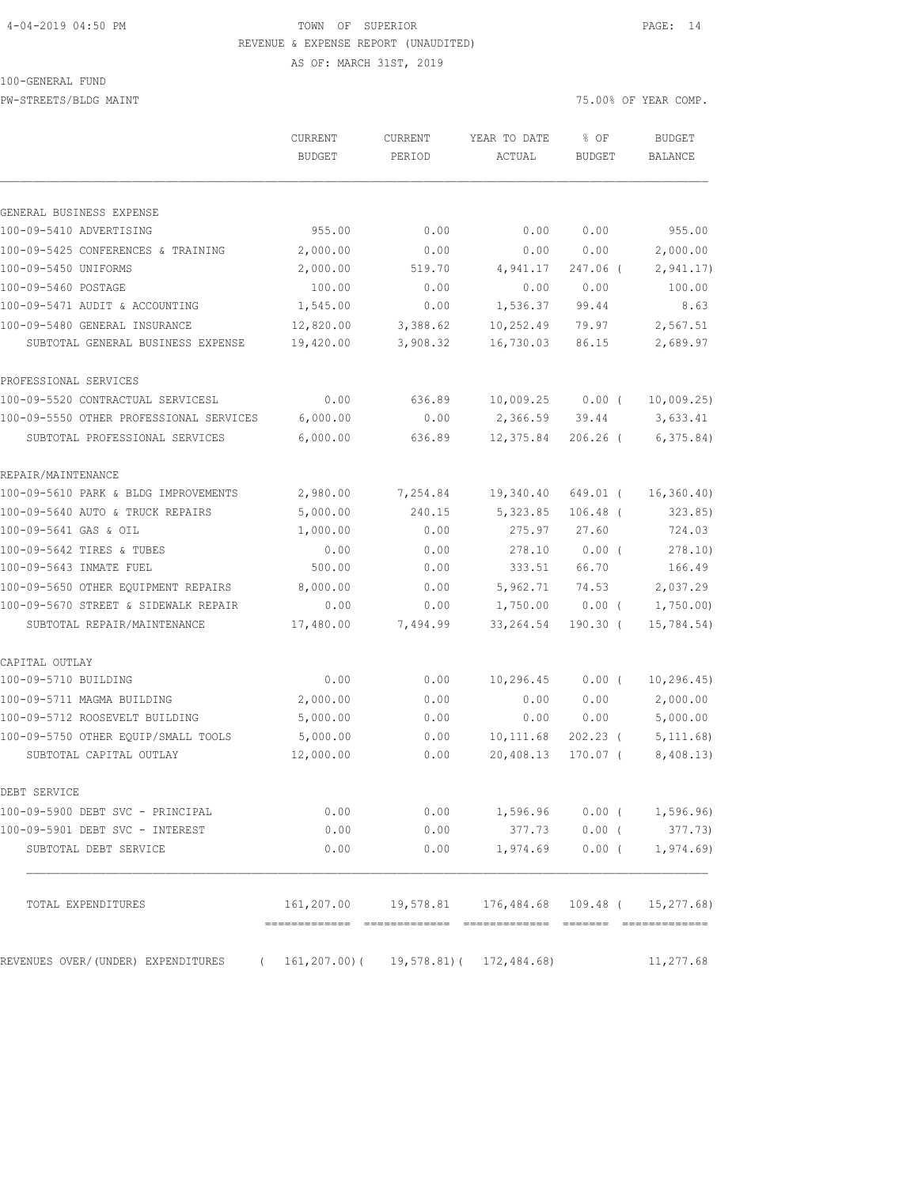## 4-04-2019 04:50 PM TOWN OF SUPERIOR PAGE: 14 REVENUE & EXPENSE REPORT (UNAUDITED)

AS OF: MARCH 31ST, 2019

100-GENERAL FUND

PW-STREETS/BLDG MAINT **2000** MAINT 25.00% OF YEAR COMP.

|                                         | <b>CURRENT</b><br>BUDGET                   | <b>CURRENT</b><br>PERIOD | YEAR TO DATE<br>ACTUAL                                                 | $%$ OF<br><b>BUDGET</b> | <b>BUDGET</b><br>BALANCE |
|-----------------------------------------|--------------------------------------------|--------------------------|------------------------------------------------------------------------|-------------------------|--------------------------|
|                                         |                                            |                          |                                                                        |                         |                          |
| GENERAL BUSINESS EXPENSE                |                                            |                          |                                                                        |                         |                          |
| 100-09-5410 ADVERTISING                 | 955.00                                     | 0.00                     | 0.00                                                                   | 0.00                    | 955.00                   |
| 100-09-5425 CONFERENCES & TRAINING      | 2,000.00                                   | 0.00                     | 0.00                                                                   | 0.00                    | 2,000.00                 |
| 100-09-5450 UNIFORMS                    | 2,000.00                                   | 519.70                   | 4,941.17                                                               | 247.06 (                | 2,941.17                 |
| 100-09-5460 POSTAGE                     | 100.00                                     | 0.00                     | 0.00                                                                   | 0.00                    | 100.00                   |
| 100-09-5471 AUDIT & ACCOUNTING          | 1,545.00                                   | 0.00                     | 1,536.37                                                               | 99.44                   | 8.63                     |
| 100-09-5480 GENERAL INSURANCE           | 12,820.00                                  | 3,388.62                 | 10,252.49                                                              | 79.97                   | 2,567.51                 |
| SUBTOTAL GENERAL BUSINESS EXPENSE       | 19,420.00                                  | 3,908.32                 | 16,730.03                                                              | 86.15                   | 2,689.97                 |
| PROFESSIONAL SERVICES                   |                                            |                          |                                                                        |                         |                          |
| 100-09-5520 CONTRACTUAL SERVICESL       | 0.00                                       | 636.89                   | 10,009.25                                                              | $0.00$ (                | 10,009.25                |
| 100-09-5550 OTHER PROFESSIONAL SERVICES | 6,000.00                                   | 0.00                     | 2,366.59                                                               | 39.44                   | 3,633.41                 |
| SUBTOTAL PROFESSIONAL SERVICES          | 6,000.00                                   | 636.89                   | 12,375.84                                                              | $206.26$ (              | 6, 375.84)               |
| REPAIR/MAINTENANCE                      |                                            |                          |                                                                        |                         |                          |
| 100-09-5610 PARK & BLDG IMPROVEMENTS    | 2,980.00                                   | 7,254.84                 | 19,340.40                                                              | 649.01 (                | 16, 360.40               |
| 100-09-5640 AUTO & TRUCK REPAIRS        | 5,000.00                                   | 240.15                   | 5,323.85                                                               | $106.48$ (              | 323.85                   |
| 100-09-5641 GAS & OIL                   | 1,000.00                                   | 0.00                     | 275.97                                                                 | 27.60                   | 724.03                   |
| 100-09-5642 TIRES & TUBES               | 0.00                                       | 0.00                     | 278.10                                                                 | 0.00(                   | 278.10)                  |
| 100-09-5643 INMATE FUEL                 | 500.00                                     | 0.00                     | 333.51                                                                 | 66.70                   | 166.49                   |
| 100-09-5650 OTHER EQUIPMENT REPAIRS     | 8,000.00                                   | 0.00                     | 5,962.71                                                               | 74.53                   | 2,037.29                 |
| 100-09-5670 STREET & SIDEWALK REPAIR    | 0.00                                       | 0.00                     | 1,750.00                                                               | $0.00$ (                | 1,750.00                 |
| SUBTOTAL REPAIR/MAINTENANCE             | 17,480.00                                  | 7,494.99                 | 33, 264.54                                                             | $190.30$ (              | 15,784.54)               |
| CAPITAL OUTLAY                          |                                            |                          |                                                                        |                         |                          |
| 100-09-5710 BUILDING                    | 0.00                                       | 0.00                     | 10,296.45                                                              | $0.00$ (                | 10, 296.45)              |
| 100-09-5711 MAGMA BUILDING              | 2,000.00                                   | 0.00                     | 0.00                                                                   | 0.00                    | 2,000.00                 |
| 100-09-5712 ROOSEVELT BUILDING          | 5,000.00                                   | 0.00                     | 0.00                                                                   | 0.00                    | 5,000.00                 |
| 100-09-5750 OTHER EOUIP/SMALL TOOLS     | 5,000.00                                   | 0.00                     | 10, 111.68                                                             | $202.23$ (              | 5, 111.68                |
| SUBTOTAL CAPITAL OUTLAY                 | 12,000.00                                  | 0.00                     | 20,408.13                                                              | $170.07$ (              | 8,408.13)                |
| DEBT SERVICE                            |                                            |                          |                                                                        |                         |                          |
| 100-09-5900 DEBT SVC - PRINCIPAL        | 0.00                                       | 0.00                     | 1,596.96 0.00 (                                                        |                         | 1,596.96)                |
| 100-09-5901 DEBT SVC - INTEREST         | 0.00                                       | 0.00                     |                                                                        | 377.73 0.00 (           | 377.73)                  |
| SUBTOTAL DEBT SERVICE                   | 0.00                                       |                          | $0.00$ 1,974.69 0.00 ( 1,974.69)                                       |                         |                          |
| TOTAL EXPENDITURES                      |                                            |                          | 161, 207.00    19, 578.81    176, 484.68    109.48    (    15, 277.68) |                         |                          |
| REVENUES OVER/(UNDER) EXPENDITURES      | $(161, 207.00) (19, 578.81) (172, 484.68)$ |                          |                                                                        |                         | 11,277.68                |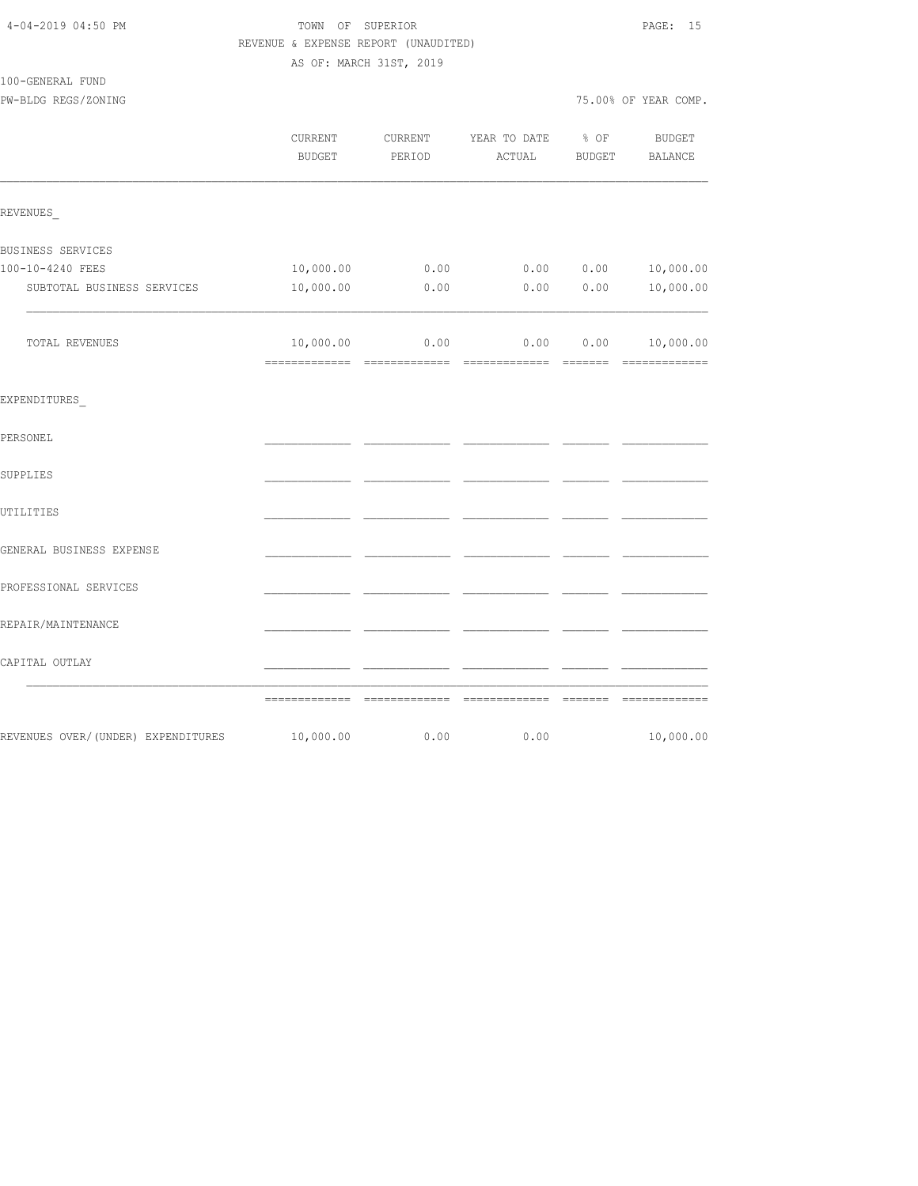| 4-04-2019 04:50 PM                 | TOWN OF SUPERIOR<br>REVENUE & EXPENSE REPORT (UNAUDITED) |                         |              |        | PAGE: 15             |  |
|------------------------------------|----------------------------------------------------------|-------------------------|--------------|--------|----------------------|--|
|                                    |                                                          | AS OF: MARCH 31ST, 2019 |              |        |                      |  |
| 100-GENERAL FUND                   |                                                          |                         |              |        |                      |  |
| PW-BLDG REGS/ZONING                |                                                          |                         |              |        | 75.00% OF YEAR COMP. |  |
|                                    | CURRENT                                                  | CURRENT                 | YEAR TO DATE | % OF   | <b>BUDGET</b>        |  |
|                                    | <b>BUDGET</b>                                            | PERIOD                  | ACTUAL       | BUDGET | BALANCE              |  |
| REVENUES                           |                                                          |                         |              |        |                      |  |
| BUSINESS SERVICES                  |                                                          |                         |              |        |                      |  |
| 100-10-4240 FEES                   | 10,000.00                                                | 0.00                    | 0.00         | 0.00   | 10,000.00            |  |
| SUBTOTAL BUSINESS SERVICES         | 10,000.00                                                | 0.00                    | 0.00         | 0.00   | 10,000.00            |  |
| TOTAL REVENUES                     | 10,000.00                                                | 0.00                    | 0.00         | 0.00   | 10,000.00            |  |
| EXPENDITURES                       |                                                          |                         |              |        |                      |  |
| PERSONEL                           |                                                          |                         |              |        |                      |  |
| SUPPLIES                           |                                                          |                         |              |        |                      |  |
| UTILITIES                          |                                                          |                         |              |        |                      |  |
| GENERAL BUSINESS EXPENSE           |                                                          |                         |              |        |                      |  |
| PROFESSIONAL SERVICES              |                                                          |                         |              |        |                      |  |
| REPAIR/MAINTENANCE                 |                                                          |                         |              |        |                      |  |
| CAPITAL OUTLAY                     |                                                          |                         |              |        |                      |  |
|                                    |                                                          |                         |              |        |                      |  |
| REVENUES OVER/(UNDER) EXPENDITURES | 10,000.00                                                | 0.00                    | 0.00         |        | 10,000.00            |  |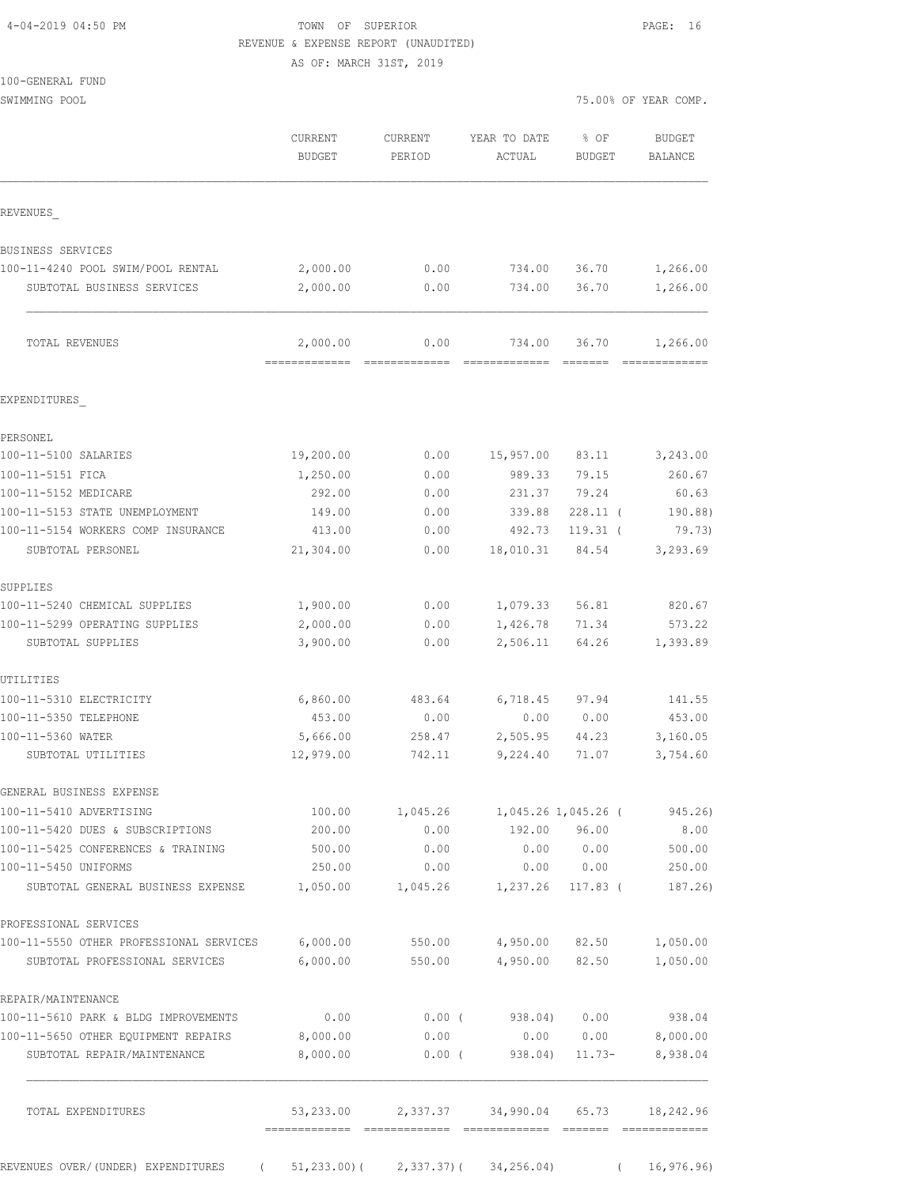## TOWN OF SUPERIOR **PAGE:** 16 REVENUE & EXPENSE REPORT (UNAUDITED)

AS OF: MARCH 31ST, 2019

| 100-GENERAL FUND |  |
|------------------|--|
|                  |  |

|                                                                      | <b>CURRENT</b><br><b>BUDGET</b> | <b>CURRENT</b><br>PERIOD | YEAR TO DATE<br>ACTUAL | % OF<br><b>BUDGET</b>    | <b>BUDGET</b><br>BALANCE |
|----------------------------------------------------------------------|---------------------------------|--------------------------|------------------------|--------------------------|--------------------------|
| REVENUES                                                             |                                 |                          |                        |                          |                          |
| BUSINESS SERVICES                                                    |                                 |                          |                        |                          |                          |
| 100-11-4240 POOL SWIM/POOL RENTAL                                    | 2,000.00                        | 0.00                     | 734.00                 | 36.70                    | 1,266.00                 |
| SUBTOTAL BUSINESS SERVICES                                           | 2,000.00                        | 0.00                     | 734.00                 | 36.70                    | 1,266.00                 |
| TOTAL REVENUES                                                       | 2,000.00                        | 0.00                     | 734.00                 | 36.70                    | 1,266.00                 |
| EXPENDITURES                                                         |                                 |                          |                        |                          |                          |
| PERSONEL                                                             |                                 |                          |                        |                          |                          |
| 100-11-5100 SALARIES                                                 | 19,200.00                       | 0.00                     | 15,957.00              | 83.11                    | 3,243.00                 |
| 100-11-5151 FICA                                                     | 1,250.00                        | 0.00                     | 989.33                 | 79.15                    | 260.67                   |
| 100-11-5152 MEDICARE                                                 | 292.00                          | 0.00                     | 231.37                 | 79.24                    | 60.63                    |
| 100-11-5153 STATE UNEMPLOYMENT<br>100-11-5154 WORKERS COMP INSURANCE | 149.00<br>413.00                | 0.00<br>0.00             | 339.88<br>492.73       | $228.11$ (<br>$119.31$ ( | 190.88<br>79.73)         |
| SUBTOTAL PERSONEL                                                    | 21,304.00                       | 0.00                     | 18,010.31              | 84.54                    | 3,293.69                 |
|                                                                      |                                 |                          |                        |                          |                          |
| SUPPLIES                                                             |                                 |                          |                        |                          |                          |
| 100-11-5240 CHEMICAL SUPPLIES                                        | 1,900.00                        | 0.00                     | 1,079.33               | 56.81                    | 820.67                   |
| 100-11-5299 OPERATING SUPPLIES                                       | 2,000.00                        | 0.00                     | 1,426.78               | 71.34                    | 573.22                   |
| SUBTOTAL SUPPLIES                                                    | 3,900.00                        | 0.00                     | 2,506.11               | 64.26                    | 1,393.89                 |
| UTILITIES                                                            |                                 |                          |                        |                          |                          |
| 100-11-5310 ELECTRICITY                                              | 6,860.00                        | 483.64                   | 6,718.45               | 97.94                    | 141.55                   |
| 100-11-5350 TELEPHONE                                                | 453.00                          | 0.00                     | 0.00                   | 0.00                     | 453.00                   |
| 100-11-5360 WATER                                                    | 5,666.00                        | 258.47                   | 2,505.95               | 44.23                    | 3,160.05                 |
| SUBTOTAL UTILITIES                                                   | 12,979.00                       | 742.11                   | 9,224.40               | 71.07                    | 3,754.60                 |
| GENERAL BUSINESS EXPENSE                                             |                                 |                          |                        |                          |                          |
| 100-11-5410 ADVERTISING                                              | 100.00                          | 1,045.26                 |                        | 1,045.26 1,045.26 (      | 945.26)                  |
| 100-11-5420 DUES & SUBSCRIPTIONS                                     | 200.00                          | 0.00                     |                        | 192.00 96.00             | 8.00                     |
| 100-11-5425 CONFERENCES & TRAINING                                   | 500.00                          | 0.00                     |                        | 0.00 0.00                | 500.00                   |
| 100-11-5450 UNIFORMS                                                 | 250.00                          | 0.00                     |                        | 0.00 0.00                | 250.00                   |
| SUBTOTAL GENERAL BUSINESS EXPENSE                                    | 1,050.00                        | 1,045.26                 |                        | $1,237.26$ 117.83 (      | 187.26)                  |
| PROFESSIONAL SERVICES                                                |                                 |                          |                        |                          |                          |
| 100-11-5550 OTHER PROFESSIONAL SERVICES 6,000.00                     |                                 | 550.00                   |                        | 4,950.00 82.50           | 1,050.00                 |
| SUBTOTAL PROFESSIONAL SERVICES                                       | 6,000.00                        | 550.00                   | 4,950.00               | 82.50                    | 1,050.00                 |
| REPAIR/MAINTENANCE                                                   |                                 |                          |                        |                          |                          |
| 100-11-5610 PARK & BLDG IMPROVEMENTS                                 | 0.00                            | $0.00$ (                 |                        | 938.04) 0.00             | 938.04                   |
| 100-11-5650 OTHER EQUIPMENT REPAIRS                                  | 8,000.00                        | 0.00                     | 0.00                   | 0.00                     | 8,000.00                 |
| SUBTOTAL REPAIR/MAINTENANCE                                          | 8,000.00                        | $0.00$ (                 | 938.04)                | $11.73-$                 | 8,938.04                 |
| TOTAL EXPENDITURES                                                   | 53,233.00                       | 2,337.37                 |                        | 34,990.04 65.73          | 18,242.96                |

REVENUES OVER/(UNDER) EXPENDITURES ( 51,233.00)( 2,337.37)( 34,256.04) ( 16,976.96)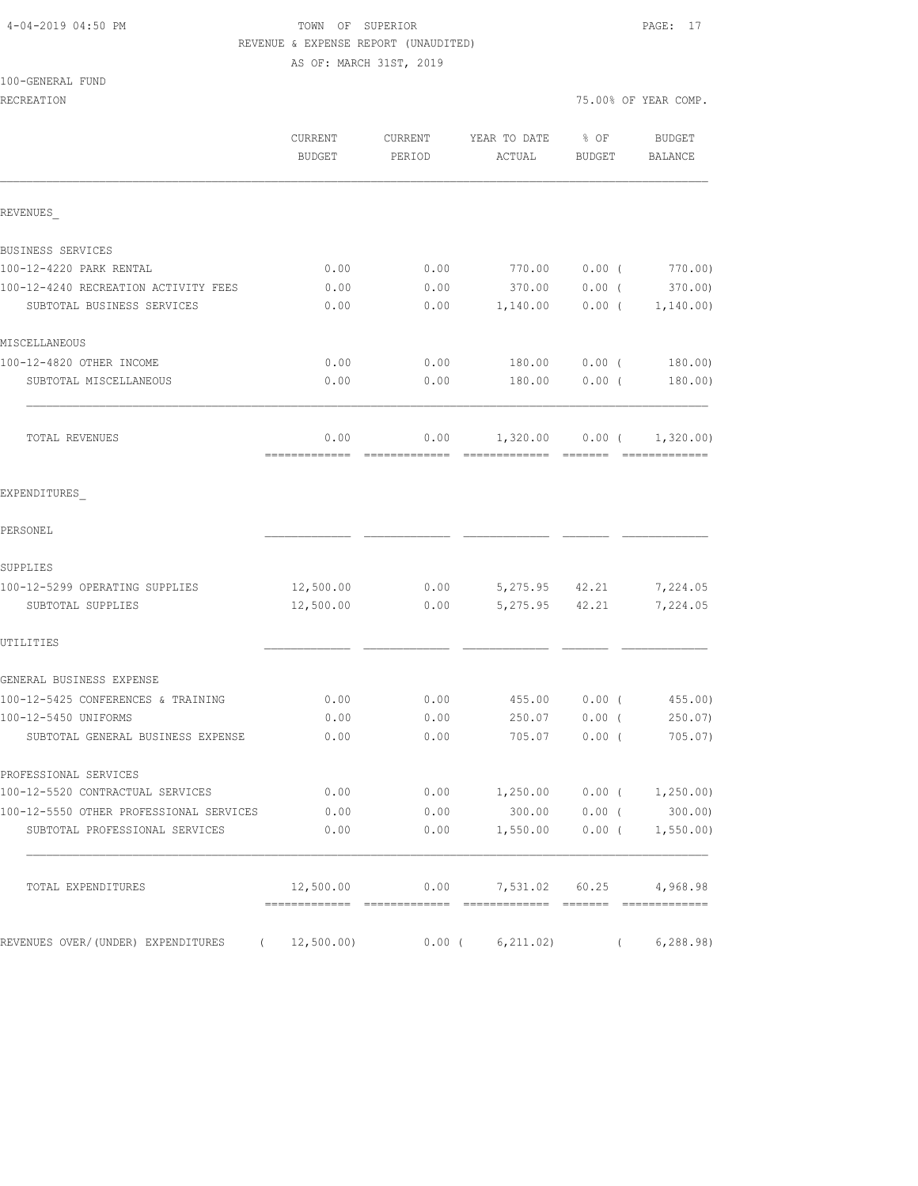# 4-04-2019 04:50 PM TOWN OF SUPERIOR PAGE: 17 REVENUE & EXPENSE REPORT (UNAUDITED)

| 100-GENERAL FUND |  |
|------------------|--|
|------------------|--|

| RECREATION                                       |                          |                   |                        |                       | 75.00% OF YEAR COMP.    |
|--------------------------------------------------|--------------------------|-------------------|------------------------|-----------------------|-------------------------|
|                                                  | CURRENT<br><b>BUDGET</b> | CURRENT<br>PERIOD | YEAR TO DATE<br>ACTUAL | % OF<br><b>BUDGET</b> | BUDGET<br>BALANCE       |
| REVENUES                                         |                          |                   |                        |                       |                         |
| BUSINESS SERVICES                                |                          |                   |                        |                       |                         |
| 100-12-4220 PARK RENTAL                          | 0.00                     | 0.00              | 770.00                 | $0.00$ (              | 770.00)                 |
| 100-12-4240 RECREATION ACTIVITY FEES             | 0.00                     | 0.00              | 370.00                 | $0.00$ (              | 370.00)                 |
| SUBTOTAL BUSINESS SERVICES                       | 0.00                     | 0.00              | 1,140.00               | $0.00$ (              | 1,140.00)               |
| MISCELLANEOUS                                    |                          |                   |                        |                       |                         |
| 100-12-4820 OTHER INCOME                         | 0.00                     | 0.00              | 180.00                 | $0.00$ (              | 180.00)                 |
| SUBTOTAL MISCELLANEOUS                           | 0.00                     | 0.00              | 180.00                 | 0.00(                 | 180.00)                 |
| TOTAL REVENUES                                   | 0.00                     | 0.00              | 1,320.00               |                       | $0.00$ ( $1,320.00$ )   |
| EXPENDITURES                                     |                          |                   |                        |                       |                         |
| PERSONEL                                         |                          |                   |                        |                       |                         |
| SUPPLIES                                         |                          |                   |                        |                       |                         |
| 100-12-5299 OPERATING SUPPLIES                   | 12,500.00                | 0.00              |                        | 5,275.95 42.21        | 7,224.05                |
| SUBTOTAL SUPPLIES                                | 12,500.00                | 0.00              | 5,275.95               | 42.21                 | 7,224.05                |
| UTILITIES                                        |                          |                   |                        |                       |                         |
| GENERAL BUSINESS EXPENSE                         |                          |                   |                        |                       |                         |
| 100-12-5425 CONFERENCES & TRAINING               | 0.00                     | 0.00              | 455.00                 | $0.00$ (              | 455.00)                 |
| 100-12-5450 UNIFORMS                             | 0.00                     | 0.00              | 250.07                 | $0.00$ (              | 250.07)                 |
| SUBTOTAL GENERAL BUSINESS EXPENSE                | 0.00                     | 0.00              | 705.07                 | $0.00$ (              | 705.07)                 |
| PROFESSIONAL SERVICES                            |                          |                   |                        |                       |                         |
| 100-12-5520 CONTRACTUAL SERVICES                 | 0.00                     |                   | $0.00$ 1,250.00        |                       | $0.00$ ( $1,250.00$ )   |
| 100-12-5550 OTHER PROFESSIONAL SERVICES          | 0.00                     | 0.00              | 300.00                 | $0.00$ (              | 300.00)                 |
| SUBTOTAL PROFESSIONAL SERVICES                   | 0.00                     | 0.00              | 1,550.00               | $0.00$ (              | 1,550.00                |
| TOTAL EXPENDITURES                               | 12,500.00                | 0.00              |                        |                       | 7,531.02 60.25 4,968.98 |
| REVENUES OVER/(UNDER) EXPENDITURES<br>$\sqrt{2}$ | 12,500.00)               | $0.00$ (          | 6, 211.02)             | $\left($              | 6, 288.98)              |
|                                                  |                          |                   |                        |                       |                         |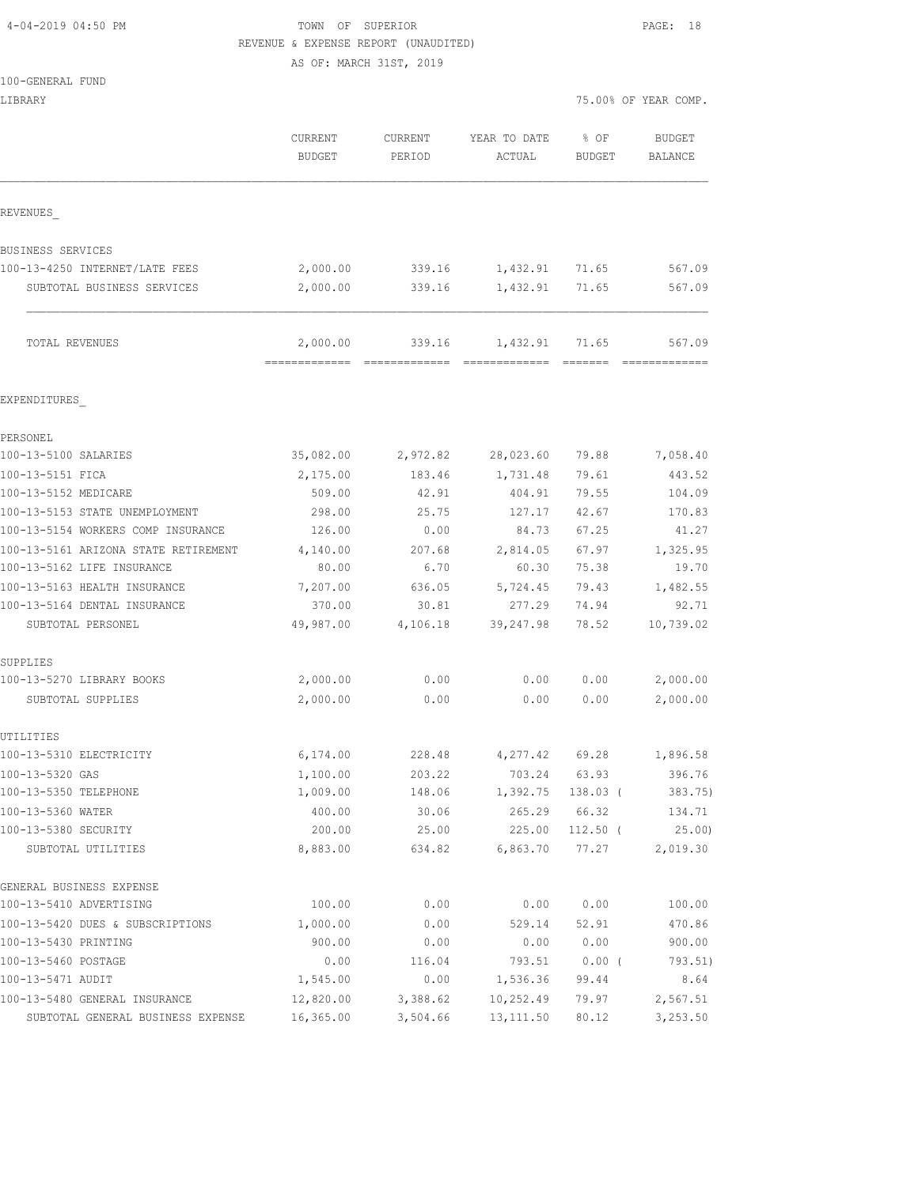## 4-04-2019 04:50 PM TOWN OF SUPERIOR PAGE: 18 REVENUE & EXPENSE REPORT (UNAUDITED)

| 100-GENERAL FUND                     |               |                         |              |            |                      |
|--------------------------------------|---------------|-------------------------|--------------|------------|----------------------|
| LIBRARY                              |               |                         |              |            | 75.00% OF YEAR COMP. |
|                                      | CURRENT       | CURRENT                 | YEAR TO DATE | % OF       | BUDGET               |
|                                      | <b>BUDGET</b> | PERIOD                  | ACTUAL       | BUDGET     | BALANCE              |
| REVENUES                             |               |                         |              |            |                      |
| BUSINESS SERVICES                    |               |                         |              |            |                      |
| 100-13-4250 INTERNET/LATE FEES       | 2,000.00      | 339.16                  | 1,432.91     | 71.65      | 567.09               |
| SUBTOTAL BUSINESS SERVICES           | 2,000.00      | 339.16                  | 1,432.91     | 71.65      | 567.09               |
| TOTAL REVENUES                       | 2,000.00      | 339.16<br>============= | 1,432.91     | 71.65      | 567.09               |
| EXPENDITURES                         |               |                         |              |            |                      |
| PERSONEL                             |               |                         |              |            |                      |
| 100-13-5100 SALARIES                 | 35,082.00     | 2,972.82                | 28,023.60    | 79.88      | 7,058.40             |
| 100-13-5151 FICA                     | 2,175.00      | 183.46                  | 1,731.48     | 79.61      | 443.52               |
| 100-13-5152 MEDICARE                 | 509.00        | 42.91                   | 404.91       | 79.55      | 104.09               |
| 100-13-5153 STATE UNEMPLOYMENT       | 298.00        | 25.75                   | 127.17       | 42.67      | 170.83               |
| 100-13-5154 WORKERS COMP INSURANCE   | 126.00        | 0.00                    | 84.73        | 67.25      | 41.27                |
| 100-13-5161 ARIZONA STATE RETIREMENT | 4,140.00      | 207.68                  | 2,814.05     | 67.97      | 1,325.95             |
| 100-13-5162 LIFE INSURANCE           | 80.00         | 6.70                    | 60.30        | 75.38      | 19.70                |
| 100-13-5163 HEALTH INSURANCE         | 7,207.00      | 636.05                  | 5,724.45     | 79.43      | 1,482.55             |
| 100-13-5164 DENTAL INSURANCE         | 370.00        | 30.81                   | 277.29       | 74.94      | 92.71                |
| SUBTOTAL PERSONEL                    | 49,987.00     | 4,106.18                | 39,247.98    | 78.52      | 10,739.02            |
| SUPPLIES                             |               |                         |              |            |                      |
| 100-13-5270 LIBRARY BOOKS            | 2,000.00      | 0.00                    | 0.00         | 0.00       | 2,000.00             |
| SUBTOTAL SUPPLIES                    | 2,000.00      | 0.00                    | 0.00         | 0.00       | 2,000.00             |
| UTILITIES<br>100-13-5310 ELECTRICITY | 6,174.00      | 228.48                  | 4,277.42     | 69.28      | 1,896.58             |
| 100-13-5320 GAS                      | 1,100.00      | 203.22                  | 703.24       | 63.93      | 396.76               |
| 100-13-5350 TELEPHONE                | 1,009.00      | 148.06                  | 1,392.75     | $138.03$ ( | 383.75)              |
| 100-13-5360 WATER                    | 400.00        | 30.06                   | 265.29       | 66.32      | 134.71               |
| 100-13-5380 SECURITY                 | 200.00        | 25.00                   | 225.00       | $112.50$ ( | 25.00                |
| SUBTOTAL UTILITIES                   | 8,883.00      | 634.82                  | 6,863.70     | 77.27      | 2,019.30             |
| GENERAL BUSINESS EXPENSE             |               |                         |              |            |                      |
| 100-13-5410 ADVERTISING              | 100.00        | 0.00                    | 0.00         | 0.00       | 100.00               |
| 100-13-5420 DUES & SUBSCRIPTIONS     | 1,000.00      | 0.00                    | 529.14       | 52.91      | 470.86               |
| 100-13-5430 PRINTING                 | 900.00        | 0.00                    | 0.00         | 0.00       | 900.00               |
| 100-13-5460 POSTAGE                  | 0.00          | 116.04                  | 793.51       | $0.00$ (   | 793.51)              |
| 100-13-5471 AUDIT                    | 1,545.00      | 0.00                    | 1,536.36     | 99.44      | 8.64                 |
| 100-13-5480 GENERAL INSURANCE        | 12,820.00     | 3,388.62                | 10,252.49    | 79.97      | 2,567.51             |
| SUBTOTAL GENERAL BUSINESS EXPENSE    | 16,365.00     | 3,504.66                | 13, 111.50   | 80.12      | 3,253.50             |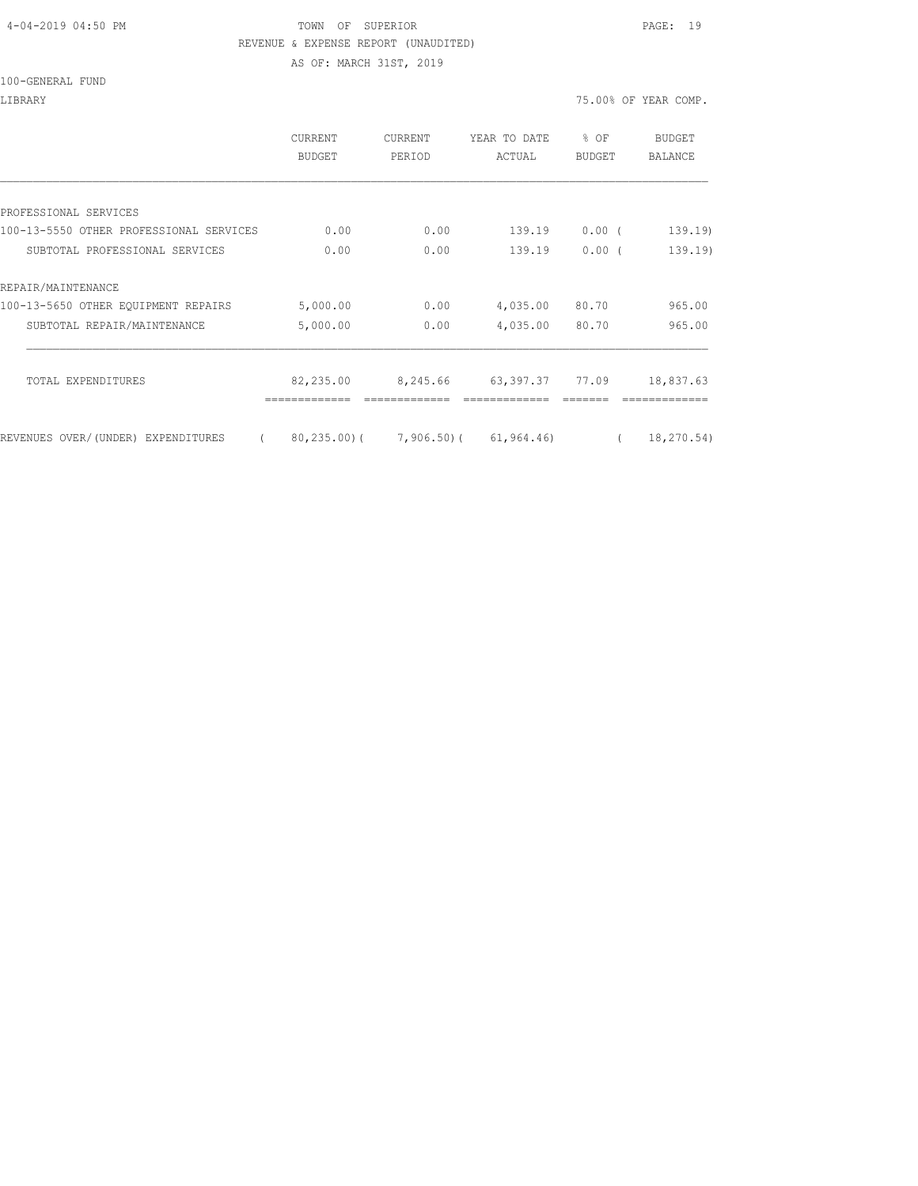### 4-04-2019 04:50 PM TOWN OF SUPERIOR PAGE: 19 REVENUE & EXPENSE REPORT (UNAUDITED) AS OF: MARCH 31ST, 2019

100-GENERAL FUND

|                                                | <b>CURRENT</b><br>BUDGET | <b>CURRENT</b><br>PERIOD | YEAR TO DATE<br>ACTUAL                         | $8$ OF<br><b>BUDGET</b> | BUDGET<br><b>BALANCE</b> |
|------------------------------------------------|--------------------------|--------------------------|------------------------------------------------|-------------------------|--------------------------|
|                                                |                          |                          |                                                |                         |                          |
| PROFESSIONAL SERVICES                          |                          |                          |                                                |                         |                          |
| 100-13-5550 OTHER PROFESSIONAL SERVICES        | 0.00                     | 0.00                     | 139.19                                         | 0.00(                   | 139.19                   |
| SUBTOTAL PROFESSIONAL SERVICES                 | 0.00                     | 0.00                     | 139.19                                         | 0.00(                   | 139.19                   |
| REPAIR/MAINTENANCE                             |                          |                          |                                                |                         |                          |
| 100-13-5650 OTHER EOUIPMENT REPAIRS            | 5,000.00                 | 0.00                     | 4,035.00                                       | 80.70                   | 965.00                   |
| SUBTOTAL REPAIR/MAINTENANCE                    | 5,000.00                 | 0.00                     | 4,035.00                                       | 80.70                   | 965.00                   |
| TOTAL EXPENDITURES                             | 82,235.00                | 8,245.66                 | 63,397.37 77.09                                |                         | 18,837.63                |
| REVENUES OVER/(UNDER) EXPENDITURES<br>$\left($ |                          |                          | $80, 235, 00$ ( $7, 906, 50$ ( $61, 964, 46$ ) | $\left($                | 18, 270.54)              |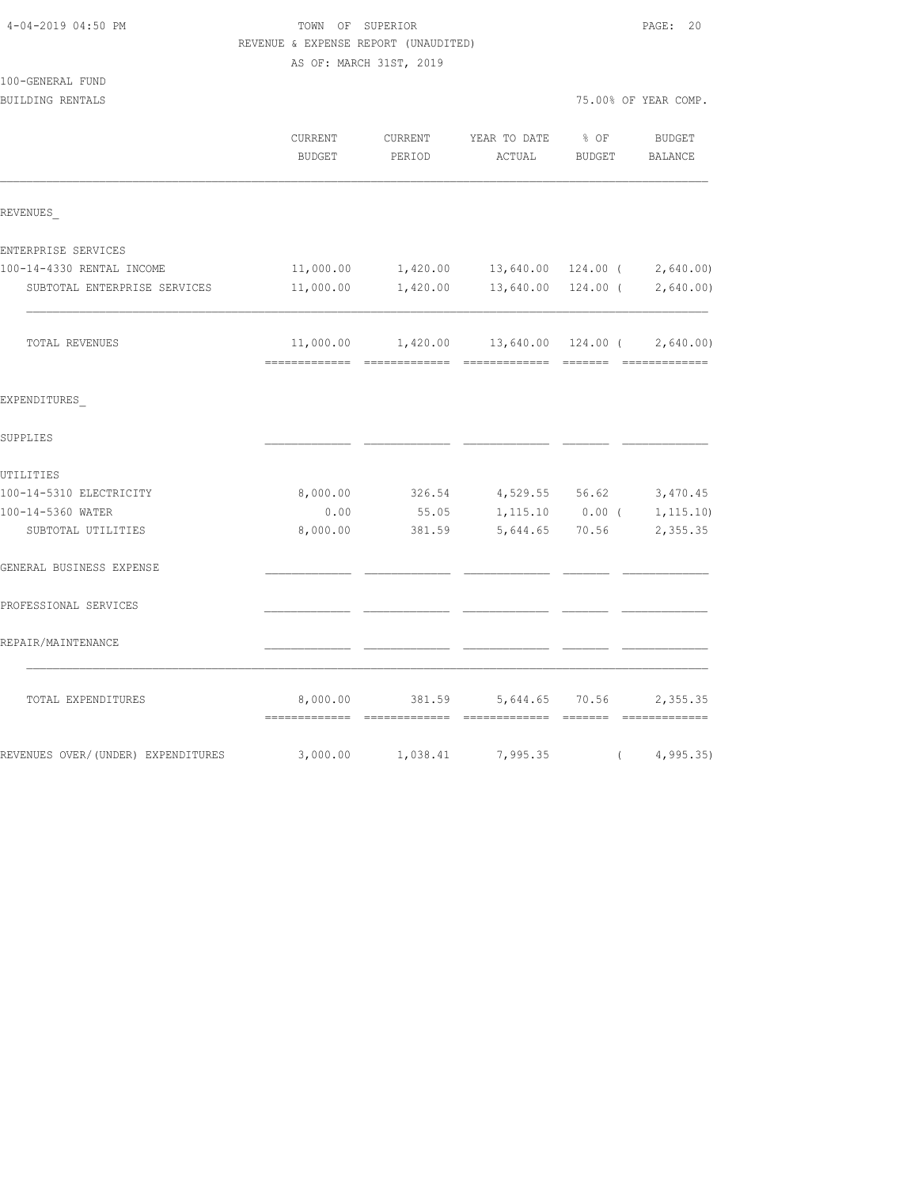| 4-04-2019 04:50 PM                 | TOWN OF SUPERIOR<br>REVENUE & EXPENSE REPORT (UNAUDITED) | PAGE: 20          |                                       |                   |                              |
|------------------------------------|----------------------------------------------------------|-------------------|---------------------------------------|-------------------|------------------------------|
|                                    | AS OF: MARCH 31ST, 2019                                  |                   |                                       |                   |                              |
| 100-GENERAL FUND                   |                                                          |                   |                                       |                   |                              |
| BUILDING RENTALS                   |                                                          |                   |                                       |                   | 75.00% OF YEAR COMP.         |
|                                    | CURRENT<br><b>BUDGET</b>                                 | CURRENT<br>PERIOD | YEAR TO DATE<br>ACTUAL                | % OF<br>BUDGET    | BUDGET<br>BALANCE            |
| REVENUES                           |                                                          |                   |                                       |                   |                              |
| ENTERPRISE SERVICES                |                                                          |                   |                                       |                   |                              |
| 100-14-4330 RENTAL INCOME          | 11,000.00                                                |                   | 1,420.00 13,640.00 124.00 ( 2,640.00) |                   |                              |
| SUBTOTAL ENTERPRISE SERVICES       | 11,000.00                                                | 1,420.00          |                                       |                   | 13,640.00 124.00 ( 2,640.00) |
| TOTAL REVENUES                     | 11,000.00                                                |                   |                                       |                   | 2,640.00                     |
| EXPENDITURES                       |                                                          |                   |                                       |                   |                              |
| SUPPLIES                           |                                                          |                   |                                       |                   |                              |
| UTILITIES                          |                                                          |                   |                                       |                   |                              |
| 100-14-5310 ELECTRICITY            | 8,000.00                                                 | 326.54            | 4,529.55 56.62                        |                   | 3,470.45                     |
| 100-14-5360 WATER                  | 0.00                                                     | 55.05             |                                       | $1,115.10$ 0.00 ( | 1, 115.10                    |
| SUBTOTAL UTILITIES                 | 8,000.00                                                 | 381.59            | 5,644.65 70.56                        |                   | 2,355.35                     |
| GENERAL BUSINESS EXPENSE           |                                                          |                   |                                       |                   |                              |
| PROFESSIONAL SERVICES              |                                                          |                   |                                       |                   |                              |
| REPAIR/MAINTENANCE                 |                                                          |                   |                                       |                   |                              |
| TOTAL EXPENDITURES                 | 8,000.00                                                 | 381.59            | 5,644.65                              | 70.56             | 2,355.35                     |
| REVENUES OVER/(UNDER) EXPENDITURES | 3,000.00                                                 | 1,038.41          | 7,995.35                              | $\sqrt{2}$        | 4, 995.35)                   |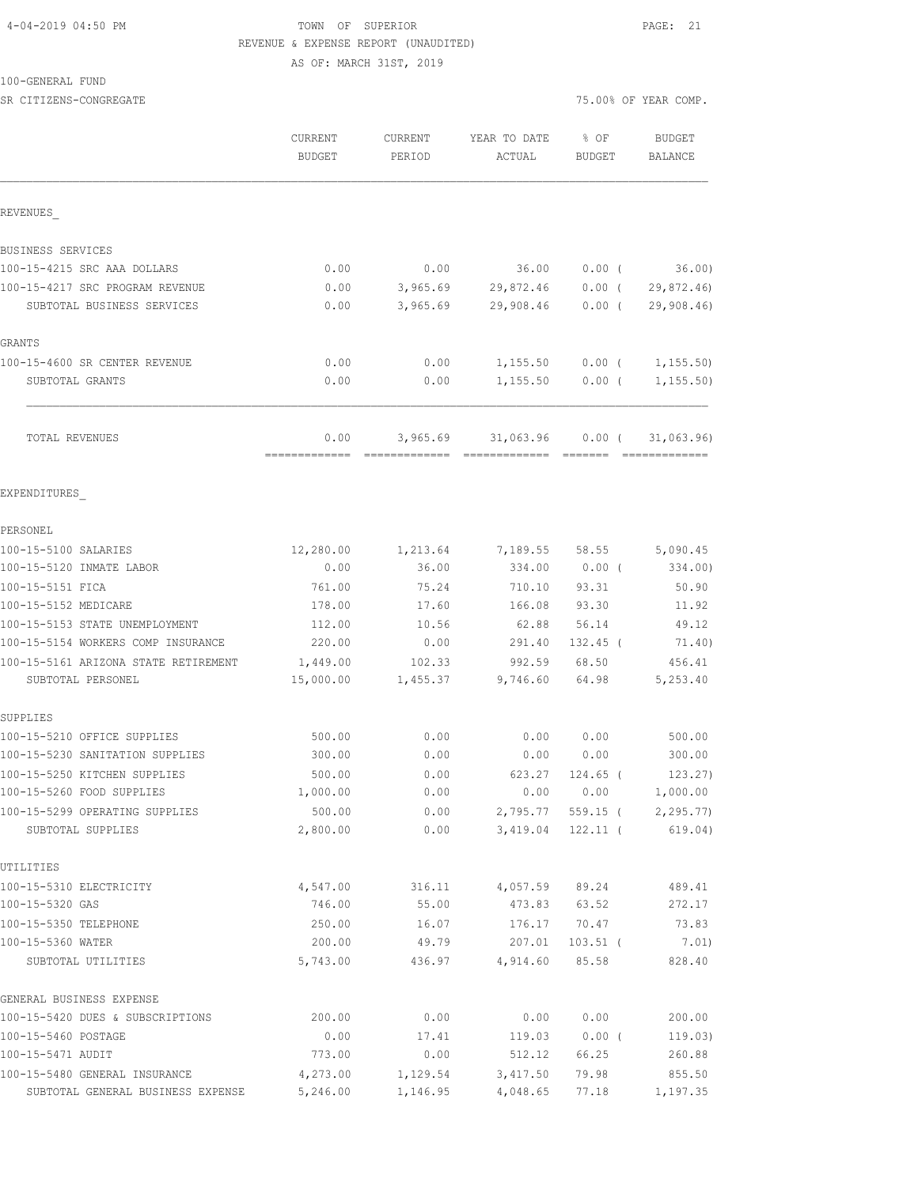### 4-04-2019 04:50 PM TOWN OF SUPERIOR PAGE: 21 REVENUE & EXPENSE REPORT (UNAUDITED) AS OF: MARCH 31ST, 2019

100-GENERAL FUND

| SR CITIZENS-CONGREGATE                              |                          |                          |                                    | 75.00% OF YEAR COMP.   |                             |  |
|-----------------------------------------------------|--------------------------|--------------------------|------------------------------------|------------------------|-----------------------------|--|
|                                                     | <b>CURRENT</b><br>BUDGET | <b>CURRENT</b><br>PERIOD | YEAR TO DATE<br>ACTUAL             | % OF<br><b>BUDGET</b>  | <b>BUDGET</b><br>BALANCE    |  |
| REVENUES                                            |                          |                          |                                    |                        |                             |  |
| BUSINESS SERVICES                                   |                          |                          |                                    |                        |                             |  |
| 100-15-4215 SRC AAA DOLLARS                         | 0.00                     | 0.00                     | 36.00                              | $0.00$ (               | 36.00)                      |  |
| 100-15-4217 SRC PROGRAM REVENUE                     | 0.00                     | 3,965.69                 | 29,872.46                          | $0.00$ (               | 29,872.46)                  |  |
| SUBTOTAL BUSINESS SERVICES                          | 0.00                     | 3,965.69                 | 29,908.46                          | $0.00$ (               | 29,908.46                   |  |
| GRANTS                                              |                          |                          |                                    |                        |                             |  |
| 100-15-4600 SR CENTER REVENUE                       | 0.00                     | 0.00                     | 1,155.50                           |                        | $0.00$ ( $1,155.50$ )       |  |
| SUBTOTAL GRANTS                                     | 0.00                     | 0.00                     | 1,155.50                           | $0.00$ (               | 1, 155.50)                  |  |
| TOTAL REVENUES                                      | 0.00<br>-------------    | 3,965.69                 | 31,063.96<br>essessessesse essesse | $0.00$ (               | 31,063.96)<br>============= |  |
| EXPENDITURES                                        |                          |                          |                                    |                        |                             |  |
| PERSONEL                                            |                          |                          |                                    |                        |                             |  |
| 100-15-5100 SALARIES                                | 12,280.00                | 1,213.64                 |                                    | 7,189.55 58.55         | 5,090.45                    |  |
| 100-15-5120 INMATE LABOR                            | 0.00                     | 36.00                    | 334.00                             | $0.00$ (               | 334.00)                     |  |
| 100-15-5151 FICA                                    | 761.00                   | 75.24                    | 710.10                             | 93.31                  | 50.90                       |  |
| 100-15-5152 MEDICARE                                | 178.00                   | 17.60                    | 166.08                             | 93.30                  | 11.92                       |  |
| 100-15-5153 STATE UNEMPLOYMENT                      | 112.00                   | 10.56                    | 62.88                              | 56.14                  | 49.12                       |  |
| 100-15-5154 WORKERS COMP INSURANCE                  | 220.00                   | 0.00                     | 291.40                             | 132.45 (               | 71.40)                      |  |
| 100-15-5161 ARIZONA STATE RETIREMENT                | 1,449.00                 | 102.33                   | 992.59                             | 68.50                  | 456.41                      |  |
| SUBTOTAL PERSONEL                                   | 15,000.00                | 1,455.37                 | 9,746.60                           | 64.98                  | 5,253.40                    |  |
| SUPPLIES                                            |                          |                          |                                    |                        |                             |  |
| 100-15-5210 OFFICE SUPPLIES                         | 500.00                   | 0.00                     | 0.00                               | 0.00                   | 500.00                      |  |
| 100-15-5230 SANITATION SUPPLIES                     | 300.00                   | 0.00                     | 0.00                               | 0.00                   | 300.00                      |  |
| 100-15-5250 KITCHEN SUPPLIES                        | 500.00                   | 0.00                     | 623.27                             | $124.65$ (             | 123.27)                     |  |
| 100-15-5260 FOOD SUPPLIES                           | 1,000.00                 | 0.00                     | 0.00                               | 0.00                   | 1,000.00                    |  |
| 100-15-5299 OPERATING SUPPLIES<br>SUBTOTAL SUPPLIES | 500.00<br>2,800.00       | 0.00<br>0.00             | 2,795.77<br>3,419.04               | 559.15 (<br>$122.11$ ( | 2, 295.77<br>619.04)        |  |
| UTILITIES                                           |                          |                          |                                    |                        |                             |  |
| 100-15-5310 ELECTRICITY                             | 4,547.00                 | 316.11                   | 4,057.59                           | 89.24                  | 489.41                      |  |
| 100-15-5320 GAS                                     | 746.00                   | 55.00                    | 473.83                             | 63.52                  | 272.17                      |  |
| 100-15-5350 TELEPHONE                               | 250.00                   | 16.07                    | 176.17                             | 70.47                  | 73.83                       |  |
| 100-15-5360 WATER                                   | 200.00                   | 49.79                    | 207.01                             | $103.51$ (             | 7.01)                       |  |
| SUBTOTAL UTILITIES                                  | 5,743.00                 | 436.97                   | 4,914.60                           | 85.58                  | 828.40                      |  |
| GENERAL BUSINESS EXPENSE                            |                          |                          |                                    |                        |                             |  |
| 100-15-5420 DUES & SUBSCRIPTIONS                    | 200.00                   | 0.00                     | 0.00                               | 0.00                   | 200.00                      |  |
| 100-15-5460 POSTAGE                                 | 0.00                     | 17.41                    | 119.03                             | 0.00(                  | 119.03)                     |  |
| 100-15-5471 AUDIT                                   | 773.00                   | 0.00                     | 512.12                             | 66.25                  | 260.88                      |  |
| 100-15-5480 GENERAL INSURANCE                       | 4,273.00                 | 1,129.54                 | 3,417.50                           | 79.98                  | 855.50                      |  |
| SUBTOTAL GENERAL BUSINESS EXPENSE                   | 5,246.00                 | 1,146.95                 | 4,048.65                           | 77.18                  | 1,197.35                    |  |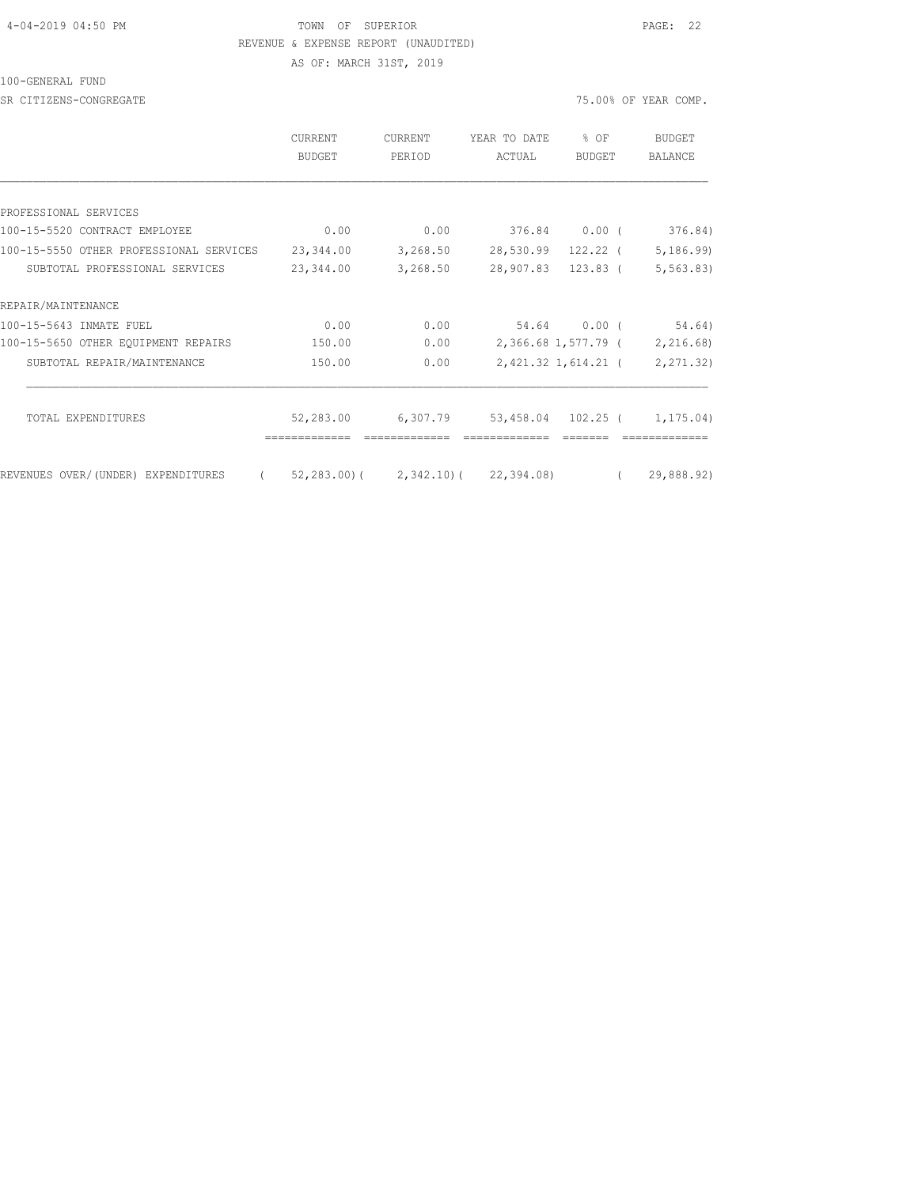### 4-04-2019 04:50 PM TOWN OF SUPERIOR PAGE: 22 REVENUE & EXPENSE REPORT (UNAUDITED) AS OF: MARCH 31ST, 2019

100-GENERAL FUND

SR CITIZENS-CONGREGATE 75.00% OF YEAR COMP.

|                                         | CURRENT<br><b>BUDGET</b>              | <b>CURRENT</b><br>PERIOD | YEAR TO DATE<br>ACTUAL       | $8$ OF<br>BUDGET    | BUDGET<br><b>BALANCE</b>      |
|-----------------------------------------|---------------------------------------|--------------------------|------------------------------|---------------------|-------------------------------|
|                                         |                                       |                          |                              |                     |                               |
| PROFESSIONAL SERVICES                   |                                       |                          |                              |                     |                               |
| 100-15-5520 CONTRACT EMPLOYEE           | 0.00                                  | 0.00                     |                              | 376.84 0.00 (       | 376.84)                       |
| 100-15-5550 OTHER PROFESSIONAL SERVICES | 23,344.00                             | 3,268.50                 | 28,530.99 122.22 (           |                     | 5,186.99                      |
| SUBTOTAL PROFESSIONAL SERVICES          | 23,344.00                             | 3,268.50                 | 28,907.83 123.83 (           |                     | 5, 563.83)                    |
| REPAIR/MAINTENANCE                      |                                       |                          |                              |                     |                               |
| 100-15-5643 INMATE FUEL                 | 0.00                                  | 0.00                     |                              | 54.64 0.00 (        | 54.64)                        |
| 100-15-5650 OTHER EQUIPMENT REPAIRS     | 150.00                                | 0.00                     |                              |                     | 2,366.68 1,577.79 ( 2,216.68) |
| SUBTOTAL REPAIR/MAINTENANCE             | 150.00                                | 0.00                     |                              | 2,421.32 1,614.21 ( | 2,271.32)                     |
| TOTAL EXPENDITURES                      | 52,283.00                             | 6,307.79                 |                              |                     |                               |
|                                         |                                       |                          | 53,458.04 102.25 ( 1,175.04) |                     |                               |
| REVENUES OVER/(UNDER) EXPENDITURES      | (52, 283.00) (2, 342.10) (22, 394.08) |                          |                              |                     | 29,888.92)                    |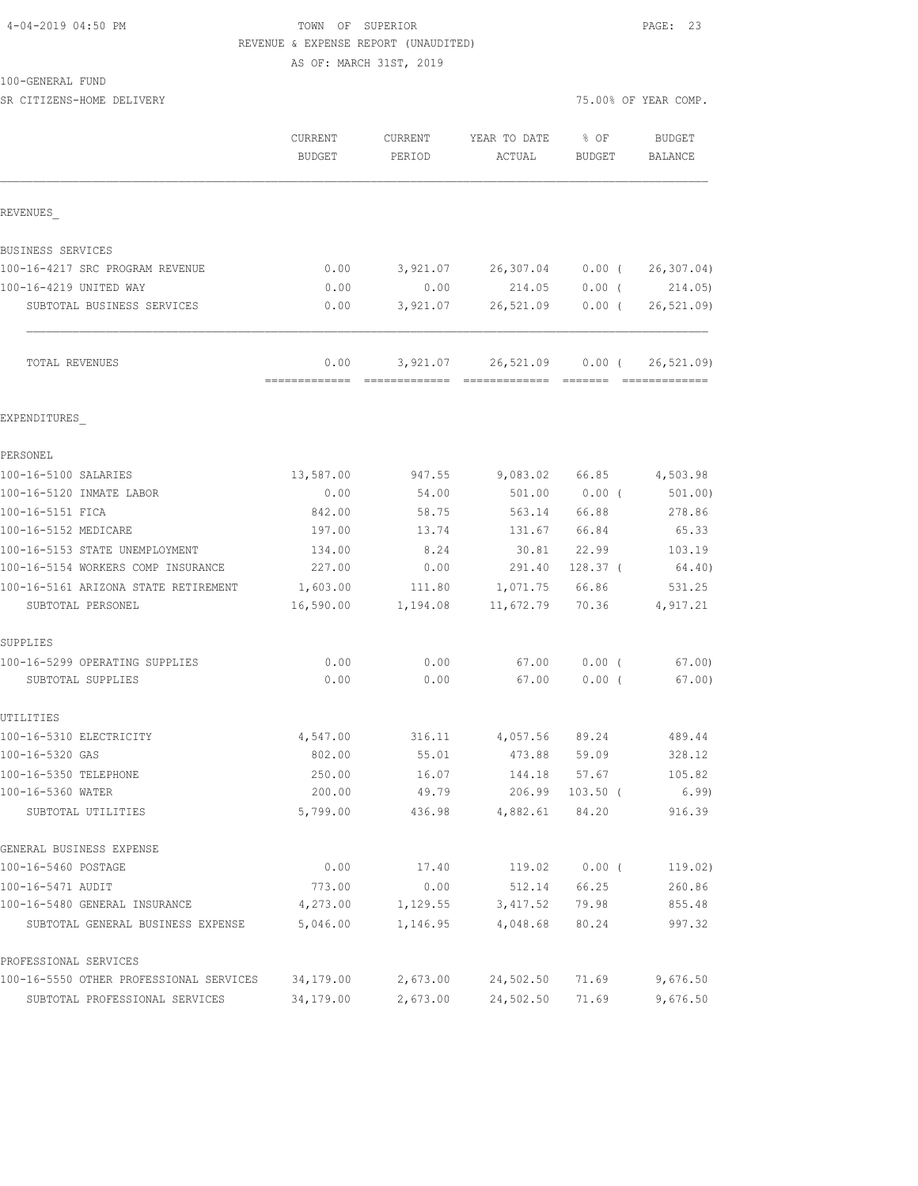## 4-04-2019 04:50 PM TOWN OF SUPERIOR PAGE: 23 REVENUE & EXPENSE REPORT (UNAUDITED)

AS OF: MARCH 31ST, 2019

SR CITIZENS-HOME DELIVERY 75.00% OF YEAR COMP.

|                                                           | CURRENT<br><b>BUDGET</b>        | CURRENT<br>PERIOD | YEAR TO DATE<br>ACTUAL             | % OF<br>BUDGET      | BUDGET<br>BALANCE       |
|-----------------------------------------------------------|---------------------------------|-------------------|------------------------------------|---------------------|-------------------------|
| REVENUES                                                  |                                 |                   |                                    |                     |                         |
| BUSINESS SERVICES                                         |                                 |                   |                                    |                     |                         |
| 100-16-4217 SRC PROGRAM REVENUE                           | 0.00                            |                   | 3,921.07 26,307.04                 | $0.00$ (            | 26, 307.04)             |
| 100-16-4219 UNITED WAY                                    | 0.00                            | 0.00              | 214.05                             | $0.00$ (            | 214.05)                 |
| SUBTOTAL BUSINESS SERVICES                                | 0.00                            | 3,921.07          | 26,521.09                          | $0.00$ (            | 26, 521.09              |
| TOTAL REVENUES                                            | 0.00<br>======================= |                   | 3,921.07 26,521.09 0.00 (          | --------            | 26, 521.09              |
| EXPENDITURES                                              |                                 |                   |                                    |                     |                         |
| PERSONEL                                                  |                                 |                   |                                    |                     |                         |
| 100-16-5100 SALARIES                                      | 13,587.00                       | 947.55            |                                    |                     | 9,083.02 66.85 4,503.98 |
| 100-16-5120 INMATE LABOR                                  | 0.00                            | 54.00             | 501.00                             | $0.00$ (            | 501.00                  |
| 100-16-5151 FICA                                          | 842.00                          | 58.75             | 563.14                             | 66.88               | 278.86                  |
| 100-16-5152 MEDICARE                                      | 197.00                          | 13.74             | 131.67                             | 66.84               | 65.33                   |
| 100-16-5153 STATE UNEMPLOYMENT                            | 134.00                          | 8.24              | 30.81                              | 22.99               | 103.19                  |
| 100-16-5154 WORKERS COMP INSURANCE                        | 227.00                          | 0.00              | 291.40                             | 128.37 <sup>0</sup> | 64.40)                  |
| 100-16-5161 ARIZONA STATE RETIREMENT<br>SUBTOTAL PERSONEL | 1,603.00<br>16,590.00           | 1,194.08          | 111.80 1,071.75 66.86<br>11,672.79 | 70.36               | 531.25<br>4,917.21      |
| SUPPLIES                                                  |                                 |                   |                                    |                     |                         |
| 100-16-5299 OPERATING SUPPLIES                            | 0.00                            | 0.00              | 67.00                              | $0.00$ (            | 67.00                   |
| SUBTOTAL SUPPLIES                                         | 0.00                            | 0.00              | 67.00                              | $0.00$ (            | 67.00                   |
| UTILITIES                                                 |                                 |                   |                                    |                     |                         |
| 100-16-5310 ELECTRICITY                                   | 4,547.00                        | 316.11            | 4,057.56                           | 89.24               | 489.44                  |
| 100-16-5320 GAS                                           | 802.00                          | 55.01             | 473.88                             | 59.09               | 328.12                  |
| 100-16-5350 TELEPHONE                                     | 250.00                          | 16.07             | 144.18                             | 57.67               | 105.82                  |
| 100-16-5360 WATER<br>SUBTOTAL UTILITIES                   | 200.00<br>5,799.00              | 49.79<br>436.98   | 206.99<br>4,882.61                 | $103.50$ (<br>84.20 | 6.99<br>916.39          |
| GENERAL BUSINESS EXPENSE                                  |                                 |                   |                                    |                     |                         |
| 100-16-5460 POSTAGE                                       | 0.00                            | 17.40             | 119.02                             | $0.00$ (            | 119.02)                 |
| 100-16-5471 AUDIT                                         | 773.00                          | 0.00              | 512.14                             | 66.25               | 260.86                  |
| 100-16-5480 GENERAL INSURANCE                             | 4,273.00                        | 1,129.55          | 3,417.52                           | 79.98               | 855.48                  |
| SUBTOTAL GENERAL BUSINESS EXPENSE                         | 5,046.00                        | 1,146.95          | 4,048.68                           | 80.24               | 997.32                  |
| PROFESSIONAL SERVICES                                     |                                 |                   |                                    |                     |                         |
| 100-16-5550 OTHER PROFESSIONAL SERVICES                   | 34,179.00                       | 2,673.00          | 24,502.50                          | 71.69               | 9,676.50                |
| SUBTOTAL PROFESSIONAL SERVICES                            | 34,179.00                       | 2,673.00          | 24,502.50                          | 71.69               | 9,676.50                |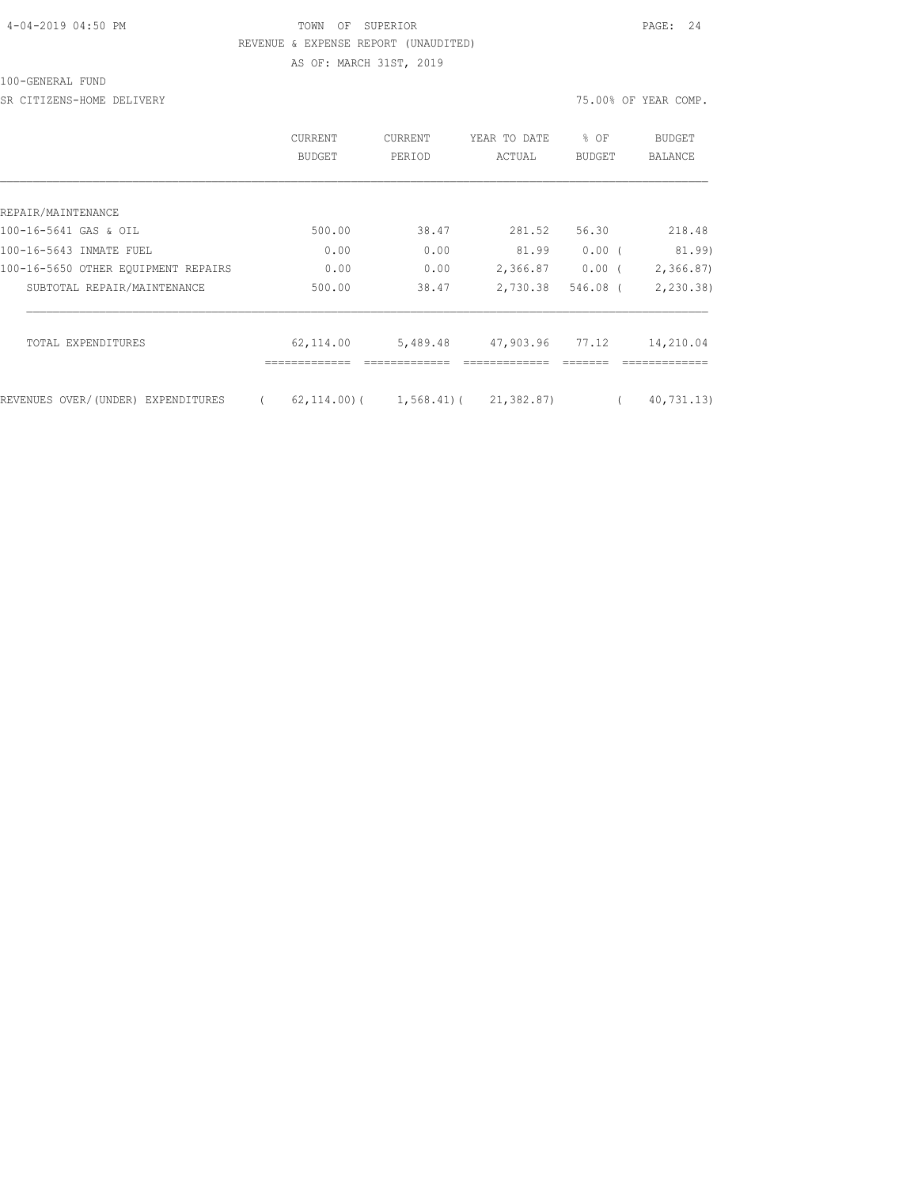## 4-04-2019 04:50 PM TOWN OF SUPERIOR PAGE: 24 REVENUE & EXPENSE REPORT (UNAUDITED) AS OF: MARCH 31ST, 2019

100-GENERAL FUND

SR CITIZENS-HOME DELIVERY 75.00% OF YEAR COMP.

|                                     | CURRENT<br><b>BUDGET</b> | <b>CURRENT</b><br>PERIOD | YEAR TO DATE<br>ACTUAL | % OF<br><b>BUDGET</b> | <b>BUDGET</b><br><b>BALANCE</b> |
|-------------------------------------|--------------------------|--------------------------|------------------------|-----------------------|---------------------------------|
|                                     |                          |                          |                        |                       |                                 |
| REPAIR/MAINTENANCE                  |                          |                          |                        |                       |                                 |
| 100-16-5641 GAS & OIL               | 500.00                   | 38.47                    | 281.52                 | 56.30                 | 218.48                          |
| 100-16-5643 INMATE FUEL             | 0.00                     | 0.00                     | 81.99                  | 0.00                  | 81.99)                          |
| 100-16-5650 OTHER EQUIPMENT REPAIRS | 0.00                     | 0.00                     | 2,366.87               | 0.00(                 | 2, 366.87                       |
| SUBTOTAL REPAIR/MAINTENANCE         | 500.00                   | 38.47                    | 2,730.38               | $546.08$ (            | 2, 230.38                       |
| TOTAL EXPENDITURES                  | 62,114.00                | 5,489.48                 | 47,903.96              | 77.12                 | 14,210.04                       |
| REVENUES OVER/(UNDER) EXPENDITURES  | $62, 114, 00$ ) (        | $1,568.41$ ) (           | 21,382.87)             |                       | 40,731,13)                      |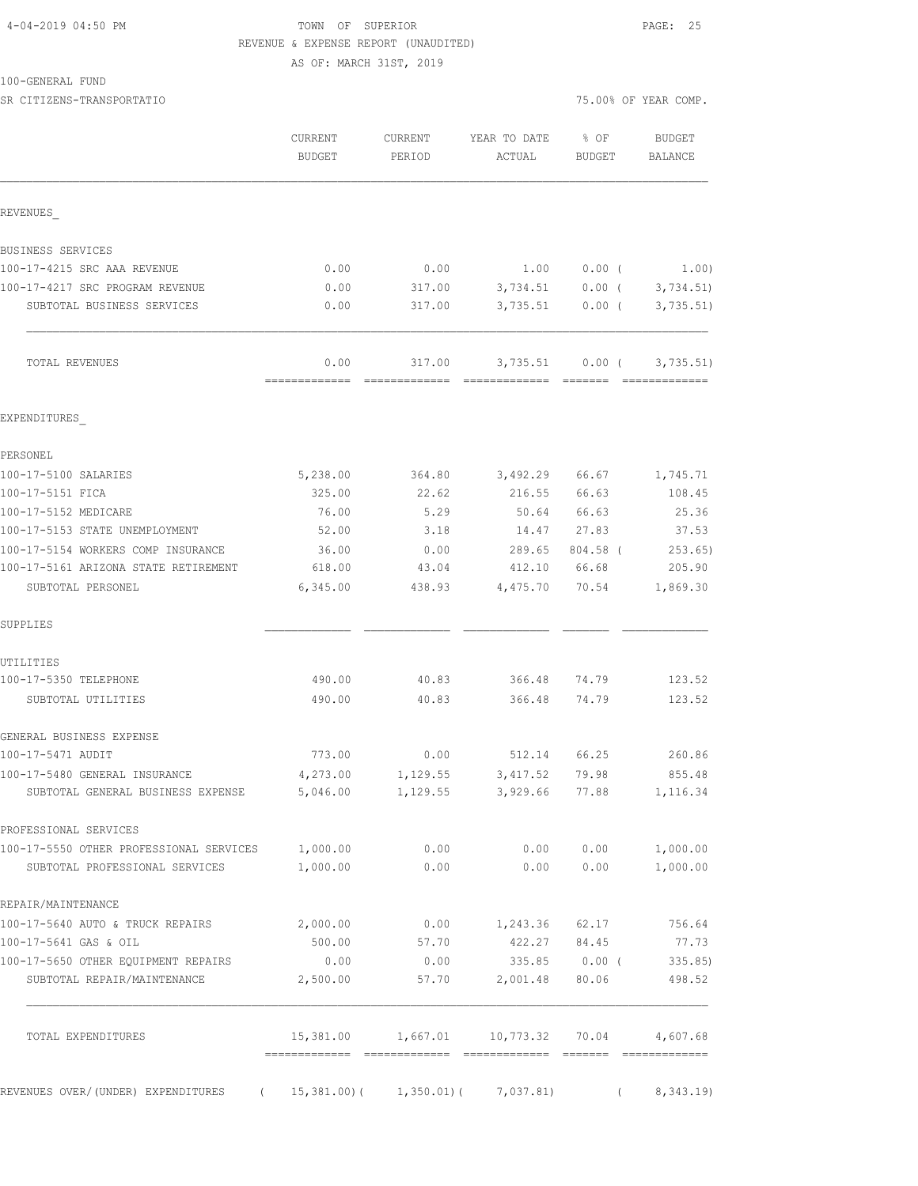## 4-04-2019 04:50 PM TOWN OF SUPERIOR PAGE: 25 REVENUE & EXPENSE REPORT (UNAUDITED)

AS OF: MARCH 31ST, 2019

SR CITIZENS-TRANSPORTATIO 75.00% OF YEAR COMP.

| REVENUES<br>BUSINESS SERVICES<br>100-17-4215 SRC AAA REVENUE<br>0.00<br>0.00<br>1.00<br>$0.00$ (<br>100-17-4217 SRC PROGRAM REVENUE<br>0.00<br>317.00<br>3,734.51<br>$0.00$ (<br>0.00<br>3,735.51<br>$0.00$ (<br>SUBTOTAL BUSINESS SERVICES<br>317.00<br>0.00<br>TOTAL REVENUES<br>317.00<br>3,735.51<br>$0.00$ (<br>-------------<br>=============<br>=============<br>--------<br>EXPENDITURES<br>PERSONEL<br>100-17-5100 SALARIES<br>5,238.00<br>3,492.29<br>66.67<br>364.80<br>325.00<br>22.62<br>216.55<br>66.63<br>100-17-5151 FICA<br>100-17-5152 MEDICARE<br>76.00<br>50.64<br>66.63<br>5.29<br>100-17-5153 STATE UNEMPLOYMENT<br>27.83<br>52.00<br>3.18<br>14.47<br>100-17-5154 WORKERS COMP INSURANCE<br>36.00<br>0.00<br>289.65<br>804.58 (<br>100-17-5161 ARIZONA STATE RETIREMENT<br>618.00<br>43.04<br>412.10<br>66.68<br>6,345.00<br>4,475.70<br>SUBTOTAL PERSONEL<br>438.93<br>70.54<br>SUPPLIES<br>UTILITIES<br>100-17-5350 TELEPHONE<br>490.00<br>40.83<br>366.48<br>74.79<br>490.00<br>40.83<br>366.48<br>74.79<br>SUBTOTAL UTILITIES<br>GENERAL BUSINESS EXPENSE<br>773.00<br>0.00<br>512.14<br>66.25<br>100-17-5471 AUDIT<br>4,273.00<br>100-17-5480 GENERAL INSURANCE<br>1,129.55<br>3, 417.52<br>79.98<br>SUBTOTAL GENERAL BUSINESS EXPENSE<br>5,046.00<br>1,129.55<br>3,929.66<br>77.88<br>PROFESSIONAL SERVICES<br>100-17-5550 OTHER PROFESSIONAL SERVICES<br>0.00<br>0.00<br>0.00<br>1,000.00<br>1,000.00<br>0.00<br>0.00<br>0.00<br>SUBTOTAL PROFESSIONAL SERVICES<br>REPAIR/MAINTENANCE<br>0.00<br>62.17<br>100-17-5640 AUTO & TRUCK REPAIRS<br>2,000.00<br>1,243.36<br>422.27<br>100-17-5641 GAS & OIL<br>500.00<br>57.70<br>84.45 | % OF<br><b>BUDGET</b><br>BALANCE<br>BUDGET | YEAR TO DATE<br>ACTUAL | <b>CURRENT</b><br>PERIOD | CURRENT<br><b>BUDGET</b> |  |
|-----------------------------------------------------------------------------------------------------------------------------------------------------------------------------------------------------------------------------------------------------------------------------------------------------------------------------------------------------------------------------------------------------------------------------------------------------------------------------------------------------------------------------------------------------------------------------------------------------------------------------------------------------------------------------------------------------------------------------------------------------------------------------------------------------------------------------------------------------------------------------------------------------------------------------------------------------------------------------------------------------------------------------------------------------------------------------------------------------------------------------------------------------------------------------------------------------------------------------------------------------------------------------------------------------------------------------------------------------------------------------------------------------------------------------------------------------------------------------------------------------------------------------------------------------------------------------------------------------------------------------------------------------------------|--------------------------------------------|------------------------|--------------------------|--------------------------|--|
|                                                                                                                                                                                                                                                                                                                                                                                                                                                                                                                                                                                                                                                                                                                                                                                                                                                                                                                                                                                                                                                                                                                                                                                                                                                                                                                                                                                                                                                                                                                                                                                                                                                                 |                                            |                        |                          |                          |  |
|                                                                                                                                                                                                                                                                                                                                                                                                                                                                                                                                                                                                                                                                                                                                                                                                                                                                                                                                                                                                                                                                                                                                                                                                                                                                                                                                                                                                                                                                                                                                                                                                                                                                 |                                            |                        |                          |                          |  |
|                                                                                                                                                                                                                                                                                                                                                                                                                                                                                                                                                                                                                                                                                                                                                                                                                                                                                                                                                                                                                                                                                                                                                                                                                                                                                                                                                                                                                                                                                                                                                                                                                                                                 | 1.00)                                      |                        |                          |                          |  |
|                                                                                                                                                                                                                                                                                                                                                                                                                                                                                                                                                                                                                                                                                                                                                                                                                                                                                                                                                                                                                                                                                                                                                                                                                                                                                                                                                                                                                                                                                                                                                                                                                                                                 | 3,734.51)                                  |                        |                          |                          |  |
|                                                                                                                                                                                                                                                                                                                                                                                                                                                                                                                                                                                                                                                                                                                                                                                                                                                                                                                                                                                                                                                                                                                                                                                                                                                                                                                                                                                                                                                                                                                                                                                                                                                                 | 3,735.51)                                  |                        |                          |                          |  |
|                                                                                                                                                                                                                                                                                                                                                                                                                                                                                                                                                                                                                                                                                                                                                                                                                                                                                                                                                                                                                                                                                                                                                                                                                                                                                                                                                                                                                                                                                                                                                                                                                                                                 | 3,735.51)<br>=============                 |                        |                          |                          |  |
|                                                                                                                                                                                                                                                                                                                                                                                                                                                                                                                                                                                                                                                                                                                                                                                                                                                                                                                                                                                                                                                                                                                                                                                                                                                                                                                                                                                                                                                                                                                                                                                                                                                                 |                                            |                        |                          |                          |  |
|                                                                                                                                                                                                                                                                                                                                                                                                                                                                                                                                                                                                                                                                                                                                                                                                                                                                                                                                                                                                                                                                                                                                                                                                                                                                                                                                                                                                                                                                                                                                                                                                                                                                 |                                            |                        |                          |                          |  |
|                                                                                                                                                                                                                                                                                                                                                                                                                                                                                                                                                                                                                                                                                                                                                                                                                                                                                                                                                                                                                                                                                                                                                                                                                                                                                                                                                                                                                                                                                                                                                                                                                                                                 | 1,745.71                                   |                        |                          |                          |  |
|                                                                                                                                                                                                                                                                                                                                                                                                                                                                                                                                                                                                                                                                                                                                                                                                                                                                                                                                                                                                                                                                                                                                                                                                                                                                                                                                                                                                                                                                                                                                                                                                                                                                 | 108.45                                     |                        |                          |                          |  |
|                                                                                                                                                                                                                                                                                                                                                                                                                                                                                                                                                                                                                                                                                                                                                                                                                                                                                                                                                                                                                                                                                                                                                                                                                                                                                                                                                                                                                                                                                                                                                                                                                                                                 | 25.36                                      |                        |                          |                          |  |
|                                                                                                                                                                                                                                                                                                                                                                                                                                                                                                                                                                                                                                                                                                                                                                                                                                                                                                                                                                                                                                                                                                                                                                                                                                                                                                                                                                                                                                                                                                                                                                                                                                                                 | 37.53                                      |                        |                          |                          |  |
|                                                                                                                                                                                                                                                                                                                                                                                                                                                                                                                                                                                                                                                                                                                                                                                                                                                                                                                                                                                                                                                                                                                                                                                                                                                                                                                                                                                                                                                                                                                                                                                                                                                                 | 253.65)                                    |                        |                          |                          |  |
|                                                                                                                                                                                                                                                                                                                                                                                                                                                                                                                                                                                                                                                                                                                                                                                                                                                                                                                                                                                                                                                                                                                                                                                                                                                                                                                                                                                                                                                                                                                                                                                                                                                                 | 205.90                                     |                        |                          |                          |  |
|                                                                                                                                                                                                                                                                                                                                                                                                                                                                                                                                                                                                                                                                                                                                                                                                                                                                                                                                                                                                                                                                                                                                                                                                                                                                                                                                                                                                                                                                                                                                                                                                                                                                 | 1,869.30                                   |                        |                          |                          |  |
|                                                                                                                                                                                                                                                                                                                                                                                                                                                                                                                                                                                                                                                                                                                                                                                                                                                                                                                                                                                                                                                                                                                                                                                                                                                                                                                                                                                                                                                                                                                                                                                                                                                                 |                                            |                        |                          |                          |  |
|                                                                                                                                                                                                                                                                                                                                                                                                                                                                                                                                                                                                                                                                                                                                                                                                                                                                                                                                                                                                                                                                                                                                                                                                                                                                                                                                                                                                                                                                                                                                                                                                                                                                 |                                            |                        |                          |                          |  |
|                                                                                                                                                                                                                                                                                                                                                                                                                                                                                                                                                                                                                                                                                                                                                                                                                                                                                                                                                                                                                                                                                                                                                                                                                                                                                                                                                                                                                                                                                                                                                                                                                                                                 | 123.52                                     |                        |                          |                          |  |
|                                                                                                                                                                                                                                                                                                                                                                                                                                                                                                                                                                                                                                                                                                                                                                                                                                                                                                                                                                                                                                                                                                                                                                                                                                                                                                                                                                                                                                                                                                                                                                                                                                                                 | 123.52                                     |                        |                          |                          |  |
|                                                                                                                                                                                                                                                                                                                                                                                                                                                                                                                                                                                                                                                                                                                                                                                                                                                                                                                                                                                                                                                                                                                                                                                                                                                                                                                                                                                                                                                                                                                                                                                                                                                                 |                                            |                        |                          |                          |  |
|                                                                                                                                                                                                                                                                                                                                                                                                                                                                                                                                                                                                                                                                                                                                                                                                                                                                                                                                                                                                                                                                                                                                                                                                                                                                                                                                                                                                                                                                                                                                                                                                                                                                 | 260.86                                     |                        |                          |                          |  |
|                                                                                                                                                                                                                                                                                                                                                                                                                                                                                                                                                                                                                                                                                                                                                                                                                                                                                                                                                                                                                                                                                                                                                                                                                                                                                                                                                                                                                                                                                                                                                                                                                                                                 | 855.48                                     |                        |                          |                          |  |
|                                                                                                                                                                                                                                                                                                                                                                                                                                                                                                                                                                                                                                                                                                                                                                                                                                                                                                                                                                                                                                                                                                                                                                                                                                                                                                                                                                                                                                                                                                                                                                                                                                                                 | 1,116.34                                   |                        |                          |                          |  |
|                                                                                                                                                                                                                                                                                                                                                                                                                                                                                                                                                                                                                                                                                                                                                                                                                                                                                                                                                                                                                                                                                                                                                                                                                                                                                                                                                                                                                                                                                                                                                                                                                                                                 |                                            |                        |                          |                          |  |
|                                                                                                                                                                                                                                                                                                                                                                                                                                                                                                                                                                                                                                                                                                                                                                                                                                                                                                                                                                                                                                                                                                                                                                                                                                                                                                                                                                                                                                                                                                                                                                                                                                                                 | 1,000.00                                   |                        |                          |                          |  |
|                                                                                                                                                                                                                                                                                                                                                                                                                                                                                                                                                                                                                                                                                                                                                                                                                                                                                                                                                                                                                                                                                                                                                                                                                                                                                                                                                                                                                                                                                                                                                                                                                                                                 | 1,000.00                                   |                        |                          |                          |  |
|                                                                                                                                                                                                                                                                                                                                                                                                                                                                                                                                                                                                                                                                                                                                                                                                                                                                                                                                                                                                                                                                                                                                                                                                                                                                                                                                                                                                                                                                                                                                                                                                                                                                 |                                            |                        |                          |                          |  |
|                                                                                                                                                                                                                                                                                                                                                                                                                                                                                                                                                                                                                                                                                                                                                                                                                                                                                                                                                                                                                                                                                                                                                                                                                                                                                                                                                                                                                                                                                                                                                                                                                                                                 | 756.64                                     |                        |                          |                          |  |
|                                                                                                                                                                                                                                                                                                                                                                                                                                                                                                                                                                                                                                                                                                                                                                                                                                                                                                                                                                                                                                                                                                                                                                                                                                                                                                                                                                                                                                                                                                                                                                                                                                                                 | 77.73                                      |                        |                          |                          |  |
| 100-17-5650 OTHER EQUIPMENT REPAIRS<br>0.00<br>335.85<br>$0.00$ (<br>0.00<br>2,001.48<br>SUBTOTAL REPAIR/MAINTENANCE<br>2,500.00<br>57.70<br>80.06                                                                                                                                                                                                                                                                                                                                                                                                                                                                                                                                                                                                                                                                                                                                                                                                                                                                                                                                                                                                                                                                                                                                                                                                                                                                                                                                                                                                                                                                                                              | 335.85<br>498.52                           |                        |                          |                          |  |
| 15,381.00<br>1,667.01<br>10,773.32<br>70.04<br>TOTAL EXPENDITURES                                                                                                                                                                                                                                                                                                                                                                                                                                                                                                                                                                                                                                                                                                                                                                                                                                                                                                                                                                                                                                                                                                                                                                                                                                                                                                                                                                                                                                                                                                                                                                                               | 4,607.68                                   |                        |                          |                          |  |
| REVENUES OVER/(UNDER) EXPENDITURES (15,381.00) (1,350.01) (<br>7,037.81)<br>$\sqrt{2}$                                                                                                                                                                                                                                                                                                                                                                                                                                                                                                                                                                                                                                                                                                                                                                                                                                                                                                                                                                                                                                                                                                                                                                                                                                                                                                                                                                                                                                                                                                                                                                          | 8,343.19                                   |                        |                          |                          |  |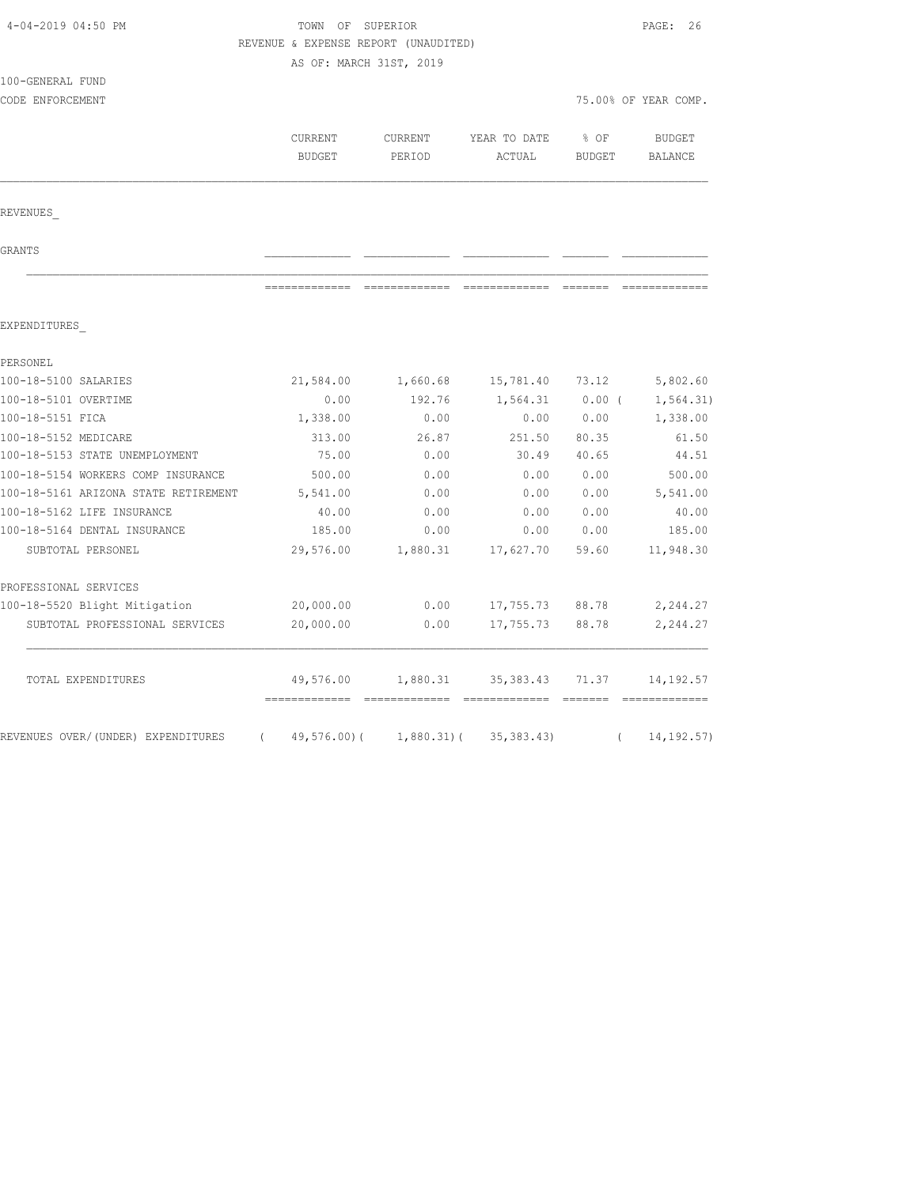| 4-04-2019 04:50 PM                             | TOWN OF SUPERIOR<br>REVENUE & EXPENSE REPORT (UNAUDITED) | PAGE: 26      |                          |               |                              |
|------------------------------------------------|----------------------------------------------------------|---------------|--------------------------|---------------|------------------------------|
|                                                | AS OF: MARCH 31ST, 2019                                  |               |                          |               |                              |
| 100-GENERAL FUND                               |                                                          |               |                          |               |                              |
| CODE ENFORCEMENT                               |                                                          |               |                          |               | 75.00% OF YEAR COMP.         |
|                                                |                                                          |               |                          |               |                              |
|                                                | CURRENT                                                  | CURRENT       | YEAR TO DATE             | % OF          | <b>BUDGET</b>                |
|                                                | <b>BUDGET</b>                                            | PERIOD        | ACTUAL                   | <b>BUDGET</b> | BALANCE                      |
| REVENUES                                       |                                                          |               |                          |               |                              |
| GRANTS                                         |                                                          |               |                          |               |                              |
|                                                | -------------                                            | ------------- | ======================== |               |                              |
| EXPENDITURES                                   |                                                          |               |                          |               |                              |
| PERSONEL                                       |                                                          |               |                          |               |                              |
| 100-18-5100 SALARIES                           | 21,584.00                                                | 1,660.68      | 15,781.40                | 73.12         | 5,802.60                     |
| 100-18-5101 OVERTIME                           | 0.00                                                     | 192.76        | 1,564.31                 | $0.00$ (      | 1, 564.31)                   |
| 100-18-5151 FICA                               | 1,338.00                                                 | 0.00          | 0.00                     | 0.00          | 1,338.00                     |
| 100-18-5152 MEDICARE                           | 313.00                                                   | 26.87         | 251.50                   | 80.35         | 61.50                        |
| 100-18-5153 STATE UNEMPLOYMENT                 | 75.00                                                    | 0.00          | 30.49                    | 40.65         | 44.51                        |
| 100-18-5154 WORKERS COMP INSURANCE             | 500.00                                                   | 0.00          | 0.00                     | 0.00          | 500.00                       |
| 100-18-5161 ARIZONA STATE RETIREMENT           | 5,541.00                                                 | 0.00          | 0.00                     | 0.00          | 5,541.00                     |
| 100-18-5162 LIFE INSURANCE                     | 40.00                                                    | 0.00          | 0.00                     | 0.00          | 40.00                        |
| 100-18-5164 DENTAL INSURANCE                   | 185.00                                                   | 0.00          | 0.00                     | 0.00          | 185.00                       |
| SUBTOTAL PERSONEL                              | 29,576.00                                                | 1,880.31      | 17,627.70                | 59.60         | 11,948.30                    |
| PROFESSIONAL SERVICES                          |                                                          |               |                          |               |                              |
| 100-18-5520 Blight Mitigation                  | 20,000.00                                                | 0.00          | 17,755.73                | 88.78         | 2,244.27                     |
| SUBTOTAL PROFESSIONAL SERVICES                 | 20,000.00                                                | 0.00          | 17,755.73                | 88.78         | 2,244.27                     |
| TOTAL EXPENDITURES                             | 49,576.00                                                | 1,880.31      | 35,383.43                | 71.37         | 14,192.57                    |
| REVENUES OVER/(UNDER) EXPENDITURES<br>$\left($ | 49,576.00)(                                              | 1,880.31)(    | 35, 383.43               | $\left($      | =============<br>14, 192.57) |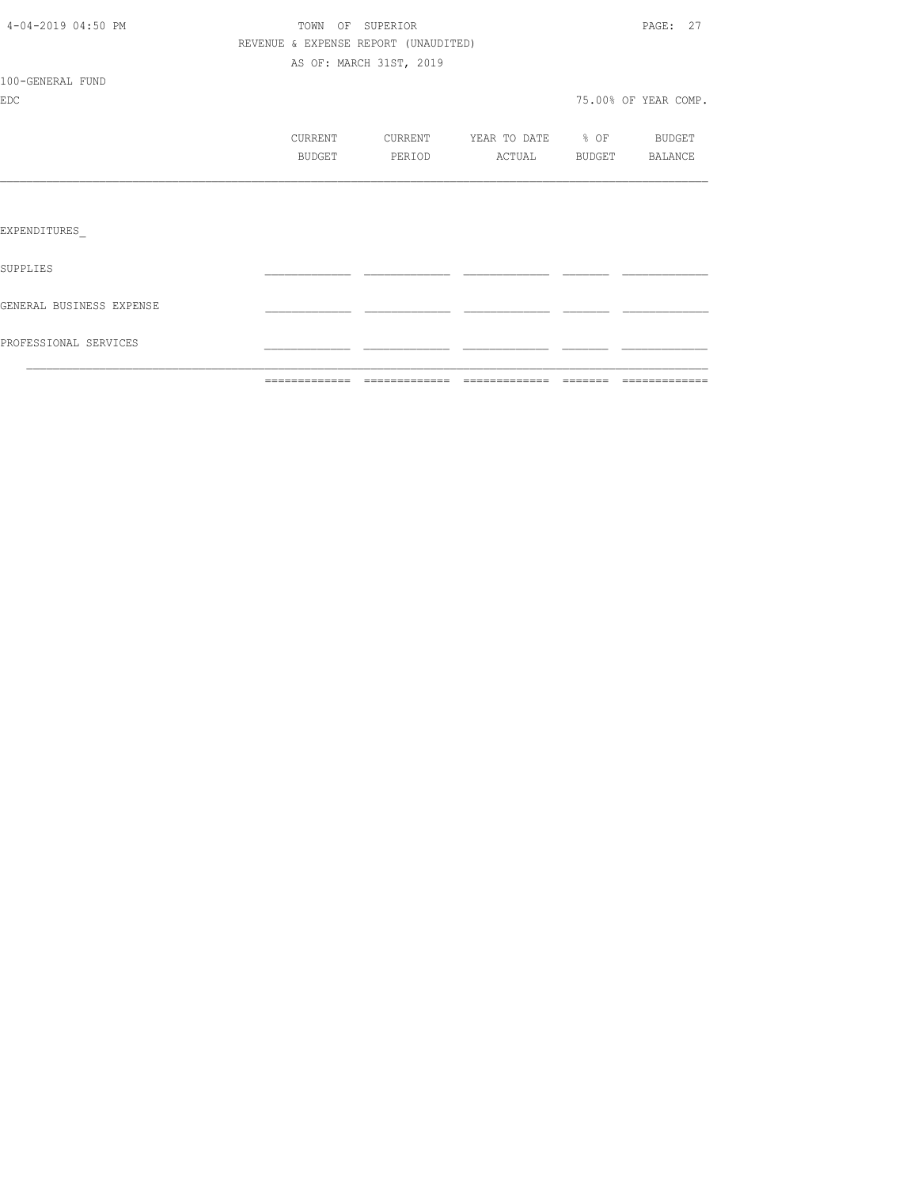|                          | =============                        | =============           | ------------- | --------         | =============        |
|--------------------------|--------------------------------------|-------------------------|---------------|------------------|----------------------|
| PROFESSIONAL SERVICES    |                                      |                         |               |                  |                      |
| GENERAL BUSINESS EXPENSE |                                      |                         |               |                  |                      |
| SUPPLIES                 |                                      |                         |               |                  |                      |
| EXPENDITURES             |                                      |                         |               |                  |                      |
|                          |                                      |                         |               |                  |                      |
|                          | <b>BUDGET</b>                        | PERIOD                  | ACTUAL        | BUDGET           | BALANCE              |
|                          | CURRENT                              | CURRENT                 | YEAR TO DATE  | $\frac{6}{6}$ OF | BUDGET               |
| <b>EDC</b>               |                                      |                         |               |                  | 75.00% OF YEAR COMP. |
| 100-GENERAL FUND         |                                      |                         |               |                  |                      |
|                          |                                      | AS OF: MARCH 31ST, 2019 |               |                  |                      |
|                          | REVENUE & EXPENSE REPORT (UNAUDITED) |                         |               |                  |                      |
| 4-04-2019 04:50 PM       | TOWN OF SUPERIOR                     |                         |               |                  | PAGE: 27             |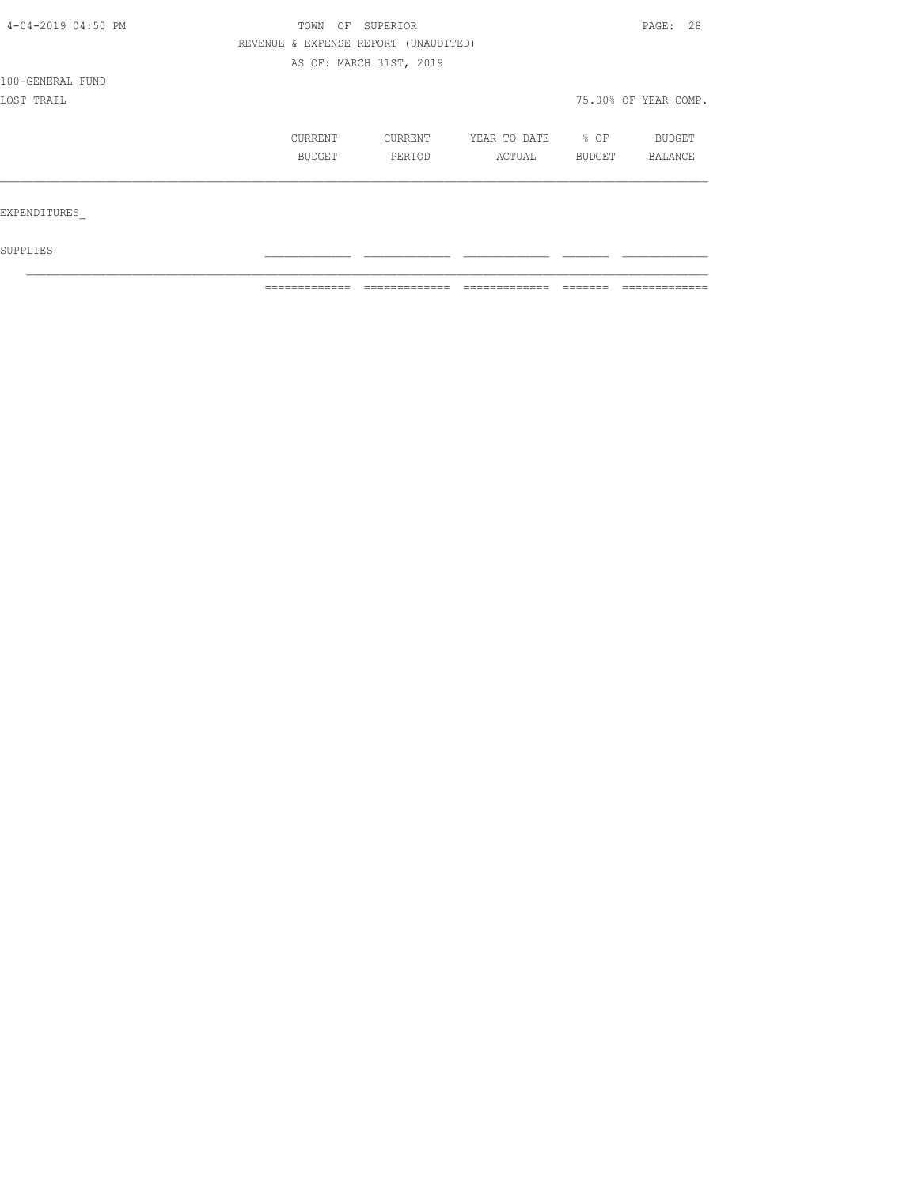| 4-04-2019 04:50 PM | OF<br>TOWN                           | SUPERIOR |              |        | PAGE: 28             |  |
|--------------------|--------------------------------------|----------|--------------|--------|----------------------|--|
|                    | REVENUE & EXPENSE REPORT (UNAUDITED) |          |              |        |                      |  |
|                    | AS OF: MARCH 31ST, 2019              |          |              |        |                      |  |
| 100-GENERAL FUND   |                                      |          |              |        |                      |  |
| LOST TRAIL         |                                      |          |              |        | 75.00% OF YEAR COMP. |  |
|                    | CURRENT                              | CURRENT  | YEAR TO DATE | % OF   | BUDGET               |  |
|                    | BUDGET                               | PERIOD   | ACTUAL       | BUDGET | BALANCE              |  |
|                    |                                      |          |              |        |                      |  |
| EXPENDITURES       |                                      |          |              |        |                      |  |
| SUPPLIES           |                                      |          |              |        |                      |  |

 $\mathcal{L}_\text{max}$ 

============= ============= ============= ======= =============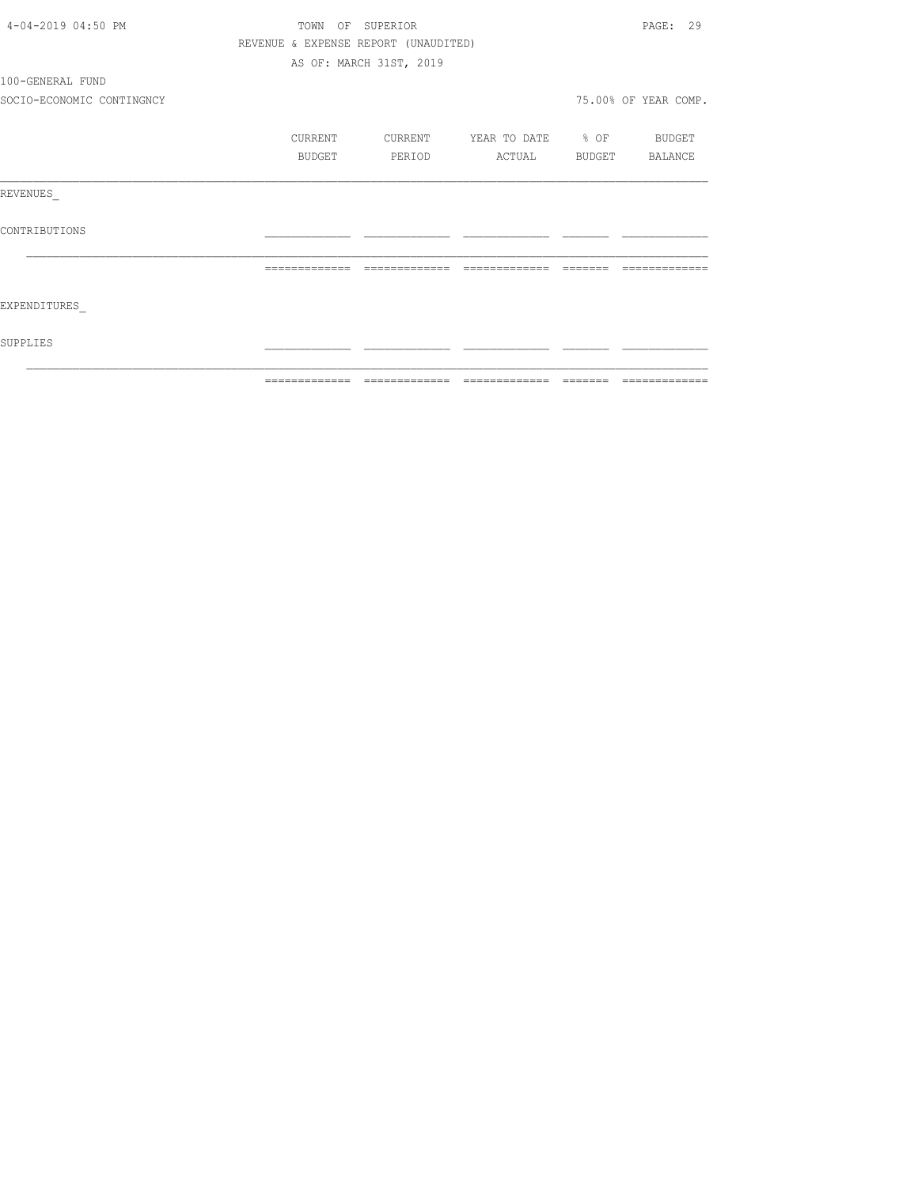| 4-04-2019 04:50 PM        |                                      | TOWN OF SUPERIOR        |                   | PAGE: 29             |
|---------------------------|--------------------------------------|-------------------------|-------------------|----------------------|
|                           | REVENUE & EXPENSE REPORT (UNAUDITED) |                         |                   |                      |
|                           |                                      | AS OF: MARCH 31ST, 2019 |                   |                      |
| 100-GENERAL FUND          |                                      |                         |                   |                      |
| SOCIO-ECONOMIC CONTINGNCY |                                      |                         |                   | 75.00% OF YEAR COMP. |
|                           | CURRENT                              | CURRENT                 | YEAR TO DATE % OF | BUDGET               |
|                           | BUDGET                               | PERIOD                  | ACTUAL            | BUDGET BALANCE       |
| REVENUES                  |                                      |                         |                   |                      |
| CONTRIBUTIONS             |                                      |                         |                   |                      |
|                           | =============                        | =============           | =============     |                      |
| EXPENDITURES              |                                      |                         |                   |                      |
| SUPPLIES                  |                                      |                         |                   |                      |
|                           |                                      |                         |                   |                      |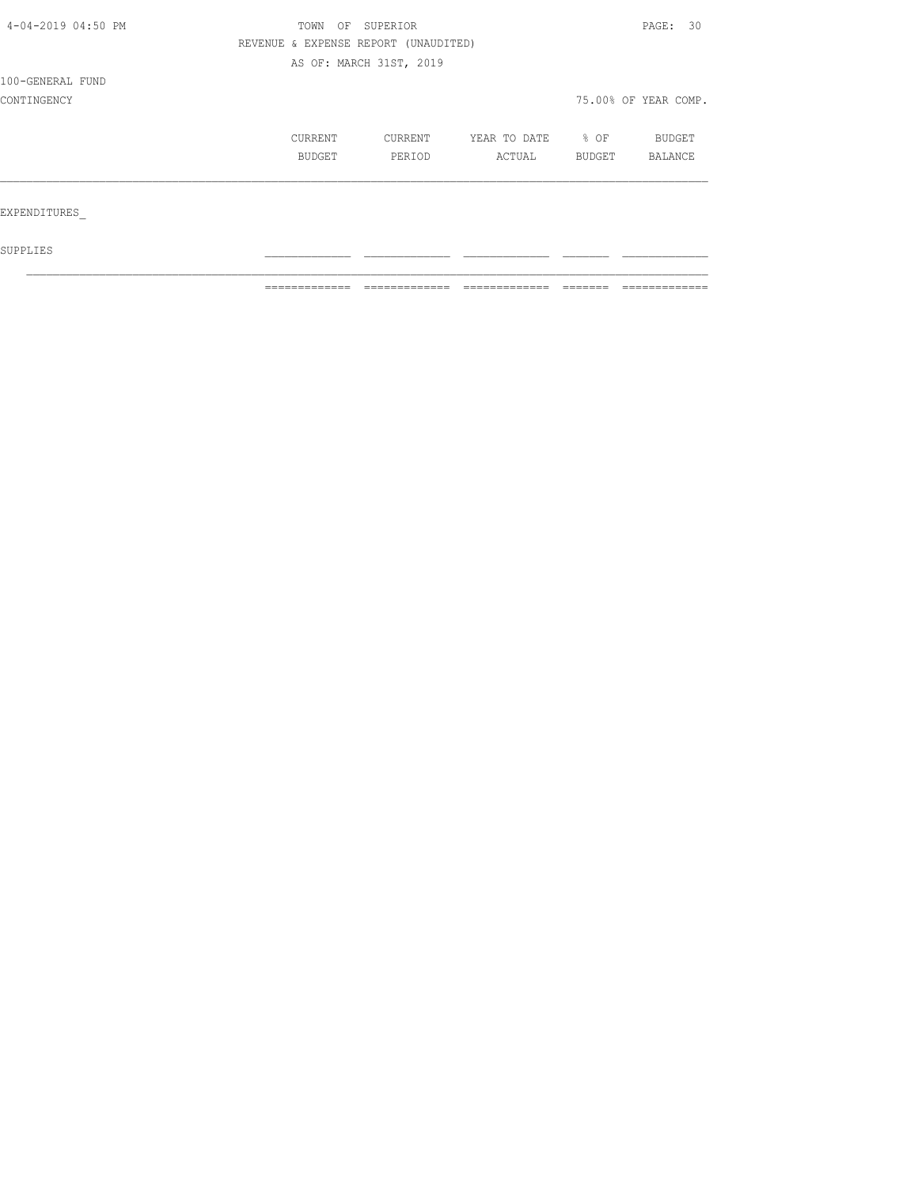| 4-04-2019 04:50 PM | OF<br>TOWN               | SUPERIOR                             |                        |                | PAGE: 30             |  |
|--------------------|--------------------------|--------------------------------------|------------------------|----------------|----------------------|--|
|                    |                          | REVENUE & EXPENSE REPORT (UNAUDITED) |                        |                |                      |  |
|                    |                          | AS OF: MARCH 31ST, 2019              |                        |                |                      |  |
| 100-GENERAL FUND   |                          |                                      |                        |                |                      |  |
| CONTINGENCY        |                          |                                      |                        |                | 75.00% OF YEAR COMP. |  |
|                    | CURRENT<br><b>BUDGET</b> | CURRENT<br>PERIOD                    | YEAR TO DATE<br>ACTUAL | % OF<br>BUDGET | BUDGET<br>BALANCE    |  |
| EXPENDITURES       |                          |                                      |                        |                |                      |  |
| SUPPLIES           |                          |                                      |                        |                |                      |  |

 $\mathcal{L}_\text{max}$ 

 $\blacksquare$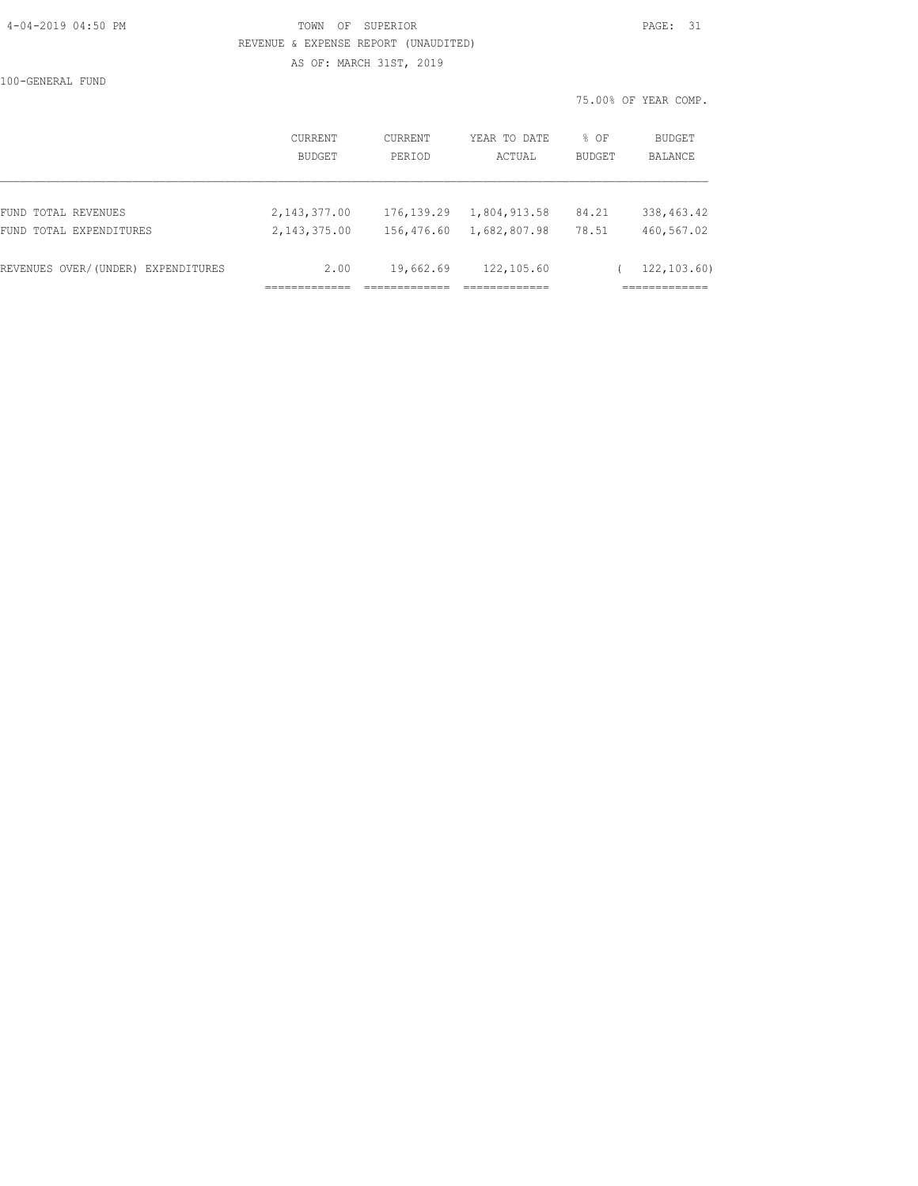## 4-04-2019 04:50 PM TOWN OF SUPERIOR PAGE: 31 REVENUE & EXPENSE REPORT (UNAUDITED) AS OF: MARCH 31ST, 2019

100-GENERAL FUND

|                                    |                          |                   |                        |                       | 75.00% OF YEAR COMP.     |
|------------------------------------|--------------------------|-------------------|------------------------|-----------------------|--------------------------|
|                                    | CURRENT<br><b>BUDGET</b> | CURRENT<br>PERIOD | YEAR TO DATE<br>ACTUAL | % OF<br><b>BUDGET</b> | BUDGET<br><b>BALANCE</b> |
| FUND TOTAL REVENUES                | 2, 143, 377.00           | 176, 139.29       | 1,804,913.58           | 84.21                 | 338, 463. 42             |
| FUND TOTAL EXPENDITURES            | 2, 143, 375.00           | 156,476.60        | 1,682,807.98           | 78.51                 | 460,567.02               |
| REVENUES OVER/(UNDER) EXPENDITURES | 2.00                     | 19,662.69         | 122,105.60             |                       | 122, 103, 60)            |
|                                    |                          |                   |                        |                       | ===========              |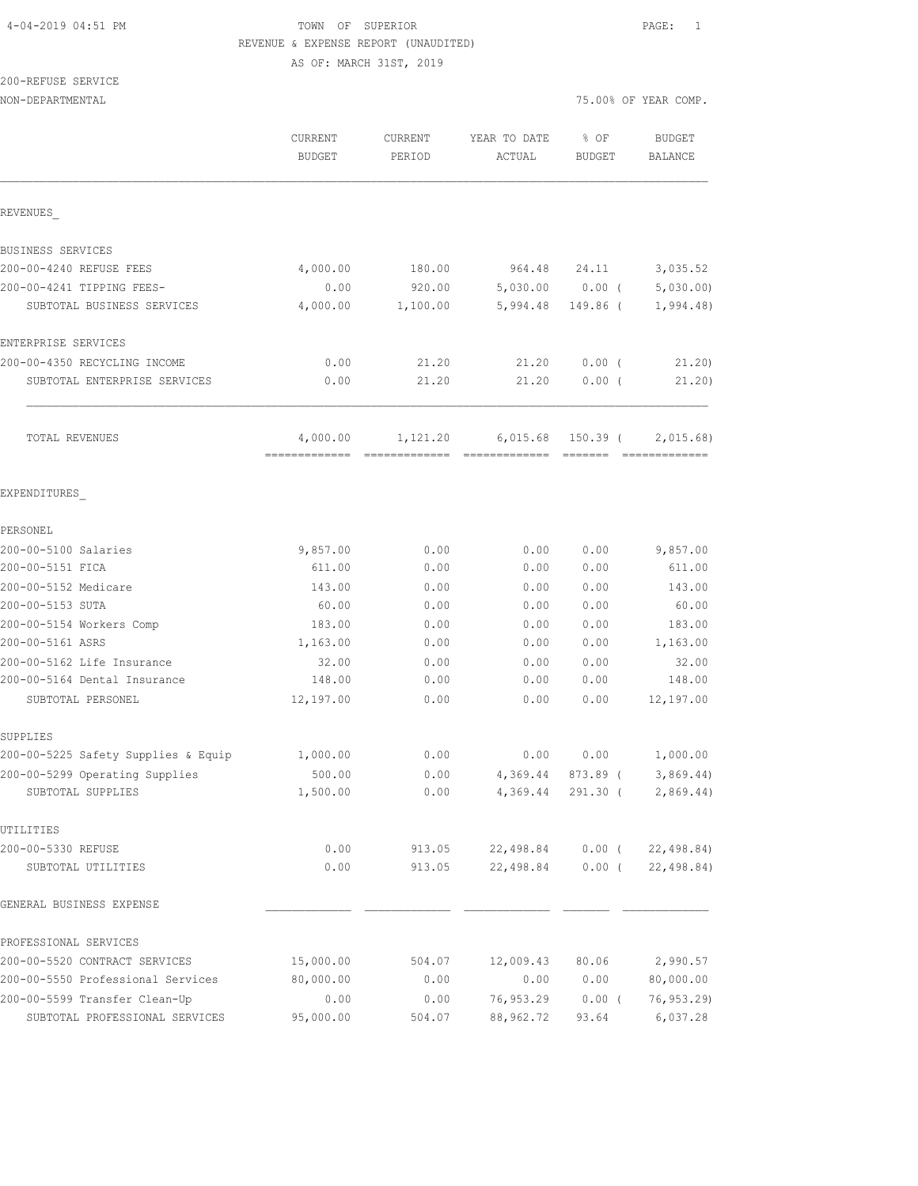# 4-04-2019 04:51 PM TOWN OF SUPERIOR PAGE: 1 REVENUE & EXPENSE REPORT (UNAUDITED)

AS OF: MARCH 31ST, 2019

## 200-REFUSE SERVICE

| NON-DEPARTMENTAL                    |                           |                          |                        |                                                                                                                                                                                                                                                                                                                                                                                                                                                                                                    | 75.00% OF YEAR COMP.      |
|-------------------------------------|---------------------------|--------------------------|------------------------|----------------------------------------------------------------------------------------------------------------------------------------------------------------------------------------------------------------------------------------------------------------------------------------------------------------------------------------------------------------------------------------------------------------------------------------------------------------------------------------------------|---------------------------|
|                                     | CURRENT<br><b>BUDGET</b>  | <b>CURRENT</b><br>PERIOD | YEAR TO DATE<br>ACTUAL | % OF<br><b>BUDGET</b>                                                                                                                                                                                                                                                                                                                                                                                                                                                                              | <b>BUDGET</b><br>BALANCE  |
| REVENUES                            |                           |                          |                        |                                                                                                                                                                                                                                                                                                                                                                                                                                                                                                    |                           |
| BUSINESS SERVICES                   |                           |                          |                        |                                                                                                                                                                                                                                                                                                                                                                                                                                                                                                    |                           |
| 200-00-4240 REFUSE FEES             | 4,000.00                  | 180.00                   | 964.48                 | 24.11                                                                                                                                                                                                                                                                                                                                                                                                                                                                                              | 3,035.52                  |
| 200-00-4241 TIPPING FEES-           | 0.00                      | 920.00                   | 5,030.00               | $0.00$ (                                                                                                                                                                                                                                                                                                                                                                                                                                                                                           | 5,030.00                  |
| SUBTOTAL BUSINESS SERVICES          | 4,000.00                  | 1,100.00                 | 5,994.48               | 149.86 (                                                                                                                                                                                                                                                                                                                                                                                                                                                                                           | 1,994.48                  |
| ENTERPRISE SERVICES                 |                           |                          |                        |                                                                                                                                                                                                                                                                                                                                                                                                                                                                                                    |                           |
| 200-00-4350 RECYCLING INCOME        | 0.00                      | 21.20                    | 21.20                  | $0.00$ (                                                                                                                                                                                                                                                                                                                                                                                                                                                                                           | 21.20                     |
| SUBTOTAL ENTERPRISE SERVICES        | 0.00                      | 21.20                    | 21.20                  | $0.00$ (                                                                                                                                                                                                                                                                                                                                                                                                                                                                                           | 21.20)                    |
| TOTAL REVENUES                      | 4,000.00<br>============= | 1,121.20                 | 6,015.68               | 150.39 (<br>$\begin{array}{cccccccccc} \multicolumn{2}{c}{} & \multicolumn{2}{c}{} & \multicolumn{2}{c}{} & \multicolumn{2}{c}{} & \multicolumn{2}{c}{} & \multicolumn{2}{c}{} & \multicolumn{2}{c}{} & \multicolumn{2}{c}{} & \multicolumn{2}{c}{} & \multicolumn{2}{c}{} & \multicolumn{2}{c}{} & \multicolumn{2}{c}{} & \multicolumn{2}{c}{} & \multicolumn{2}{c}{} & \multicolumn{2}{c}{} & \multicolumn{2}{c}{} & \multicolumn{2}{c}{} & \multicolumn{2}{c}{} & \multicolumn{2}{c}{} & \mult$ | 2,015.68<br>============= |
| EXPENDITURES                        |                           |                          |                        |                                                                                                                                                                                                                                                                                                                                                                                                                                                                                                    |                           |
| PERSONEL                            |                           |                          |                        |                                                                                                                                                                                                                                                                                                                                                                                                                                                                                                    |                           |
| 200-00-5100 Salaries                | 9,857.00                  | 0.00                     | 0.00                   | 0.00                                                                                                                                                                                                                                                                                                                                                                                                                                                                                               | 9,857.00                  |
| 200-00-5151 FICA                    | 611.00                    | 0.00                     | 0.00                   | 0.00                                                                                                                                                                                                                                                                                                                                                                                                                                                                                               | 611.00                    |
| 200-00-5152 Medicare                | 143.00                    | 0.00                     | 0.00                   | 0.00                                                                                                                                                                                                                                                                                                                                                                                                                                                                                               | 143.00                    |
| 200-00-5153 SUTA                    | 60.00                     | 0.00                     | 0.00                   | 0.00                                                                                                                                                                                                                                                                                                                                                                                                                                                                                               | 60.00                     |
| 200-00-5154 Workers Comp            | 183.00                    | 0.00                     | 0.00                   | 0.00                                                                                                                                                                                                                                                                                                                                                                                                                                                                                               | 183.00                    |
| 200-00-5161 ASRS                    | 1,163.00                  | 0.00                     | 0.00                   | 0.00                                                                                                                                                                                                                                                                                                                                                                                                                                                                                               | 1,163.00                  |
| 200-00-5162 Life Insurance          | 32.00                     | 0.00                     | 0.00                   | 0.00                                                                                                                                                                                                                                                                                                                                                                                                                                                                                               | 32.00                     |
| 200-00-5164 Dental Insurance        | 148.00                    | 0.00                     | 0.00                   | 0.00                                                                                                                                                                                                                                                                                                                                                                                                                                                                                               | 148.00                    |
| SUBTOTAL PERSONEL                   | 12,197.00                 | 0.00                     | 0.00                   | 0.00                                                                                                                                                                                                                                                                                                                                                                                                                                                                                               | 12,197.00                 |
| SUPPLIES                            |                           |                          |                        |                                                                                                                                                                                                                                                                                                                                                                                                                                                                                                    |                           |
| 200-00-5225 Safety Supplies & Equip | 1,000.00                  | 0.00                     | 0.00                   | 0.00                                                                                                                                                                                                                                                                                                                                                                                                                                                                                               | 1,000.00                  |
| 200-00-5299 Operating Supplies      | 500.00                    | 0.00                     | 4,369.44               | 873.89 (                                                                                                                                                                                                                                                                                                                                                                                                                                                                                           | 3,869.44)                 |
| SUBTOTAL SUPPLIES                   | 1,500.00                  | 0.00                     | 4,369.44               | $291.30$ (                                                                                                                                                                                                                                                                                                                                                                                                                                                                                         | 2,869.44)                 |
| UTILITIES                           |                           |                          |                        |                                                                                                                                                                                                                                                                                                                                                                                                                                                                                                    |                           |
| 200-00-5330 REFUSE                  | 0.00                      | 913.05                   | 22,498.84              | $0.00$ (                                                                                                                                                                                                                                                                                                                                                                                                                                                                                           | 22, 498.84                |
| SUBTOTAL UTILITIES                  | 0.00                      | 913.05                   | 22,498.84              | $0.00$ (                                                                                                                                                                                                                                                                                                                                                                                                                                                                                           | 22,498.84)                |
| GENERAL BUSINESS EXPENSE            |                           |                          |                        |                                                                                                                                                                                                                                                                                                                                                                                                                                                                                                    |                           |
| PROFESSIONAL SERVICES               |                           |                          |                        |                                                                                                                                                                                                                                                                                                                                                                                                                                                                                                    |                           |
| 200-00-5520 CONTRACT SERVICES       | 15,000.00                 | 504.07                   | 12,009.43              | 80.06                                                                                                                                                                                                                                                                                                                                                                                                                                                                                              | 2,990.57                  |
| 200-00-5550 Professional Services   | 80,000.00                 | 0.00                     | 0.00                   | 0.00                                                                                                                                                                                                                                                                                                                                                                                                                                                                                               | 80,000.00                 |
| 200-00-5599 Transfer Clean-Up       | 0.00                      | 0.00                     | 76,953.29              | $0.00$ (                                                                                                                                                                                                                                                                                                                                                                                                                                                                                           | 76, 953.29                |
| SUBTOTAL PROFESSIONAL SERVICES      | 95,000.00                 | 504.07                   | 88,962.72              | 93.64                                                                                                                                                                                                                                                                                                                                                                                                                                                                                              | 6,037.28                  |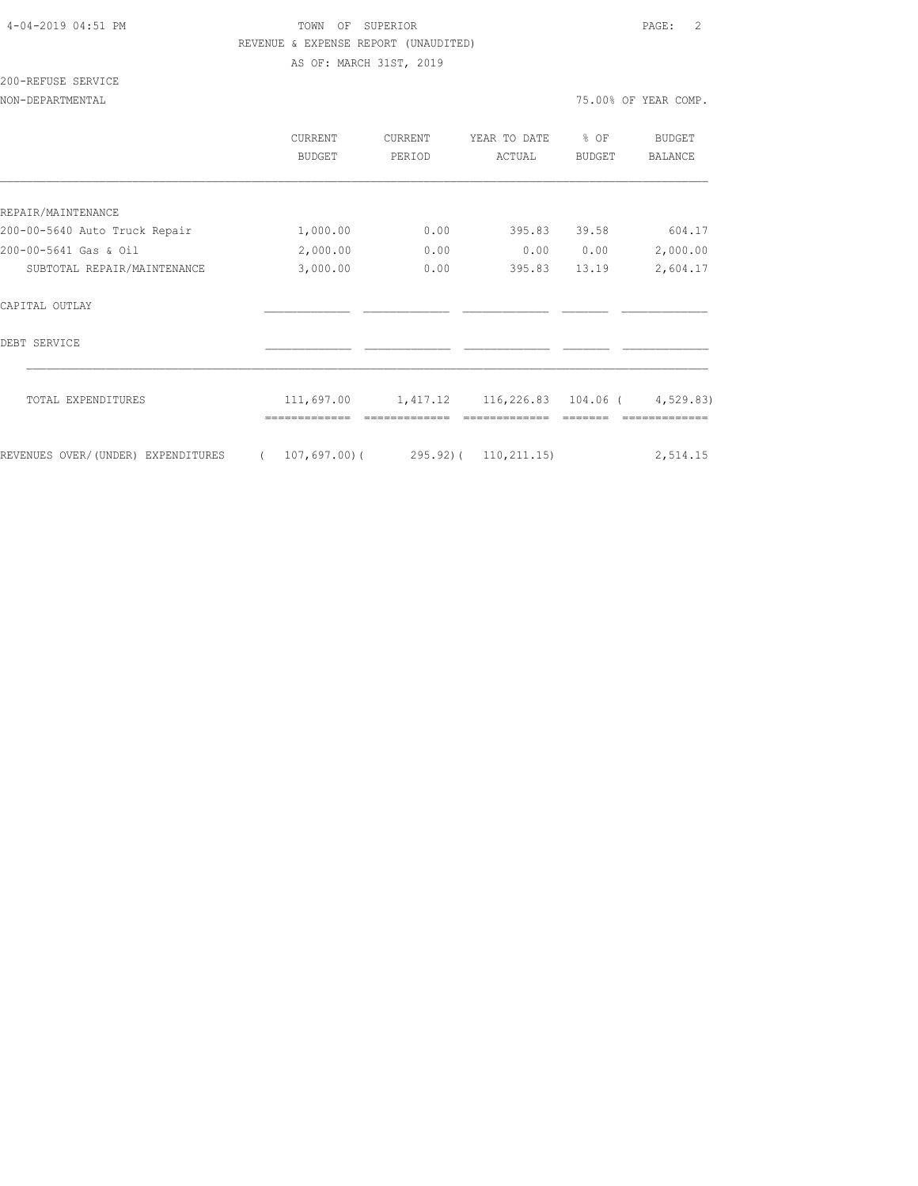# 4-04-2019 04:51 PM TOWN OF SUPERIOR PAGE: 2 REVENUE & EXPENSE REPORT (UNAUDITED)

AS OF: MARCH 31ST, 2019

# 200-REFUSE SERVICE

|                                    | CURRENT<br>BUDGET         | <b>CURRENT</b><br>PERIOD | YEAR TO DATE<br>ACTUAL | % OF<br><b>BUDGET</b> | BUDGET<br><b>BALANCE</b> |
|------------------------------------|---------------------------|--------------------------|------------------------|-----------------------|--------------------------|
|                                    |                           |                          |                        |                       |                          |
| REPAIR/MAINTENANCE                 |                           |                          |                        |                       |                          |
| 200-00-5640 Auto Truck Repair      | 1,000.00                  | 0.00                     | 395.83                 | 39.58                 | 604.17                   |
| 200-00-5641 Gas & Oil              | 2,000.00                  | 0.00                     | 0.00                   | 0.00                  | 2,000.00                 |
| SUBTOTAL REPAIR/MAINTENANCE        | 3,000.00                  | 0.00                     | 395.83                 | 13.19                 | 2,604.17                 |
| CAPITAL OUTLAY                     |                           |                          |                        |                       |                          |
| DEBT SERVICE                       |                           |                          |                        |                       |                          |
| TOTAL EXPENDITURES                 | 111,697.00                | 1,417.12                 | 116,226.83 104.06 (    |                       | 4,529.83)                |
| REVENUES OVER/(UNDER) EXPENDITURES | 107,697,00(<br>$\sqrt{2}$ | $295.92$ ) (             | 110, 211.15)           |                       | 2,514.15                 |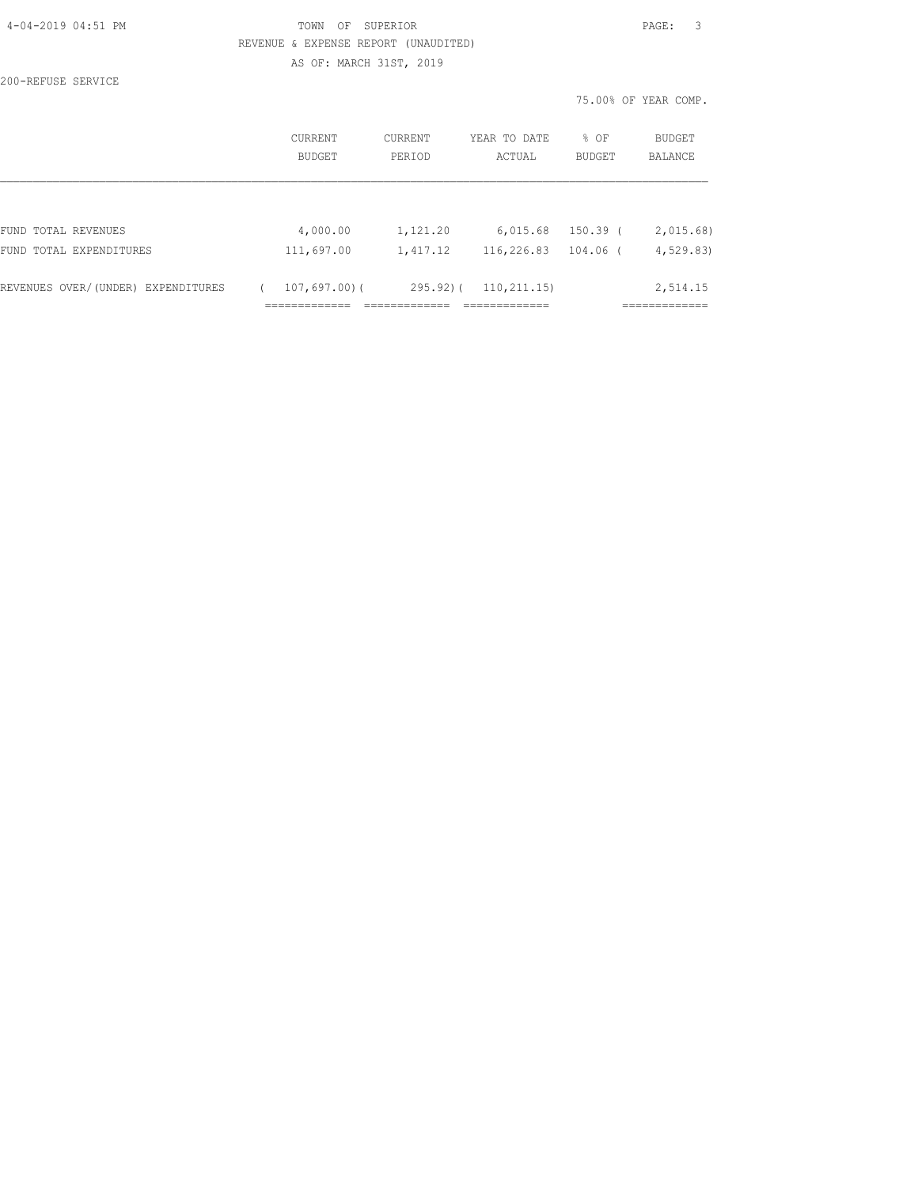| 4-04-2019 04:51 PM |  |
|--------------------|--|
|                    |  |

## TOWN OF SUPERIOR **PAGE:** 3 REVENUE & EXPENSE REPORT (UNAUDITED) AS OF: MARCH 31ST, 2019

200-REFUSE SERVICE

75.00% OF YEAR COMP.

|                                    | CURRENT<br><b>BUDGET</b> | CURRENT<br>PERIOD | YEAR TO DATE<br>ACTUAL | % OF<br>BUDGET | <b>BUDGET</b><br>BALANCE |
|------------------------------------|--------------------------|-------------------|------------------------|----------------|--------------------------|
|                                    |                          |                   |                        |                |                          |
| FUND TOTAL REVENUES                | 4,000.00                 | 1,121.20          | 6,015.68               | 150.39 (       | 2,015.68                 |
| FUND TOTAL EXPENDITURES            | 111,697.00               | 1,417.12          | 116,226.83             | $104.06$ (     | 4, 529.83                |
| REVENUES OVER/(UNDER) EXPENDITURES | $107,697,00)$ (          | $295.92$ ) (      | 110, 211, 15)          |                | 2,514.15                 |
|                                    |                          |                   |                        |                |                          |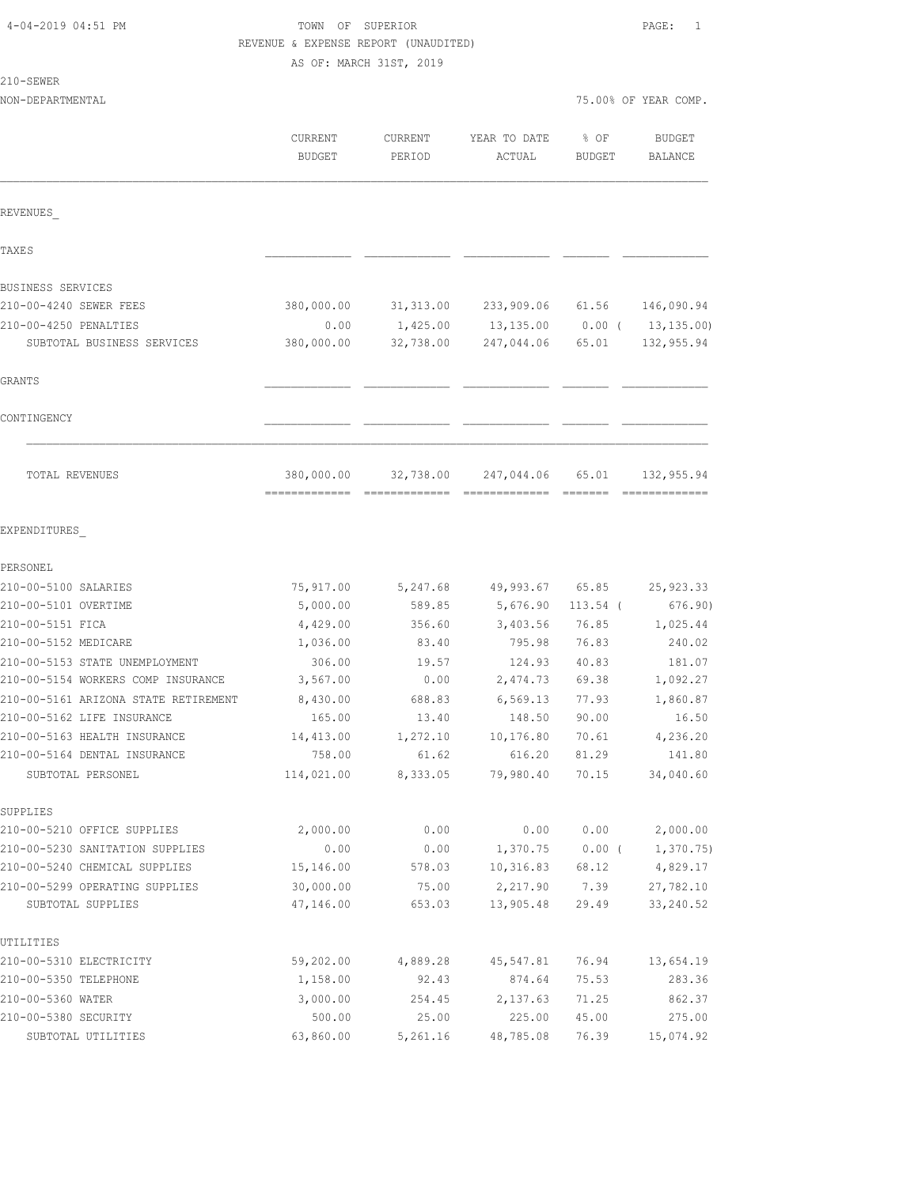| 4-04-2019 04:51 PM |  |  |
|--------------------|--|--|
|--------------------|--|--|

### TOWN OF SUPERIOR **PAGE:** 1 REVENUE & EXPENSE REPORT (UNAUDITED) AS OF: MARCH 31ST, 2019

210-SEWER

NON-DEPARTMENTAL 75.00% OF YEAR COMP.

|                                                                    | CURRENT<br><b>BUDGET</b>   | CURRENT<br>PERIOD | YEAR TO DATE<br>ACTUAL | % OF<br>BUDGET | <b>BUDGET</b><br>BALANCE |
|--------------------------------------------------------------------|----------------------------|-------------------|------------------------|----------------|--------------------------|
| REVENUES                                                           |                            |                   |                        |                |                          |
| <b>TAXES</b>                                                       |                            |                   |                        |                |                          |
| BUSINESS SERVICES                                                  |                            |                   |                        |                |                          |
| 210-00-4240 SEWER FEES                                             | 380,000.00                 | 31,313.00         | 233,909.06 61.56       |                | 146,090.94               |
| 210-00-4250 PENALTIES                                              | 0.00                       | 1,425.00          | 13,135.00 0.00 (       |                | 13, 135.00)              |
| SUBTOTAL BUSINESS SERVICES                                         | 380,000.00                 | 32,738.00         | 247,044.06             | 65.01          | 132,955.94               |
| GRANTS                                                             |                            |                   |                        |                |                          |
| CONTINGENCY                                                        |                            |                   |                        |                |                          |
| TOTAL REVENUES                                                     | 380,000.00<br>============ | 32,738.00         | 247,044.06             | 65.01          | 132,955.94               |
| EXPENDITURES                                                       |                            |                   |                        |                |                          |
| PERSONEL                                                           |                            |                   |                        |                |                          |
| 210-00-5100 SALARIES                                               | 75,917.00                  | 5,247.68          | 49,993.67 65.85        |                | 25, 923.33               |
| 210-00-5101 OVERTIME                                               | 5,000.00                   | 589.85            | 5,676.90               | $113.54$ (     | 676.90)                  |
| 210-00-5151 FICA                                                   | 4,429.00                   | 356.60            | 3,403.56               | 76.85          | 1,025.44                 |
| 210-00-5152 MEDICARE                                               | 1,036.00                   | 83.40             | 795.98                 | 76.83          | 240.02                   |
| 210-00-5153 STATE UNEMPLOYMENT                                     | 306.00                     | 19.57             | 124.93                 | 40.83          | 181.07                   |
| 210-00-5154 WORKERS COMP INSURANCE                                 | 3,567.00                   | 0.00              | 2,474.73               | 69.38          | 1,092.27                 |
| 210-00-5161 ARIZONA STATE RETIREMENT<br>210-00-5162 LIFE INSURANCE | 8,430.00<br>165.00         | 688.83            | 6, 569.13              | 77.93          | 1,860.87                 |
| 210-00-5163 HEALTH INSURANCE                                       |                            | 13.40             | 148.50                 | 90.00          | 16.50                    |
| 210-00-5164 DENTAL INSURANCE                                       | 14,413.00<br>758.00        | 1,272.10<br>61.62 | 10,176.80<br>616.20    | 70.61<br>81.29 | 4,236.20<br>141.80       |
| SUBTOTAL PERSONEL                                                  | 114,021.00                 | 8,333.05          | 79,980.40              | 70.15          | 34,040.60                |
| SUPPLIES                                                           |                            |                   |                        |                |                          |
| 210-00-5210 OFFICE SUPPLIES                                        | 2,000.00                   | 0.00              | 0.00                   | 0.00           | 2,000.00                 |
| 210-00-5230 SANITATION SUPPLIES                                    | 0.00                       | 0.00              | 1,370.75               | $0.00$ (       | 1,370.75                 |
| 210-00-5240 CHEMICAL SUPPLIES                                      | 15,146.00                  | 578.03            | 10, 316.83             | 68.12          | 4,829.17                 |
| 210-00-5299 OPERATING SUPPLIES                                     | 30,000.00                  | 75.00             | 2,217.90               | 7.39           | 27,782.10                |
| SUBTOTAL SUPPLIES                                                  | 47,146.00                  | 653.03            | 13,905.48              | 29.49          | 33, 240.52               |
| UTILITIES                                                          |                            |                   |                        |                |                          |
| 210-00-5310 ELECTRICITY                                            | 59,202.00                  | 4,889.28          | 45,547.81              | 76.94          | 13,654.19                |
| 210-00-5350 TELEPHONE                                              | 1,158.00                   | 92.43             | 874.64                 | 75.53          | 283.36                   |
| 210-00-5360 WATER                                                  | 3,000.00                   | 254.45            | 2,137.63               | 71.25          | 862.37                   |
| 210-00-5380 SECURITY                                               | 500.00                     | 25.00             | 225.00                 | 45.00          | 275.00                   |
| SUBTOTAL UTILITIES                                                 | 63,860.00                  | 5,261.16          | 48,785.08              | 76.39          | 15,074.92                |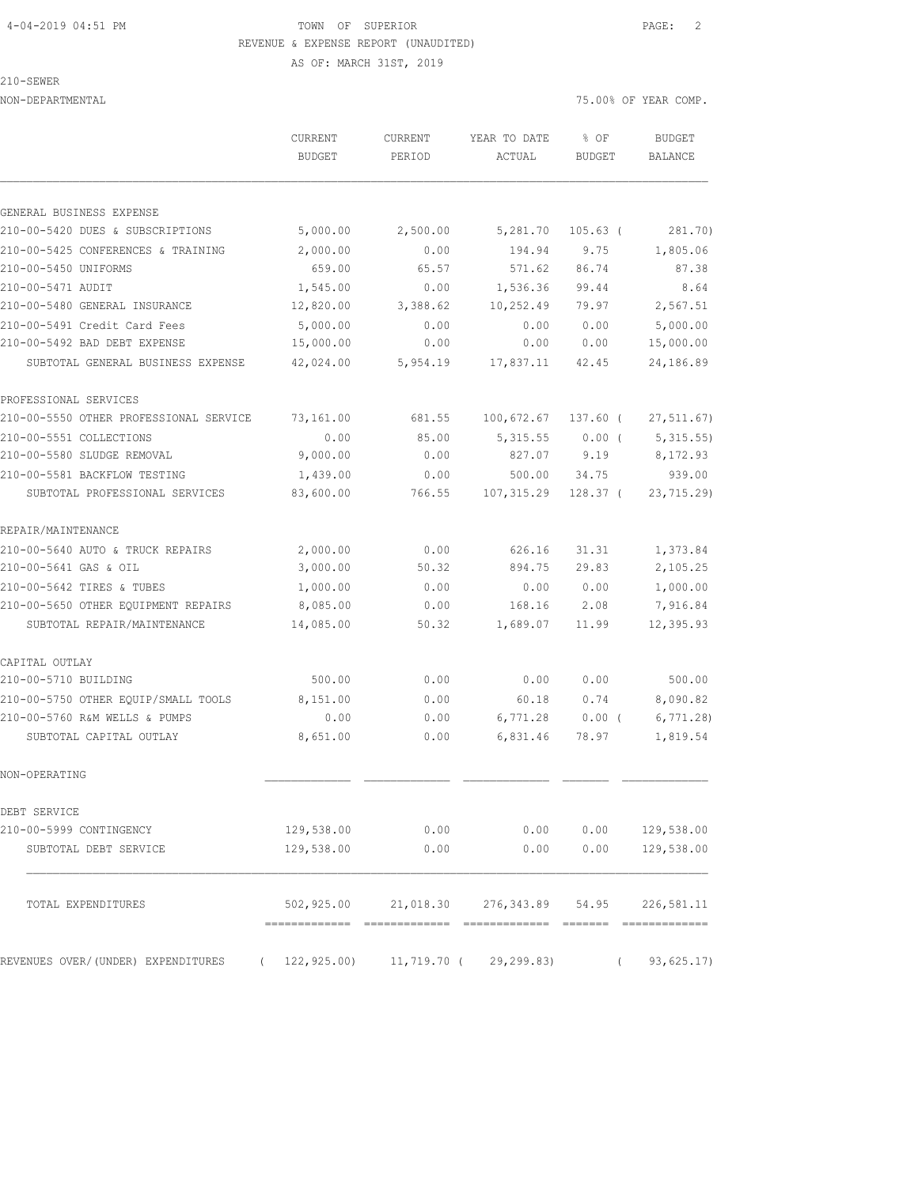## 4-04-2019 04:51 PM TOWN OF SUPERIOR PAGE: 2 REVENUE & EXPENSE REPORT (UNAUDITED) AS OF: MARCH 31ST, 2019

210-SEWER

| NON-DEPARTMENTAL                               |                   |                          |                            | 75.00% OF YEAR COMP.  |                          |  |
|------------------------------------------------|-------------------|--------------------------|----------------------------|-----------------------|--------------------------|--|
|                                                | CURRENT<br>BUDGET | <b>CURRENT</b><br>PERIOD | YEAR TO DATE<br>ACTUAL     | % OF<br><b>BUDGET</b> | <b>BUDGET</b><br>BALANCE |  |
| GENERAL BUSINESS EXPENSE                       |                   |                          |                            |                       |                          |  |
| 210-00-5420 DUES & SUBSCRIPTIONS               | 5,000.00          | 2,500.00                 | 5,281.70                   | $105.63$ (            | 281.70)                  |  |
| 210-00-5425 CONFERENCES & TRAINING             | 2,000.00          | 0.00                     | 194.94                     | 9.75                  | 1,805.06                 |  |
| 210-00-5450 UNIFORMS                           | 659.00            | 65.57                    | 571.62                     | 86.74                 | 87.38                    |  |
| 210-00-5471 AUDIT                              | 1,545.00          | 0.00                     | 1,536.36                   | 99.44                 | 8.64                     |  |
| 210-00-5480 GENERAL INSURANCE                  | 12,820.00         | 3,388.62                 | 10,252.49                  | 79.97                 | 2,567.51                 |  |
| 210-00-5491 Credit Card Fees                   | 5,000.00          | 0.00                     | 0.00                       | 0.00                  | 5,000.00                 |  |
| 210-00-5492 BAD DEBT EXPENSE                   | 15,000.00         | 0.00                     | 0.00                       | 0.00                  | 15,000.00                |  |
| SUBTOTAL GENERAL BUSINESS EXPENSE              | 42,024.00         | 5,954.19                 | 17,837.11                  | 42.45                 | 24,186.89                |  |
| PROFESSIONAL SERVICES                          |                   |                          |                            |                       |                          |  |
| 210-00-5550 OTHER PROFESSIONAL SERVICE         | 73,161.00         | 681.55                   | 100,672.67                 | 137.60 (              | 27, 511.67)              |  |
| 210-00-5551 COLLECTIONS                        | 0.00              | 85.00                    | 5, 315.55                  | $0.00$ (              | 5,315.55                 |  |
| 210-00-5580 SLUDGE REMOVAL                     | 9,000.00          | 0.00                     | 827.07                     | 9.19                  | 8,172.93                 |  |
| 210-00-5581 BACKFLOW TESTING                   | 1,439.00          | 0.00                     | 500.00                     | 34.75                 | 939.00                   |  |
| SUBTOTAL PROFESSIONAL SERVICES                 | 83,600.00         | 766.55                   | 107,315.29                 | 128.37 <sup>0</sup>   | 23,715.29)               |  |
| REPAIR/MAINTENANCE                             |                   |                          |                            |                       |                          |  |
| 210-00-5640 AUTO & TRUCK REPAIRS               | 2,000.00          | 0.00                     | 626.16                     | 31.31                 | 1,373.84                 |  |
| 210-00-5641 GAS & OIL                          | 3,000.00          | 50.32                    | 894.75                     | 29.83                 | 2,105.25                 |  |
| 210-00-5642 TIRES & TUBES                      | 1,000.00          | 0.00                     | 0.00                       | 0.00                  | 1,000.00                 |  |
| 210-00-5650 OTHER EQUIPMENT REPAIRS            | 8,085.00          | 0.00                     | 168.16                     | 2.08                  | 7,916.84                 |  |
| SUBTOTAL REPAIR/MAINTENANCE                    | 14,085.00         | 50.32                    | 1,689.07                   | 11.99                 | 12,395.93                |  |
| CAPITAL OUTLAY                                 |                   |                          |                            |                       |                          |  |
| 210-00-5710 BUILDING                           | 500.00            | 0.00                     | 0.00                       | 0.00                  | 500.00                   |  |
| 210-00-5750 OTHER EOUIP/SMALL TOOLS            | 8,151.00          | 0.00                     | 60.18                      | 0.74                  | 8,090.82                 |  |
| 210-00-5760 R&M WELLS & PUMPS                  | 0.00              | 0.00                     | 6,771.28                   | $0.00$ (              | 6,771.28                 |  |
| SUBTOTAL CAPITAL OUTLAY                        | 8,651.00          | 0.00                     | 6,831.46                   | 78.97                 | 1,819.54                 |  |
| NON-OPERATING                                  |                   |                          |                            |                       |                          |  |
| DEBT SERVICE                                   |                   |                          |                            |                       |                          |  |
| 210-00-5999 CONTINGENCY                        | 129,538.00        | 0.00                     | 0.00                       | 0.00                  | 129,538.00               |  |
| SUBTOTAL DEBT SERVICE                          | 129,538.00        | 0.00                     | 0.00                       | 0.00                  | 129,538.00               |  |
| TOTAL EXPENDITURES                             | 502,925.00        |                          | 21,018.30 276,343.89 54.95 |                       | 226,581.11               |  |
| REVENUES OVER/(UNDER) EXPENDITURES<br>$\left($ | 122, 925.00       | 11,719.70 (              | 29, 299.83)                | $\left($              | 93,625.17)               |  |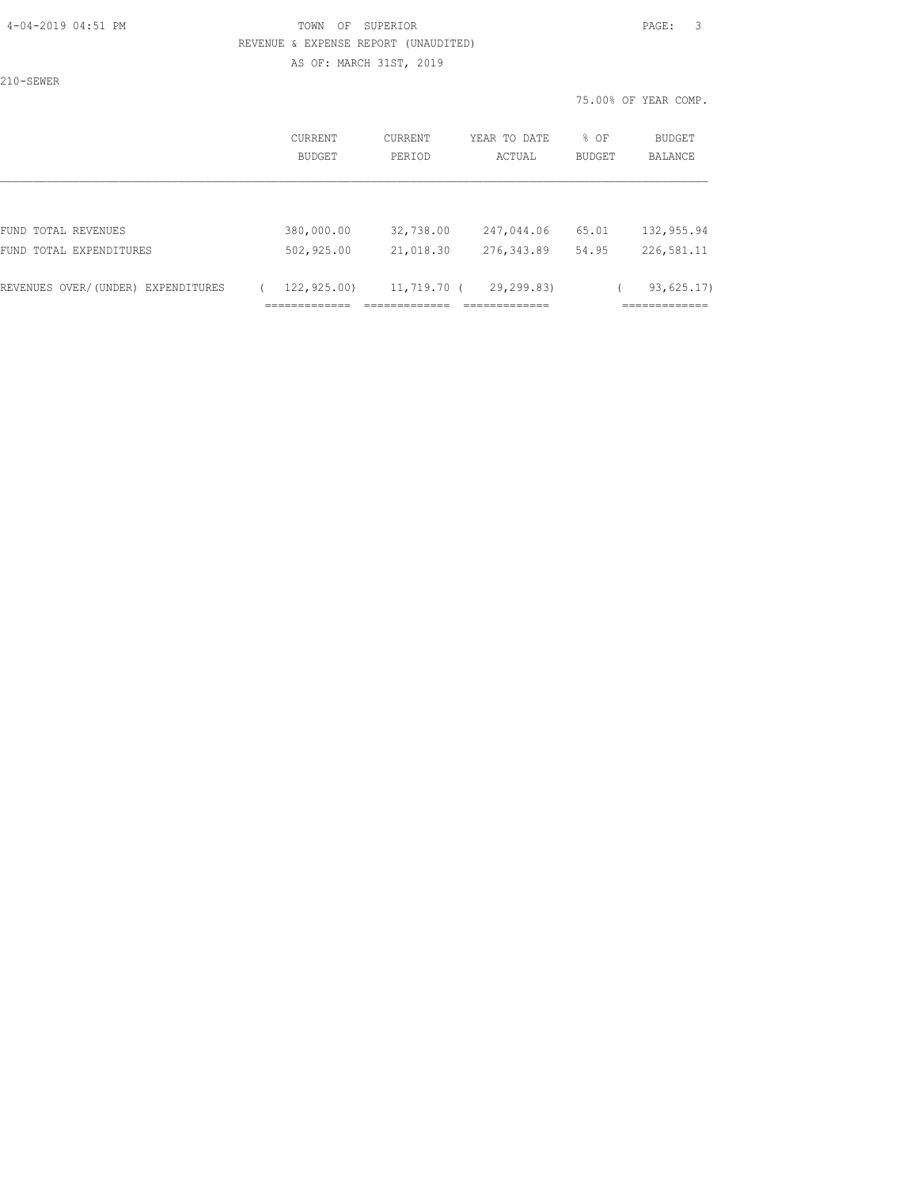## 4-04-2019 04:51 PM TOWN OF SUPERIOR PAGE: 3 REVENUE & EXPENSE REPORT (UNAUDITED)

AS OF: MARCH 31ST, 2019

210-SEWER

75.00% OF YEAR COMP.

| <b>CURRENT</b><br>BUDGET | CURRENT<br>PERIOD             | YEAR TO DATE<br>ACTUAL                      | % OF<br>BUDGET | <b>BUDGET</b><br>BALANCE                  |
|--------------------------|-------------------------------|---------------------------------------------|----------------|-------------------------------------------|
|                          |                               |                                             |                |                                           |
| 380,000.00               | 32,738.00                     | 247,044.06                                  | 65.01          | 132,955.94                                |
| 502,925.00               | 21,018.30                     | 276, 343.89                                 | 54.95          | 226,581.11                                |
| 122,925.00)              | --------------<br>.           | 29,299.83)<br>_____________<br>------------ |                | 93,625.17<br>____________<br>------------ |
|                          | _____________<br>------------ |                                             | 11,719.70 (    |                                           |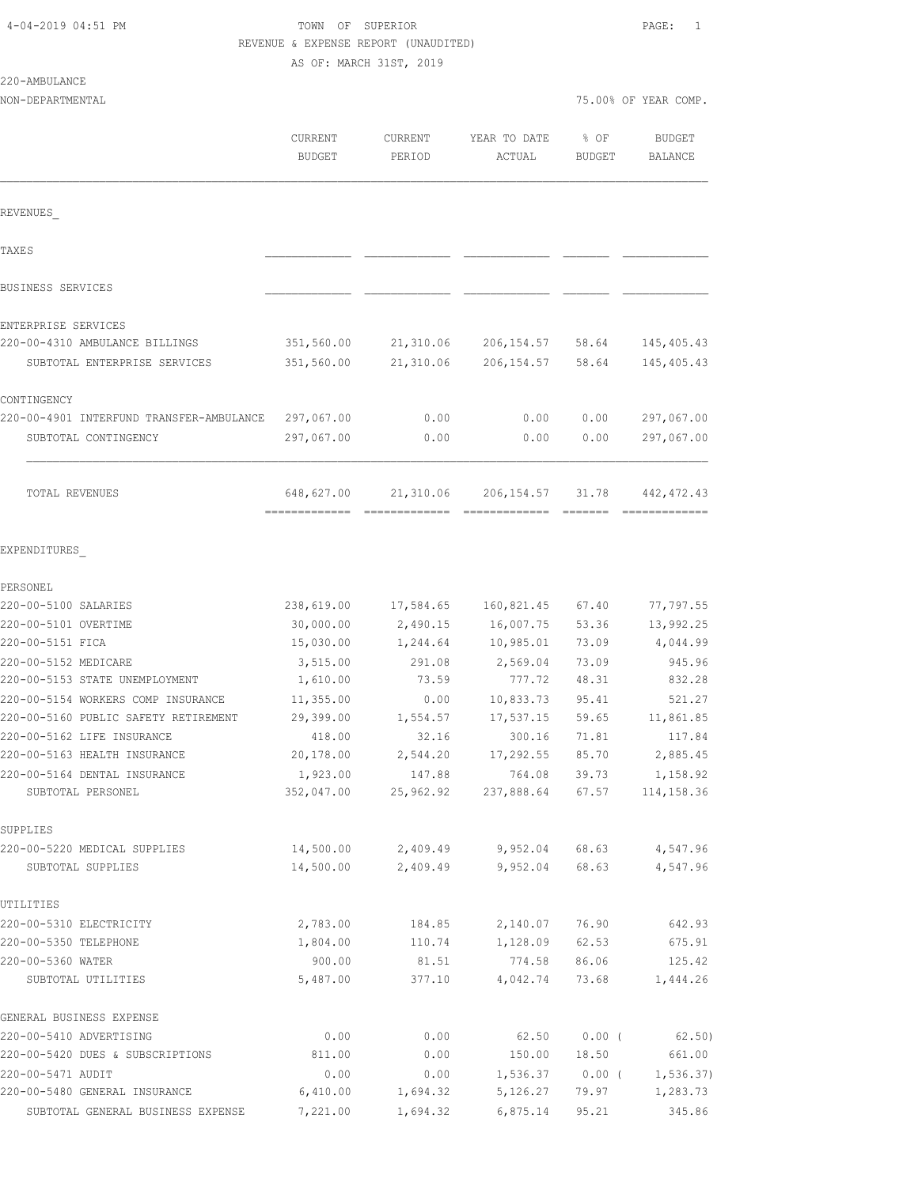## TOWN OF SUPERIOR **PAGE:** 1 REVENUE & EXPENSE REPORT (UNAUDITED)

|                                                   | AS OF: MARCH 31ST, 2019  |                     |                        |                       |                          |  |
|---------------------------------------------------|--------------------------|---------------------|------------------------|-----------------------|--------------------------|--|
| 220-AMBULANCE                                     |                          |                     |                        |                       |                          |  |
| NON-DEPARTMENTAL                                  |                          |                     |                        |                       | 75.00% OF YEAR COMP.     |  |
|                                                   | CURRENT<br><b>BUDGET</b> | CURRENT<br>PERIOD   | YEAR TO DATE<br>ACTUAL | % OF<br><b>BUDGET</b> | <b>BUDGET</b><br>BALANCE |  |
| REVENUES                                          |                          |                     |                        |                       |                          |  |
| <b>TAXES</b>                                      |                          |                     |                        |                       |                          |  |
| BUSINESS SERVICES                                 |                          |                     |                        |                       |                          |  |
| ENTERPRISE SERVICES                               |                          |                     |                        |                       |                          |  |
| 220-00-4310 AMBULANCE BILLINGS                    | 351,560.00               | 21,310.06           | 206, 154.57            | 58.64                 | 145, 405.43              |  |
| SUBTOTAL ENTERPRISE SERVICES                      | 351,560.00               | 21,310.06           | 206, 154.57            | 58.64                 | 145, 405.43              |  |
| CONTINGENCY                                       |                          |                     |                        |                       |                          |  |
| 220-00-4901 INTERFUND TRANSFER-AMBULANCE          | 297,067.00               | 0.00                | 0.00                   | 0.00                  | 297,067.00               |  |
| SUBTOTAL CONTINGENCY                              | 297,067.00               | 0.00                | 0.00                   | 0.00                  | 297,067.00               |  |
| TOTAL REVENUES                                    | 648,627.00               | 21,310.06           | 206, 154.57            | 31.78                 | 442, 472.43              |  |
| EXPENDITURES                                      |                          |                     |                        |                       |                          |  |
| PERSONEL                                          |                          |                     |                        |                       |                          |  |
| 220-00-5100 SALARIES                              | 238,619.00               | 17,584.65           | 160,821.45             | 67.40                 | 77,797.55                |  |
| 220-00-5101 OVERTIME                              | 30,000.00                | 2,490.15            | 16,007.75              | 53.36                 | 13,992.25                |  |
| 220-00-5151 FICA                                  | 15,030.00                | 1,244.64            | 10,985.01              | 73.09                 | 4,044.99                 |  |
| 220-00-5152 MEDICARE                              | 3,515.00                 | 291.08              | 2,569.04               | 73.09                 | 945.96                   |  |
| 220-00-5153 STATE UNEMPLOYMENT                    | 1,610.00                 | 73.59               | 777.72                 | 48.31                 | 832.28                   |  |
| 220-00-5154 WORKERS COMP INSURANCE                | 11,355.00                | 0.00                | 10,833.73              | 95.41                 | 521.27                   |  |
| 220-00-5160 PUBLIC SAFETY RETIREMENT              | 29,399.00                | 1,554.57            | 17,537.15              | 59.65                 | 11,861.85                |  |
| 220-00-5162 LIFE INSURANCE                        | 418.00                   | 32.16               | 300.16                 | 71.81                 | 117.84                   |  |
| 220-00-5163 HEALTH INSURANCE                      | 20,178.00                | 2,544.20            | 17,292.55              | 85.70                 | 2,885.45                 |  |
| 220-00-5164 DENTAL INSURANCE<br>SUBTOTAL PERSONEL | 1,923.00<br>352,047.00   | 147.88<br>25,962.92 | 764.08<br>237,888.64   | 39.73<br>67.57        | 1,158.92<br>114, 158.36  |  |
| SUPPLIES                                          |                          |                     |                        |                       |                          |  |
| 220-00-5220 MEDICAL SUPPLIES                      | 14,500.00                | 2,409.49            | 9,952.04               | 68.63                 | 4,547.96                 |  |
| SUBTOTAL SUPPLIES                                 | 14,500.00                | 2,409.49            | 9,952.04               | 68.63                 | 4,547.96                 |  |
| UTILITIES                                         |                          |                     |                        |                       |                          |  |
| 220-00-5310 ELECTRICITY                           | 2,783.00                 | 184.85              | 2,140.07               | 76.90                 | 642.93                   |  |
| 220-00-5350 TELEPHONE                             | 1,804.00                 | 110.74              | 1,128.09               | 62.53                 | 675.91                   |  |
| 220-00-5360 WATER                                 | 900.00                   | 81.51               | 774.58                 | 86.06                 | 125.42                   |  |
| SUBTOTAL UTILITIES                                | 5,487.00                 | 377.10              | 4,042.74               | 73.68                 | 1,444.26                 |  |
| GENERAL BUSINESS EXPENSE                          |                          |                     |                        |                       |                          |  |
| 220-00-5410 ADVERTISING                           | 0.00                     | 0.00                | 62.50                  | $0.00$ (              | 62.50)                   |  |
| 220-00-5420 DUES & SUBSCRIPTIONS                  | 811.00                   | 0.00                | 150.00                 | 18.50                 | 661.00                   |  |

220-00-5471 AUDIT 0.00 0.00 1,536.37 0.00 ( 1,536.37) 220-00-5480 GENERAL INSURANCE 6,410.00 1,694.32 5,126.27 79.97 1,283.73 SUBTOTAL GENERAL BUSINESS EXPENSE 7,221.00 1,694.32 6,875.14 95.21 345.86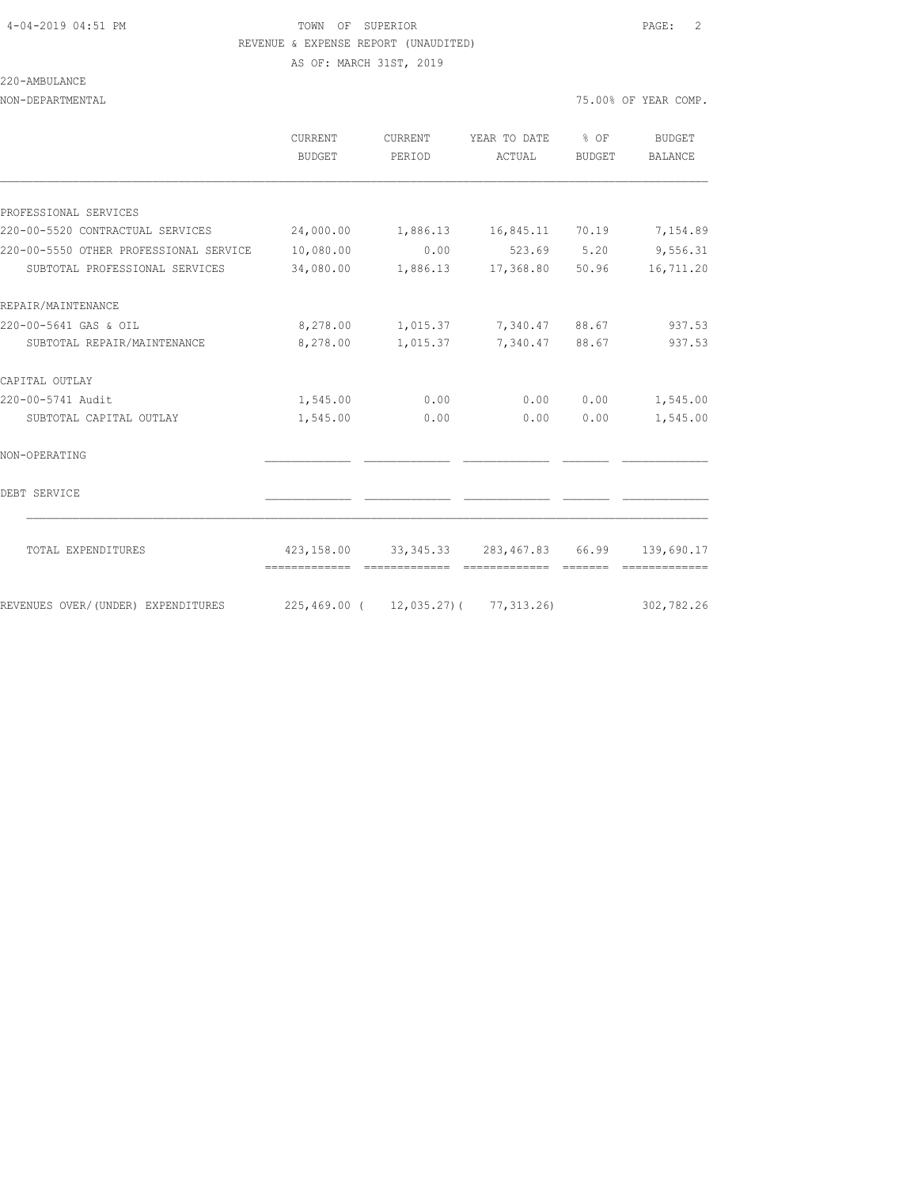#### 4-04-2019 04:51 PM TOWN OF SUPERIOR PAGE: 2 REVENUE & EXPENSE REPORT (UNAUDITED) AS OF: MARCH 31ST, 2019

220-AMBULANCE

NON-DEPARTMENTAL 75.00% OF YEAR COMP.

|                                        | <b>CURRENT</b><br>BUDGET | <b>CURRENT</b><br>PERIOD | YEAR TO DATE % OF<br>ACTUAL                      | BUDGET | <b>BUDGET</b><br><b>BALANCE</b> |
|----------------------------------------|--------------------------|--------------------------|--------------------------------------------------|--------|---------------------------------|
|                                        |                          |                          |                                                  |        |                                 |
| PROFESSIONAL SERVICES                  |                          |                          |                                                  |        |                                 |
| 220-00-5520 CONTRACTUAL SERVICES       | 24,000.00                |                          | 1,886.13    16,845.11    70.19                   |        | 7,154.89                        |
| 220-00-5550 OTHER PROFESSIONAL SERVICE | 10,080.00                | 0.00                     |                                                  |        | 523.69 5.20 9,556.31            |
| SUBTOTAL PROFESSIONAL SERVICES         | 34,080.00                |                          | 1,886.13 17,368.80 50.96                         |        | 16,711.20                       |
| REPAIR/MAINTENANCE                     |                          |                          |                                                  |        |                                 |
| 220-00-5641 GAS & OIL                  |                          |                          | 8,278.00 1,015.37 7,340.47 88.67                 |        | 937.53                          |
| SUBTOTAL REPAIR/MAINTENANCE            | 8,278.00                 | 1,015.37                 | 7,340.47 88.67                                   |        | 937.53                          |
| CAPITAL OUTLAY                         |                          |                          |                                                  |        |                                 |
| 220-00-5741 Audit                      | 1,545.00                 | 0.00                     | 0.00                                             | 0.00   | 1,545.00                        |
| SUBTOTAL CAPITAL OUTLAY                | 1,545.00                 | 0.00                     | 0.00                                             | 0.00   | 1,545.00                        |
| NON-OPERATING                          |                          |                          |                                                  |        |                                 |
| DEBT SERVICE                           |                          |                          |                                                  |        |                                 |
| TOTAL EXPENDITURES                     | =============            |                          | 423,158.00 33,345.33 283,467.83 66.99 139,690.17 |        |                                 |
| REVENUES OVER/(UNDER) EXPENDITURES     |                          |                          | $225,469.00$ ( $12,035.27$ ) ( 77,313.26)        |        | 302,782.26                      |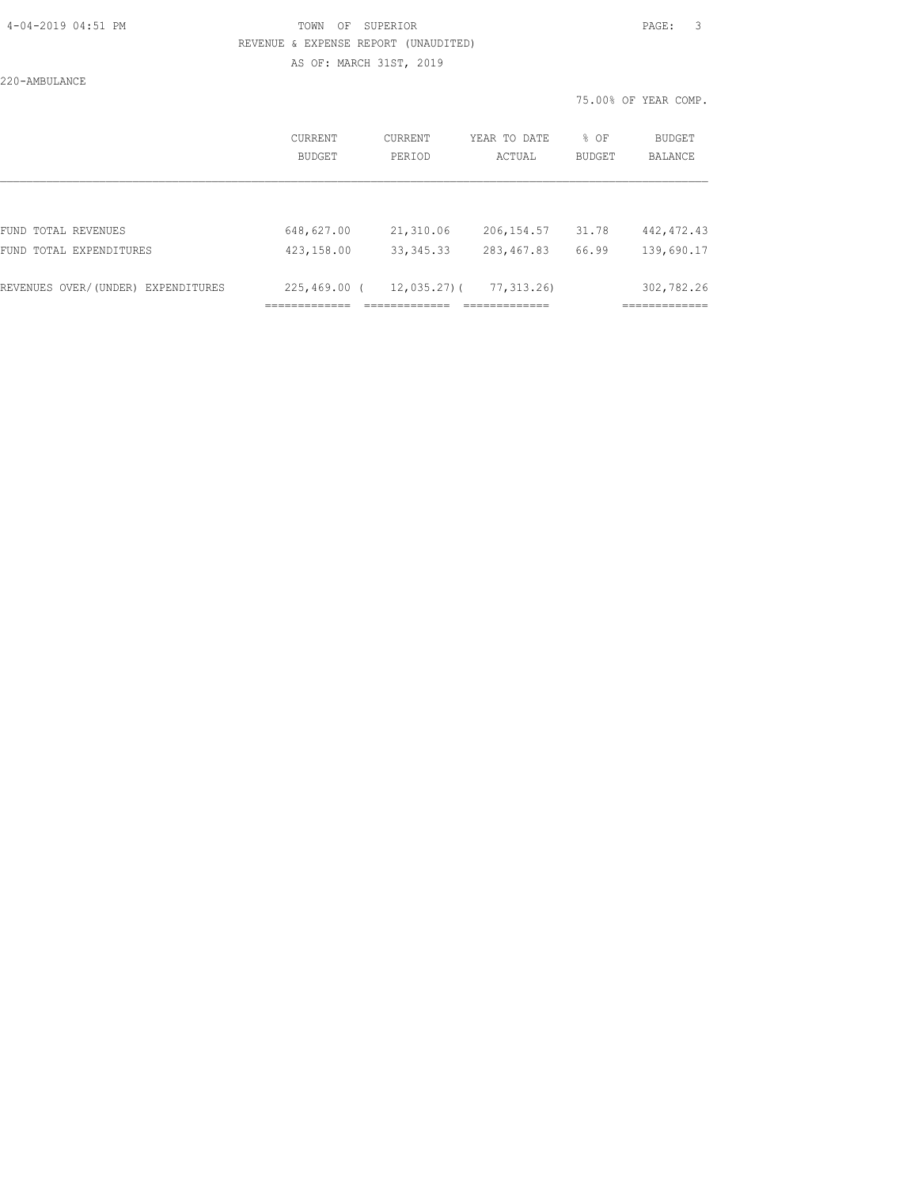#### 4-04-2019 04:51 PM TOWN OF SUPERIOR PAGE: 3 REVENUE & EXPENSE REPORT (UNAUDITED) AS OF: MARCH 31ST, 2019

220-AMBULANCE

75.00% OF YEAR COMP.

|                                    | CURRENT<br><b>BUDGET</b> | CURRENT<br>PERIOD | YEAR TO DATE<br>ACTUAL | % OF<br><b>BUDGET</b> | <b>BUDGET</b><br><b>BALANCE</b> |
|------------------------------------|--------------------------|-------------------|------------------------|-----------------------|---------------------------------|
|                                    |                          |                   |                        |                       |                                 |
| FUND TOTAL REVENUES                | 648,627.00               | 21,310.06         | 206, 154.57            | 31.78                 | 442, 472.43                     |
| FUND TOTAL EXPENDITURES            | 423,158.00               | 33, 345. 33       | 283, 467.83            | 66.99                 | 139,690.17                      |
|                                    |                          |                   |                        |                       |                                 |
| REVENUES OVER/(UNDER) EXPENDITURES | 225,469.00 (             | $12,035.27$ ) (   | 77, 313, 26)           |                       | 302,782.26                      |
|                                    |                          |                   |                        |                       |                                 |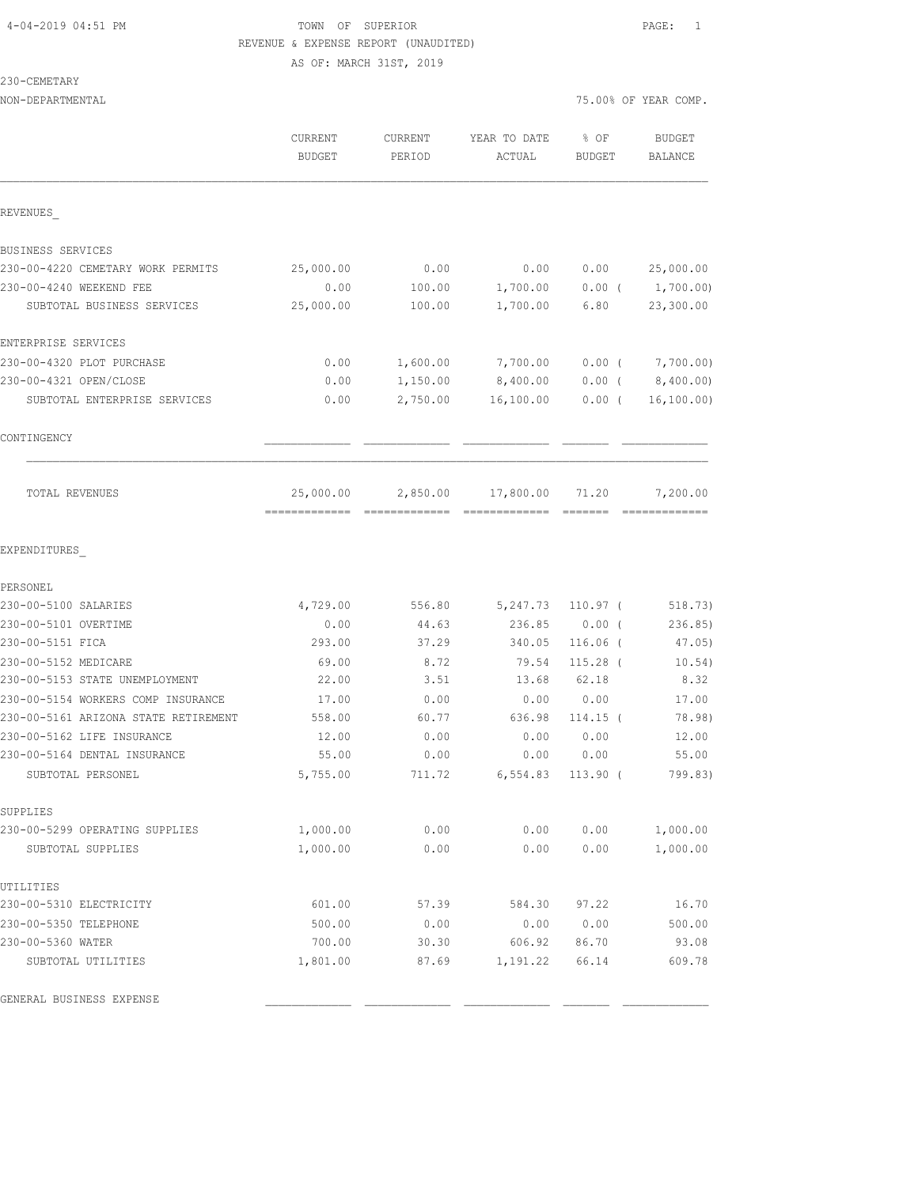## 4-04-2019 04:51 PM TOWN OF SUPERIOR PAGE: 1 REVENUE & EXPENSE REPORT (UNAUDITED) AS OF: MARCH 31ST, 2019

### 230-CEMETARY

| NON-DEPARTMENTAL                     |                   |                          |                        | 75.00% OF YEAR COMP. |                   |  |
|--------------------------------------|-------------------|--------------------------|------------------------|----------------------|-------------------|--|
|                                      | CURRENT<br>BUDGET | <b>CURRENT</b><br>PERIOD | YEAR TO DATE<br>ACTUAL | % OF<br>BUDGET       | BUDGET<br>BALANCE |  |
| REVENUES                             |                   |                          |                        |                      |                   |  |
| BUSINESS SERVICES                    |                   |                          |                        |                      |                   |  |
| 230-00-4220 CEMETARY WORK PERMITS    | 25,000.00         | 0.00                     | 0.00                   | 0.00                 | 25,000.00         |  |
| 230-00-4240 WEEKEND FEE              | 0.00              | 100.00                   | 1,700.00               | $0.00$ (             | 1,700.00)         |  |
| SUBTOTAL BUSINESS SERVICES           | 25,000.00         | 100.00                   | 1,700.00               | 6.80                 | 23,300.00         |  |
| ENTERPRISE SERVICES                  |                   |                          |                        |                      |                   |  |
| 230-00-4320 PLOT PURCHASE            | 0.00              | 1,600.00                 | 7,700.00               | $0.00$ (             | 7,700.00)         |  |
| 230-00-4321 OPEN/CLOSE               | 0.00              | 1,150.00                 | 8,400.00               | $0.00$ (             | 8,400.00)         |  |
| SUBTOTAL ENTERPRISE SERVICES         | 0.00              | 2,750.00                 | 16,100.00              | $0.00$ (             | 16, 100.00)       |  |
| CONTINGENCY                          |                   |                          |                        |                      |                   |  |
| TOTAL REVENUES                       | 25,000.00         | 2,850.00                 | 17,800.00              | 71.20                | 7,200.00          |  |
| EXPENDITURES                         |                   |                          |                        |                      |                   |  |
| PERSONEL                             |                   |                          |                        |                      |                   |  |
| 230-00-5100 SALARIES                 | 4,729.00          | 556.80                   | 5,247.73               | $110.97$ (           | 518.73)           |  |
| 230-00-5101 OVERTIME                 | 0.00              | 44.63                    | 236.85                 | $0.00$ (             | 236.85            |  |
| 230-00-5151 FICA                     | 293.00            | 37.29                    | 340.05                 | 116.06 (             | 47.05)            |  |
| 230-00-5152 MEDICARE                 | 69.00             | 8.72                     | 79.54                  | $115.28$ (           | 10.54)            |  |
| 230-00-5153 STATE UNEMPLOYMENT       | 22.00             | 3.51                     | 13.68                  | 62.18                | 8.32              |  |
| 230-00-5154 WORKERS COMP INSURANCE   | 17.00             | 0.00                     | 0.00                   | 0.00                 | 17.00             |  |
| 230-00-5161 ARIZONA STATE RETIREMENT | 558.00            | 60.77                    | 636.98                 | $114.15$ (           | 78.98)            |  |
| 230-00-5162 LIFE INSURANCE           | 12.00             | 0.00                     | 0.00                   | 0.00                 | 12.00             |  |
| 230-00-5164 DENTAL INSURANCE         | 55.00             | 0.00                     | 0.00                   | 0.00                 | 55.00             |  |
| SUBTOTAL PERSONEL                    | 5,755.00          | 711.72                   | 6,554.83               | $113.90$ (           | 799.83)           |  |
| SUPPLIES                             |                   |                          |                        |                      |                   |  |
| 230-00-5299 OPERATING SUPPLIES       | 1,000.00          | 0.00                     | 0.00                   | 0.00                 | 1,000.00          |  |
| SUBTOTAL SUPPLIES                    | 1,000.00          | 0.00                     | 0.00                   | 0.00                 | 1,000.00          |  |
| UTILITIES                            |                   |                          |                        |                      |                   |  |
| 230-00-5310 ELECTRICITY              | 601.00            | 57.39                    | 584.30                 | 97.22                | 16.70             |  |
| 230-00-5350 TELEPHONE                | 500.00            | 0.00                     | 0.00                   | 0.00                 | 500.00            |  |
| 230-00-5360 WATER                    | 700.00            | 30.30                    | 606.92                 | 86.70                | 93.08             |  |
| SUBTOTAL UTILITIES                   | 1,801.00          | 87.69                    | 1,191.22               | 66.14                | 609.78            |  |
|                                      |                   |                          |                        |                      |                   |  |

GENERAL BUSINESS EXPENSE \_\_\_\_\_\_\_\_\_\_\_\_\_ \_\_\_\_\_\_\_\_\_\_\_\_\_ \_\_\_\_\_\_\_\_\_\_\_\_\_ \_\_\_\_\_\_\_ \_\_\_\_\_\_\_\_\_\_\_\_\_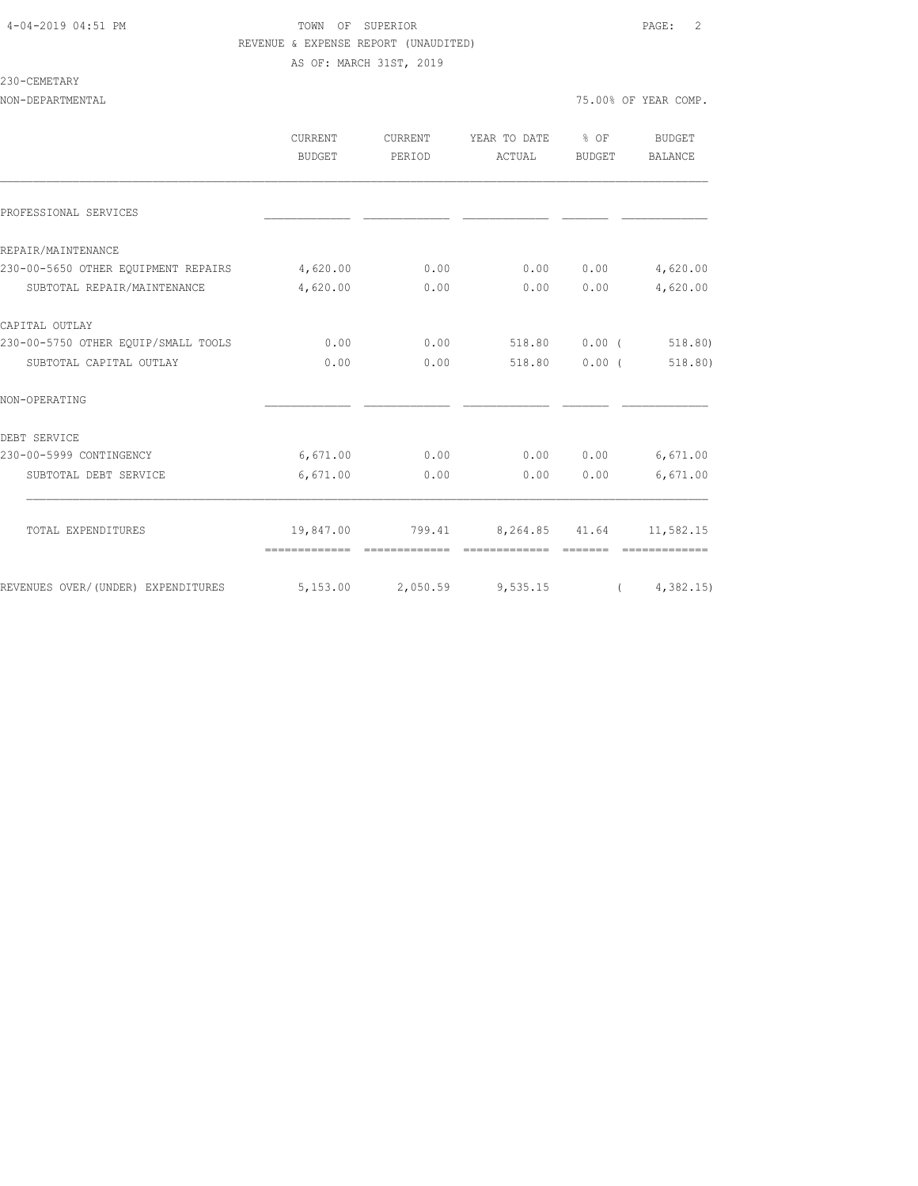#### 4-04-2019 04:51 PM TOWN OF SUPERIOR PAGE: 2 REVENUE & EXPENSE REPORT (UNAUDITED) AS OF: MARCH 31ST, 2019

#### 230-CEMETARY

NON-DEPARTMENTAL 75.00% OF YEAR COMP.

|                                                               | <b>CURRENT</b><br>BUDGET | CURRENT<br>PERIOD | YEAR TO DATE % OF<br>ACTUAL     | BUDGET        | <b>BUDGET</b><br>BALANCE |
|---------------------------------------------------------------|--------------------------|-------------------|---------------------------------|---------------|--------------------------|
| PROFESSIONAL SERVICES                                         |                          |                   |                                 |               |                          |
| REPAIR/MAINTENANCE                                            |                          |                   |                                 |               |                          |
| 230-00-5650 OTHER EQUIPMENT REPAIRS 4,620.00                  |                          | 0.00              | 0.00                            | 0.00          | 4,620.00                 |
| SUBTOTAL REPAIR/MAINTENANCE                                   | 4,620.00                 | 0.00              | 0.00                            | 0.00          | 4,620.00                 |
| CAPITAL OUTLAY                                                |                          |                   |                                 |               |                          |
| 230-00-5750 OTHER EQUIP/SMALL TOOLS                           | 0.00                     | 0.00              | 518.80 0.00 (                   |               | 518.80)                  |
| SUBTOTAL CAPITAL OUTLAY                                       | 0.00                     | 0.00              |                                 | 518.80 0.00 ( | 518.80)                  |
| NON-OPERATING                                                 |                          |                   |                                 |               |                          |
| DEBT SERVICE                                                  |                          |                   |                                 |               |                          |
| 230-00-5999 CONTINGENCY                                       | 6,671.00                 | 0.00              |                                 | 0.000000      | 6,671.00                 |
| SUBTOTAL DEBT SERVICE                                         | 6,671.00                 | 0.00              | 0.00                            | 0.00          | 6,671.00                 |
| TOTAL EXPENDITURES                                            |                          |                   | 19,847.00 799.41 8,264.85 41.64 |               | 11,582.15                |
|                                                               | =============            | -------------     | =============                   |               | --------------           |
| REVENUES OVER/(UNDER) EXPENDITURES 5,153.00 2,050.59 9,535.15 |                          |                   |                                 |               | (4, 382.15)              |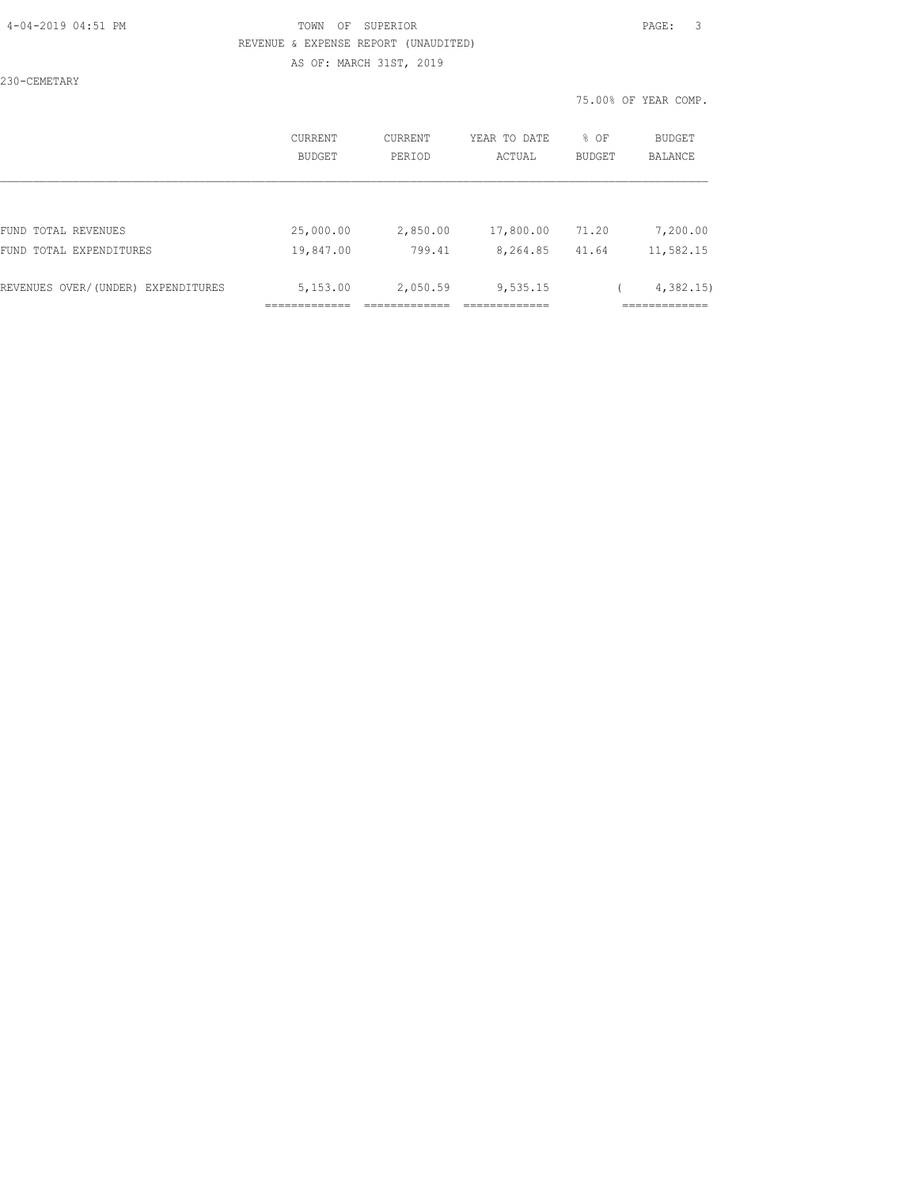#### 4-04-2019 04:51 PM TOWN OF SUPERIOR PAGE: 3 REVENUE & EXPENSE REPORT (UNAUDITED) AS OF: MARCH 31ST, 2019

230-CEMETARY

75.00% OF YEAR COMP.

|                                    | CURRENT<br><b>BUDGET</b> | CURRENT<br>PERIOD | YEAR TO DATE<br>ACTUAL | % OF<br><b>BUDGET</b> | BUDGET<br><b>BALANCE</b> |
|------------------------------------|--------------------------|-------------------|------------------------|-----------------------|--------------------------|
|                                    |                          |                   |                        |                       |                          |
| FUND TOTAL REVENUES                | 25,000.00                | 2,850.00          | 17,800.00              | 71.20                 | 7,200.00                 |
| FUND TOTAL EXPENDITURES            | 19,847.00                | 799.41            | 8,264.85               | 41.64                 | 11,582.15                |
| REVENUES OVER/(UNDER) EXPENDITURES | 5,153.00                 | 2,050.59          | 9,535.15               |                       | 4,382.15                 |
|                                    |                          |                   |                        |                       |                          |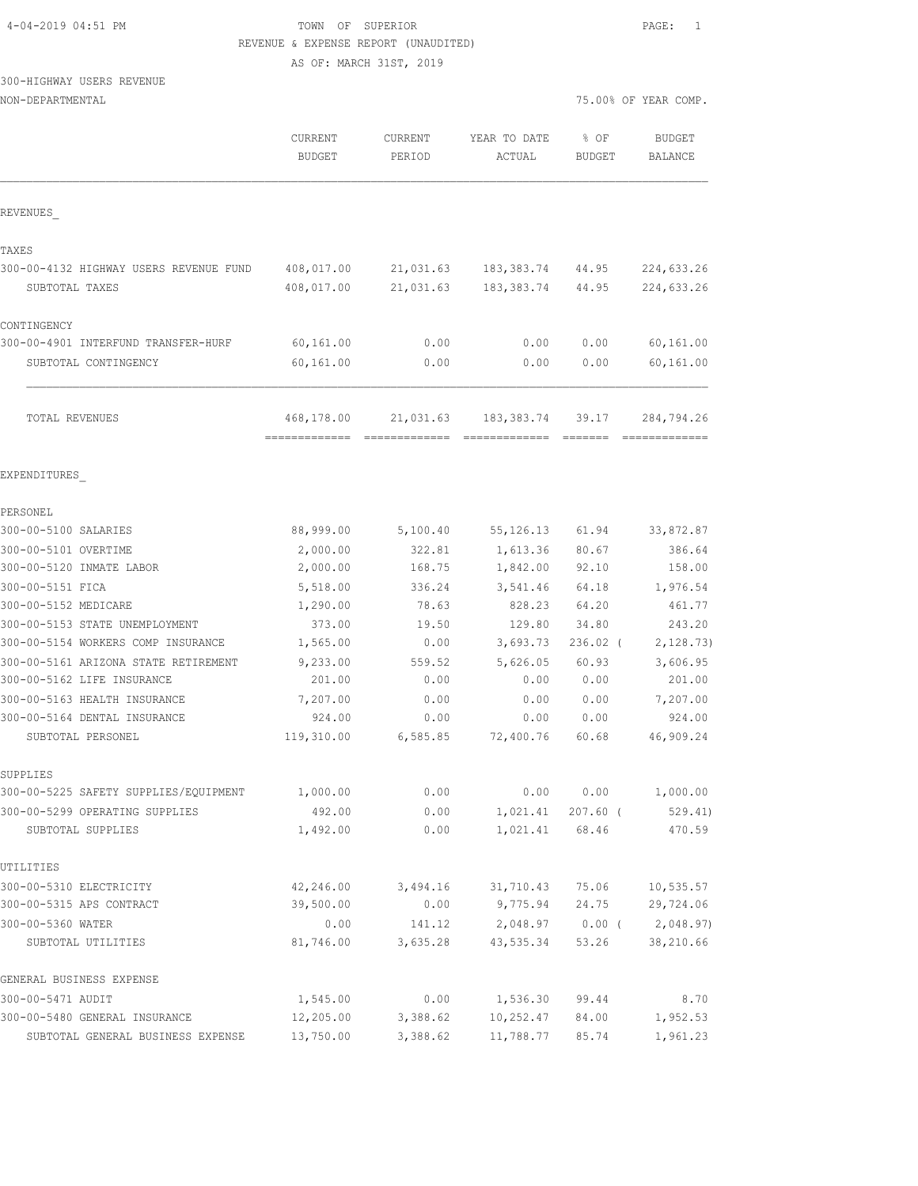| 4-04-2019 04:51 PM |  |  |
|--------------------|--|--|
|--------------------|--|--|

## TOWN OF SUPERIOR **PAGE:** 1 REVENUE & EXPENSE REPORT (UNAUDITED)

AS OF: MARCH 31ST, 2019

## 300-HIGHWAY USERS REVENUE

| NON-DEPARTMENTAL |  |
|------------------|--|
|------------------|--|

|                                                     | CURRENT<br><b>BUDGET</b> | CURRENT<br>PERIOD | YEAR TO DATE<br>ACTUAL | 8 OF<br><b>BUDGET</b>      | <b>RODGET</b><br>BALANCE                                                                                                                                                                                                                                                                                                                                                                                                                                                                             |
|-----------------------------------------------------|--------------------------|-------------------|------------------------|----------------------------|------------------------------------------------------------------------------------------------------------------------------------------------------------------------------------------------------------------------------------------------------------------------------------------------------------------------------------------------------------------------------------------------------------------------------------------------------------------------------------------------------|
| REVENUES                                            |                          |                   |                        |                            |                                                                                                                                                                                                                                                                                                                                                                                                                                                                                                      |
| TAXES                                               |                          |                   |                        |                            |                                                                                                                                                                                                                                                                                                                                                                                                                                                                                                      |
| 300-00-4132 HIGHWAY USERS REVENUE FUND              | 408,017.00               | 21,031.63         | 183,383.74             | 44.95                      | 224,633.26                                                                                                                                                                                                                                                                                                                                                                                                                                                                                           |
| SUBTOTAL TAXES                                      | 408,017.00               |                   | 21,031.63 183,383.74   | 44.95                      | 224,633.26                                                                                                                                                                                                                                                                                                                                                                                                                                                                                           |
| CONTINGENCY                                         |                          |                   |                        |                            |                                                                                                                                                                                                                                                                                                                                                                                                                                                                                                      |
| 300-00-4901 INTERFUND TRANSFER-HURF                 | 60,161.00                | 0.00              | 0.00                   | 0.00                       | 60, 161.00                                                                                                                                                                                                                                                                                                                                                                                                                                                                                           |
| SUBTOTAL CONTINGENCY                                | 60,161.00                | 0.00              | 0.00                   | 0.00                       | 60,161.00                                                                                                                                                                                                                                                                                                                                                                                                                                                                                            |
| TOTAL REVENUES                                      | 468,178.00               | 21,031.63         | 183, 383.74            | 39.17                      | 284,794.26<br>$\begin{array}{cccccccccccccc} \multicolumn{2}{c}{} & \multicolumn{2}{c}{} & \multicolumn{2}{c}{} & \multicolumn{2}{c}{} & \multicolumn{2}{c}{} & \multicolumn{2}{c}{} & \multicolumn{2}{c}{} & \multicolumn{2}{c}{} & \multicolumn{2}{c}{} & \multicolumn{2}{c}{} & \multicolumn{2}{c}{} & \multicolumn{2}{c}{} & \multicolumn{2}{c}{} & \multicolumn{2}{c}{} & \multicolumn{2}{c}{} & \multicolumn{2}{c}{} & \multicolumn{2}{c}{} & \multicolumn{2}{c}{} & \multicolumn{2}{c}{} & \$ |
| EXPENDITURES                                        |                          |                   |                        |                            |                                                                                                                                                                                                                                                                                                                                                                                                                                                                                                      |
| PERSONEL                                            |                          |                   |                        |                            |                                                                                                                                                                                                                                                                                                                                                                                                                                                                                                      |
| 300-00-5100 SALARIES                                | 88,999.00                | 5,100.40          | 55, 126. 13            | 61.94                      | 33,872.87                                                                                                                                                                                                                                                                                                                                                                                                                                                                                            |
| 300-00-5101 OVERTIME                                | 2,000.00                 | 322.81            | 1,613.36               | 80.67                      | 386.64                                                                                                                                                                                                                                                                                                                                                                                                                                                                                               |
| 300-00-5120 INMATE LABOR                            | 2,000.00                 | 168.75            | 1,842.00               | 92.10                      | 158.00                                                                                                                                                                                                                                                                                                                                                                                                                                                                                               |
| 300-00-5151 FICA                                    | 5,518.00                 | 336.24            | 3,541.46               | 64.18                      | 1,976.54                                                                                                                                                                                                                                                                                                                                                                                                                                                                                             |
| 300-00-5152 MEDICARE                                | 1,290.00                 | 78.63             | 828.23                 | 64.20                      | 461.77                                                                                                                                                                                                                                                                                                                                                                                                                                                                                               |
| 300-00-5153 STATE UNEMPLOYMENT                      | 373.00                   | 19.50             | 129.80                 | 34.80                      | 243.20                                                                                                                                                                                                                                                                                                                                                                                                                                                                                               |
| 300-00-5154 WORKERS COMP INSURANCE                  | 1,565.00                 | 0.00              | 3,693.73               | $236.02$ (                 | 2, 128.73)                                                                                                                                                                                                                                                                                                                                                                                                                                                                                           |
| 300-00-5161 ARIZONA STATE RETIREMENT                | 9,233.00                 | 559.52            | 5,626.05               | 60.93                      | 3,606.95                                                                                                                                                                                                                                                                                                                                                                                                                                                                                             |
| 300-00-5162 LIFE INSURANCE                          | 201.00                   | 0.00              | 0.00                   | 0.00                       | 201.00                                                                                                                                                                                                                                                                                                                                                                                                                                                                                               |
| 300-00-5163 HEALTH INSURANCE                        | 7,207.00                 | 0.00              | 0.00                   | 0.00                       | 7,207.00                                                                                                                                                                                                                                                                                                                                                                                                                                                                                             |
| 300-00-5164 DENTAL INSURANCE                        | 924.00                   | 0.00              | 0.00                   | 0.00                       | 924.00                                                                                                                                                                                                                                                                                                                                                                                                                                                                                               |
| SUBTOTAL PERSONEL                                   | 119,310.00               | 6,585.85          | 72,400.76              | 60.68                      | 46,909.24                                                                                                                                                                                                                                                                                                                                                                                                                                                                                            |
| SUPPLIES                                            |                          |                   |                        |                            |                                                                                                                                                                                                                                                                                                                                                                                                                                                                                                      |
| 300-00-5225 SAFETY SUPPLIES/EQUIPMENT               | 1,000.00                 | 0.00              | 0.00                   | 0.00                       | 1,000.00                                                                                                                                                                                                                                                                                                                                                                                                                                                                                             |
| 300-00-5299 OPERATING SUPPLIES<br>SUBTOTAL SUPPLIES | 492.00<br>1,492.00       | 0.00<br>0.00      | 1,021.41               | 1,021.41 207.60 (<br>68.46 | 529.41)<br>470.59                                                                                                                                                                                                                                                                                                                                                                                                                                                                                    |
| UTILITIES                                           |                          |                   |                        |                            |                                                                                                                                                                                                                                                                                                                                                                                                                                                                                                      |
| 300-00-5310 ELECTRICITY                             | 42,246.00                | 3,494.16          | 31,710.43              | 75.06                      | 10, 535.57                                                                                                                                                                                                                                                                                                                                                                                                                                                                                           |
| 300-00-5315 APS CONTRACT                            | 39,500.00                | 0.00              | 9,775.94               | 24.75                      | 29,724.06                                                                                                                                                                                                                                                                                                                                                                                                                                                                                            |
| 300-00-5360 WATER                                   | 0.00                     | 141.12            | 2,048.97               | 0.00(                      | 2,048.97)                                                                                                                                                                                                                                                                                                                                                                                                                                                                                            |
| SUBTOTAL UTILITIES                                  | 81,746.00                | 3,635.28          | 43,535.34              | 53.26                      | 38,210.66                                                                                                                                                                                                                                                                                                                                                                                                                                                                                            |
| GENERAL BUSINESS EXPENSE                            |                          |                   |                        |                            |                                                                                                                                                                                                                                                                                                                                                                                                                                                                                                      |
| 300-00-5471 AUDIT                                   | 1,545.00                 | 0.00              | 1,536.30               | 99.44                      | 8.70                                                                                                                                                                                                                                                                                                                                                                                                                                                                                                 |
| 300-00-5480 GENERAL INSURANCE                       | 12,205.00                | 3,388.62          | 10,252.47              | 84.00                      | 1,952.53                                                                                                                                                                                                                                                                                                                                                                                                                                                                                             |
| SUBTOTAL GENERAL BUSINESS EXPENSE                   | 13,750.00                | 3,388.62          | 11,788.77              | 85.74                      | 1,961.23                                                                                                                                                                                                                                                                                                                                                                                                                                                                                             |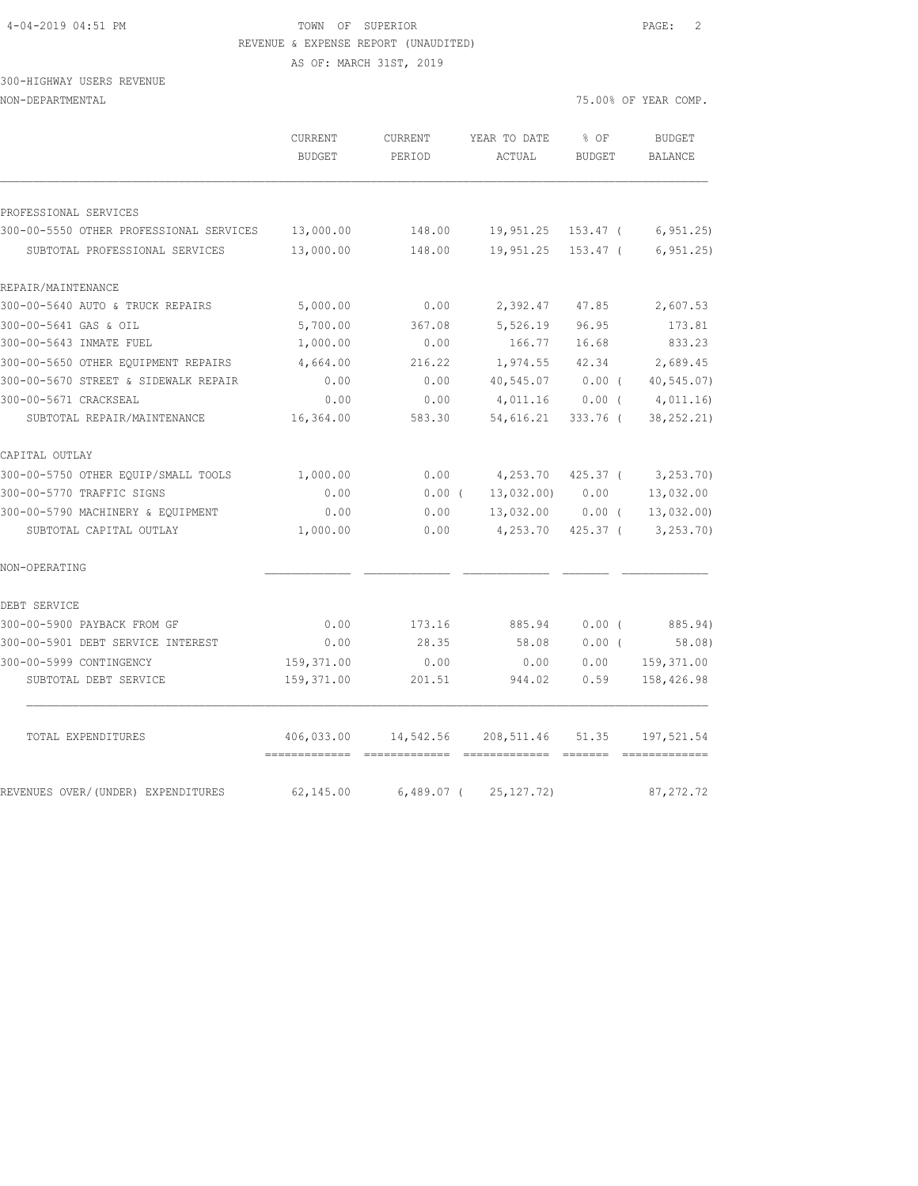#### 4-04-2019 04:51 PM TOWN OF SUPERIOR PAGE: 2 REVENUE & EXPENSE REPORT (UNAUDITED)

AS OF: MARCH 31ST, 2019

#### 300-HIGHWAY USERS REVENUE NON-DEPARTMENTAL 75.00% OF YEAR COMP.

|                                         | CURRENT<br><b>BUDGET</b> | CURRENT<br>PERIOD | YEAR TO DATE<br>ACTUAL | % OF<br><b>BUDGET</b> | <b>BUDGET</b><br>BALANCE |
|-----------------------------------------|--------------------------|-------------------|------------------------|-----------------------|--------------------------|
| PROFESSIONAL SERVICES                   |                          |                   |                        |                       |                          |
| 300-00-5550 OTHER PROFESSIONAL SERVICES | 13,000.00                | 148.00            | 19,951.25              | 153.47 (              | 6, 951.25                |
| SUBTOTAL PROFESSIONAL SERVICES          | 13,000.00                | 148.00            | 19,951.25              | $153.47$ (            | 6, 951.25                |
| REPAIR/MAINTENANCE                      |                          |                   |                        |                       |                          |
| 300-00-5640 AUTO & TRUCK REPAIRS        | 5,000.00                 | 0.00              | 2,392.47               | 47.85                 | 2,607.53                 |
| 300-00-5641 GAS & OIL                   | 5,700.00                 | 367.08            | 5,526.19               | 96.95                 | 173.81                   |
| 300-00-5643 INMATE FUEL                 | 1,000.00                 | 0.00              | 166.77                 | 16.68                 | 833.23                   |
| 300-00-5650 OTHER EQUIPMENT REPAIRS     | 4,664.00                 | 216.22            | 1,974.55               | 42.34                 | 2,689.45                 |
| 300-00-5670 STREET & SIDEWALK REPAIR    | 0.00                     | 0.00              | 40,545.07              | $0.00$ (              | 40, 545.07               |
| 300-00-5671 CRACKSEAL                   | 0.00                     | 0.00              | 4,011.16               | 0.00(                 | 4,011.16                 |
| SUBTOTAL REPAIR/MAINTENANCE             | 16,364.00                | 583.30            | 54,616.21              | $333.76$ (            | 38, 252. 21)             |
| CAPITAL OUTLAY                          |                          |                   |                        |                       |                          |
| 300-00-5750 OTHER EQUIP/SMALL TOOLS     | 1,000.00                 | 0.00              | 4,253.70               | $425.37$ (            | 3, 253.70                |
| 300-00-5770 TRAFFIC SIGNS               | 0.00                     | 0.00(             | 13,032.00              | 0.00                  | 13,032.00                |
| 300-00-5790 MACHINERY & EQUIPMENT       | 0.00                     | 0.00              | 13,032.00              | $0.00$ (              | 13,032.00)               |
| SUBTOTAL CAPITAL OUTLAY                 | 1,000.00                 | 0.00              | 4,253.70               | $425.37$ (            | 3, 253.70                |
| NON-OPERATING                           |                          |                   |                        |                       |                          |
| DEBT SERVICE                            |                          |                   |                        |                       |                          |
| 300-00-5900 PAYBACK FROM GF             | 0.00                     | 173.16            | 885.94                 | 0.00(                 | 885.94)                  |
| 300-00-5901 DEBT SERVICE INTEREST       | 0.00                     | 28.35             | 58.08                  | $0.00$ (              | 58.08)                   |
| 300-00-5999 CONTINGENCY                 | 159,371.00               | 0.00              | 0.00                   | 0.00                  | 159,371.00               |
| SUBTOTAL DEBT SERVICE                   | 159,371.00               | 201.51            | 944.02                 | 0.59                  | 158,426.98               |
| TOTAL EXPENDITURES                      | 406,033.00               | 14,542.56         | 208,511.46             | 51.35                 | 197,521.54               |
| REVENUES OVER/(UNDER) EXPENDITURES      | 62,145.00                | $6,489.07$ (      | 25, 127.72)            |                       | 87, 272.72               |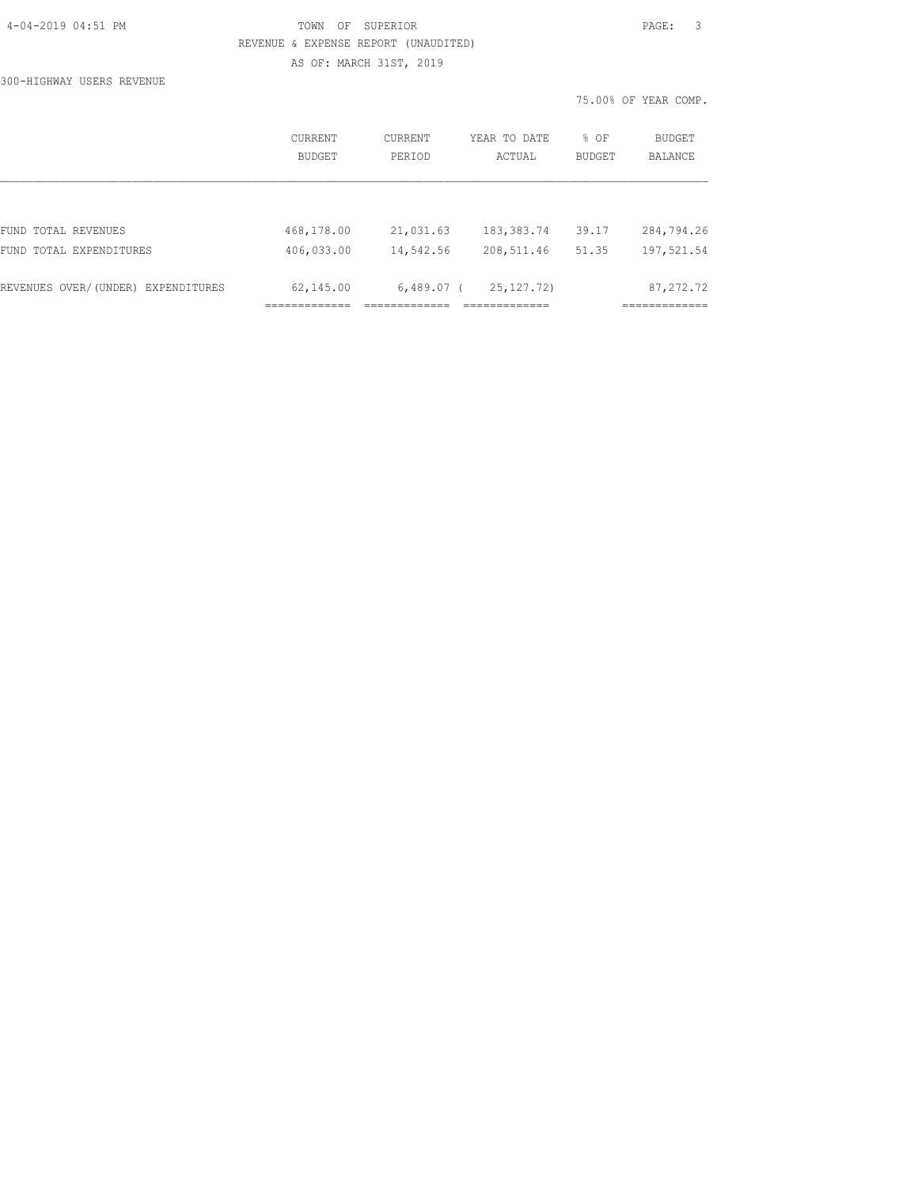| 4-04-2019 04:51 PM |  |
|--------------------|--|
|                    |  |

### TOWN OF SUPERIOR **PAGE:** 3 REVENUE & EXPENSE REPORT (UNAUDITED) AS OF: MARCH 31ST, 2019

300-HIGHWAY USERS REVENUE

|                                    |                          |                   |                        |                       | 75.00% OF YEAR COMP.     |
|------------------------------------|--------------------------|-------------------|------------------------|-----------------------|--------------------------|
|                                    | <b>CURRENT</b><br>BUDGET | CURRENT<br>PERIOD | YEAR TO DATE<br>ACTUAL | % OF<br><b>BUDGET</b> | BUDGET<br><b>BALANCE</b> |
|                                    |                          |                   |                        |                       |                          |
| FUND TOTAL REVENUES                | 468,178.00               | 21,031.63         | 183, 383. 74           | 39.17                 | 284,794.26               |
| FUND TOTAL EXPENDITURES            | 406,033.00               | 14,542.56         | 208,511.46             | 51.35                 | 197,521.54               |
| REVENUES OVER/(UNDER) EXPENDITURES | 62,145.00                | $6,489.07$ (      | 25, 127, 72)           |                       | 87, 272.72               |
|                                    |                          |                   |                        |                       | -----------              |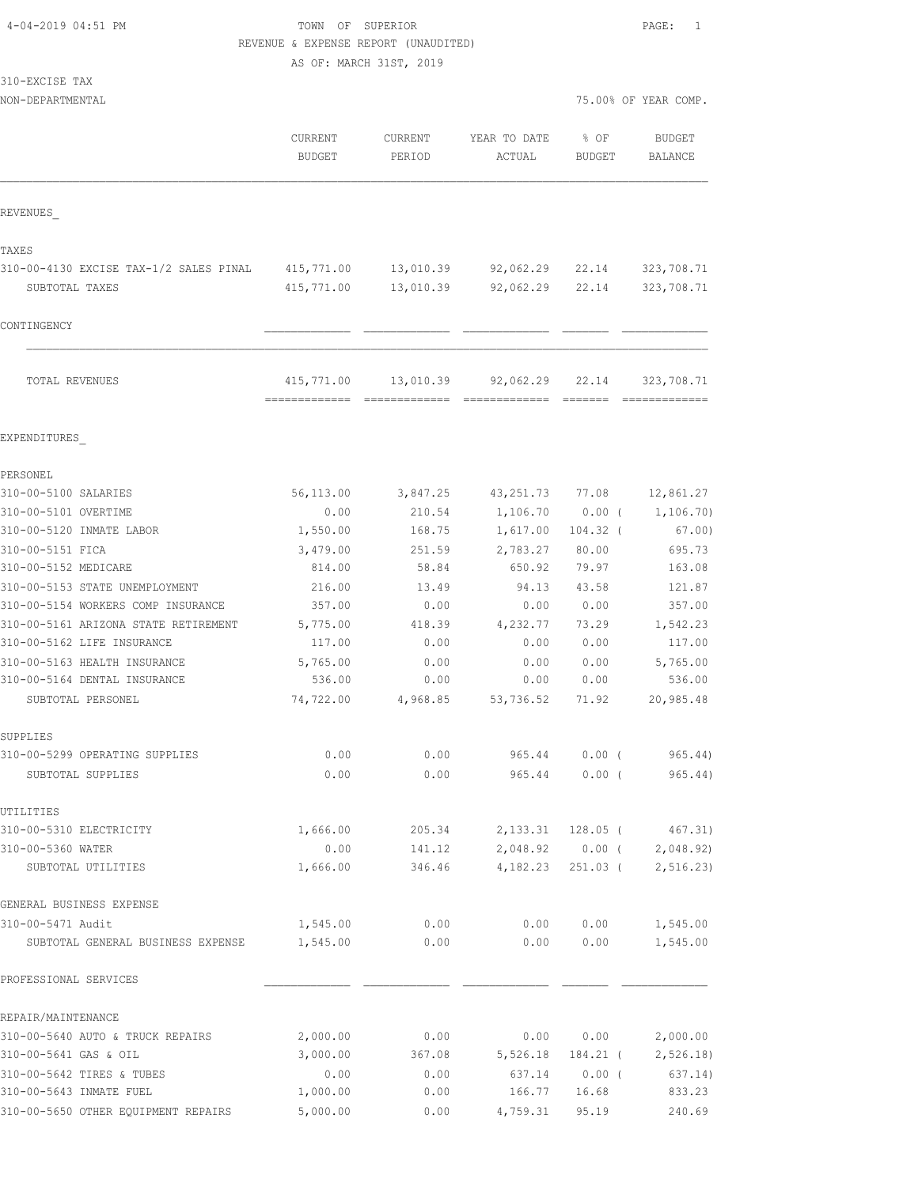## TOWN OF SUPERIOR **PAGE:** 1 REVENUE & EXPENSE REPORT (UNAUDITED)

AS OF: MARCH 31ST, 2019

|  | 310-EXCISE | TAX |
|--|------------|-----|
|  |            |     |

NON-DEPARTMENTAL 75.00% OF YEAR COMP.

|                                        | CURRENT<br><b>BUDGET</b> | CURRENT<br>PERIOD | YEAR TO DATE<br>ACTUAL | % OF<br>BUDGET | <b>BUDGET</b><br><b>BALANCE</b> |
|----------------------------------------|--------------------------|-------------------|------------------------|----------------|---------------------------------|
| REVENUES                               |                          |                   |                        |                |                                 |
| TAXES                                  |                          |                   |                        |                |                                 |
| 310-00-4130 EXCISE TAX-1/2 SALES PINAL | 415,771.00               | 13,010.39         | 92,062.29              | 22.14          | 323,708.71                      |
| SUBTOTAL TAXES                         | 415,771.00               | 13,010.39         | 92,062.29              | 22.14          | 323,708.71                      |
| CONTINGENCY                            |                          |                   |                        |                |                                 |
|                                        |                          |                   |                        |                |                                 |
| TOTAL REVENUES                         | 415,771.00               | 13,010.39         | 92,062.29              | 22.14          | 323,708.71                      |
| EXPENDITURES                           |                          |                   |                        |                |                                 |
| PERSONEL                               |                          |                   |                        |                |                                 |
| 310-00-5100 SALARIES                   | 56,113.00                | 3,847.25          | 43, 251.73             | 77.08          | 12,861.27                       |
| 310-00-5101 OVERTIME                   | 0.00                     | 210.54            | 1,106.70               | $0.00$ (       | 1, 106.70                       |
| 310-00-5120 INMATE LABOR               | 1,550.00                 | 168.75            | 1,617.00               | $104.32$ (     | 67.00)                          |
| 310-00-5151 FICA                       | 3,479.00                 | 251.59            | 2,783.27               | 80.00          | 695.73                          |
| 310-00-5152 MEDICARE                   | 814.00                   | 58.84             | 650.92                 | 79.97          | 163.08                          |
| 310-00-5153 STATE UNEMPLOYMENT         | 216.00                   | 13.49             | 94.13                  | 43.58          | 121.87                          |
| 310-00-5154 WORKERS COMP INSURANCE     | 357.00                   | 0.00              | 0.00                   | 0.00           | 357.00                          |
| 310-00-5161 ARIZONA STATE RETIREMENT   | 5,775.00                 | 418.39            | 4,232.77               | 73.29          | 1,542.23                        |
| 310-00-5162 LIFE INSURANCE             | 117.00                   | 0.00              | 0.00                   | 0.00           | 117.00                          |
| 310-00-5163 HEALTH INSURANCE           | 5,765.00                 | 0.00              | 0.00                   | 0.00           | 5,765.00                        |
| 310-00-5164 DENTAL INSURANCE           | 536.00                   | 0.00              | 0.00                   | 0.00           | 536.00                          |
| SUBTOTAL PERSONEL                      | 74,722.00                | 4,968.85          | 53,736.52              | 71.92          | 20,985.48                       |
| SUPPLIES                               |                          |                   |                        |                |                                 |
| 310-00-5299 OPERATING SUPPLIES         | 0.00                     | 0.00              | 965.44                 | 0.00(          | 965.44)                         |
| SUBTOTAL SUPPLIES                      | 0.00                     | 0.00              | 965.44                 | $0.00$ (       | 965.44)                         |
| UTILITIES                              |                          |                   |                        |                |                                 |
| 310-00-5310 ELECTRICITY                | 1,666.00                 | 205.34            |                        |                | 2, 133.31 128.05 (467.31)       |
| 310-00-5360 WATER                      | 0.00                     | 141.12            |                        |                | 2,048.92 0.00 ( 2,048.92)       |
| SUBTOTAL UTILITIES                     | 1,666.00                 | 346.46            | 4,182.23               |                | 251.03 ( 2,516.23)              |
| GENERAL BUSINESS EXPENSE               |                          |                   |                        |                |                                 |
| 310-00-5471 Audit                      | 1,545.00                 | 0.00              | 0.00                   | 0.00           | 1,545.00                        |
| SUBTOTAL GENERAL BUSINESS EXPENSE      | 1,545.00                 | 0.00              | 0.00                   | 0.00           | 1,545.00                        |
| PROFESSIONAL SERVICES                  |                          |                   |                        |                |                                 |
| REPAIR/MAINTENANCE                     |                          |                   |                        |                |                                 |
| 310-00-5640 AUTO & TRUCK REPAIRS       | 2,000.00                 | 0.00              |                        | 0.00 0.00      | 2,000.00                        |
| 310-00-5641 GAS & OIL                  | 3,000.00                 | 367.08            | 5,526.18               |                | 184.21 ( 2,526.18)              |
| 310-00-5642 TIRES & TUBES              | 0.00                     | 0.00              |                        | 637.14 0.00 (  | 637.14)                         |
| 310-00-5643 INMATE FUEL                | 1,000.00                 | 0.00              | 166.77                 | 16.68          | 833.23                          |

310-00-5650 OTHER EQUIPMENT REPAIRS 5,000.00 0.00 4,759.31 95.19 240.69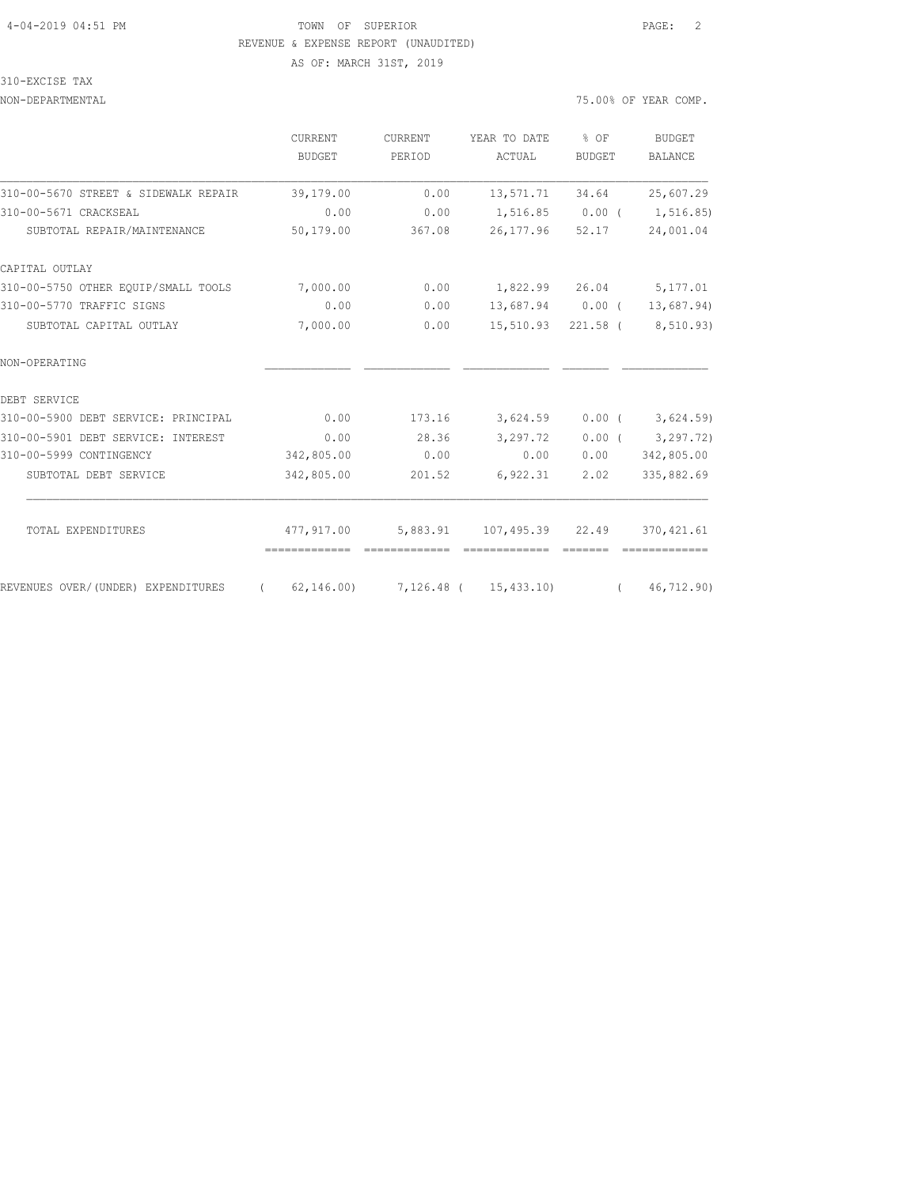### 4-04-2019 04:51 PM TOWN OF SUPERIOR PAGE: 2 REVENUE & EXPENSE REPORT (UNAUDITED) AS OF: MARCH 31ST, 2019

#### 310-EXCISE TAX

#### NON-DEPARTMENTAL 75.00% OF YEAR COMP.

|                                      | <b>CURRENT</b>                          | <b>CURRENT</b> | YEAR TO DATE            | % OF                                                                                                                                                                                                                                                                                                                                                                                                                                                                                 | <b>BUDGET</b>  |  |
|--------------------------------------|-----------------------------------------|----------------|-------------------------|--------------------------------------------------------------------------------------------------------------------------------------------------------------------------------------------------------------------------------------------------------------------------------------------------------------------------------------------------------------------------------------------------------------------------------------------------------------------------------------|----------------|--|
|                                      | <b>BUDGET</b>                           | PERIOD         | ACTUAL                  | <b>BUDGET</b>                                                                                                                                                                                                                                                                                                                                                                                                                                                                        | <b>BALANCE</b> |  |
| 310-00-5670 STREET & SIDEWALK REPAIR | 39,179.00                               | 0.00           | 13,571.71               | 34.64                                                                                                                                                                                                                                                                                                                                                                                                                                                                                | 25,607.29      |  |
| 310-00-5671 CRACKSEAL                | 0.00                                    | 0.00           | 1,516.85                | $0.00$ (                                                                                                                                                                                                                                                                                                                                                                                                                                                                             | 1,516.85)      |  |
| SUBTOTAL REPAIR/MAINTENANCE          | 50,179.00                               | 367.08         | 26,177.96               | 52.17                                                                                                                                                                                                                                                                                                                                                                                                                                                                                | 24,001.04      |  |
| CAPITAL OUTLAY                       |                                         |                |                         |                                                                                                                                                                                                                                                                                                                                                                                                                                                                                      |                |  |
| 310-00-5750 OTHER EOUIP/SMALL TOOLS  | 7,000.00                                | 0.00           | 1,822.99 26.04 5,177.01 |                                                                                                                                                                                                                                                                                                                                                                                                                                                                                      |                |  |
| 310-00-5770 TRAFFIC SIGNS            | 0.00                                    | 0.00           | 13,687.94 0.00 (        |                                                                                                                                                                                                                                                                                                                                                                                                                                                                                      | 13,687.94)     |  |
| SUBTOTAL CAPITAL OUTLAY              | 7,000.00                                | 0.00           | 15,510.93 221.58 (      |                                                                                                                                                                                                                                                                                                                                                                                                                                                                                      | 8,510.93)      |  |
| NON-OPERATING                        |                                         |                |                         |                                                                                                                                                                                                                                                                                                                                                                                                                                                                                      |                |  |
| DEBT SERVICE                         |                                         |                |                         |                                                                                                                                                                                                                                                                                                                                                                                                                                                                                      |                |  |
| 310-00-5900 DEBT SERVICE: PRINCIPAL  | 0.00                                    | 173.16         | 3,624.59                | $0.00$ (                                                                                                                                                                                                                                                                                                                                                                                                                                                                             | 3,624.59       |  |
| 310-00-5901 DEBT SERVICE: INTEREST   | 0.00                                    | 28.36          | 3,297.72                | $0.00$ (                                                                                                                                                                                                                                                                                                                                                                                                                                                                             | 3, 297, 72)    |  |
| 310-00-5999 CONTINGENCY              | 342,805.00                              | 0.00           | 0.00                    | 0.00                                                                                                                                                                                                                                                                                                                                                                                                                                                                                 | 342,805.00     |  |
| SUBTOTAL DEBT SERVICE                | 342,805.00                              | 201.52         | 6,922.31                | 2.02                                                                                                                                                                                                                                                                                                                                                                                                                                                                                 | 335,882.69     |  |
| TOTAL EXPENDITURES                   | 477,917.00                              | 5,883.91       | 107,495.39 22.49        |                                                                                                                                                                                                                                                                                                                                                                                                                                                                                      | 370, 421.61    |  |
|                                      | -------------                           | =============  |                         | $\begin{array}{cccccc} \multicolumn{2}{c}{} & \multicolumn{2}{c}{} & \multicolumn{2}{c}{} & \multicolumn{2}{c}{} & \multicolumn{2}{c}{} & \multicolumn{2}{c}{} & \multicolumn{2}{c}{} & \multicolumn{2}{c}{} & \multicolumn{2}{c}{} & \multicolumn{2}{c}{} & \multicolumn{2}{c}{} & \multicolumn{2}{c}{} & \multicolumn{2}{c}{} & \multicolumn{2}{c}{} & \multicolumn{2}{c}{} & \multicolumn{2}{c}{} & \multicolumn{2}{c}{} & \multicolumn{2}{c}{} & \multicolumn{2}{c}{} & \multic$ |                |  |
| REVENUES OVER/(UNDER) EXPENDITURES   | $(62, 146.00)$ 7, 126.48 $(15, 433.10)$ |                |                         | $\sqrt{2}$                                                                                                                                                                                                                                                                                                                                                                                                                                                                           | 46, 712.90     |  |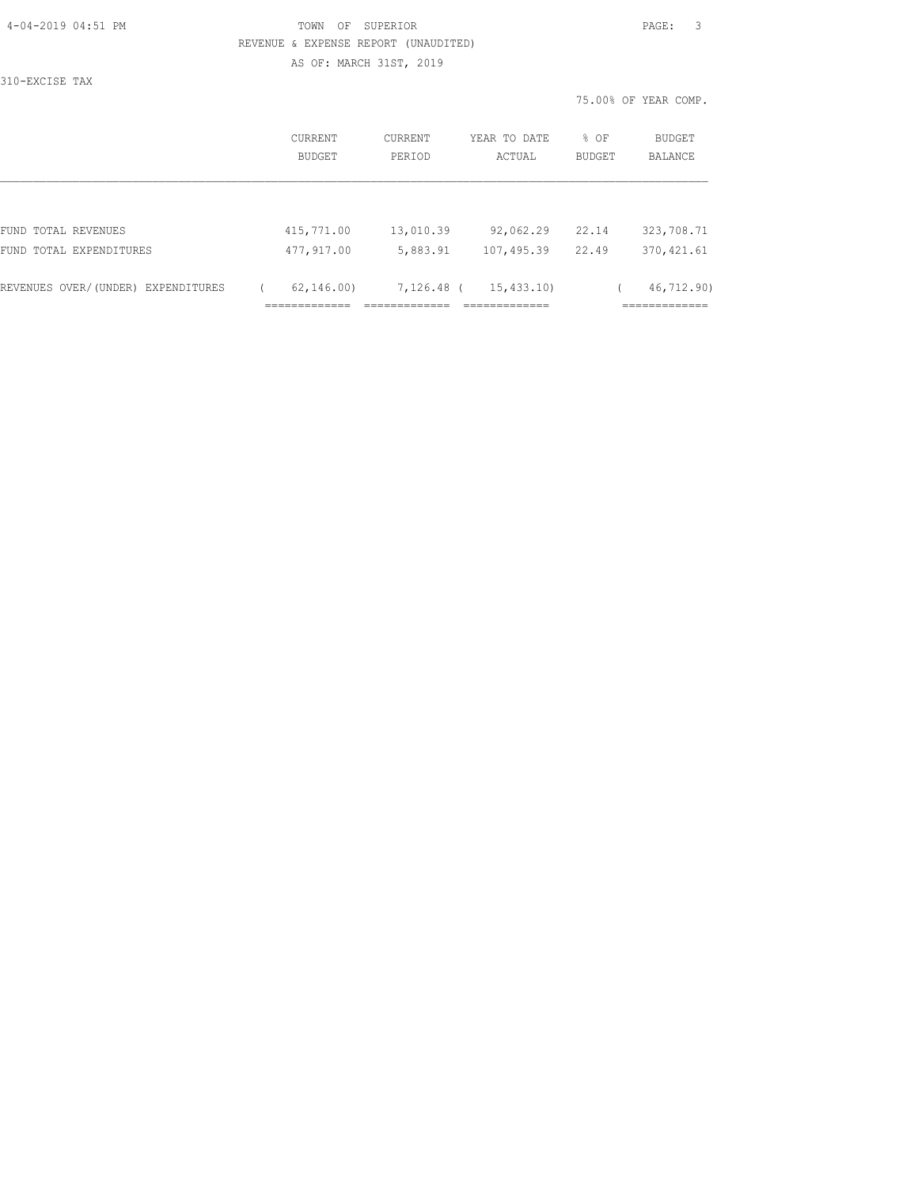| 4-04-2019 04:51 PM |  |
|--------------------|--|
|                    |  |

## TOWN OF SUPERIOR **PAGE:** 3 REVENUE & EXPENSE REPORT (UNAUDITED) AS OF: MARCH 31ST, 2019

310-EXCISE TAX

75.00% OF YEAR COMP.

| CURRENT<br>BUDGET | CURRENT<br>PERIOD | YEAR TO DATE<br>ACTUAL | % OF<br>BUDGET | BUDGET<br>BALANCE |
|-------------------|-------------------|------------------------|----------------|-------------------|
|                   |                   |                        |                |                   |
| 415,771.00        | 13,010.39         | 92,062.29              | 22.14          | 323,708.71        |
| 477,917.00        | 5,883.91          | 107,495.39             | 22.49          | 370, 421.61       |
|                   |                   | 15, 433, 10)           |                | 46,712.90)        |
|                   |                   | 62, 146, 00)           | 7,126.48 (     |                   |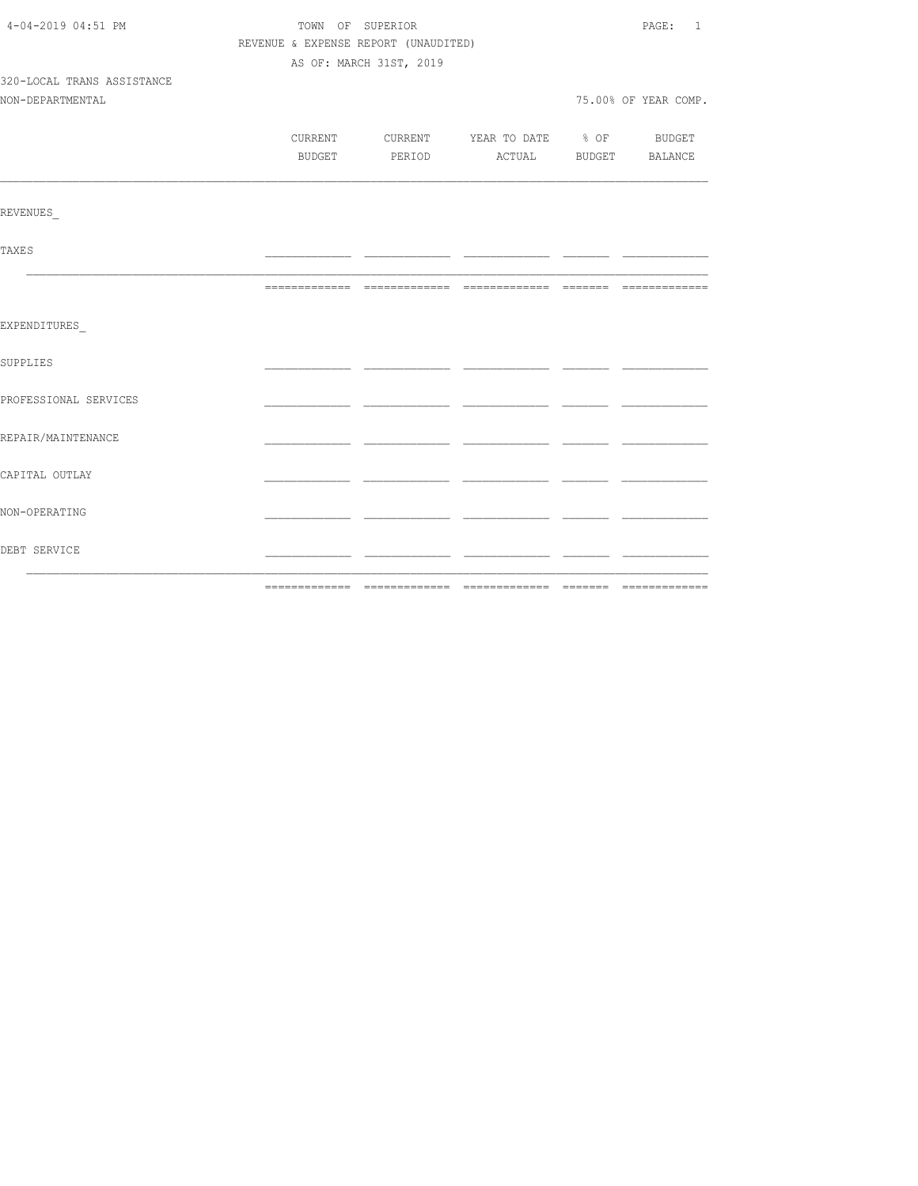| 4-04-2019 04:51 PM         | TOWN OF SUPERIOR | PAGE: 1                              |                                          |  |                      |  |  |
|----------------------------|------------------|--------------------------------------|------------------------------------------|--|----------------------|--|--|
|                            |                  | REVENUE & EXPENSE REPORT (UNAUDITED) |                                          |  |                      |  |  |
|                            |                  | AS OF: MARCH 31ST, 2019              |                                          |  |                      |  |  |
| 320-LOCAL TRANS ASSISTANCE |                  |                                      |                                          |  |                      |  |  |
| NON-DEPARTMENTAL           |                  |                                      |                                          |  | 75.00% OF YEAR COMP. |  |  |
|                            |                  |                                      |                                          |  |                      |  |  |
|                            |                  |                                      | CURRENT CURRENT YEAR TO DATE % OF BUDGET |  |                      |  |  |
|                            | BUDGET           |                                      | PERIOD ACTUAL BUDGET BALANCE             |  |                      |  |  |
|                            |                  |                                      |                                          |  |                      |  |  |
| REVENUES                   |                  |                                      |                                          |  |                      |  |  |
| <b>TAXES</b>               |                  |                                      |                                          |  |                      |  |  |
|                            |                  |                                      |                                          |  |                      |  |  |
| EXPENDITURES               |                  |                                      |                                          |  |                      |  |  |
| <b>SUPPLIES</b>            |                  |                                      |                                          |  |                      |  |  |
| PROFESSIONAL SERVICES      |                  |                                      |                                          |  |                      |  |  |
| REPAIR/MAINTENANCE         |                  |                                      |                                          |  |                      |  |  |
| CAPITAL OUTLAY             |                  |                                      |                                          |  |                      |  |  |
| NON-OPERATING              |                  |                                      |                                          |  |                      |  |  |
| DEBT SERVICE               |                  |                                      |                                          |  |                      |  |  |
|                            | -----------      |                                      |                                          |  |                      |  |  |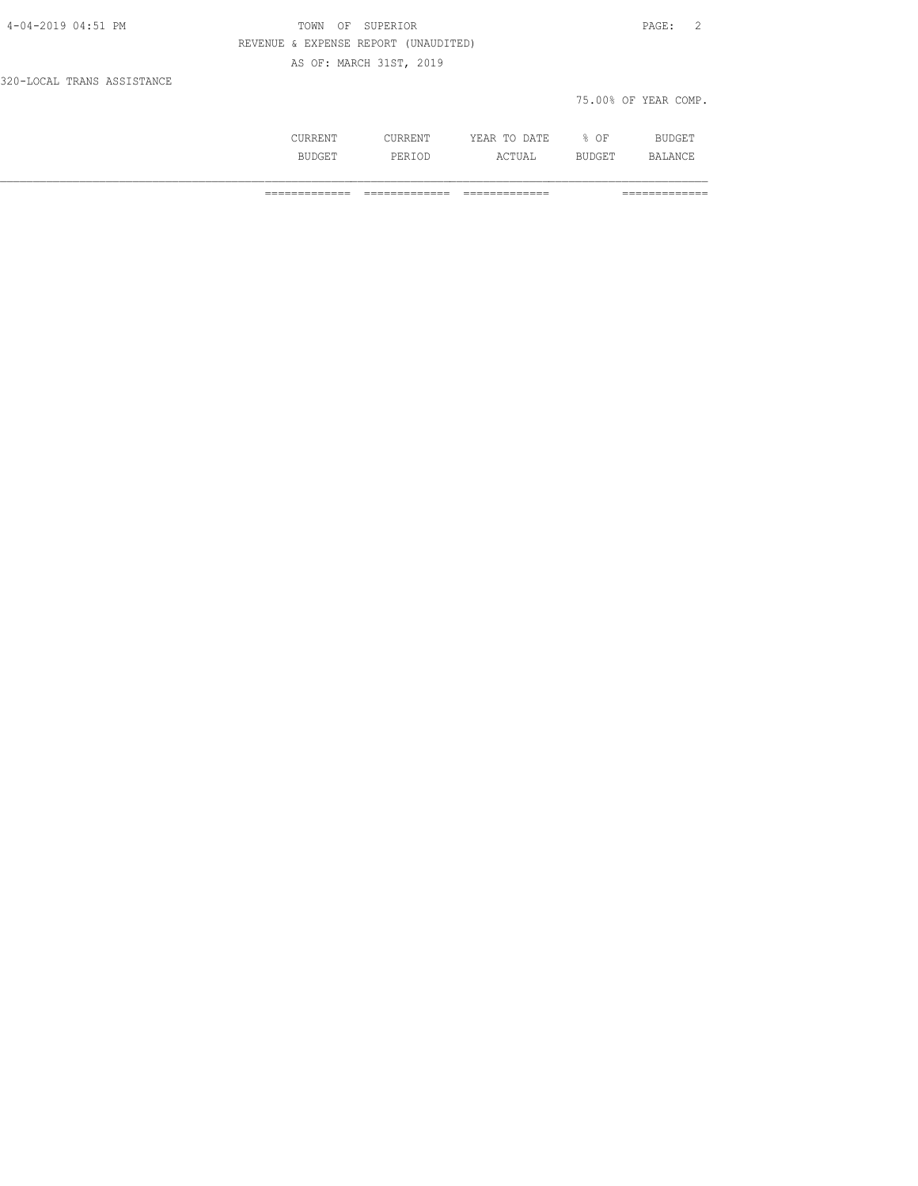| 4-04-2019 04:51 PM         | OF SUPERIOR<br>TOWN                  | PAGE: 2              |
|----------------------------|--------------------------------------|----------------------|
|                            | REVENUE & EXPENSE REPORT (UNAUDITED) |                      |
|                            | AS OF: MARCH 31ST, 2019              |                      |
| 320-LOCAL TRANS ASSISTANCE |                                      |                      |
|                            |                                      | 75.00% OF YEAR COMP. |
|                            |                                      |                      |

 CURRENT CURRENT YEAR TO DATE % OF BUDGET BUDGET PERIOD ACTUAL BUDGET BALANCE

============= ============= ============= =============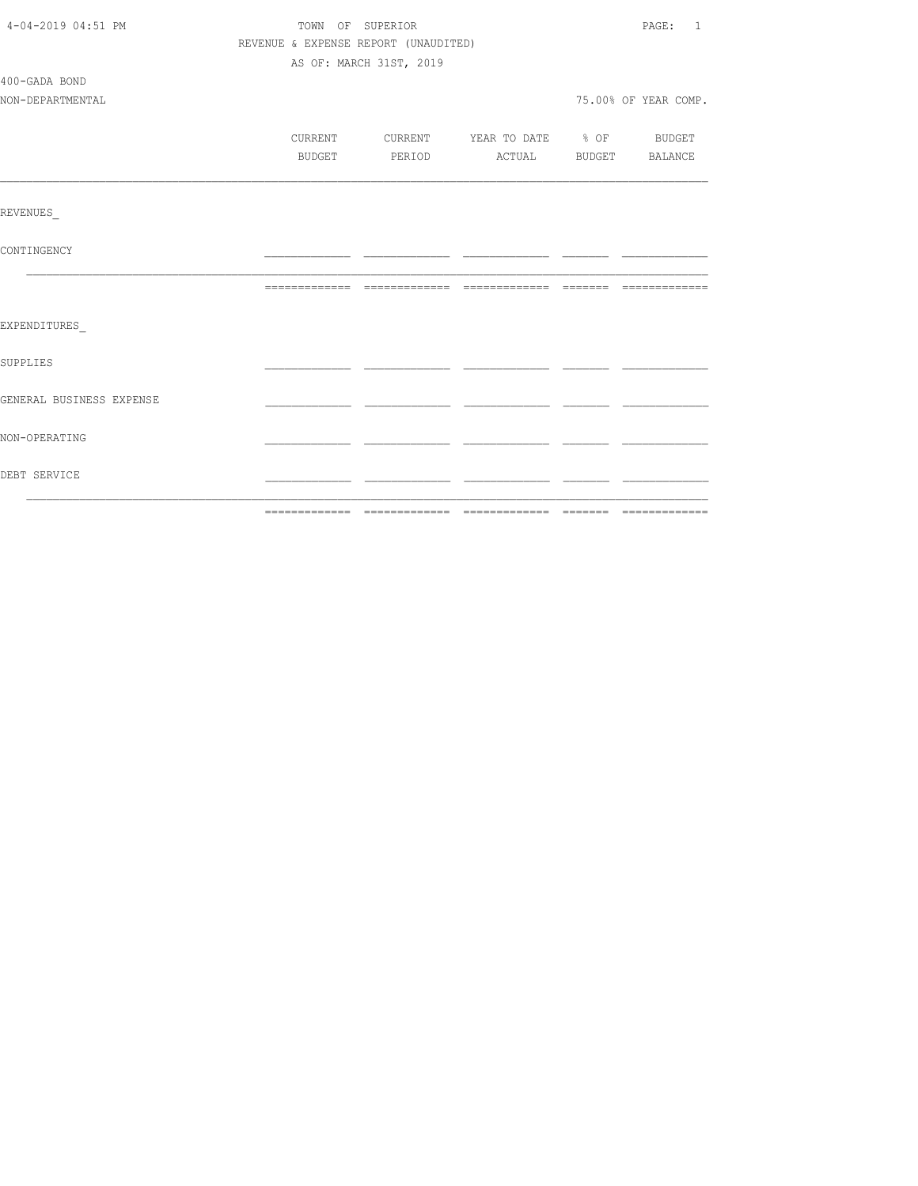| 4-04-2019 04:51 PM       | TOWN OF SUPERIOR |                                      |        |                                  |  | PAGE: 1              |  |
|--------------------------|------------------|--------------------------------------|--------|----------------------------------|--|----------------------|--|
|                          |                  | REVENUE & EXPENSE REPORT (UNAUDITED) |        |                                  |  |                      |  |
|                          |                  | AS OF: MARCH 31ST, 2019              |        |                                  |  |                      |  |
| 400-GADA BOND            |                  |                                      |        |                                  |  |                      |  |
| NON-DEPARTMENTAL         |                  |                                      |        |                                  |  | 75.00% OF YEAR COMP. |  |
|                          |                  |                                      |        |                                  |  |                      |  |
|                          | CURRENT          |                                      |        | CURRENT YEAR TO DATE % OF BUDGET |  |                      |  |
|                          | BUDGET           |                                      | PERIOD | ACTUAL BUDGET BALANCE            |  |                      |  |
|                          |                  |                                      |        |                                  |  |                      |  |
| REVENUES                 |                  |                                      |        |                                  |  |                      |  |
| CONTINGENCY              |                  |                                      |        |                                  |  |                      |  |
|                          |                  |                                      |        |                                  |  |                      |  |
| EXPENDITURES             |                  |                                      |        |                                  |  |                      |  |
| SUPPLIES                 |                  |                                      |        |                                  |  |                      |  |
| GENERAL BUSINESS EXPENSE |                  |                                      |        |                                  |  |                      |  |
| NON-OPERATING            |                  |                                      |        |                                  |  |                      |  |
| DEBT SERVICE             |                  |                                      |        |                                  |  |                      |  |
|                          |                  |                                      |        |                                  |  |                      |  |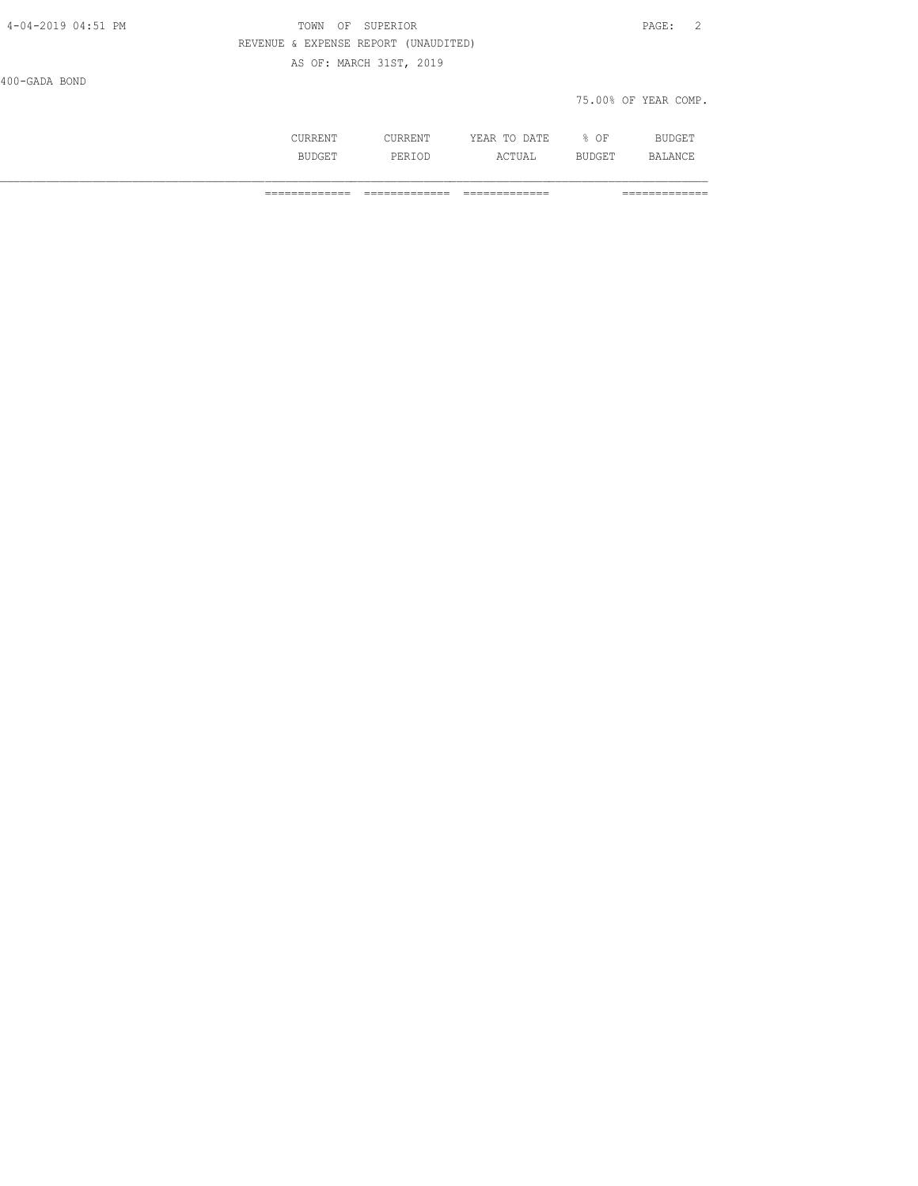| 4-04-2019 04:51 PM | SUPERIOR<br>OF<br>TOWN               | PAGE: 2              |
|--------------------|--------------------------------------|----------------------|
|                    | REVENUE & EXPENSE REPORT (UNAUDITED) |                      |
|                    | AS OF: MARCH 31ST, 2019              |                      |
| 400-GADA BOND      |                                      |                      |
|                    |                                      | 75.00% OF YEAR COMP. |
|                    |                                      |                      |

 CURRENT CURRENT YEAR TO DATE % OF BUDGET BUDGET PERIOD ACTUAL BUDGET BALANCE

============= ============= ============= =============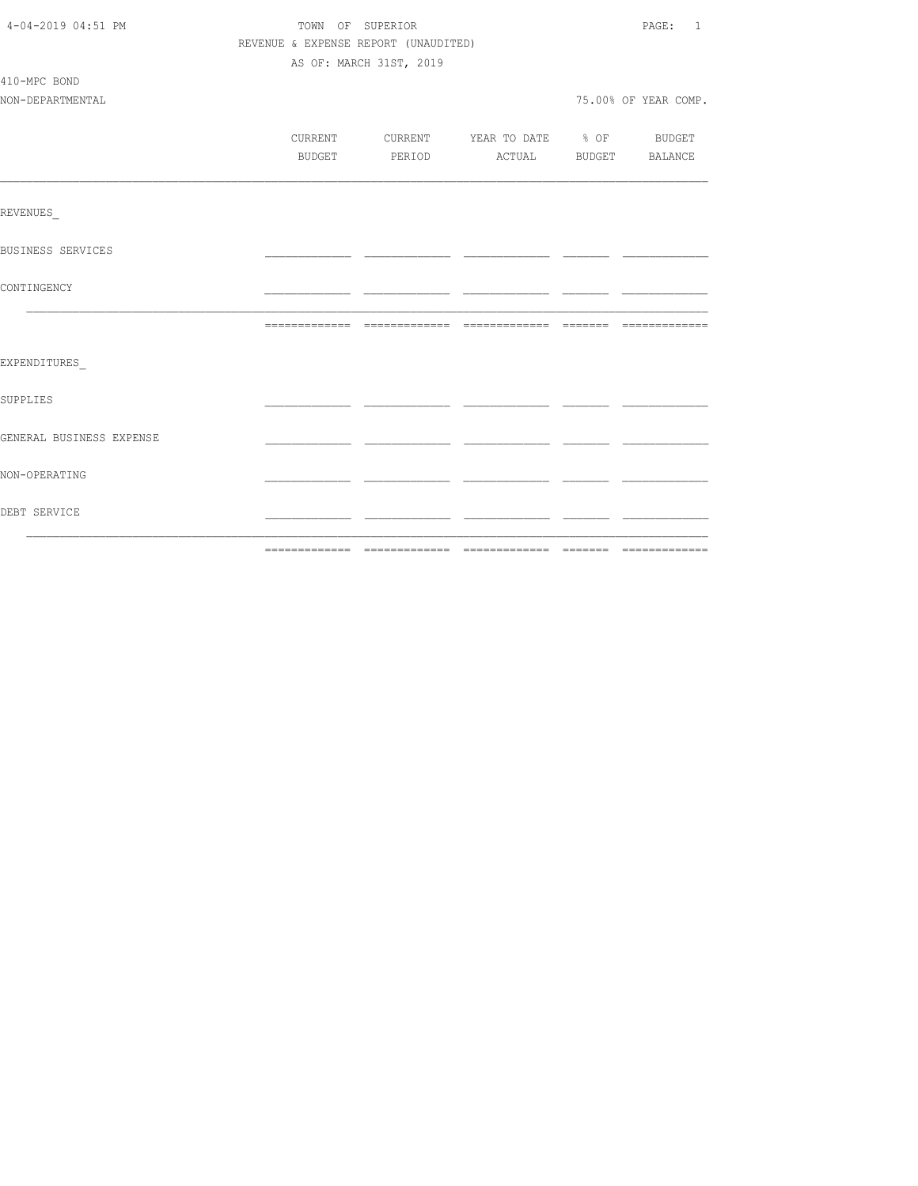| 4-04-2019 04:51 PM       |                                      | TOWN OF SUPERIOR        |                                          | PAGE: 1              |
|--------------------------|--------------------------------------|-------------------------|------------------------------------------|----------------------|
|                          | REVENUE & EXPENSE REPORT (UNAUDITED) |                         |                                          |                      |
|                          |                                      | AS OF: MARCH 31ST, 2019 |                                          |                      |
| 410-MPC BOND             |                                      |                         |                                          |                      |
| NON-DEPARTMENTAL         |                                      |                         |                                          | 75.00% OF YEAR COMP. |
|                          |                                      |                         |                                          |                      |
|                          |                                      |                         | CURRENT CURRENT YEAR TO DATE % OF BUDGET |                      |
|                          | BUDGET                               |                         | PERIOD ACTUAL BUDGET BALANCE             |                      |
|                          |                                      |                         |                                          |                      |
| REVENUES                 |                                      |                         |                                          |                      |
| BUSINESS SERVICES        |                                      |                         |                                          |                      |
| CONTINGENCY              |                                      |                         |                                          |                      |
|                          |                                      |                         |                                          |                      |
| EXPENDITURES             |                                      |                         |                                          |                      |
| SUPPLIES                 |                                      |                         |                                          |                      |
| GENERAL BUSINESS EXPENSE |                                      |                         |                                          |                      |
| NON-OPERATING            |                                      |                         |                                          |                      |
| DEBT SERVICE             |                                      |                         |                                          |                      |
|                          |                                      |                         |                                          |                      |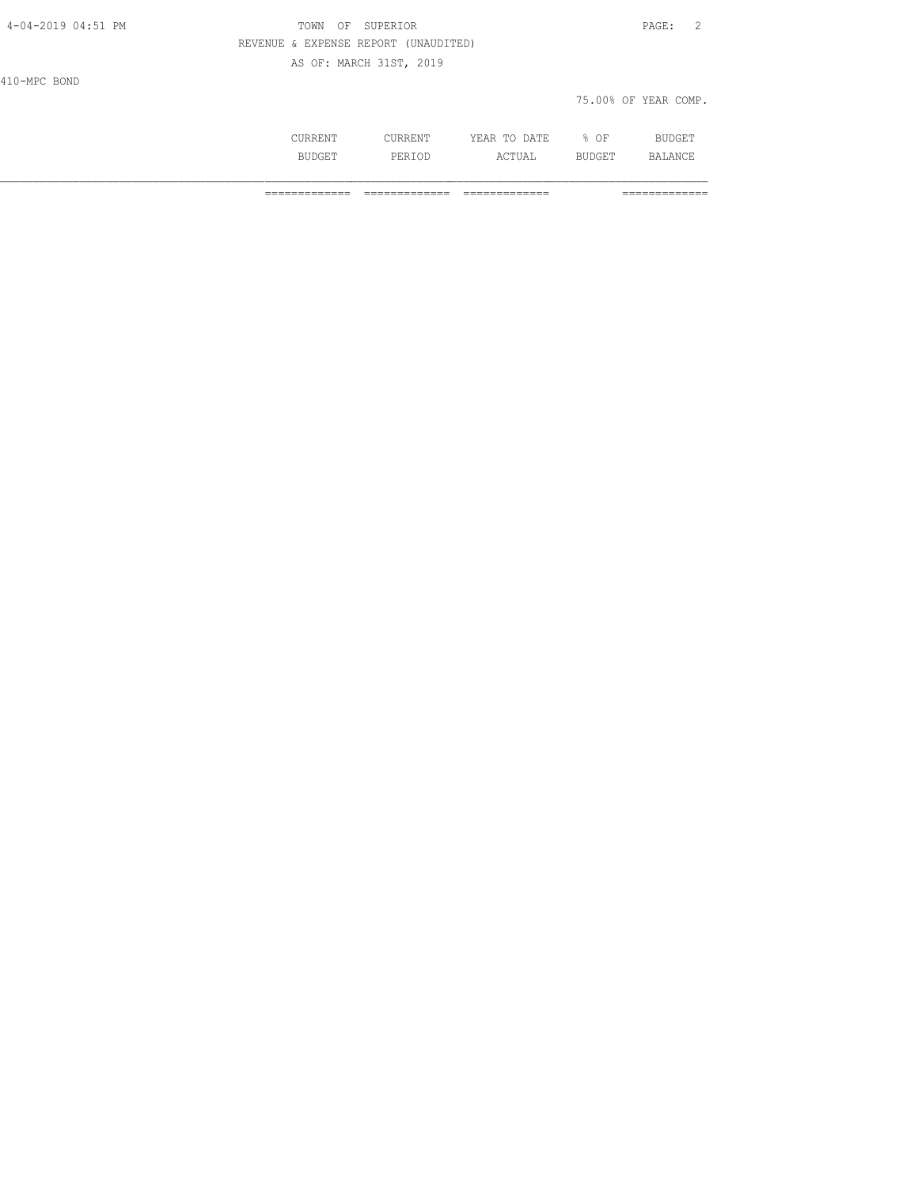| 4-04-2019 04:51 PM | TOWN<br>OF              | SUPERIOR                             |              |                      | $\overline{2}$<br>PAGE: |
|--------------------|-------------------------|--------------------------------------|--------------|----------------------|-------------------------|
|                    |                         | REVENUE & EXPENSE REPORT (UNAUDITED) |              |                      |                         |
|                    | AS OF: MARCH 31ST, 2019 |                                      |              |                      |                         |
| 410-MPC BOND       |                         |                                      |              |                      |                         |
|                    |                         |                                      |              | 75.00% OF YEAR COMP. |                         |
|                    |                         |                                      |              |                      |                         |
|                    | CURRENT                 | CURRENT                              | YEAR TO DATE | $8$ OF               | BUDGET                  |

BUDGET PERIOD ACTUAL BUDGET BALANCE

============= ============= ============= =============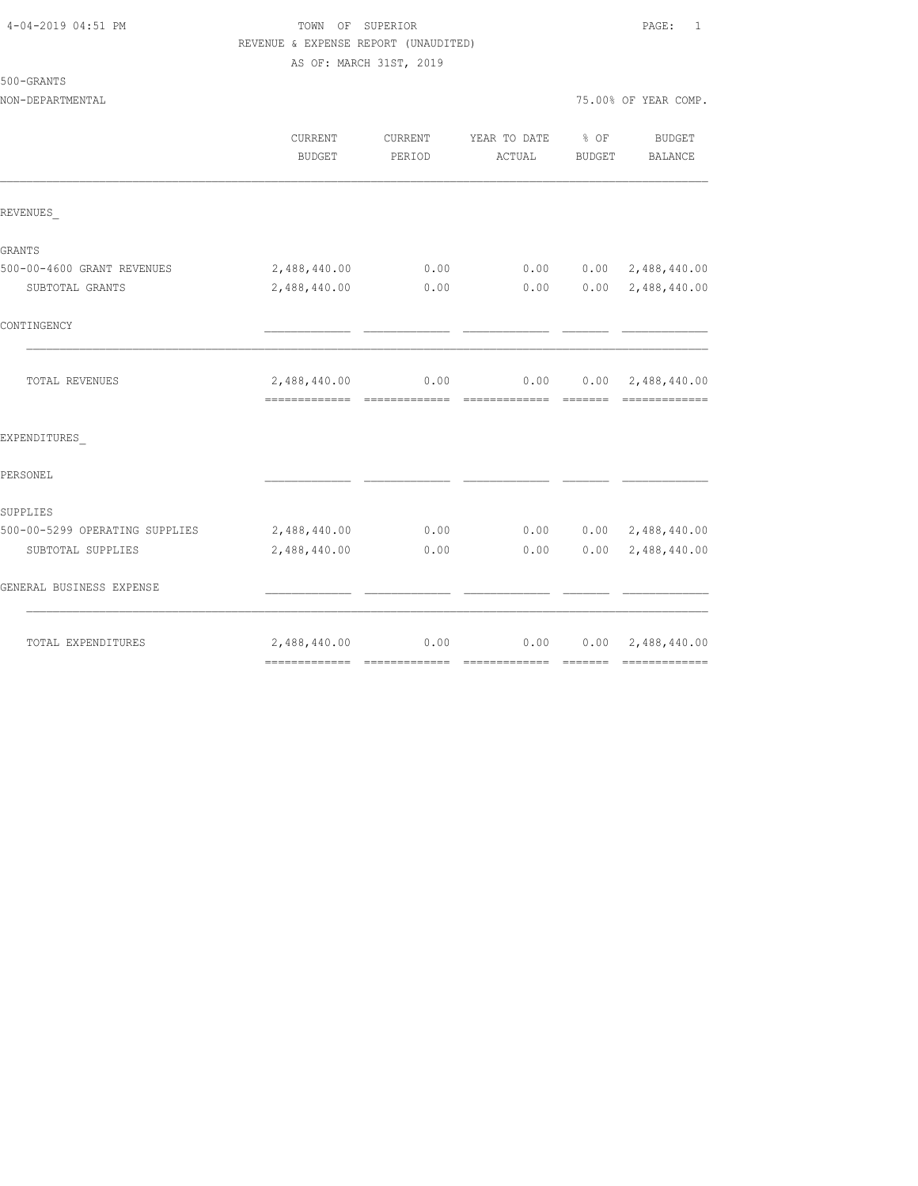| 4-04-2019 04:51 PM |  |
|--------------------|--|
|                    |  |

# TOWN OF SUPERIOR **PAGE:** 1 REVENUE & EXPENSE REPORT (UNAUDITED)

AS OF: MARCH 31ST, 2019

| NON-DEPARTMENTAL               |                                              |                   |                        |                         | 75.00% OF YEAR COMP.                       |
|--------------------------------|----------------------------------------------|-------------------|------------------------|-------------------------|--------------------------------------------|
|                                | CURRENT<br><b>BUDGET</b>                     | CURRENT<br>PERIOD | YEAR TO DATE<br>ACTUAL | $8$ OF<br><b>BUDGET</b> | BUDGET<br>BALANCE                          |
| REVENUES                       |                                              |                   |                        |                         |                                            |
| GRANTS                         |                                              |                   |                        |                         |                                            |
| 500-00-4600 GRANT REVENUES     | 2,488,440.00                                 | 0.00              | 0.00                   |                         | $0.00 \quad 2,488,440.00$                  |
| SUBTOTAL GRANTS                | 2,488,440.00                                 | 0.00              | 0.00                   | 0.00                    | 2,488,440.00                               |
| CONTINGENCY                    |                                              |                   |                        |                         |                                            |
| TOTAL REVENUES                 | 2,488,440.00<br>============================ | 0.00              | 0.00                   |                         | $0.00 \quad 2,488,440.00$<br>============= |
| EXPENDITURES                   |                                              |                   |                        |                         |                                            |
| PERSONEL                       |                                              |                   |                        |                         |                                            |
| SUPPLIES                       |                                              |                   |                        |                         |                                            |
| 500-00-5299 OPERATING SUPPLIES | 2,488,440.00                                 | 0.00              | 0.00                   |                         | $0.00 \quad 2,488,440.00$                  |
| SUBTOTAL SUPPLIES              | 2,488,440.00                                 | 0.00              | 0.00                   | 0.00                    | 2,488,440.00                               |
| GENERAL BUSINESS EXPENSE       |                                              |                   |                        |                         |                                            |
| TOTAL EXPENDITURES             | 2,488,440.00                                 | 0.00              | 0.00                   |                         | $0.00 \quad 2,488,440.00$                  |
|                                |                                              |                   |                        |                         |                                            |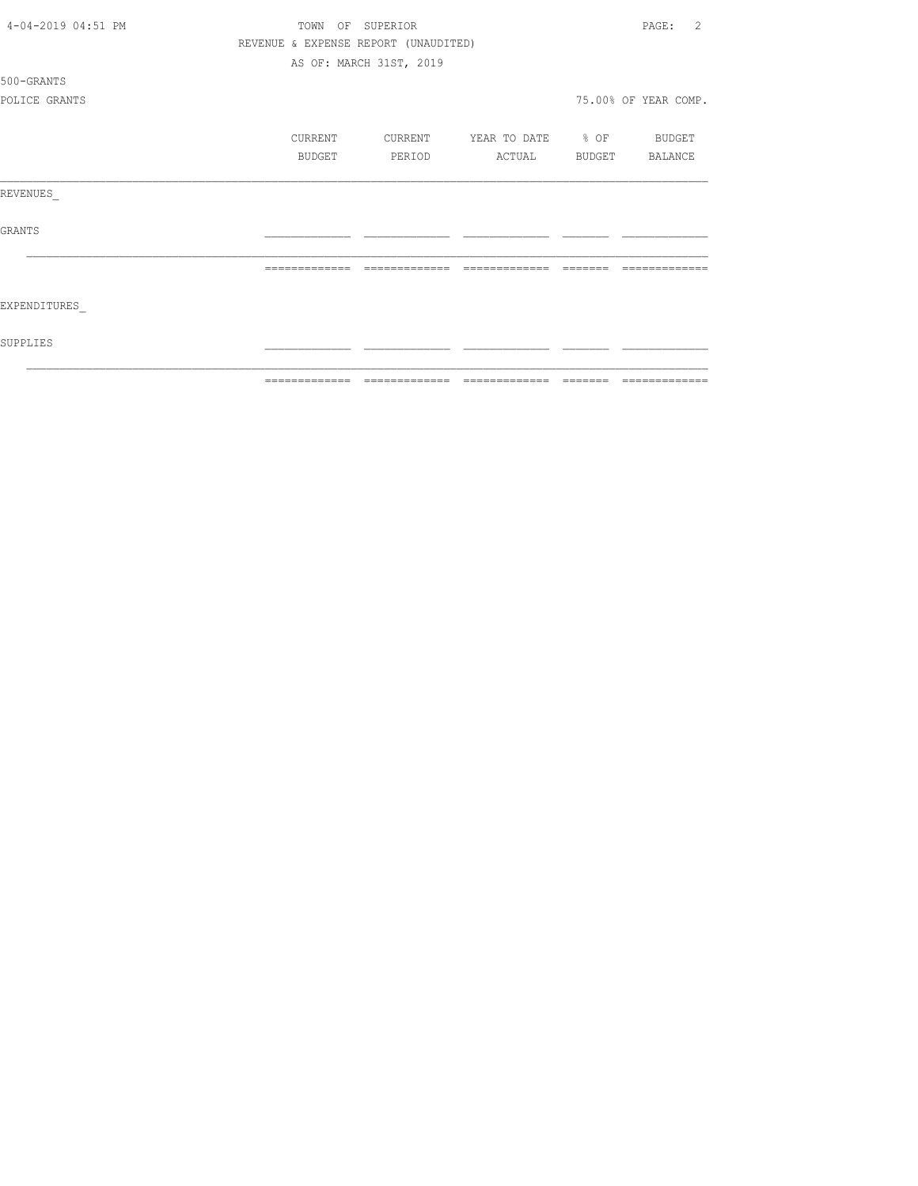| 4-04-2019 04:51 PM | TOWN<br>OF    | SUPERIOR                             |                          |        | 2<br>PAGE:           |
|--------------------|---------------|--------------------------------------|--------------------------|--------|----------------------|
|                    |               | REVENUE & EXPENSE REPORT (UNAUDITED) |                          |        |                      |
|                    |               | AS OF: MARCH 31ST, 2019              |                          |        |                      |
| 500-GRANTS         |               |                                      |                          |        |                      |
| POLICE GRANTS      |               |                                      |                          |        | 75.00% OF YEAR COMP. |
|                    | CURRENT       | CURRENT                              | YEAR TO DATE % OF BUDGET |        |                      |
|                    | BUDGET        | PERIOD                               | ACTUAL                   | BUDGET | BALANCE              |
| REVENUES           |               |                                      |                          |        |                      |
| GRANTS             |               |                                      |                          |        |                      |
|                    |               | --------------                       | --------------           |        |                      |
| EXPENDITURES       |               |                                      |                          |        |                      |
| SUPPLIES           |               |                                      |                          |        |                      |
|                    | ============= |                                      |                          |        | =============        |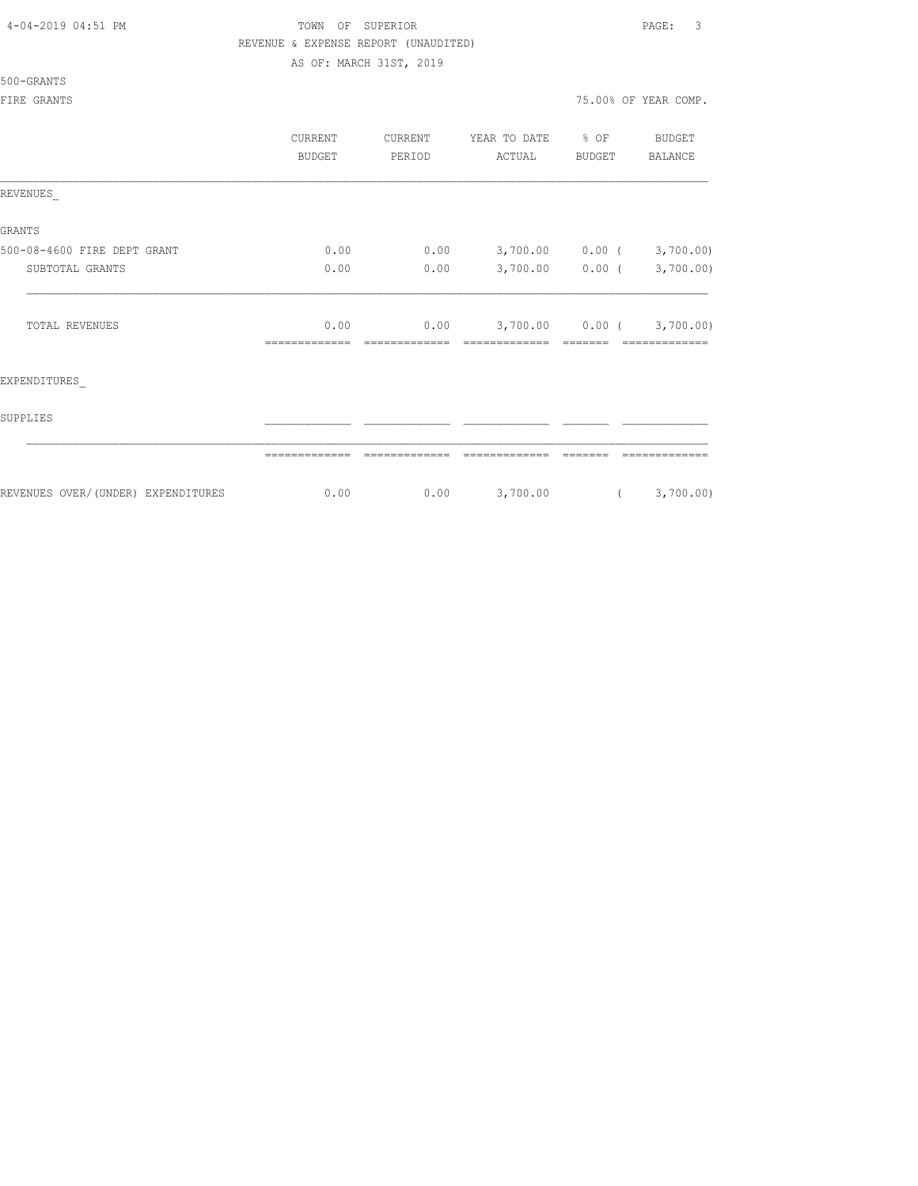## TOWN OF SUPERIOR **Example 2019** PAGE: 3 REVENUE & EXPENSE REPORT (UNAUDITED)

AS OF: MARCH 31ST, 2019

|  | 500-GRANTS |  |
|--|------------|--|
|  |            |  |

|                                    | CURRENT<br><b>BUDGET</b> | CURRENT<br>PERIOD | YEAR TO DATE<br>ACTUAL | $8$ OF<br>BUDGET  | <b>BUDGET</b><br><b>BALANCE</b> |
|------------------------------------|--------------------------|-------------------|------------------------|-------------------|---------------------------------|
| REVENUES                           |                          |                   |                        |                   |                                 |
| <b>GRANTS</b>                      |                          |                   |                        |                   |                                 |
| 500-08-4600 FIRE DEPT GRANT        | 0.00                     | 0.00              | 3,700.00               | $0.00$ (          | 3,700.00)                       |
| SUBTOTAL GRANTS                    | 0.00                     | 0.00              | 3,700.00               | $0.00$ (          | 3,700.00)                       |
| TOTAL REVENUES                     | 0.00                     | 0.00              |                        | $3,700.00$ 0.00 ( | 3,700.00)                       |
| EXPENDITURES                       |                          |                   |                        |                   |                                 |
| SUPPLIES                           |                          |                   |                        |                   |                                 |
|                                    |                          |                   |                        |                   |                                 |
| REVENUES OVER/(UNDER) EXPENDITURES | 0.00                     | 0.00              | 3,700.00               | $\left($          | 3,700.00)                       |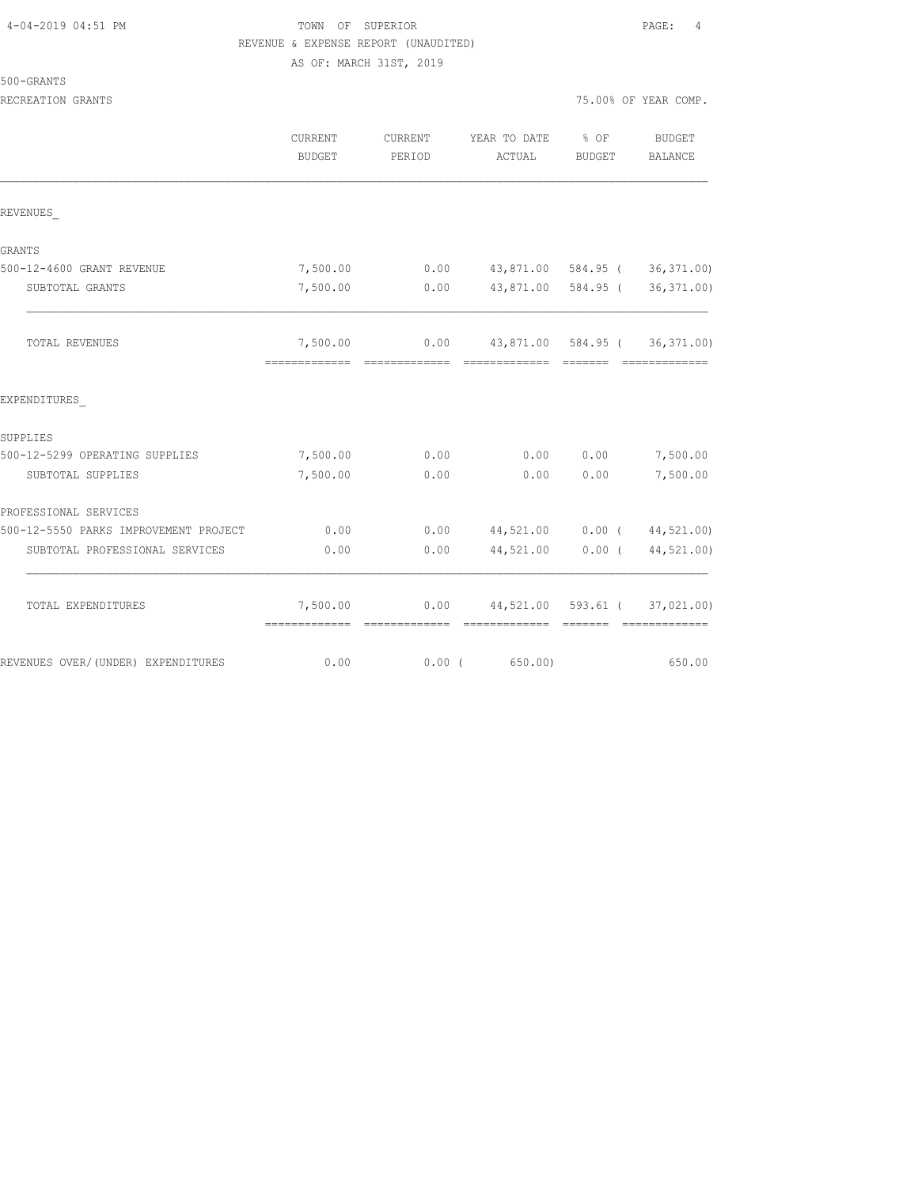# TOWN OF SUPERIOR **Example 2019** PAGE: 4 REVENUE & EXPENSE REPORT (UNAUDITED)

AS OF: MARCH 31ST, 2019

| 500-GRANT |
|-----------|
|-----------|

|                                       | <b>CURRENT</b><br>BUDGET                 | CURRENT<br>PERIOD | YEAR TO DATE<br>ACTUAL                                | $8$ OF<br>BUDGET | BUDGET<br><b>BALANCE</b>      |
|---------------------------------------|------------------------------------------|-------------------|-------------------------------------------------------|------------------|-------------------------------|
| REVENUES                              |                                          |                   |                                                       |                  |                               |
| GRANTS                                |                                          |                   |                                                       |                  |                               |
| 500-12-4600 GRANT REVENUE             | 7,500.00                                 | 0.00              |                                                       |                  | 43,871.00 584.95 (36,371.00)  |
| SUBTOTAL GRANTS                       | 7,500.00                                 | 0.00              | 43,871.00 584.95 (                                    |                  | 36, 371.00                    |
| TOTAL REVENUES                        | 7,500.00                                 |                   | $0.00$ 43,871.00 584.95 (36,371.00)                   |                  | --------------                |
| EXPENDITURES                          |                                          |                   |                                                       |                  |                               |
| SUPPLIES                              |                                          |                   |                                                       |                  |                               |
| 500-12-5299 OPERATING SUPPLIES        | 7,500.00                                 | 0.00              | 0.00                                                  | 0.00             | 7,500.00                      |
| SUBTOTAL SUPPLIES                     | 7,500.00                                 | 0.00              | 0.00                                                  | 0.00             | 7,500.00                      |
| PROFESSIONAL SERVICES                 |                                          |                   |                                                       |                  |                               |
| 500-12-5550 PARKS IMPROVEMENT PROJECT | 0.00                                     | 0.00              |                                                       |                  | 44,521.00   0.00   44,521.00) |
| SUBTOTAL PROFESSIONAL SERVICES        | 0.00                                     | 0.00              | 44,521.00                                             | $0.00$ (         | 44,521.00)                    |
| TOTAL EXPENDITURES                    | 7,500.00<br>-------------- ------------- |                   | $0.00$ 44,521.00 593.61 (37,021.00)<br>-------------- | --------         | --------------                |
| REVENUES OVER/(UNDER) EXPENDITURES    | 0.00                                     | $0.00$ (          | 650.00)                                               |                  | 650.00                        |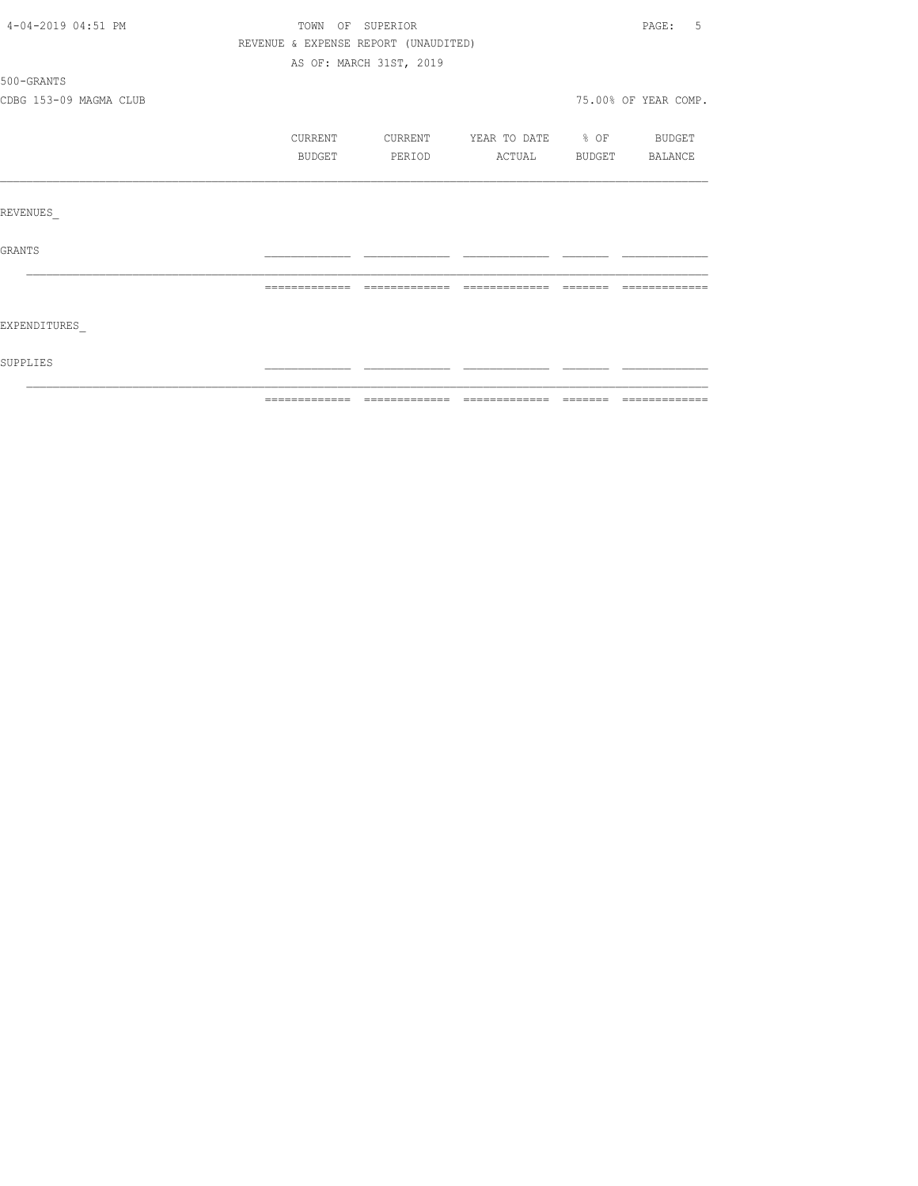|                        | REVENUE & EXPENSE REPORT (UNAUDITED) |                         |                          |          |                      |
|------------------------|--------------------------------------|-------------------------|--------------------------|----------|----------------------|
|                        |                                      | AS OF: MARCH 31ST, 2019 |                          |          |                      |
| 500-GRANTS             |                                      |                         |                          |          |                      |
| CDBG 153-09 MAGMA CLUB |                                      |                         |                          |          | 75.00% OF YEAR COMP. |
|                        | CURRENT                              | CURRENT                 | YEAR TO DATE % OF BUDGET |          |                      |
|                        | BUDGET                               | PERIOD                  | ACTUAL BUDGET BALANCE    |          |                      |
|                        |                                      |                         |                          |          |                      |
| REVENUES               |                                      |                         |                          |          |                      |
| GRANTS                 |                                      |                         |                          |          |                      |
|                        | =============                        |                         | -------------            | -------- |                      |
| EXPENDITURES           |                                      |                         |                          |          |                      |
| SUPPLIES               |                                      |                         |                          |          |                      |
|                        |                                      |                         |                          |          |                      |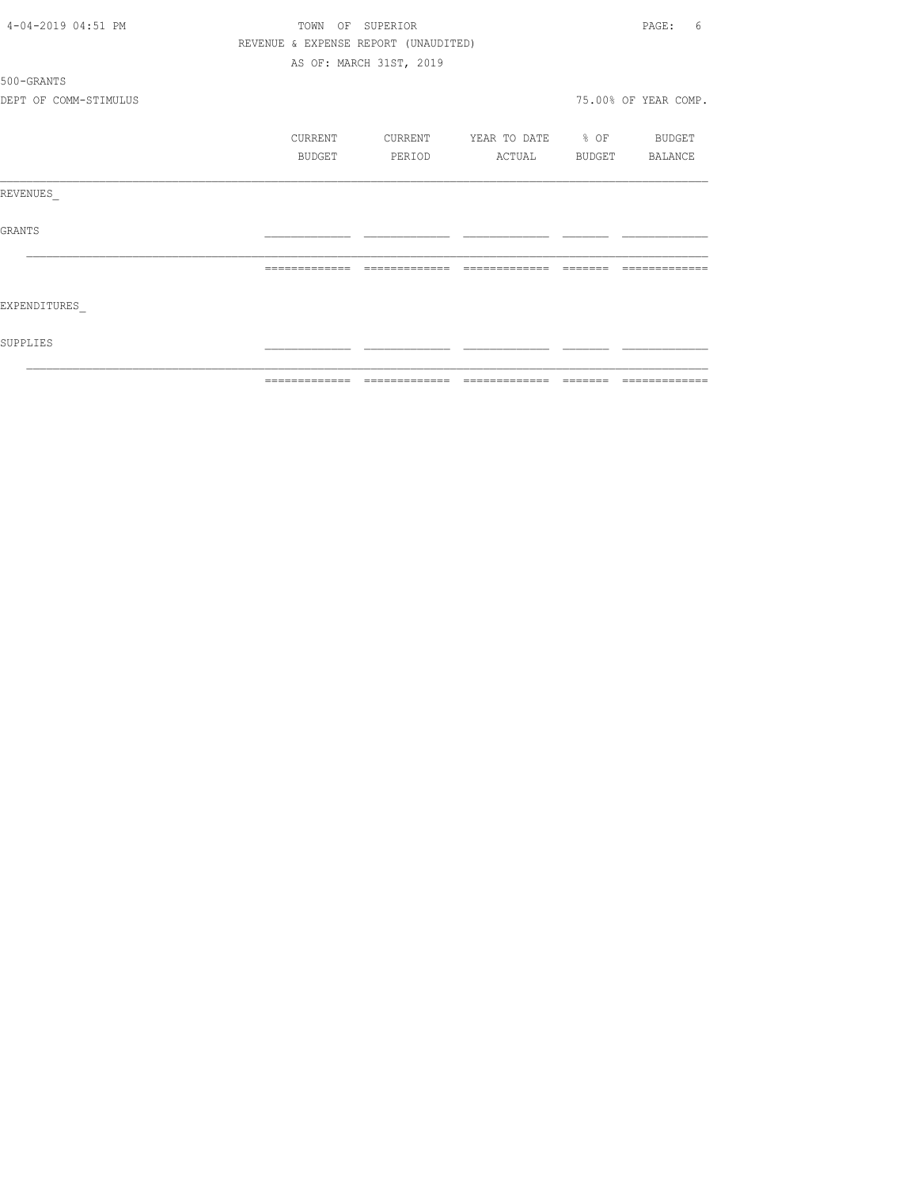|                       | =============    | -------------                        |                          |                                                                  | --------------       |
|-----------------------|------------------|--------------------------------------|--------------------------|------------------------------------------------------------------|----------------------|
| SUPPLIES              |                  |                                      |                          |                                                                  |                      |
| EXPENDITURES          |                  |                                      |                          |                                                                  |                      |
|                       | =============    | =============                        | =============            | $\qquad \qquad \equiv \equiv \equiv \equiv \equiv \equiv \equiv$ | -------------        |
| GRANTS                |                  |                                      |                          |                                                                  |                      |
| REVENUES              |                  |                                      |                          |                                                                  |                      |
|                       | BUDGET           | PERIOD                               | ACTUAL BUDGET BALANCE    |                                                                  |                      |
|                       | CURRENT          | CURRENT                              | YEAR TO DATE % OF BUDGET |                                                                  |                      |
| DEPT OF COMM-STIMULUS |                  |                                      |                          |                                                                  | 75.00% OF YEAR COMP. |
| 500-GRANTS            |                  |                                      |                          |                                                                  |                      |
|                       |                  | AS OF: MARCH 31ST, 2019              |                          |                                                                  |                      |
|                       |                  | REVENUE & EXPENSE REPORT (UNAUDITED) |                          |                                                                  |                      |
| 4-04-2019 04:51 PM    | TOWN OF SUPERIOR |                                      |                          |                                                                  | PAGE:<br>6           |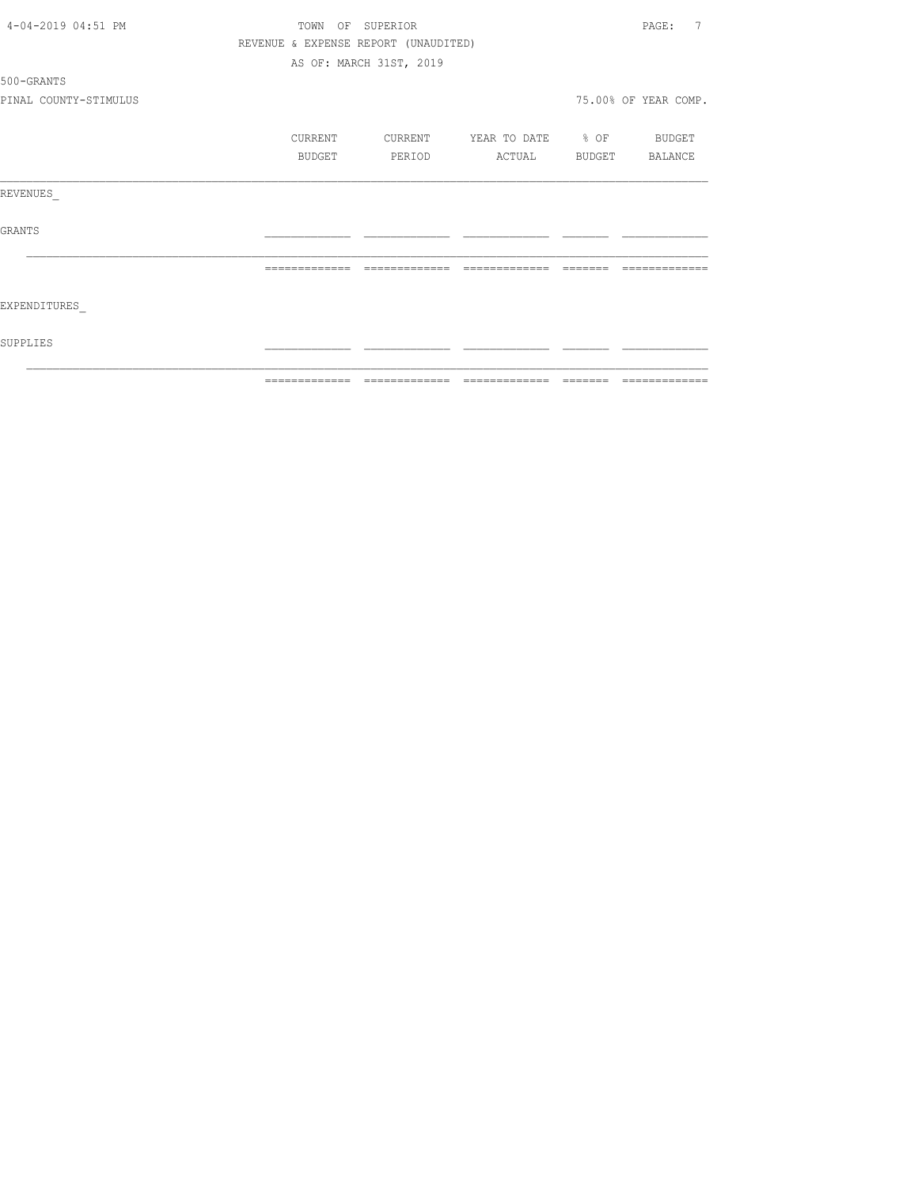|                       | =============    | -------------                        |                   | -------  | =============           |
|-----------------------|------------------|--------------------------------------|-------------------|----------|-------------------------|
| SUPPLIES              |                  |                                      |                   |          |                         |
| EXPENDITURES          |                  |                                      |                   |          |                         |
|                       | =============    | --------------                       | --------------    | -------- | -------------           |
| GRANTS                |                  |                                      |                   |          |                         |
| REVENUES              |                  |                                      |                   |          |                         |
|                       | BUDGET           | PERIOD                               | ACTUAL            | BUDGET   | BALANCE                 |
|                       | CURRENT          | CURRENT                              | YEAR TO DATE % OF |          | BUDGET                  |
| PINAL COUNTY-STIMULUS |                  |                                      |                   |          | 75.00% OF YEAR COMP.    |
| 500-GRANTS            |                  |                                      |                   |          |                         |
|                       |                  | AS OF: MARCH 31ST, 2019              |                   |          |                         |
|                       |                  | REVENUE & EXPENSE REPORT (UNAUDITED) |                   |          |                         |
| 4-04-2019 04:51 PM    | TOWN OF SUPERIOR |                                      |                   |          | $\overline{7}$<br>PAGE: |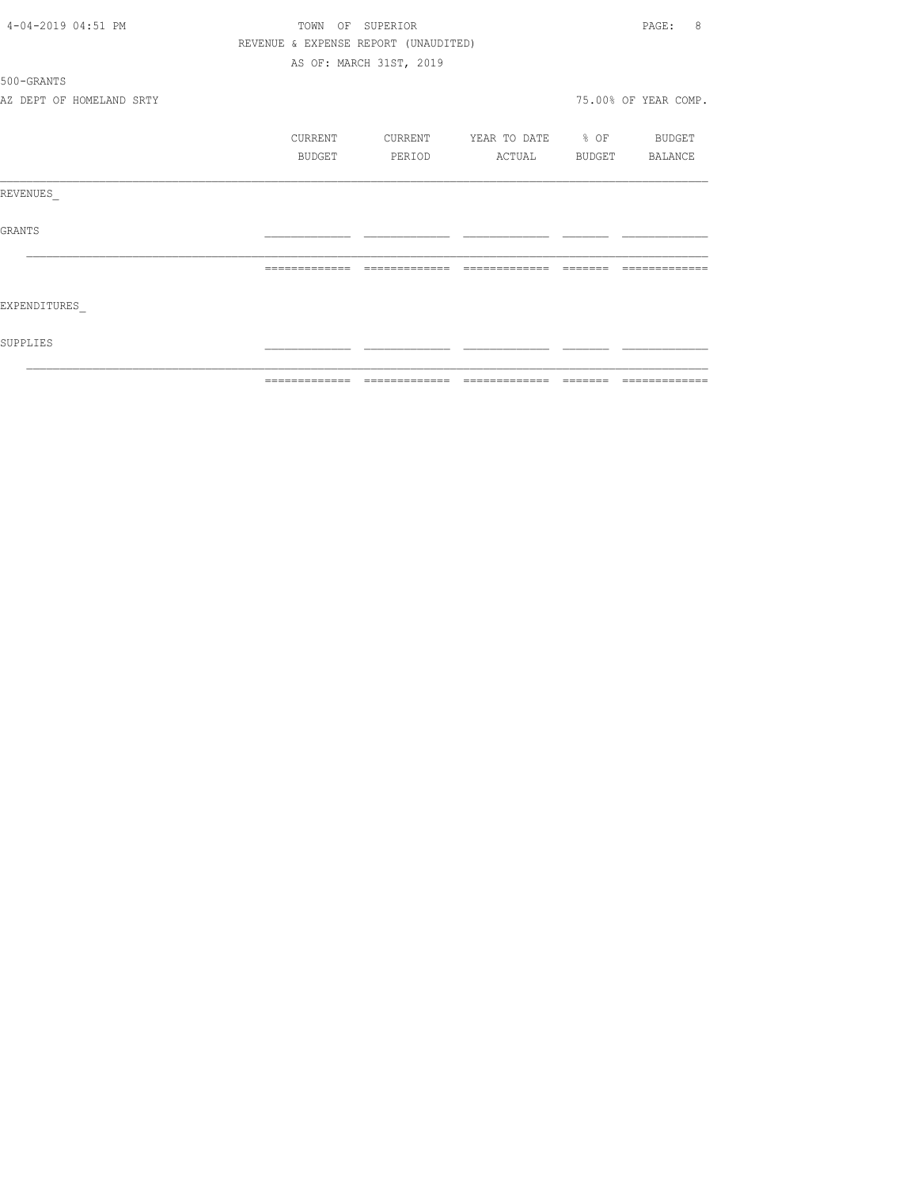| 4-04-2019 04:51 PM       | TOWN<br>OF                           | SUPERIOR                                                                                                                                                                                                                                                                                                                                                                                                                                                         |                                                                                                                                                                                                                                                                                                                                                                                                                                                                  |          | 8<br>PAGE:           |
|--------------------------|--------------------------------------|------------------------------------------------------------------------------------------------------------------------------------------------------------------------------------------------------------------------------------------------------------------------------------------------------------------------------------------------------------------------------------------------------------------------------------------------------------------|------------------------------------------------------------------------------------------------------------------------------------------------------------------------------------------------------------------------------------------------------------------------------------------------------------------------------------------------------------------------------------------------------------------------------------------------------------------|----------|----------------------|
|                          | REVENUE & EXPENSE REPORT (UNAUDITED) |                                                                                                                                                                                                                                                                                                                                                                                                                                                                  |                                                                                                                                                                                                                                                                                                                                                                                                                                                                  |          |                      |
|                          |                                      | AS OF: MARCH 31ST, 2019                                                                                                                                                                                                                                                                                                                                                                                                                                          |                                                                                                                                                                                                                                                                                                                                                                                                                                                                  |          |                      |
| 500-GRANTS               |                                      |                                                                                                                                                                                                                                                                                                                                                                                                                                                                  |                                                                                                                                                                                                                                                                                                                                                                                                                                                                  |          |                      |
| AZ DEPT OF HOMELAND SRTY |                                      |                                                                                                                                                                                                                                                                                                                                                                                                                                                                  |                                                                                                                                                                                                                                                                                                                                                                                                                                                                  |          | 75.00% OF YEAR COMP. |
|                          | CURRENT                              | CURRENT                                                                                                                                                                                                                                                                                                                                                                                                                                                          | YEAR TO DATE % OF                                                                                                                                                                                                                                                                                                                                                                                                                                                |          | BUDGET               |
|                          | BUDGET                               | PERIOD                                                                                                                                                                                                                                                                                                                                                                                                                                                           | ACTUAL                                                                                                                                                                                                                                                                                                                                                                                                                                                           | BUDGET   | BALANCE              |
| REVENUES                 |                                      |                                                                                                                                                                                                                                                                                                                                                                                                                                                                  |                                                                                                                                                                                                                                                                                                                                                                                                                                                                  |          |                      |
| GRANTS                   |                                      |                                                                                                                                                                                                                                                                                                                                                                                                                                                                  |                                                                                                                                                                                                                                                                                                                                                                                                                                                                  |          |                      |
|                          |                                      | -------------                                                                                                                                                                                                                                                                                                                                                                                                                                                    |                                                                                                                                                                                                                                                                                                                                                                                                                                                                  |          |                      |
| EXPENDITURES             |                                      |                                                                                                                                                                                                                                                                                                                                                                                                                                                                  |                                                                                                                                                                                                                                                                                                                                                                                                                                                                  |          |                      |
| SUPPLIES                 |                                      |                                                                                                                                                                                                                                                                                                                                                                                                                                                                  |                                                                                                                                                                                                                                                                                                                                                                                                                                                                  |          |                      |
|                          | =============                        | $\begin{array}{c} \multicolumn{2}{c} {\textbf{2.4}} & \multicolumn{2}{c} {\textbf{2.5}} & \multicolumn{2}{c} {\textbf{2.6}} \\ \multicolumn{2}{c} {\textbf{2.6}} & \multicolumn{2}{c} {\textbf{2.6}} & \multicolumn{2}{c} {\textbf{2.6}} \\ \multicolumn{2}{c} {\textbf{2.6}} & \multicolumn{2}{c} {\textbf{2.6}} & \multicolumn{2}{c} {\textbf{2.6}} \\ \multicolumn{2}{c} {\textbf{2.6}} & \multicolumn{2}{c} {\textbf{2.6}} & \multicolumn{2}{c} {\textbf{2.$ | $\begin{array}{c} \multicolumn{2}{c} {\textbf{2.4}} & \multicolumn{2}{c} {\textbf{2.5}} & \multicolumn{2}{c} {\textbf{2.6}} \\ \multicolumn{2}{c} {\textbf{2.6}} & \multicolumn{2}{c} {\textbf{2.6}} & \multicolumn{2}{c} {\textbf{2.6}} \\ \multicolumn{2}{c} {\textbf{2.6}} & \multicolumn{2}{c} {\textbf{2.6}} & \multicolumn{2}{c} {\textbf{2.6}} \\ \multicolumn{2}{c} {\textbf{2.6}} & \multicolumn{2}{c} {\textbf{2.6}} & \multicolumn{2}{c} {\textbf{2.$ | -------- | =============        |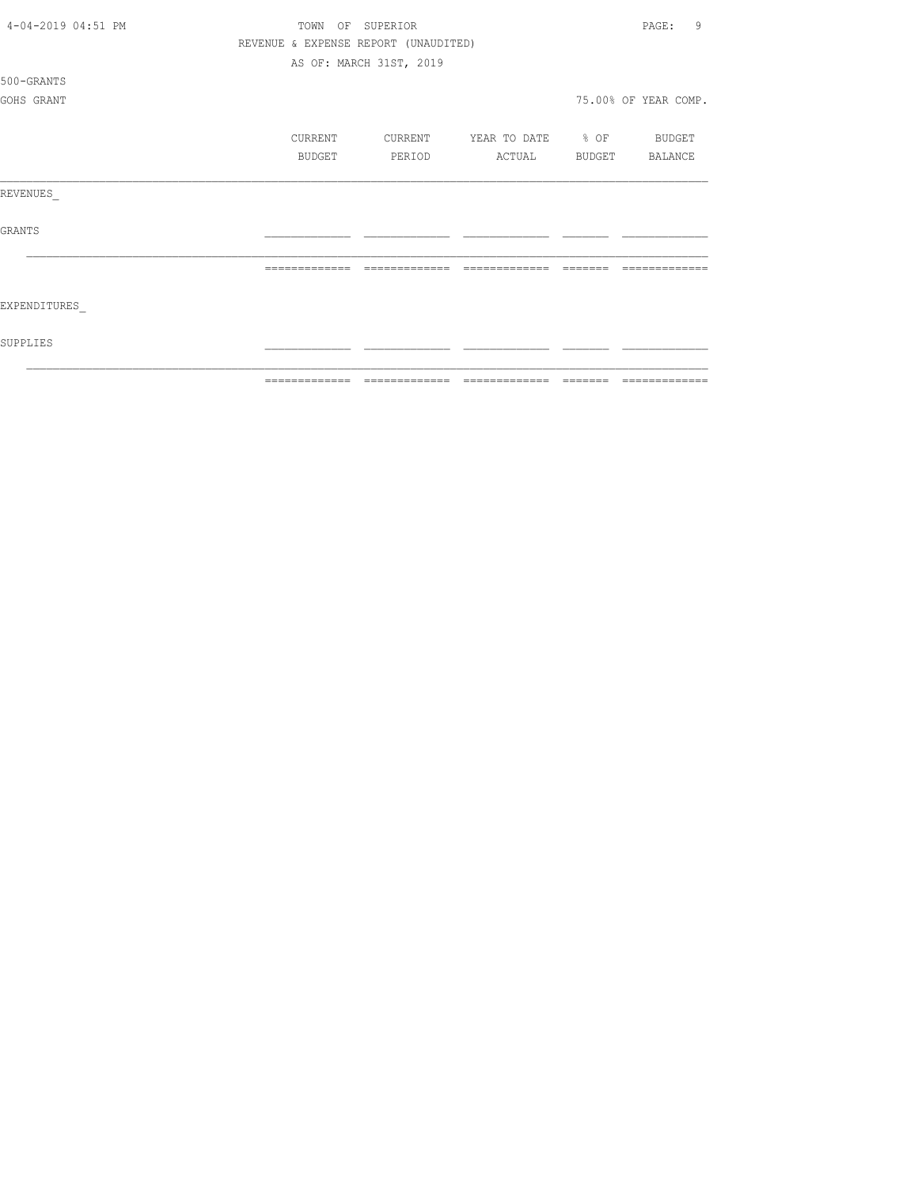| 4-04-2019 04:51 PM | TOWN           |         | OF SUPERIOR                          |                   |          | 9<br>PAGE:           |
|--------------------|----------------|---------|--------------------------------------|-------------------|----------|----------------------|
|                    |                |         | REVENUE & EXPENSE REPORT (UNAUDITED) |                   |          |                      |
|                    |                |         | AS OF: MARCH 31ST, 2019              |                   |          |                      |
| 500-GRANTS         |                |         |                                      |                   |          |                      |
| GOHS GRANT         |                |         |                                      |                   |          | 75.00% OF YEAR COMP. |
|                    |                |         |                                      |                   |          |                      |
|                    |                | CURRENT | CURRENT                              | YEAR TO DATE % OF |          | BUDGET               |
|                    |                | BUDGET  | PERIOD                               | ACTUAL            | BUDGET   | BALANCE              |
|                    |                |         |                                      |                   |          |                      |
| REVENUES           |                |         |                                      |                   |          |                      |
|                    |                |         |                                      |                   |          |                      |
| <b>GRANTS</b>      |                |         |                                      |                   |          |                      |
|                    |                |         |                                      |                   |          |                      |
|                    | =============  |         | -------------                        | ------<br>---     |          |                      |
|                    |                |         |                                      |                   |          |                      |
| EXPENDITURES       |                |         |                                      |                   |          |                      |
|                    |                |         |                                      |                   |          |                      |
| SUPPLIES           |                |         |                                      |                   |          |                      |
|                    |                |         |                                      |                   |          |                      |
|                    | -------------- |         |                                      | -------------     | -------- | -------------        |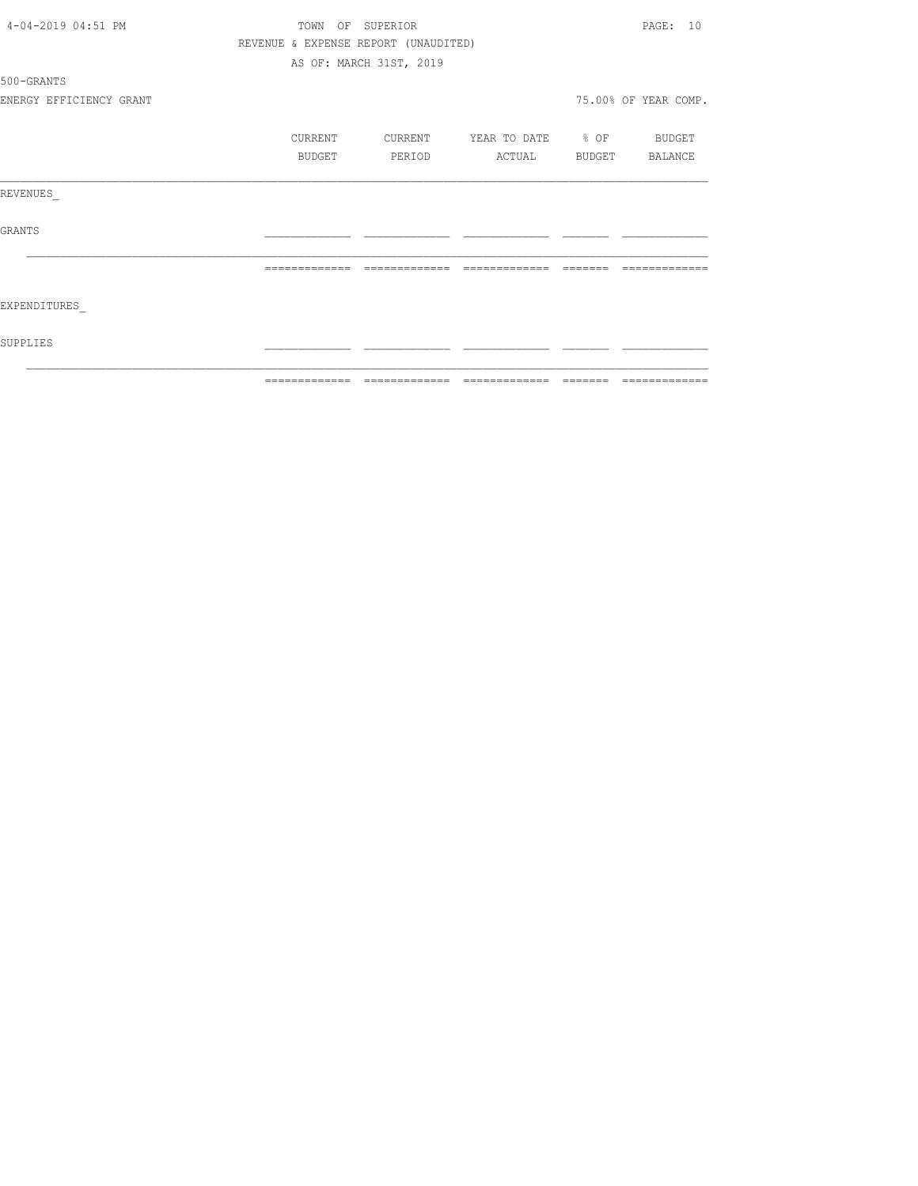|                         | =============    | $\qquad \qquad = \qquad \qquad = \qquad \qquad =$ |                       | -------- | =============        |
|-------------------------|------------------|---------------------------------------------------|-----------------------|----------|----------------------|
| SUPPLIES                |                  |                                                   |                       |          |                      |
| EXPENDITURES            |                  |                                                   |                       |          |                      |
|                         | -------------    | =============                                     | =============         | -------- |                      |
| GRANTS                  |                  |                                                   |                       |          |                      |
| REVENUES                |                  |                                                   |                       |          |                      |
|                         | BUDGET           | PERIOD                                            | ACTUAL BUDGET BALANCE |          |                      |
|                         | CURRENT          | CURRENT                                           | YEAR TO DATE % OF     |          | <b>BUDGET</b>        |
| ENERGY EFFICIENCY GRANT |                  |                                                   |                       |          | 75.00% OF YEAR COMP. |
| 500-GRANTS              |                  |                                                   |                       |          |                      |
|                         |                  | AS OF: MARCH 31ST, 2019                           |                       |          |                      |
|                         |                  | REVENUE & EXPENSE REPORT (UNAUDITED)              |                       |          |                      |
| 4-04-2019 04:51 PM      | TOWN OF SUPERIOR |                                                   |                       |          | PAGE: 10             |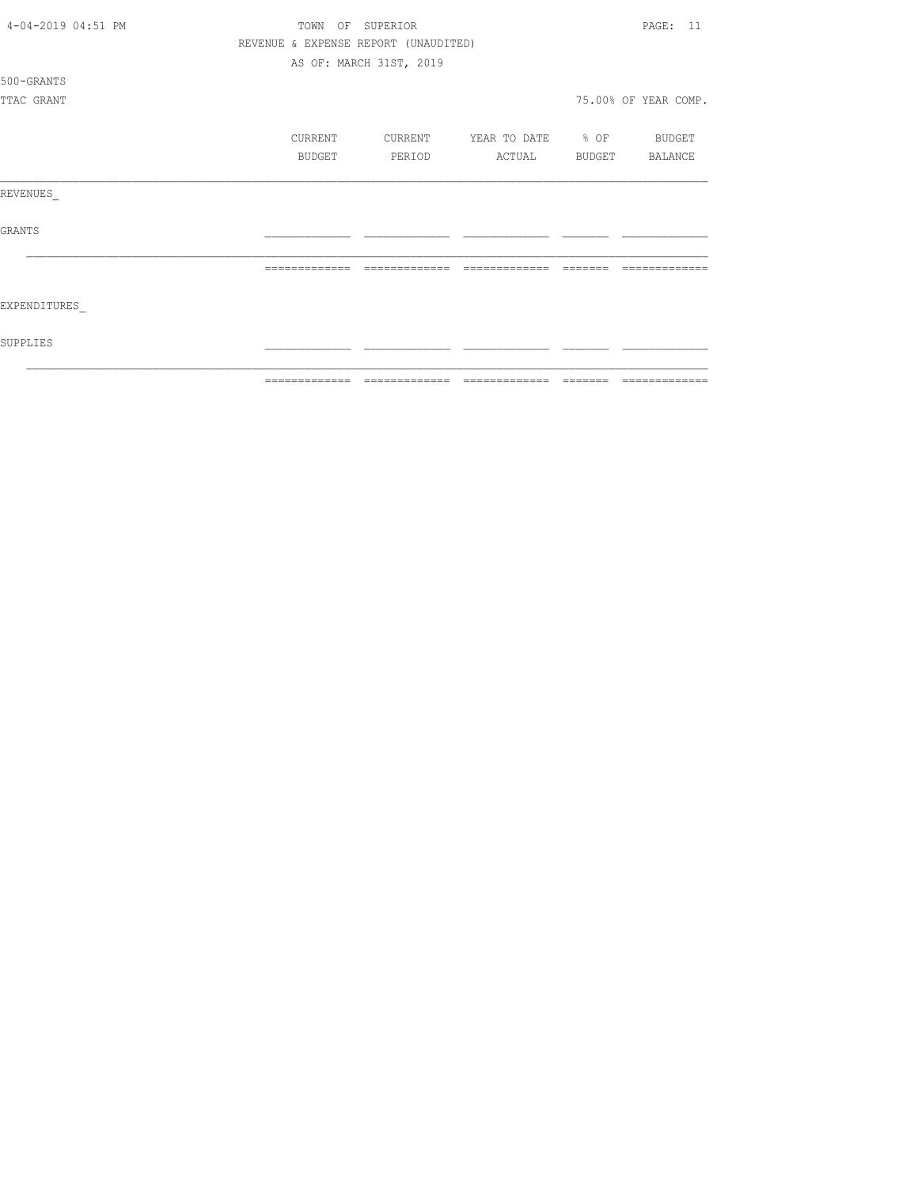| 4-04-2019 04:51 PM | TOWN           | OF SUPERIOR                          |                   |                 | 11<br>PAGE:          |
|--------------------|----------------|--------------------------------------|-------------------|-----------------|----------------------|
|                    |                | REVENUE & EXPENSE REPORT (UNAUDITED) |                   |                 |                      |
|                    |                | AS OF: MARCH 31ST, 2019              |                   |                 |                      |
| 500-GRANTS         |                |                                      |                   |                 |                      |
| TTAC GRANT         |                |                                      |                   |                 | 75.00% OF YEAR COMP. |
|                    |                |                                      |                   |                 |                      |
|                    | CURRENT        | CURRENT                              | YEAR TO DATE % OF |                 | BUDGET               |
|                    | BUDGET         | PERIOD                               | ACTUAL            |                 | BUDGET BALANCE       |
|                    |                |                                      |                   |                 |                      |
| REVENUES           |                |                                      |                   |                 |                      |
|                    |                |                                      |                   |                 |                      |
| <b>GRANTS</b>      |                |                                      |                   |                 |                      |
|                    |                |                                      |                   |                 |                      |
|                    | =============  | -------------                        | =============     |                 |                      |
|                    |                |                                      |                   |                 |                      |
| EXPENDITURES       |                |                                      |                   |                 |                      |
| SUPPLIES           |                |                                      |                   |                 |                      |
|                    |                |                                      |                   |                 |                      |
|                    | -------------- | -------------                        | -------------     | $- - - - - - -$ | --------------       |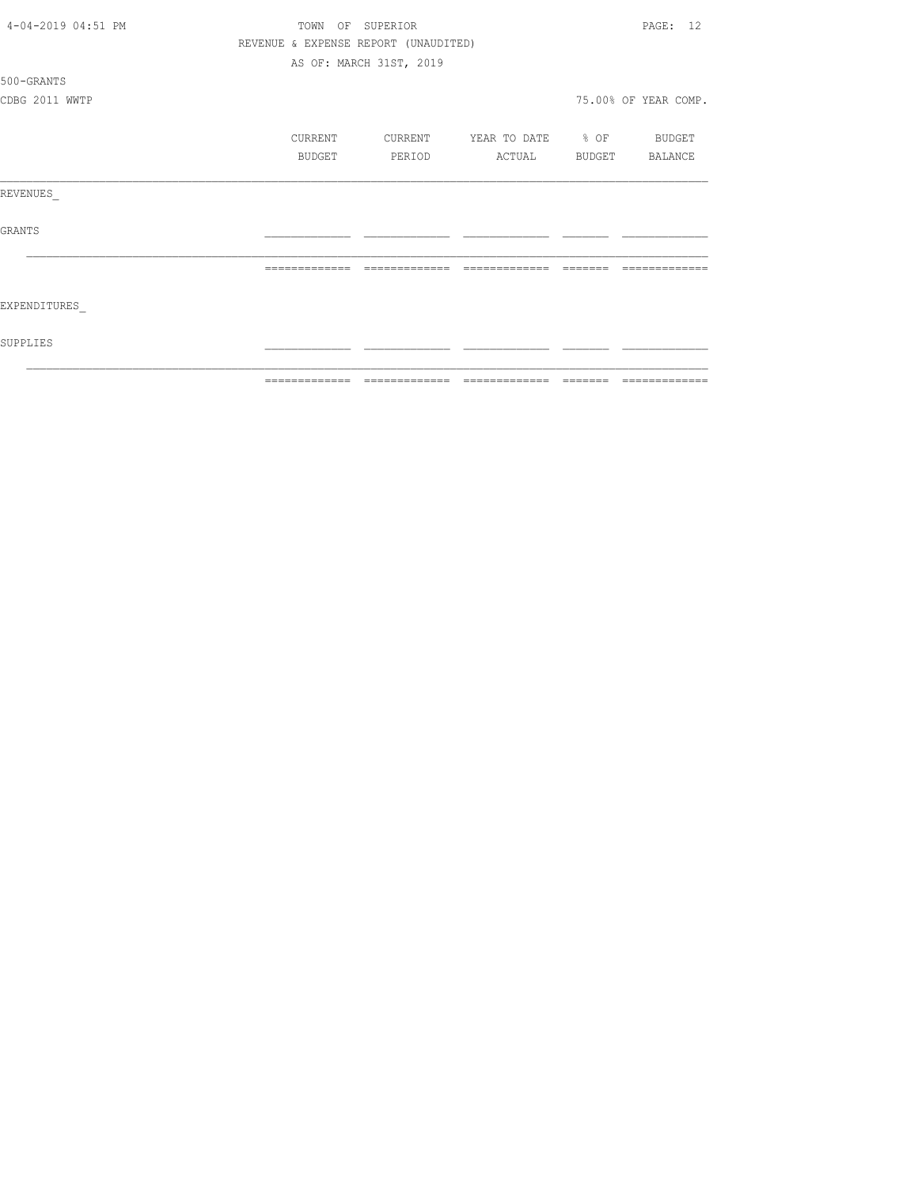| 4-04-2019 04:51 PM | TOWN<br>OF    | SUPERIOR                             |                   |                         | PAGE: 12             |
|--------------------|---------------|--------------------------------------|-------------------|-------------------------|----------------------|
|                    |               | REVENUE & EXPENSE REPORT (UNAUDITED) |                   |                         |                      |
|                    |               | AS OF: MARCH 31ST, 2019              |                   |                         |                      |
| 500-GRANTS         |               |                                      |                   |                         |                      |
| CDBG 2011 WWTP     |               |                                      |                   |                         | 75.00% OF YEAR COMP. |
|                    | CURRENT       | CURRENT                              | YEAR TO DATE % OF |                         | BUDGET               |
|                    | BUDGET        | PERIOD                               | ACTUAL            | BUDGET                  | BALANCE              |
| REVENUES           |               |                                      |                   |                         |                      |
| GRANTS             |               |                                      |                   |                         |                      |
|                    | ------------- | =============                        | --------------    |                         |                      |
| EXPENDITURES       |               |                                      |                   |                         |                      |
| SUPPLIES           |               |                                      |                   |                         |                      |
|                    | ------------- | =============                        | =============     | $=$ $=$ $=$ $=$ $=$ $=$ | =============        |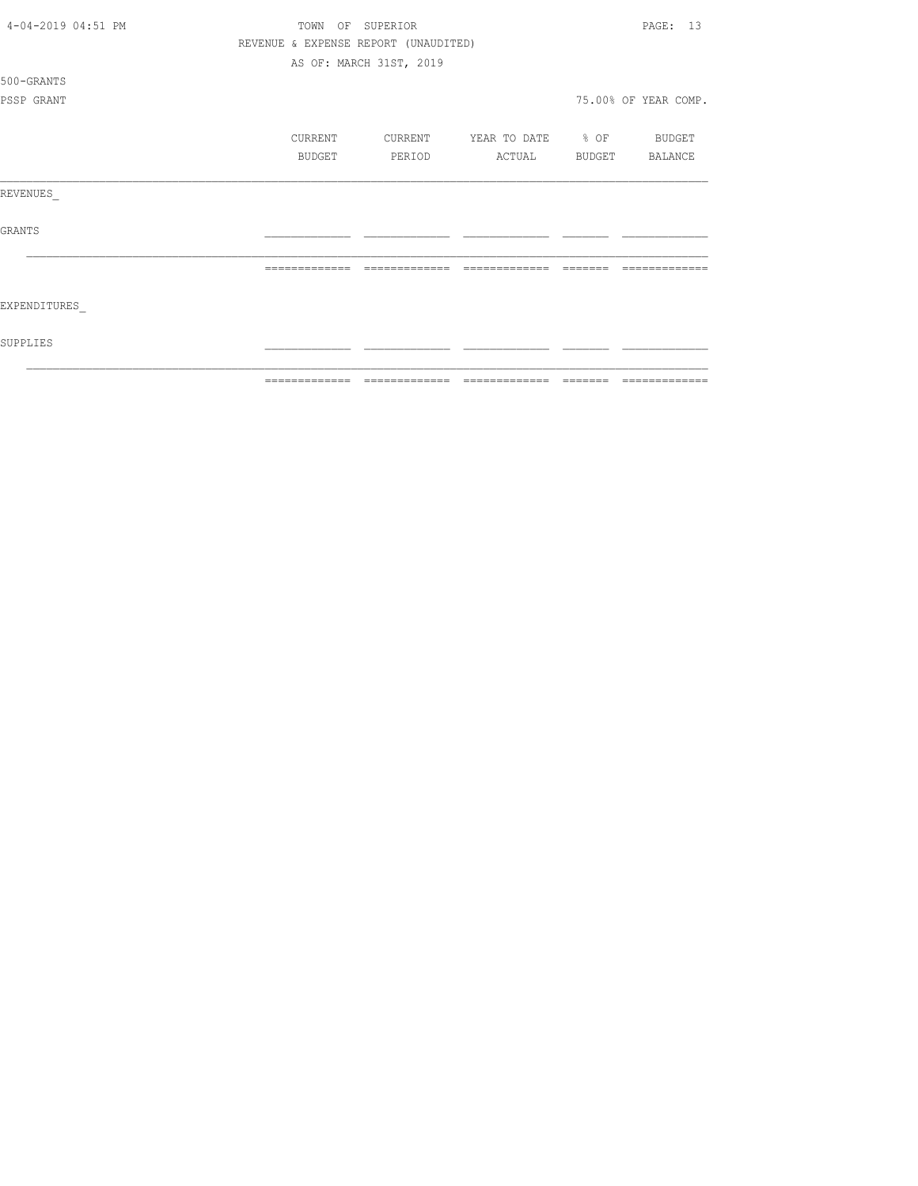| 4-04-2019 04:51 PM | TOWN          | OF<br>SUPERIOR                       |                   |        | PAGE: 13             |
|--------------------|---------------|--------------------------------------|-------------------|--------|----------------------|
|                    |               | REVENUE & EXPENSE REPORT (UNAUDITED) |                   |        |                      |
|                    |               | AS OF: MARCH 31ST, 2019              |                   |        |                      |
| 500-GRANTS         |               |                                      |                   |        |                      |
| PSSP GRANT         |               |                                      |                   |        | 75.00% OF YEAR COMP. |
|                    |               |                                      |                   |        |                      |
|                    | CURRENT       | CURRENT                              | YEAR TO DATE % OF |        | BUDGET               |
|                    | BUDGET        | PERIOD                               | ACTUAL            | BUDGET | BALANCE              |
| REVENUES           |               |                                      |                   |        |                      |
| <b>GRANTS</b>      |               |                                      |                   |        |                      |
|                    | ------------- |                                      |                   |        |                      |
| EXPENDITURES       |               |                                      |                   |        |                      |
| SUPPLIES           |               |                                      |                   |        |                      |
|                    | ------------- |                                      | -------------     |        |                      |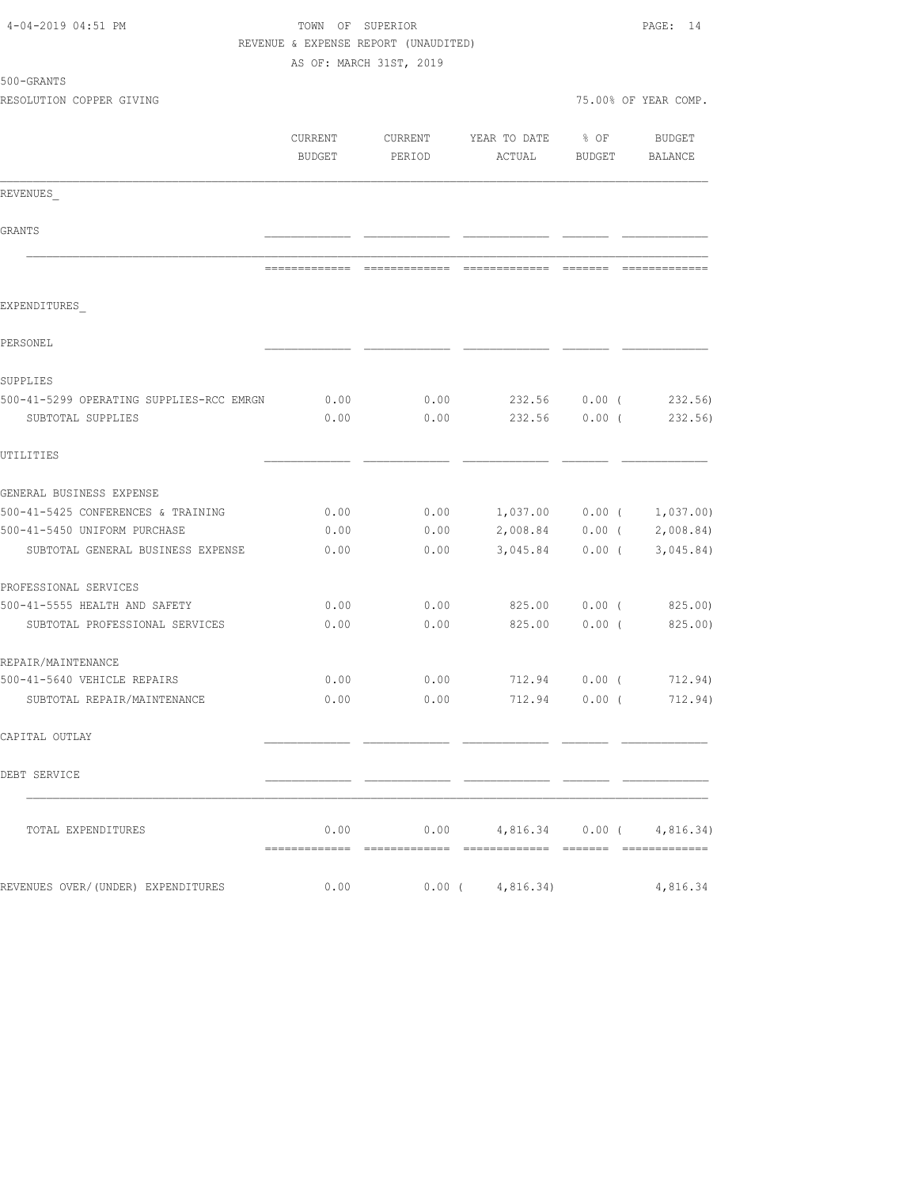| 4-04-2019 04:51 PM                                            |              | TOWN OF SUPERIOR<br>REVENUE & EXPENSE REPORT (UNAUDITED)<br>AS OF: MARCH 31ST, 2019 |                                        |                   |                                              |  |
|---------------------------------------------------------------|--------------|-------------------------------------------------------------------------------------|----------------------------------------|-------------------|----------------------------------------------|--|
| 500-GRANTS                                                    |              |                                                                                     |                                        |                   |                                              |  |
| RESOLUTION COPPER GIVING                                      |              |                                                                                     |                                        |                   | 75.00% OF YEAR COMP.                         |  |
|                                                               | BUDGET       | PERIOD                                                                              | CURRENT CURRENT YEAR TO DATE<br>ACTUAL | $8$ OF            | BUDGET<br>BUDGET BALANCE                     |  |
| REVENUES                                                      |              |                                                                                     |                                        |                   |                                              |  |
| GRANTS                                                        |              |                                                                                     |                                        |                   |                                              |  |
|                                                               |              |                                                                                     |                                        |                   |                                              |  |
| EXPENDITURES                                                  |              |                                                                                     |                                        |                   |                                              |  |
| PERSONEL                                                      |              |                                                                                     |                                        |                   |                                              |  |
| SUPPLIES                                                      |              |                                                                                     |                                        |                   |                                              |  |
| 500-41-5299 OPERATING SUPPLIES-RCC EMRGN<br>SUBTOTAL SUPPLIES | 0.00<br>0.00 | 0.00<br>0.00                                                                        |                                        |                   | 232.56 0.00 (232.56)<br>232.56 0.00 (232.56) |  |
| UTILITIES                                                     |              |                                                                                     |                                        |                   |                                              |  |
| GENERAL BUSINESS EXPENSE                                      |              |                                                                                     |                                        |                   |                                              |  |
| 500-41-5425 CONFERENCES & TRAINING                            | 0.00         |                                                                                     | $0.00$ 1,037.00 0.00 ( 1,037.00)       |                   |                                              |  |
| 500-41-5450 UNIFORM PURCHASE                                  | 0.00         |                                                                                     | $0.00$ 2,008.84 0.00 ( 2,008.84)       |                   |                                              |  |
| SUBTOTAL GENERAL BUSINESS EXPENSE                             | 0.00         | 0.00                                                                                |                                        | $3,045.84$ 0.00 ( | 3,045.84)                                    |  |
| PROFESSIONAL SERVICES                                         |              |                                                                                     |                                        |                   |                                              |  |
| 500-41-5555 HEALTH AND SAFETY                                 | 0.00         | 0.00                                                                                |                                        |                   | 825.00   0.00   (825.00)                     |  |
| SUBTOTAL PROFESSIONAL SERVICES                                | 0.00         | 0.00                                                                                |                                        |                   | 825.00 0.00 (825.00)                         |  |
| REPAIR/MAINTENANCE                                            |              |                                                                                     |                                        |                   |                                              |  |
| 500-41-5640 VEHICLE REPAIRS                                   | 0.00         | 0.00                                                                                | 712.94                                 |                   | $0.00$ ( $712.94$ )                          |  |
| SUBTOTAL REPAIR/MAINTENANCE                                   | 0.00         |                                                                                     | $0.00$ 712.94 0.00 ( 712.94)           |                   |                                              |  |
| CAPITAL OUTLAY                                                |              |                                                                                     |                                        |                   |                                              |  |
| DEBT SERVICE                                                  |              |                                                                                     |                                        |                   |                                              |  |
| TOTAL EXPENDITURES                                            | 0.00         |                                                                                     | $0.00$ 4,816.34 0.00 ( 4,816.34)       |                   |                                              |  |
| REVENUES OVER/(UNDER) EXPENDITURES                            | 0.00         |                                                                                     | $0.00$ ( $4,816.34$ )                  |                   | 4,816.34                                     |  |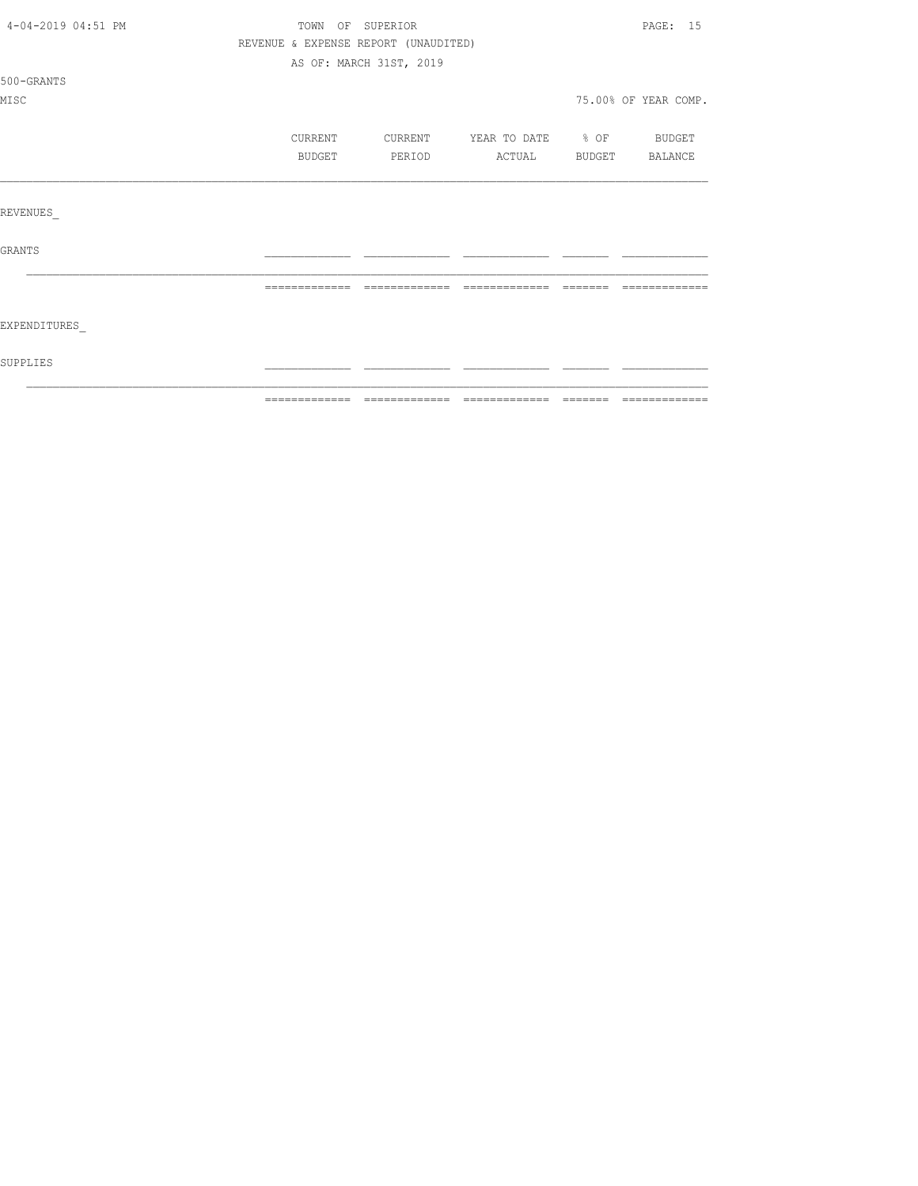| 4-04-2019 04:51 PM | TOWN OF SUPERIOR                     |                         |                   |         | PAGE: 15             |
|--------------------|--------------------------------------|-------------------------|-------------------|---------|----------------------|
|                    | REVENUE & EXPENSE REPORT (UNAUDITED) |                         |                   |         |                      |
|                    |                                      | AS OF: MARCH 31ST, 2019 |                   |         |                      |
| 500-GRANTS         |                                      |                         |                   |         |                      |
| MISC               |                                      |                         |                   |         | 75.00% OF YEAR COMP. |
|                    | CURRENT                              | CURRENT                 | YEAR TO DATE % OF |         | BUDGET               |
|                    | BUDGET                               | PERIOD                  | ACTUAL            | BUDGET  | BALANCE              |
|                    |                                      |                         |                   |         |                      |
| REVENUES           |                                      |                         |                   |         |                      |
| GRANTS             |                                      |                         |                   |         |                      |
|                    | =============                        | =============           | =============     | ======= | =============        |
| EXPENDITURES       |                                      |                         |                   |         |                      |
| SUPPLIES           |                                      |                         |                   |         |                      |
|                    |                                      |                         |                   |         |                      |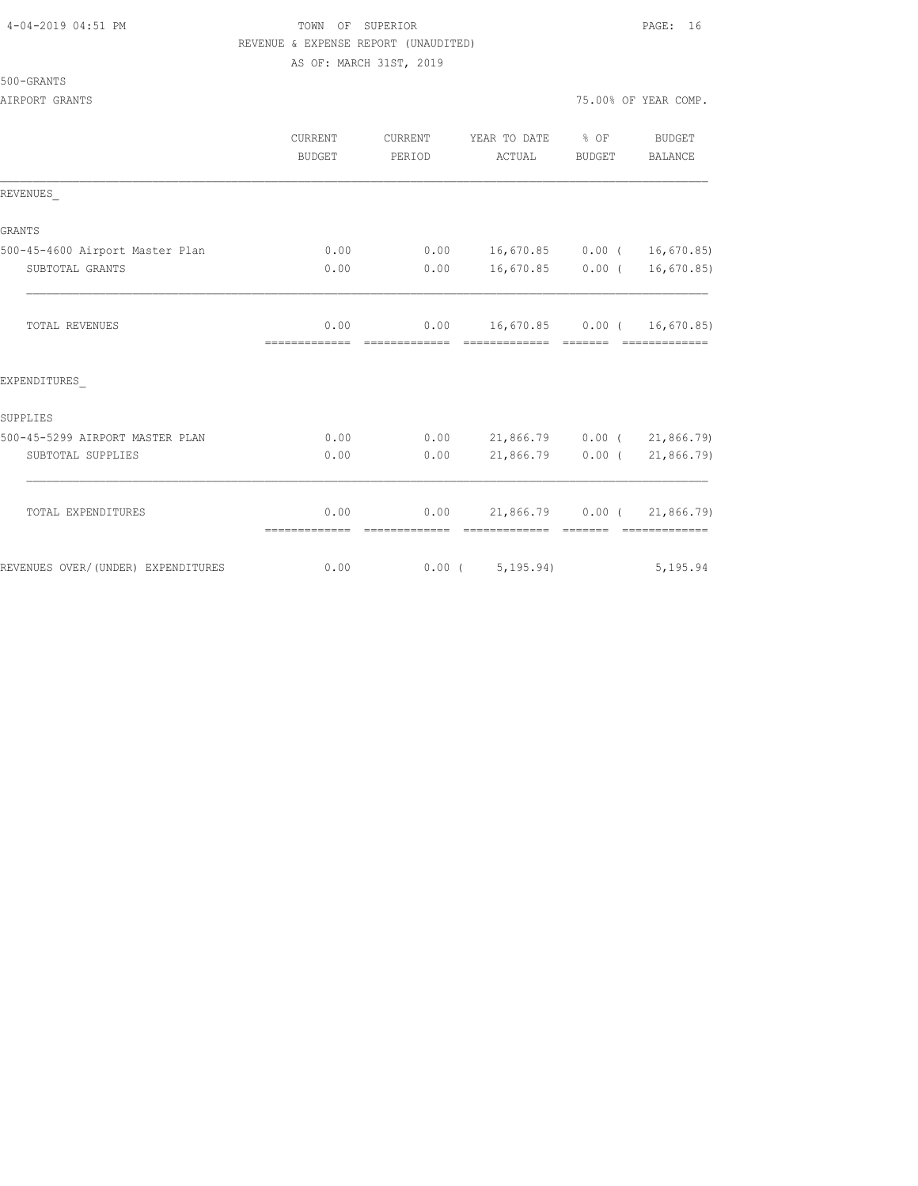### 4-04-2019 04:51 PM TOWN OF SUPERIOR PAGE: 16 REVENUE & EXPENSE REPORT (UNAUDITED) AS OF: MARCH 31ST, 2019

| 500-GRANTS |
|------------|
|------------|

AIRPORT GRANTS AND RESERVE AND RESERVE AND RESERVE AND RESERVE AND RESERVE AND RESERVE AND RESERVE AND RESERVE

|                                 | <b>CURRENT</b><br><b>BUDGET</b> | CURRENT<br>PERIOD | YEAR TO DATE % OF<br>ACTUAL   | BUDGET   | <b>BUDGET</b><br>BALANCE |
|---------------------------------|---------------------------------|-------------------|-------------------------------|----------|--------------------------|
| REVENUES                        |                                 |                   |                               |          |                          |
| <b>GRANTS</b>                   |                                 |                   |                               |          |                          |
| 500-45-4600 Airport Master Plan | 0.00                            | 0.00              | 16,670.85 0.00 ( 16,670.85)   |          |                          |
| SUBTOTAL GRANTS                 | 0.00                            | 0.00              | 16,670.85                     | $0.00$ ( | 16,670.85                |
| <b>TOTAL REVENUES</b>           | 0.00                            | 0.00              | $16,670.85$ 0.00 ( 16,670.85) |          |                          |
| EXPENDITURES                    |                                 |                   |                               |          |                          |
| SUPPLIES                        |                                 |                   |                               |          |                          |
| 500-45-5299 AIRPORT MASTER PLAN | 0.00                            | 0.00              | 21,866.79 0.00 (21,866.79)    |          |                          |
| SUBTOTAL SUPPLIES               | 0.00                            | 0.00              | $21,866.79$ 0.00 (            |          | 21,866.79)               |
| TOTAL EXPENDITURES              | 0.00                            | 0.00              | 21,866.79                     | 0.00(    | 21,866.79)               |

REVENUES OVER/(UNDER) EXPENDITURES 0.00 0.00 0.00 (5,195.94) 5,195.94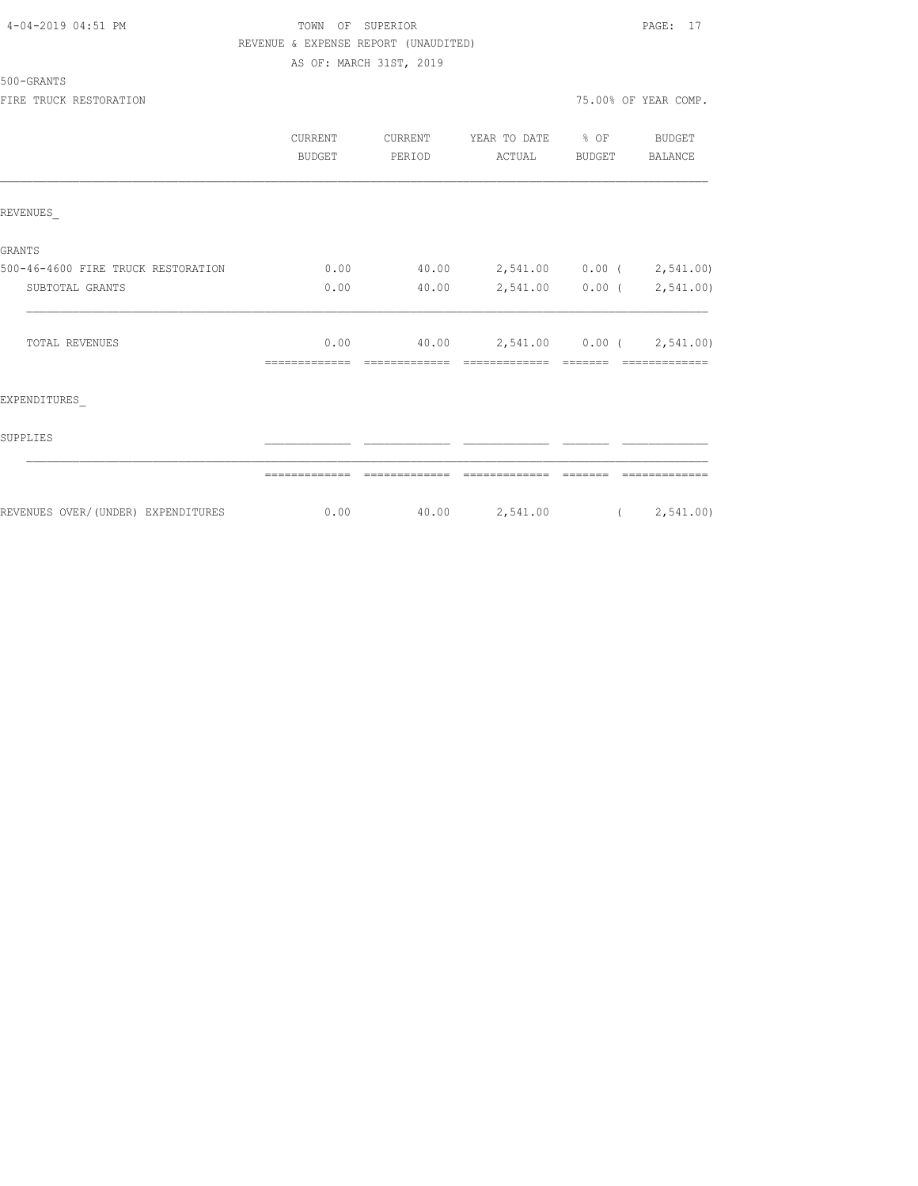| 4-04-2019 04:51 PM |  |
|--------------------|--|
|                    |  |

### TOWN OF SUPERIOR **Example 2019** PAGE: 17 REVENUE & EXPENSE REPORT (UNAUDITED) AS OF: MARCH 31ST, 2019

500-GRANTS

FIRE TRUCK RESTORATION 75.00% OF YEAR COMP.

|                                     | CURRENT<br><b>BUDGET</b> | CURRENT<br>PERIOD | YEAR TO DATE<br>ACTUAL    | $\frac{8}{3}$ OF<br><b>BUDGET</b> | <b>BUDGET</b><br><b>BALANCE</b> |
|-------------------------------------|--------------------------|-------------------|---------------------------|-----------------------------------|---------------------------------|
| REVENUES                            |                          |                   |                           |                                   |                                 |
| <b>GRANTS</b>                       |                          |                   |                           |                                   |                                 |
| 500-46-4600 FIRE TRUCK RESTORATION  | 0.00                     | 40.00             | 2,541.00 0.00 ( 2,541.00) |                                   |                                 |
| SUBTOTAL GRANTS                     | 0.00                     | 40.00             | 2,541.00 0.00 ( 2,541.00) |                                   |                                 |
| <b>TOTAL REVENUES</b>               | 0.00                     | 40.00             | 2,541.00 0.00 ( 2,541.00) |                                   |                                 |
| EXPENDITURES                        |                          |                   |                           |                                   |                                 |
| SUPPLIES                            |                          |                   |                           |                                   |                                 |
|                                     |                          |                   |                           |                                   |                                 |
| REVENUES OVER/ (UNDER) EXPENDITURES | 0.00                     | 40.00             | 2,541.00                  |                                   | (2, 541.00)                     |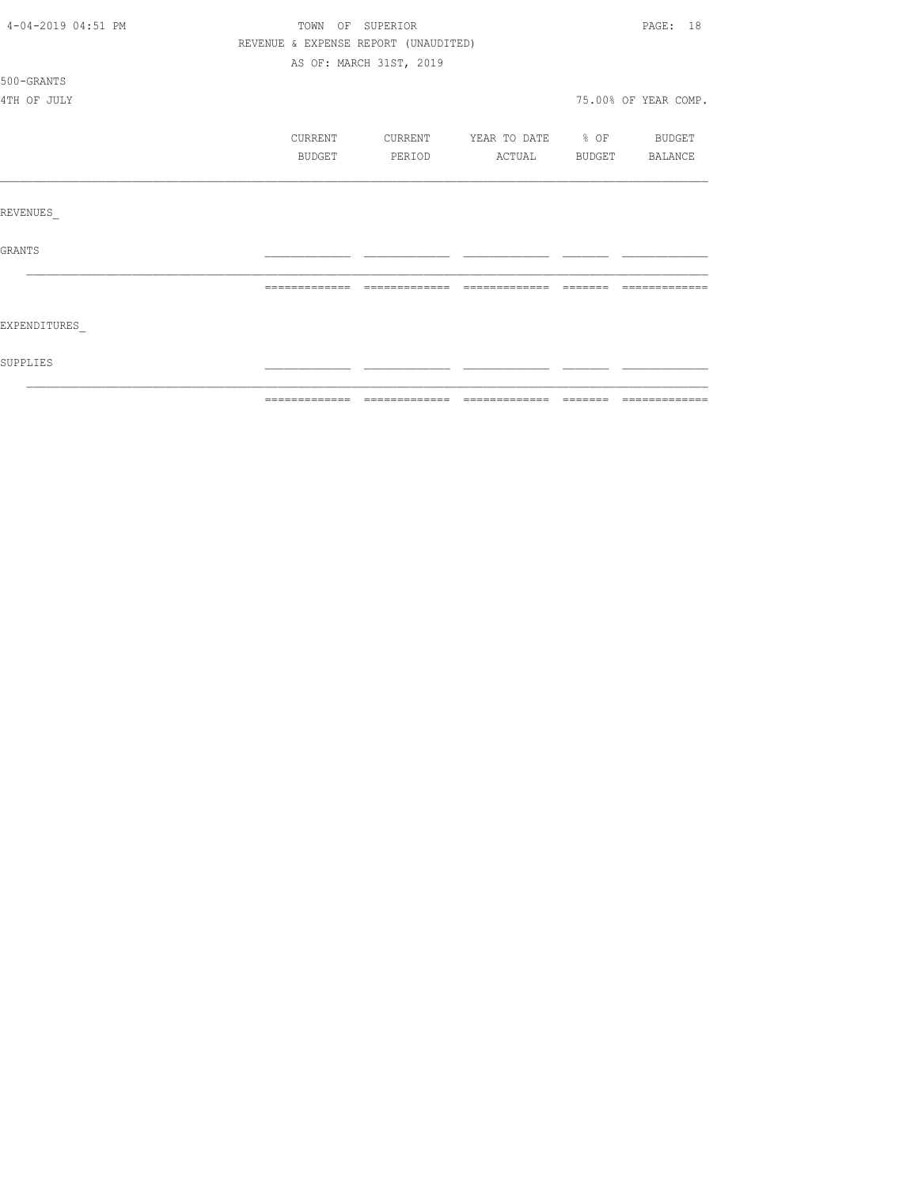| SUPPLIES           |                                      |                         |                          |                                                                  |                      |
|--------------------|--------------------------------------|-------------------------|--------------------------|------------------------------------------------------------------|----------------------|
| EXPENDITURES       |                                      |                         |                          |                                                                  |                      |
|                    | =============                        | --------------          | --------------           | $\qquad \qquad \equiv \equiv \equiv \equiv \equiv \equiv \equiv$ | -------------        |
| GRANTS             |                                      |                         |                          |                                                                  |                      |
| REVENUES           |                                      |                         |                          |                                                                  |                      |
|                    |                                      |                         |                          |                                                                  |                      |
|                    | BUDGET                               | PERIOD                  | ACTUAL BUDGET BALANCE    |                                                                  |                      |
|                    | CURRENT                              | CURRENT                 | YEAR TO DATE % OF BUDGET |                                                                  |                      |
| 4TH OF JULY        |                                      |                         |                          |                                                                  | 75.00% OF YEAR COMP. |
| 500-GRANTS         |                                      |                         |                          |                                                                  |                      |
|                    |                                      | AS OF: MARCH 31ST, 2019 |                          |                                                                  |                      |
|                    | REVENUE & EXPENSE REPORT (UNAUDITED) |                         |                          |                                                                  |                      |
| 4-04-2019 04:51 PM | TOWN OF SUPERIOR                     |                         |                          |                                                                  | PAGE: 18             |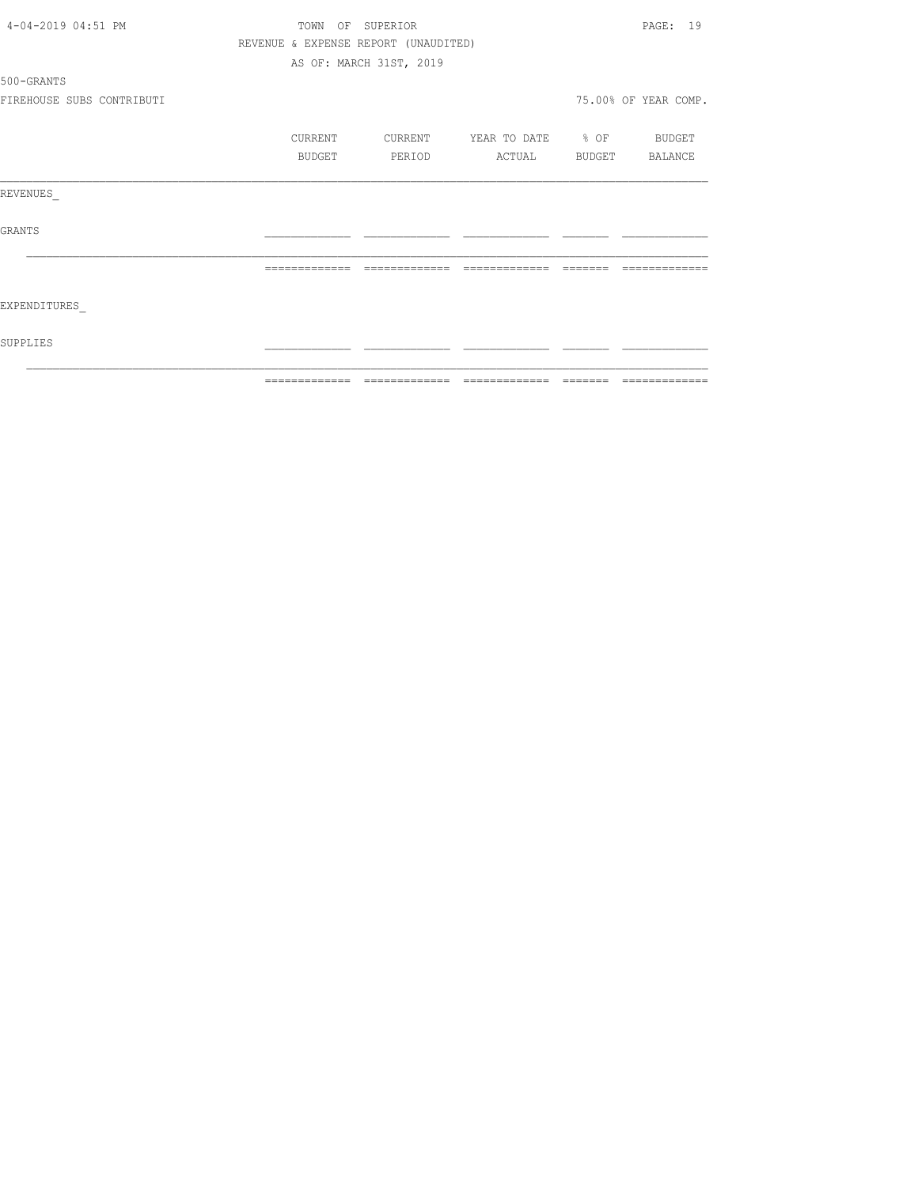|                           |                                      | ============================ |                          | --------------       |
|---------------------------|--------------------------------------|------------------------------|--------------------------|----------------------|
| SUPPLIES                  |                                      |                              |                          |                      |
| EXPENDITURES              |                                      |                              |                          |                      |
|                           | -------------                        | --------------               | --------------           |                      |
| GRANTS                    |                                      |                              |                          |                      |
| REVENUES                  |                                      |                              |                          |                      |
|                           | BUDGET                               | PERIOD                       | ACTUAL BUDGET BALANCE    |                      |
|                           | CURRENT                              | CURRENT                      | YEAR TO DATE % OF BUDGET |                      |
| FIREHOUSE SUBS CONTRIBUTI |                                      |                              |                          | 75.00% OF YEAR COMP. |
| 500-GRANTS                |                                      |                              |                          |                      |
|                           |                                      | AS OF: MARCH 31ST, 2019      |                          |                      |
|                           | REVENUE & EXPENSE REPORT (UNAUDITED) |                              |                          |                      |
| 4-04-2019 04:51 PM        |                                      | TOWN OF SUPERIOR             |                          | PAGE: 19             |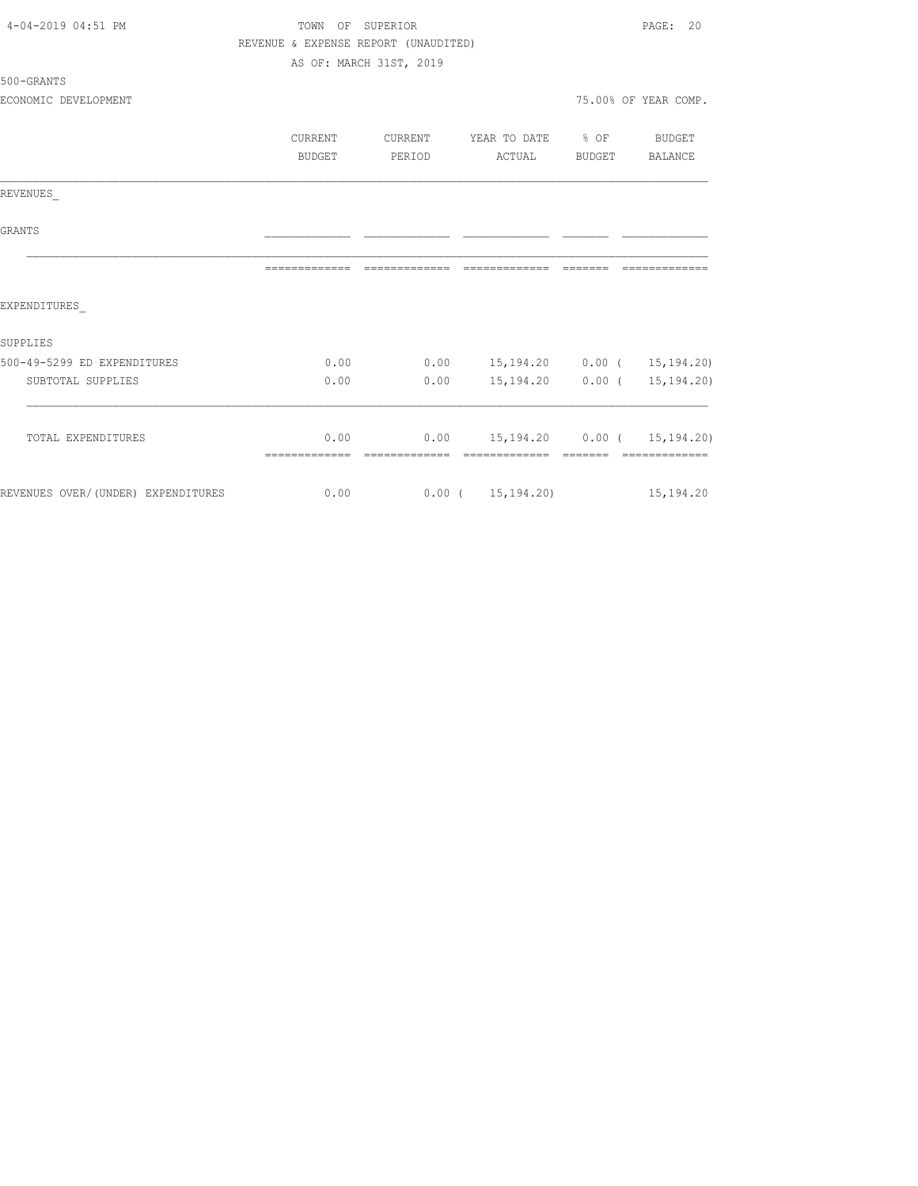| 4-04-2019 04:51 PM                 | TOWN OF SUPERIOR                     | PAGE: 20                |                                      |                      |
|------------------------------------|--------------------------------------|-------------------------|--------------------------------------|----------------------|
|                                    | REVENUE & EXPENSE REPORT (UNAUDITED) |                         |                                      |                      |
|                                    |                                      | AS OF: MARCH 31ST, 2019 |                                      |                      |
| $500 - GRANTS$                     |                                      |                         |                                      |                      |
| ECONOMIC DEVELOPMENT               |                                      |                         |                                      | 75.00% OF YEAR COMP. |
|                                    | <b>CURRENT</b>                       | CURRENT                 | YEAR TO DATE % OF                    | BUDGET               |
|                                    | BUDGET                               | PERIOD                  | ACTUAL                               | BUDGET BALANCE       |
| REVENUES                           |                                      |                         |                                      |                      |
| <b>GRANTS</b>                      |                                      |                         |                                      |                      |
|                                    |                                      |                         |                                      | ----------           |
| EXPENDITURES                       |                                      |                         |                                      |                      |
| SUPPLIES                           |                                      |                         |                                      |                      |
| 500-49-5299 ED EXPENDITURES        | 0.00                                 |                         | $0.00$ 15,194.20 0.00 ( 15,194.20)   |                      |
| SUBTOTAL SUPPLIES                  | 0.00                                 | 0.00                    | 15,194.20 0.00 ( 15,194.20)          |                      |
| TOTAL EXPENDITURES                 | 0.00                                 |                         | $0.00$ 15, 194.20 0.00 ( 15, 194.20) |                      |
|                                    | -------------- --------------        |                         |                                      | --------------       |
| REVENUES OVER/(UNDER) EXPENDITURES | 0.00                                 |                         | $0.00$ ( $15,194.20$ ) 15,194.20     |                      |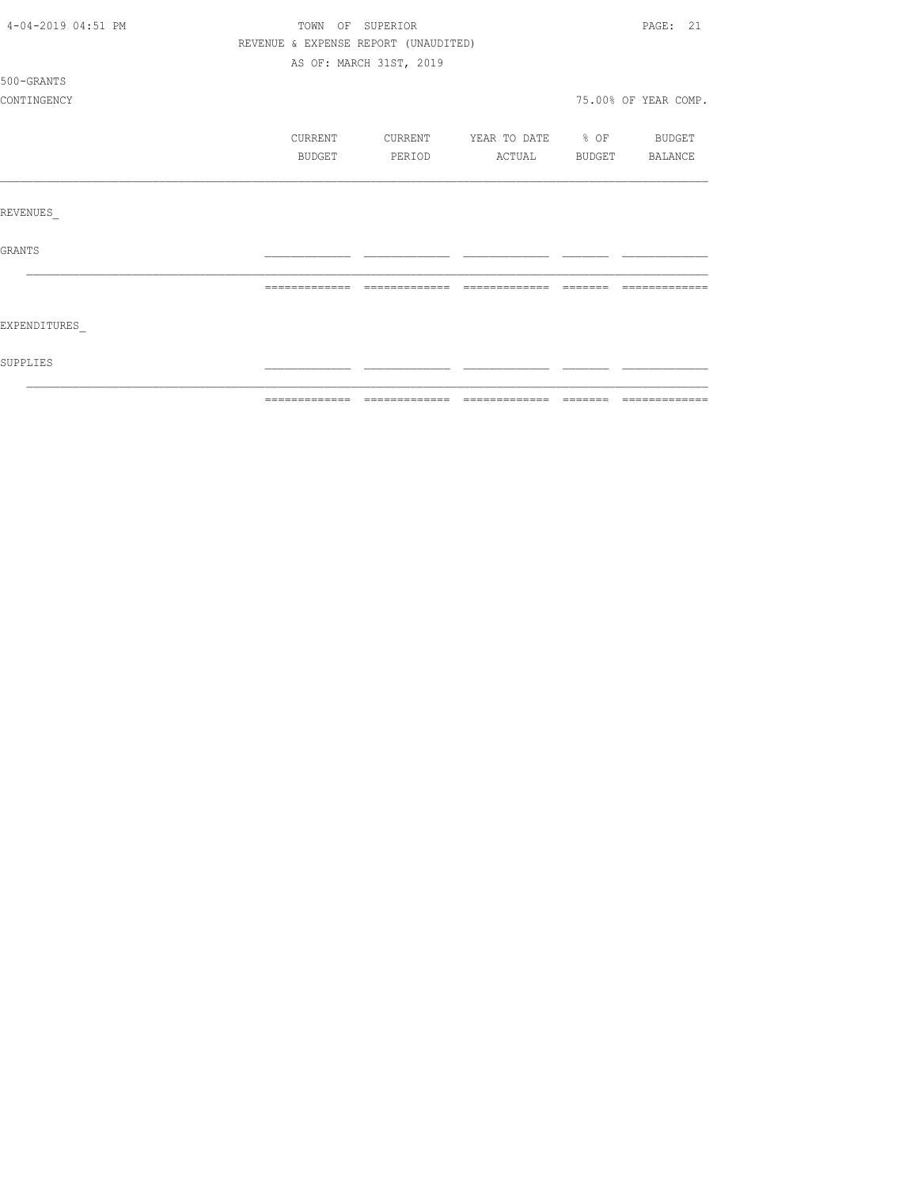|                    | =============                        |                         | ============================ | -------  |                      |
|--------------------|--------------------------------------|-------------------------|------------------------------|----------|----------------------|
| SUPPLIES           |                                      |                         |                              |          |                      |
| EXPENDITURES       |                                      |                         |                              |          |                      |
|                    | -------------                        | -------------           | -------------                | -------- |                      |
| <b>GRANTS</b>      |                                      |                         |                              |          |                      |
| REVENUES           |                                      |                         |                              |          |                      |
|                    |                                      |                         |                              |          |                      |
|                    | BUDGET                               | PERIOD                  | ACTUAL                       | BUDGET   | <b>BALANCE</b>       |
|                    | CURRENT                              | CURRENT                 | YEAR TO DATE % OF BUDGET     |          |                      |
| CONTINGENCY        |                                      |                         |                              |          | 75.00% OF YEAR COMP. |
| 500-GRANTS         |                                      |                         |                              |          |                      |
|                    |                                      | AS OF: MARCH 31ST, 2019 |                              |          |                      |
|                    | REVENUE & EXPENSE REPORT (UNAUDITED) |                         |                              |          |                      |
| 4-04-2019 04:51 PM | PAGE: 21<br>TOWN OF SUPERIOR         |                         |                              |          |                      |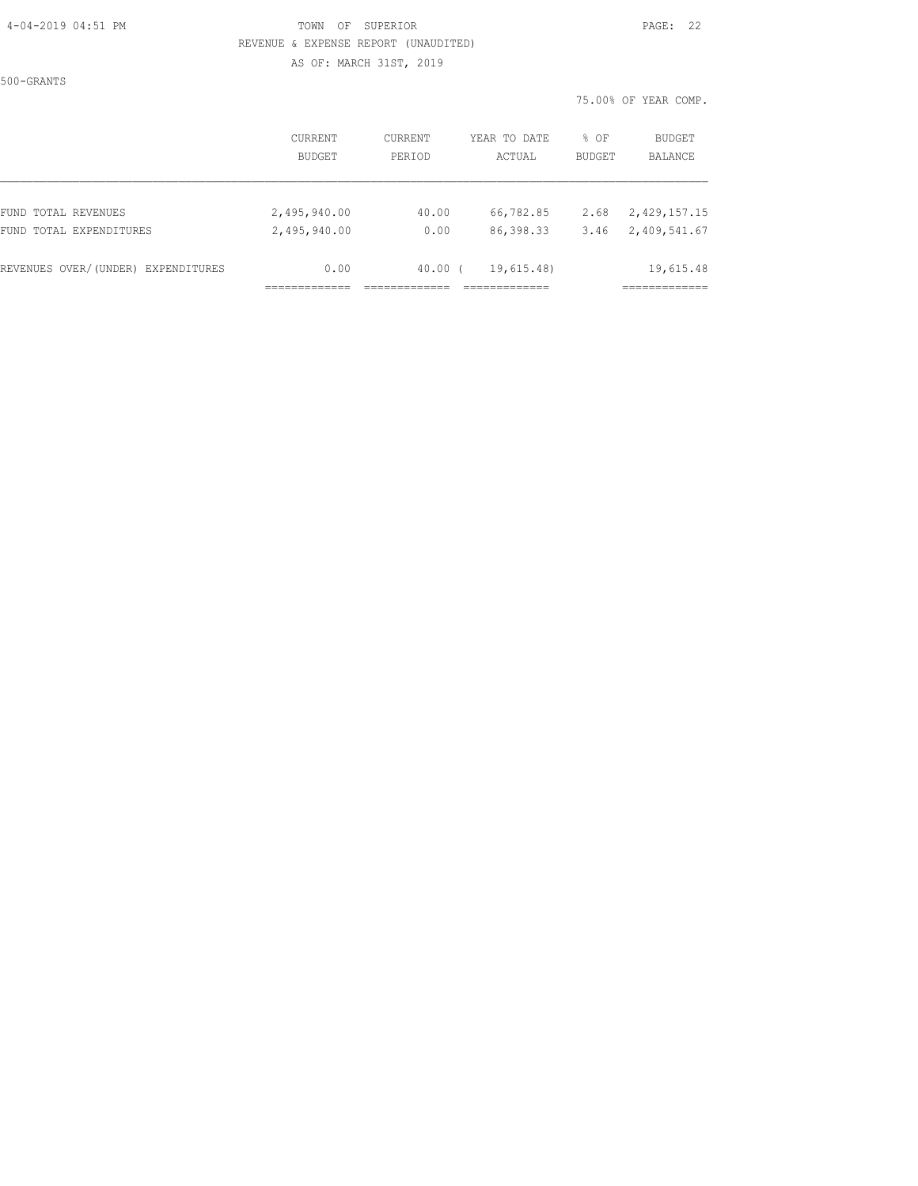#### 4-04-2019 04:51 PM TOWN OF SUPERIOR PAGE: 22 REVENUE & EXPENSE REPORT (UNAUDITED) AS OF: MARCH 31ST, 2019

500-GRANTS

75.00% OF YEAR COMP.

|                                    | <b>CURRENT</b> | <b>CURRENT</b> | YEAR TO DATE | % OF          | BUDGET       |  |
|------------------------------------|----------------|----------------|--------------|---------------|--------------|--|
|                                    | <b>BUDGET</b>  | PERIOD         | ACTUAL       | <b>BUDGET</b> | BALANCE      |  |
| FUND TOTAL REVENUES                | 2,495,940.00   | 40.00          | 66,782.85    | 2.68          | 2,429,157.15 |  |
| FUND TOTAL EXPENDITURES            | 2,495,940.00   | 0.00           | 86,398.33    | 3.46          | 2,409,541.67 |  |
| REVENUES OVER/(UNDER) EXPENDITURES | 0.00           | $40.00$ (      | 19,615.48)   |               | 19,615.48    |  |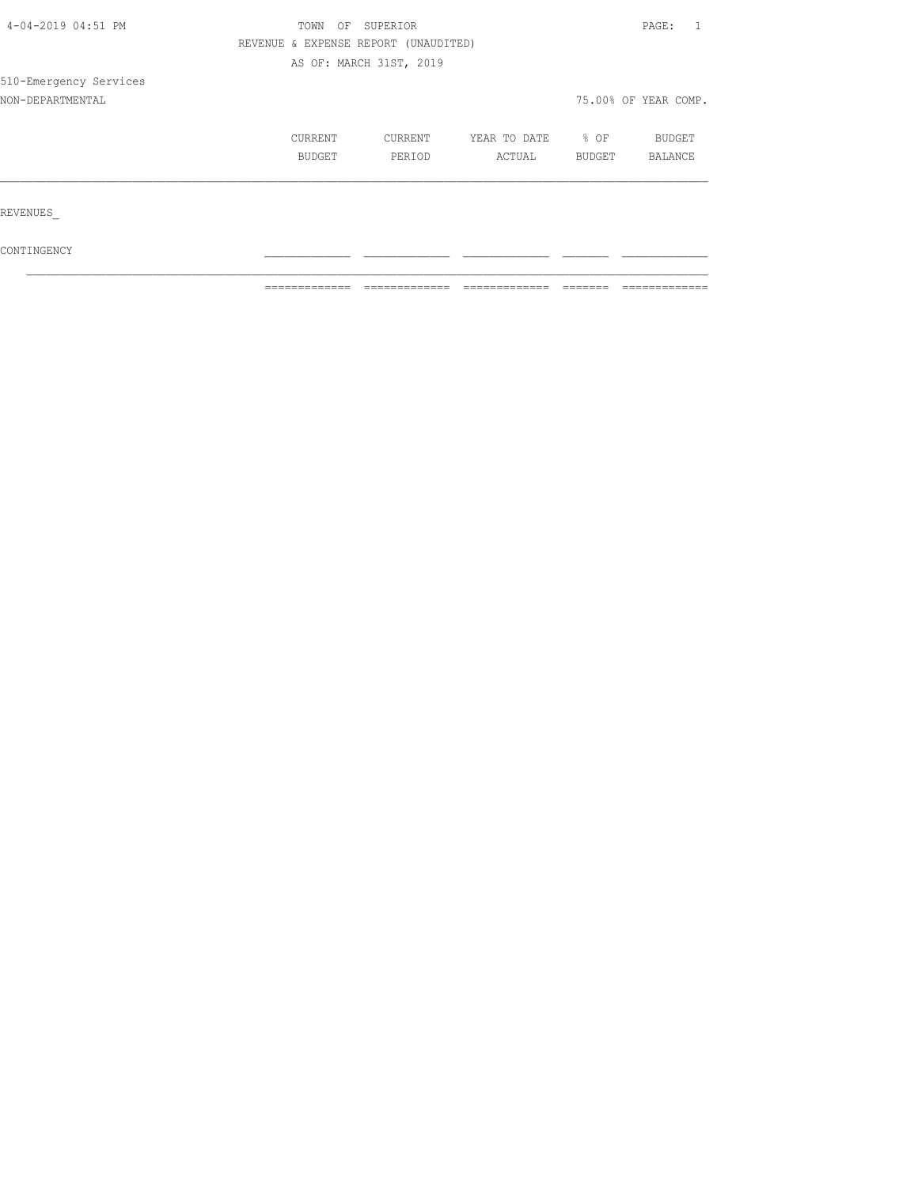| 4-04-2019 04:51 PM     | TOWN<br>OF | PAGE:                                |              |        |                      |
|------------------------|------------|--------------------------------------|--------------|--------|----------------------|
|                        |            | REVENUE & EXPENSE REPORT (UNAUDITED) |              |        |                      |
|                        |            | AS OF: MARCH 31ST, 2019              |              |        |                      |
| 510-Emergency Services |            |                                      |              |        |                      |
| NON-DEPARTMENTAL       |            |                                      |              |        | 75.00% OF YEAR COMP. |
|                        | CURRENT    | CURRENT                              | YEAR TO DATE | $8$ OF | <b>BUDGET</b>        |
|                        | BUDGET     | PERIOD                               | ACTUAL       | BUDGET | BALANCE              |
|                        |            |                                      |              |        |                      |
| REVENUES               |            |                                      |              |        |                      |
| CONTINGENCY            |            |                                      |              |        |                      |

 $\mathcal{L}_\text{max}$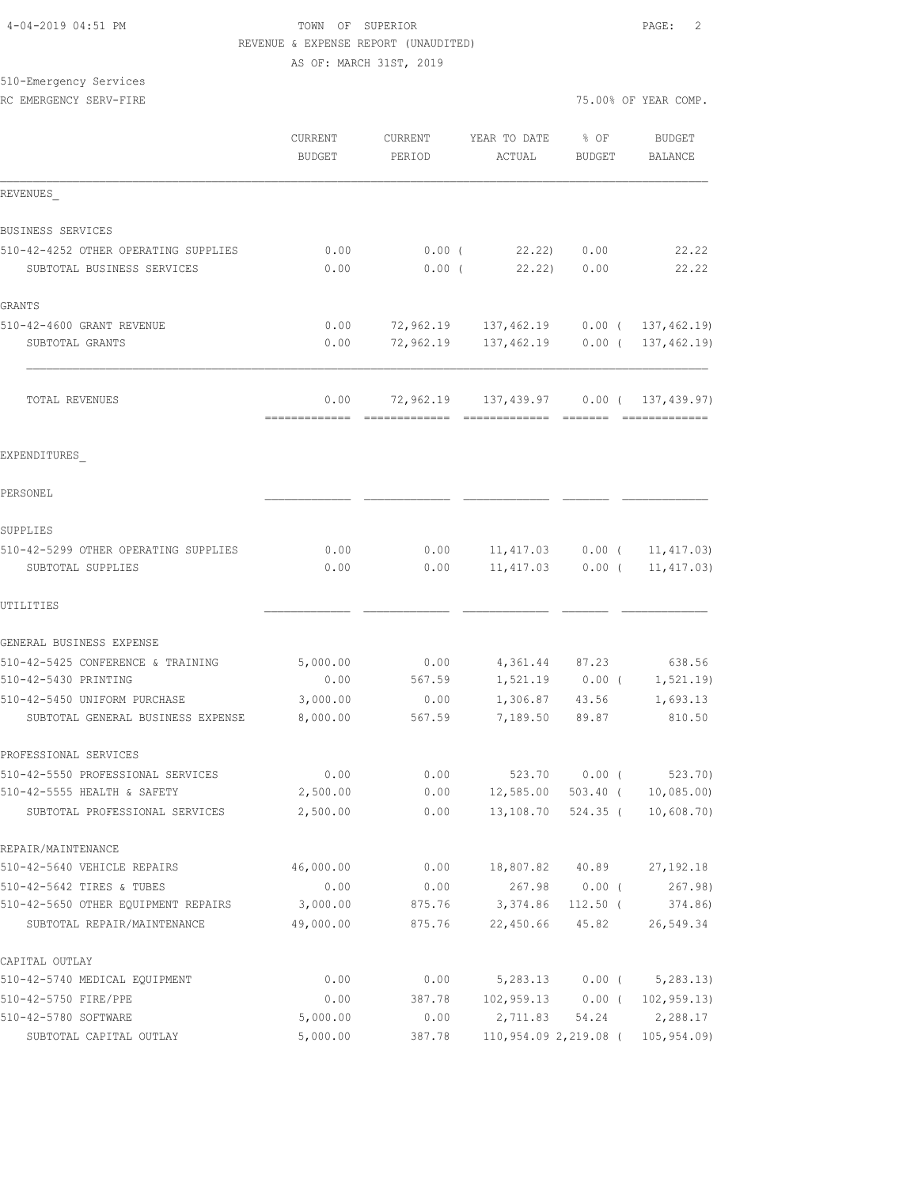#### 4-04-2019 04:51 PM TOWN OF SUPERIOR PAGE: 2 REVENUE & EXPENSE REPORT (UNAUDITED) AS OF: MARCH 31ST, 2019

# 510-Emergency Services

RC EMERGENCY SERV-FIRE **First** comp. The series of the series of the series of the series of the series of the series of the series of the series of the series of the series of the series of the series of the series of the

|                                                                    | <b>CURRENT</b><br><b>BUDGET</b> | <b>CURRENT</b><br>PERIOD | YEAR TO DATE<br>ACTUAL  | % OF<br>BUDGET       | <b>BUDGET</b><br>BALANCE                               |
|--------------------------------------------------------------------|---------------------------------|--------------------------|-------------------------|----------------------|--------------------------------------------------------|
| REVENUES                                                           |                                 |                          |                         |                      |                                                        |
| BUSINESS SERVICES                                                  |                                 |                          |                         |                      |                                                        |
| 510-42-4252 OTHER OPERATING SUPPLIES<br>SUBTOTAL BUSINESS SERVICES | 0.00<br>0.00                    | $0.00$ (<br>$0.00$ (     | 22.22<br>22.22          | 0.00<br>0.00         | 22.22<br>22.22                                         |
| GRANTS                                                             |                                 |                          |                         |                      |                                                        |
| 510-42-4600 GRANT REVENUE<br>SUBTOTAL GRANTS                       | 0.00<br>0.00                    | 72,962.19<br>72,962.19   | 137,462.19              |                      | 137,462.19 0.00 ( 137,462.19)<br>$0.00$ ( 137, 462.19) |
| TOTAL REVENUES                                                     | 0.00<br>=============           | 72,962.19                | 137,439.97              |                      | 0.00(137, 439.97)<br>- cooccooccooc                    |
| EXPENDITURES                                                       |                                 |                          |                         |                      |                                                        |
| PERSONEL                                                           |                                 |                          |                         |                      |                                                        |
| SUPPLIES                                                           |                                 |                          |                         |                      |                                                        |
| 510-42-5299 OTHER OPERATING SUPPLIES<br>SUBTOTAL SUPPLIES          | 0.00<br>0.00                    | 0.00<br>0.00             | 11,417.03<br>11, 417.03 | $0.00$ (<br>$0.00$ ( | 11, 417.03)<br>11, 417.03)                             |
| UTILITIES                                                          |                                 |                          |                         |                      |                                                        |
| GENERAL BUSINESS EXPENSE                                           |                                 |                          |                         |                      |                                                        |
| 510-42-5425 CONFERENCE & TRAINING                                  | 5,000.00                        | 0.00                     | 4,361.44                | 87.23                | 638.56                                                 |
| 510-42-5430 PRINTING                                               | 0.00                            | 567.59                   | 1,521.19                | $0.00$ (             | 1, 521.19                                              |
| 510-42-5450 UNIFORM PURCHASE                                       | 3,000.00                        | 0.00                     | 1,306.87                | 43.56                | 1,693.13                                               |
| SUBTOTAL GENERAL BUSINESS EXPENSE                                  | 8,000.00                        | 567.59                   | 7,189.50                | 89.87                | 810.50                                                 |
| PROFESSIONAL SERVICES                                              |                                 |                          |                         |                      |                                                        |
| 510-42-5550 PROFESSIONAL SERVICES                                  | 0.00                            | 0.00                     | 523.70                  | $0.00$ (             | 523.70                                                 |
| 510-42-5555 HEALTH & SAFETY                                        | 2,500.00                        | 0.00                     | 12,585.00               | 503.40 (             | 10,085.00                                              |
| SUBTOTAL PROFESSIONAL SERVICES                                     | 2,500.00                        | 0.00                     | 13,108.70               | 524.35 (             | 10,608.70                                              |
| REPAIR/MAINTENANCE                                                 |                                 |                          |                         |                      |                                                        |
| 510-42-5640 VEHICLE REPAIRS                                        | 46,000.00                       | 0.00                     | 18,807.82               | 40.89                | 27, 192. 18                                            |
| 510-42-5642 TIRES & TUBES                                          | 0.00                            | 0.00                     | 267.98                  | $0.00$ (             | 267.98                                                 |
| 510-42-5650 OTHER EQUIPMENT REPAIRS                                | 3,000.00                        | 875.76                   | 3,374.86                | $112.50$ (           | 374.86)                                                |
| SUBTOTAL REPAIR/MAINTENANCE                                        | 49,000.00                       | 875.76                   | 22,450.66               | 45.82                | 26,549.34                                              |
| CAPITAL OUTLAY                                                     |                                 |                          |                         |                      |                                                        |
| 510-42-5740 MEDICAL EQUIPMENT                                      | 0.00                            | 0.00                     |                         | $5,283.13$ 0.00 (    | 5, 283.13                                              |
| 510-42-5750 FIRE/PPE                                               | 0.00                            | 387.78                   | $102,959.13$ 0.00 (     |                      | 102, 959.13                                            |
| 510-42-5780 SOFTWARE                                               | 5,000.00                        | 0.00                     | 2,711.83                | 54.24                | 2,288.17                                               |
| SUBTOTAL CAPITAL OUTLAY                                            | 5,000.00                        | 387.78                   | 110,954.09 2,219.08 (   |                      | 105, 954.09                                            |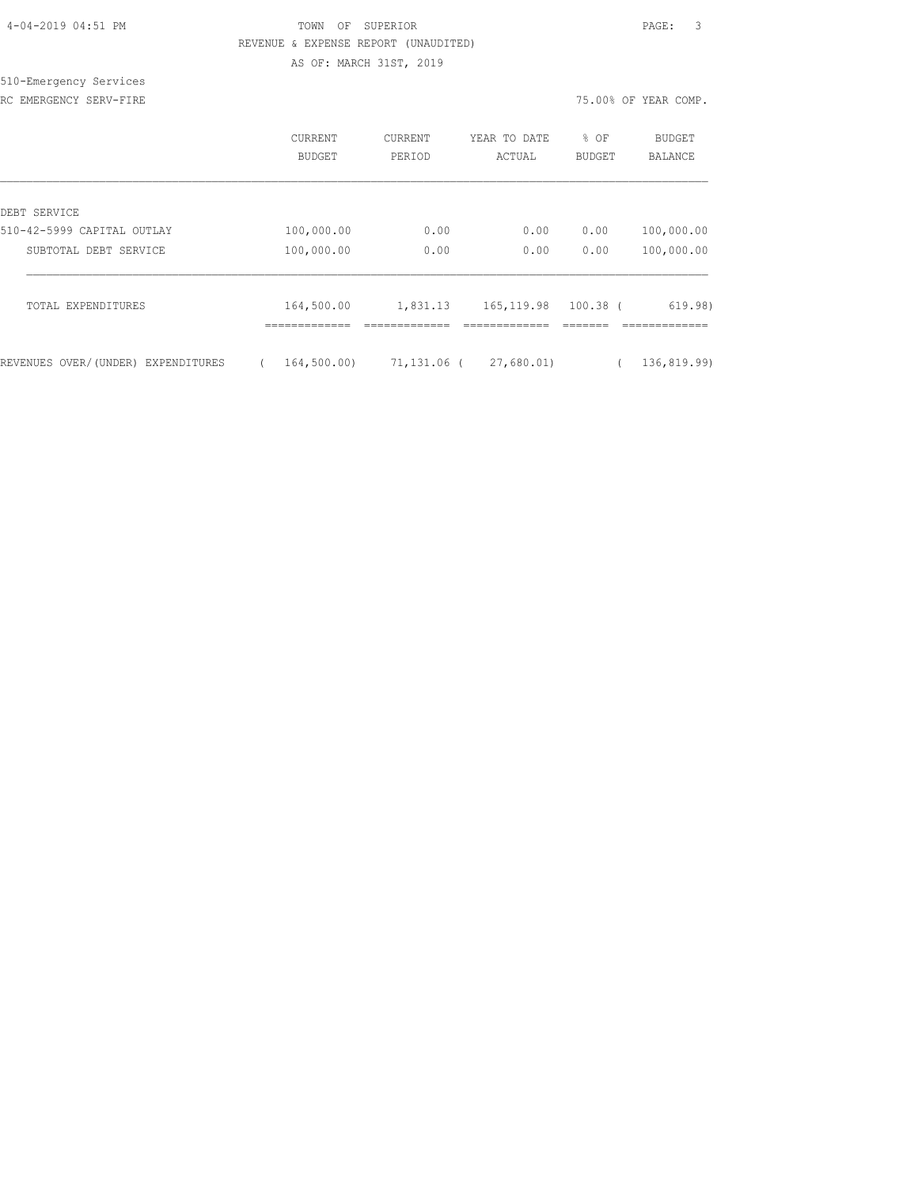## TOWN OF SUPERIOR **Example 2019** PAGE: 3 REVENUE & EXPENSE REPORT (UNAUDITED) AS OF: MARCH 31ST, 2019

#### 510-Emergency Services RC EMERGENCY SERV-FIRE **First** comp. The series of the series of the series of the series of the series of the series of the series of the series of the series of the series of the series of the series of the series of the

|                                    | <b>CURRENT</b><br>BUDGET | CURRENT<br>PERIOD |      | YEAR TO DATE<br>ACTUAL |      | % OF<br>BUDGET       | BUDGET<br>BALANCE |  |
|------------------------------------|--------------------------|-------------------|------|------------------------|------|----------------------|-------------------|--|
| DEBT SERVICE                       |                          |                   |      |                        |      |                      |                   |  |
| 510-42-5999 CAPITAL OUTLAY         | 100,000.00               |                   | 0.00 |                        | 0.00 | 0.00                 | 100,000.00        |  |
| SUBTOTAL DEBT SERVICE              | 100,000.00               |                   | 0.00 |                        | 0.00 | 0.00                 | 100,000.00        |  |
| TOTAL EXPENDITURES                 | 164,500.00               | 1,831.13          |      |                        |      | 165, 119.98 100.38 ( | 619.98)           |  |
| REVENUES OVER/(UNDER) EXPENDITURES | 164,500.00)              | 71,131.06 (       |      | 27,680.01)             |      |                      | 136, 819.99)      |  |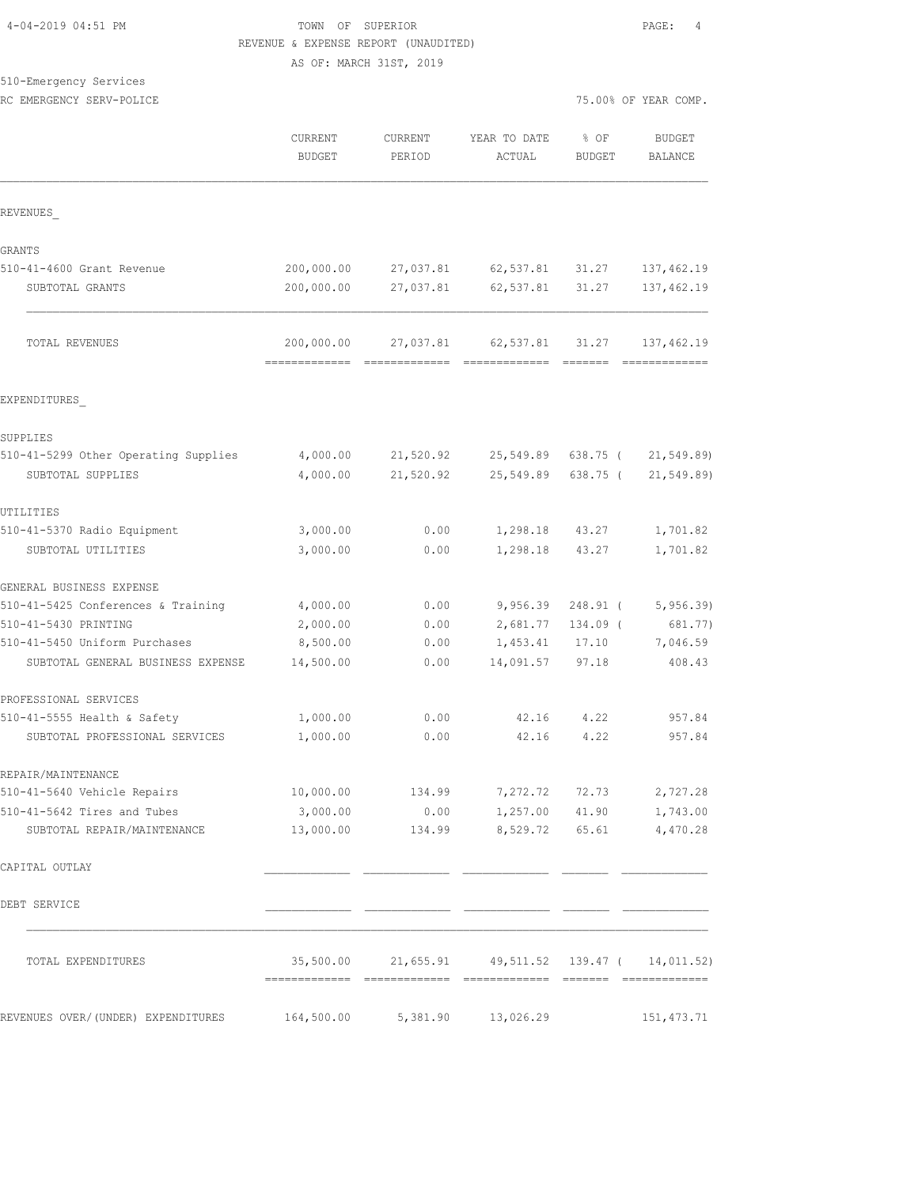## TOWN OF SUPERIOR  $\begin{array}{cccc} 4 & 4 & 4 \\ 4 & 3 & 4 \\ 10 & 10 & 10 \\ 10 & 10 & 10 \\ 10 & 10 & 10 \\ 10 & 10 & 10 \\ 10 & 10 & 10 \\ 10 & 10 & 10 \\ 10 & 10 & 10 \\ 10 & 10 & 10 \\ 10 & 10 & 10 \\ 10 & 10 & 10 \\ 10 & 10 & 10 \\ 10 & 10 & 10 \\ 10 & 10 & 10 \\ 10 & 10 & 10 \\ 10 & 10 & 10$  REVENUE & EXPENSE REPORT (UNAUDITED) AS OF: MARCH 31ST, 2019

|  | 510-Emergency Services |
|--|------------------------|
|--|------------------------|

| RC EMERGENCY SERV-POLICE             |                                             |                          |                        | 75.00% OF YEAR COMP.  |                              |  |
|--------------------------------------|---------------------------------------------|--------------------------|------------------------|-----------------------|------------------------------|--|
|                                      | CURRENT<br><b>BUDGET</b>                    | <b>CURRENT</b><br>PERIOD | YEAR TO DATE<br>ACTUAL | % OF<br><b>BUDGET</b> | <b>BUDGET</b><br>BALANCE     |  |
| REVENUES                             |                                             |                          |                        |                       |                              |  |
| GRANTS                               |                                             |                          |                        |                       |                              |  |
| 510-41-4600 Grant Revenue            | 200,000.00                                  | 27,037.81                | 62,537.81              | 31.27                 | 137,462.19                   |  |
| SUBTOTAL GRANTS                      | 200,000.00                                  | 27,037.81                | 62,537.81              | 31.27                 | 137, 462.19                  |  |
| TOTAL REVENUES                       | 200,000.00<br>-------------- -------------- | 27,037.81                | 62,537.81 31.27        |                       | 137,462.19<br>-------------- |  |
| EXPENDITURES                         |                                             |                          |                        |                       |                              |  |
| SUPPLIES                             |                                             |                          |                        |                       |                              |  |
| 510-41-5299 Other Operating Supplies | 4,000.00                                    | 21,520.92                | 25,549.89              | 638.75 (              | 21, 549.89                   |  |
| SUBTOTAL SUPPLIES                    | 4,000.00                                    | 21,520.92                | 25,549.89              | 638.75 (              | 21, 549.89                   |  |
| UTILITIES                            |                                             |                          |                        |                       |                              |  |
| 510-41-5370 Radio Equipment          | 3,000.00                                    | 0.00                     | 1,298.18               | 43.27                 | 1,701.82                     |  |
| SUBTOTAL UTILITIES                   | 3,000.00                                    | 0.00                     | 1,298.18               | 43.27                 | 1,701.82                     |  |
| GENERAL BUSINESS EXPENSE             |                                             |                          |                        |                       |                              |  |
| 510-41-5425 Conferences & Training   | 4,000.00                                    | 0.00                     | 9,956.39               | 248.91 (              | 5,956.39                     |  |
| 510-41-5430 PRINTING                 | 2,000.00                                    | 0.00                     | 2,681.77               | 134.09 (              | 681.77)                      |  |
| 510-41-5450 Uniform Purchases        | 8,500.00                                    | 0.00                     | 1,453.41               | 17.10                 | 7,046.59                     |  |
| SUBTOTAL GENERAL BUSINESS EXPENSE    | 14,500.00                                   | 0.00                     | 14,091.57              | 97.18                 | 408.43                       |  |
| PROFESSIONAL SERVICES                |                                             |                          |                        |                       |                              |  |
| 510-41-5555 Health & Safety          | 1,000.00                                    | 0.00                     | 42.16                  | 4.22                  | 957.84                       |  |
| SUBTOTAL PROFESSIONAL SERVICES       | 1,000.00                                    | 0.00                     | 42.16                  | 4.22                  | 957.84                       |  |
| REPAIR/MAINTENANCE                   |                                             |                          |                        |                       |                              |  |
| 510-41-5640 Vehicle Repairs          | 10,000.00                                   | 134.99                   | 7,272.72               | 72.73                 | 2,727.28                     |  |
| 510-41-5642 Tires and Tubes          | 3,000.00                                    | 0.00                     | 1,257.00               | 41.90                 | 1,743.00                     |  |
| SUBTOTAL REPAIR/MAINTENANCE          | 13,000.00                                   | 134.99                   | 8,529.72               | 65.61                 | 4,470.28                     |  |
| CAPITAL OUTLAY                       |                                             |                          |                        |                       |                              |  |
| DEBT SERVICE                         |                                             |                          |                        |                       |                              |  |
| TOTAL EXPENDITURES                   | 35,500.00                                   | 21,655.91                | 49,511.52 139.47 (     |                       | 14,011.52)                   |  |
| REVENUES OVER/(UNDER) EXPENDITURES   | 164,500.00                                  | 5,381.90                 | 13,026.29              |                       | 151, 473.71                  |  |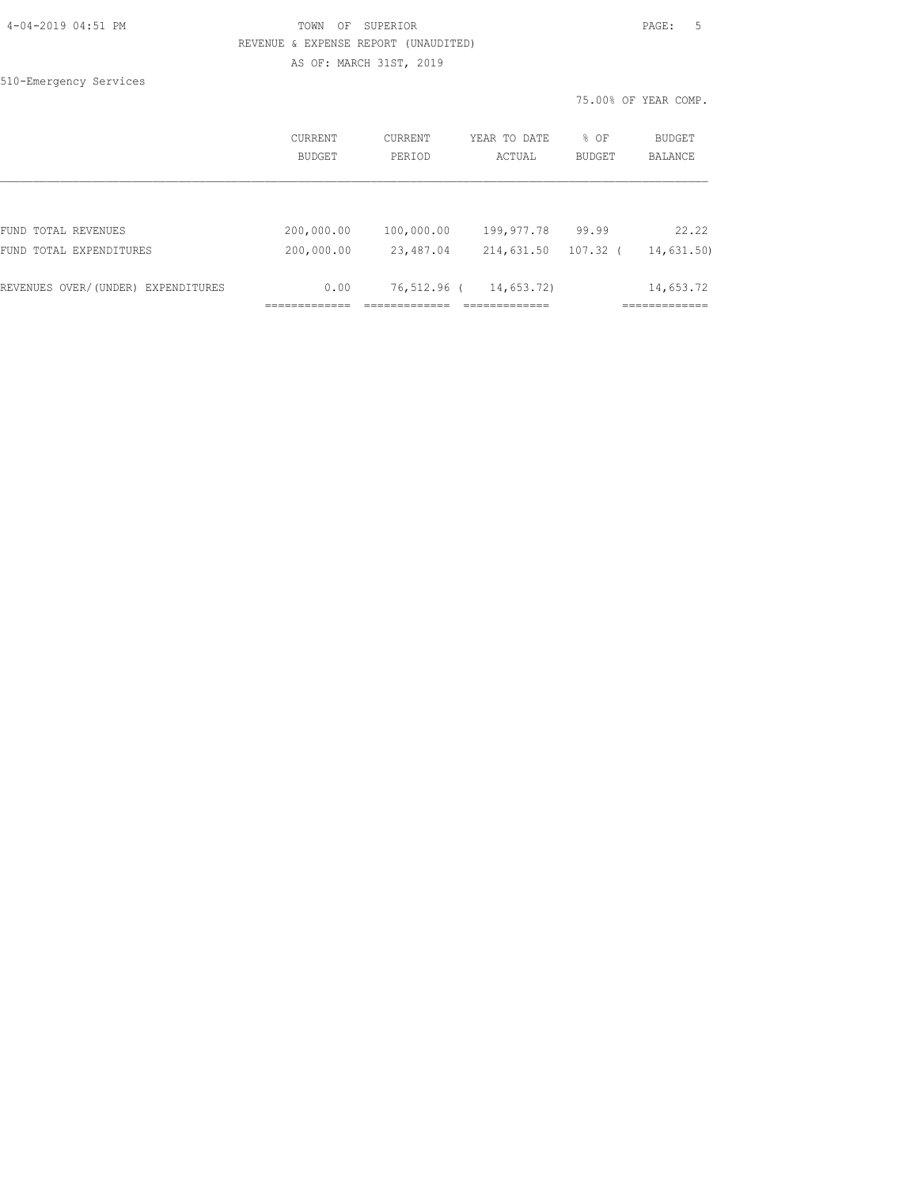## TOWN OF SUPERIOR **Example 2019** PAGE: 5 REVENUE & EXPENSE REPORT (UNAUDITED) AS OF: MARCH 31ST, 2019

510-Emergency Services

75.00% OF YEAR COMP.

|                                    | <b>CURRENT</b><br><b>BUDGET</b> | <b>CURRENT</b><br>PERIOD | YEAR TO DATE<br>ACTUAL | $8$ OF<br><b>BUDGET</b> | BUDGET<br><b>BALANCE</b> |
|------------------------------------|---------------------------------|--------------------------|------------------------|-------------------------|--------------------------|
|                                    |                                 |                          |                        |                         |                          |
| FUND TOTAL REVENUES                | 200,000.00                      | 100,000.00               | 199,977.78             | 99.99                   | 22.22                    |
| FUND TOTAL EXPENDITURES            | 200,000.00                      | 23,487.04                | 214,631.50             | 107.32                  | 14,631.50)               |
| REVENUES OVER/(UNDER) EXPENDITURES | 0.00                            | 76,512.96 (              | 14,653.72)             |                         | 14,653.72                |
|                                    |                                 |                          |                        |                         |                          |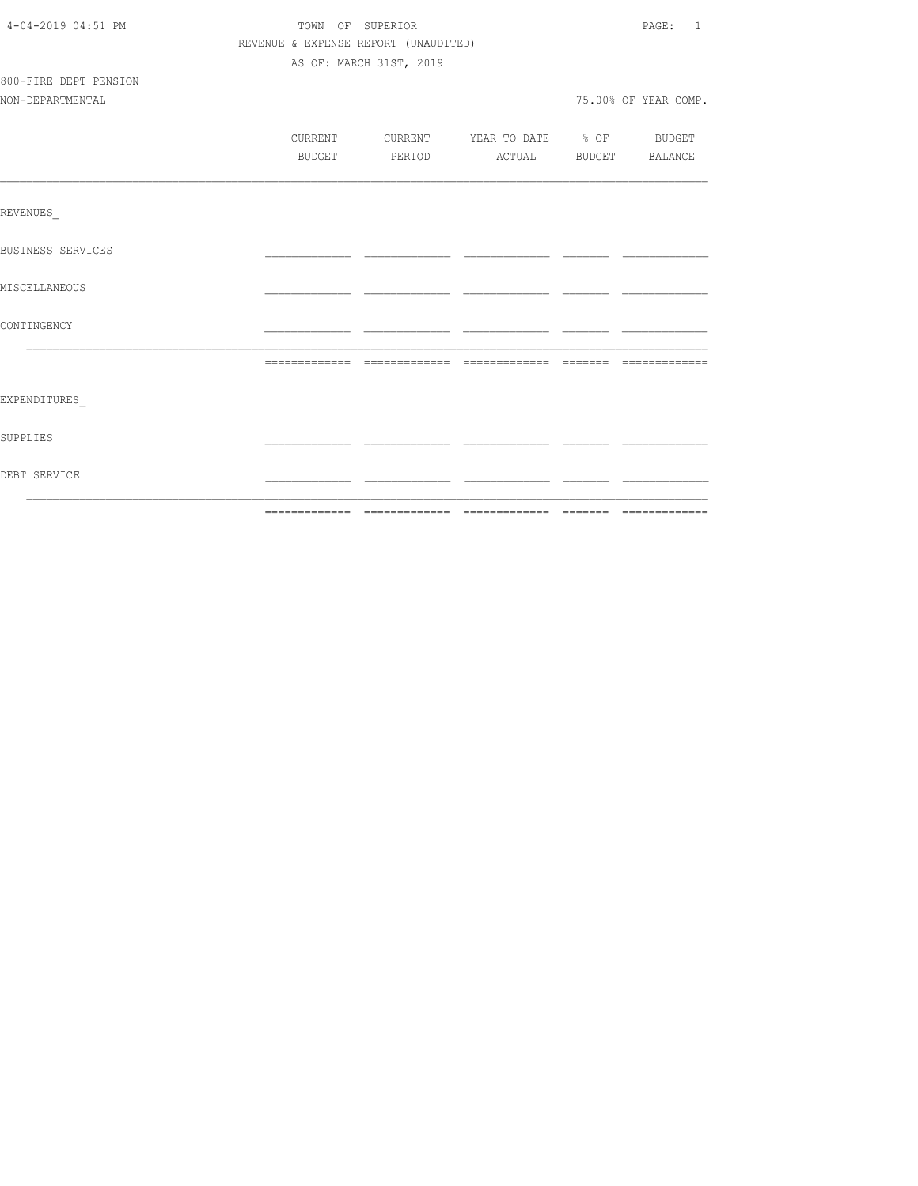| 4-04-2019 04:51 PM       | TOWN OF SUPERIOR                     | PAGE: 1                          |  |                      |
|--------------------------|--------------------------------------|----------------------------------|--|----------------------|
|                          | REVENUE & EXPENSE REPORT (UNAUDITED) |                                  |  |                      |
|                          |                                      | AS OF: MARCH 31ST, 2019          |  |                      |
| 800-FIRE DEPT PENSION    |                                      |                                  |  |                      |
| NON-DEPARTMENTAL         |                                      |                                  |  | 75.00% OF YEAR COMP. |
|                          |                                      |                                  |  |                      |
|                          | CURRENT                              | CURRENT YEAR TO DATE % OF BUDGET |  |                      |
|                          | BUDGET                               | PERIOD ACTUAL BUDGET BALANCE     |  |                      |
|                          |                                      |                                  |  |                      |
| REVENUES                 |                                      |                                  |  |                      |
| <b>BUSINESS SERVICES</b> |                                      |                                  |  |                      |
| MISCELLANEOUS            |                                      |                                  |  |                      |
| CONTINGENCY              |                                      |                                  |  |                      |
|                          |                                      |                                  |  |                      |
| EXPENDITURES             |                                      |                                  |  |                      |
| SUPPLIES                 |                                      |                                  |  |                      |
| DEBT SERVICE             |                                      |                                  |  |                      |
|                          |                                      |                                  |  |                      |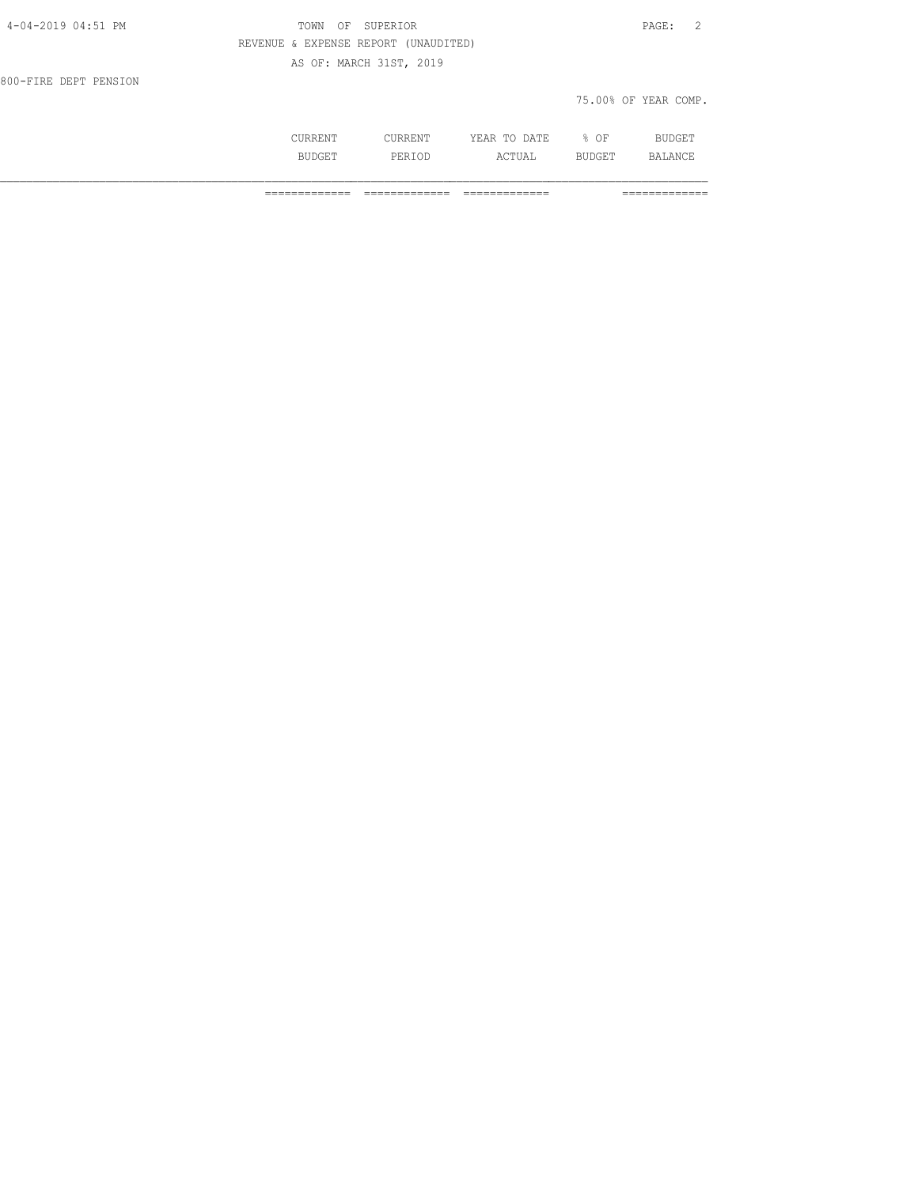| 4-04-2019 04:51 PM    | TOWN<br>ΟF                           | SUPERIOR                |              |      | $\overline{2}$<br>PAGE: |
|-----------------------|--------------------------------------|-------------------------|--------------|------|-------------------------|
|                       | REVENUE & EXPENSE REPORT (UNAUDITED) |                         |              |      |                         |
|                       |                                      | AS OF: MARCH 31ST, 2019 |              |      |                         |
| 800-FIRE DEPT PENSION |                                      |                         |              |      |                         |
|                       |                                      |                         |              |      | 75.00% OF YEAR COMP.    |
|                       |                                      |                         |              |      |                         |
|                       | CURRENT                              | CURRENT                 | YEAR TO DATE | % OF | <b>BUDGET</b>           |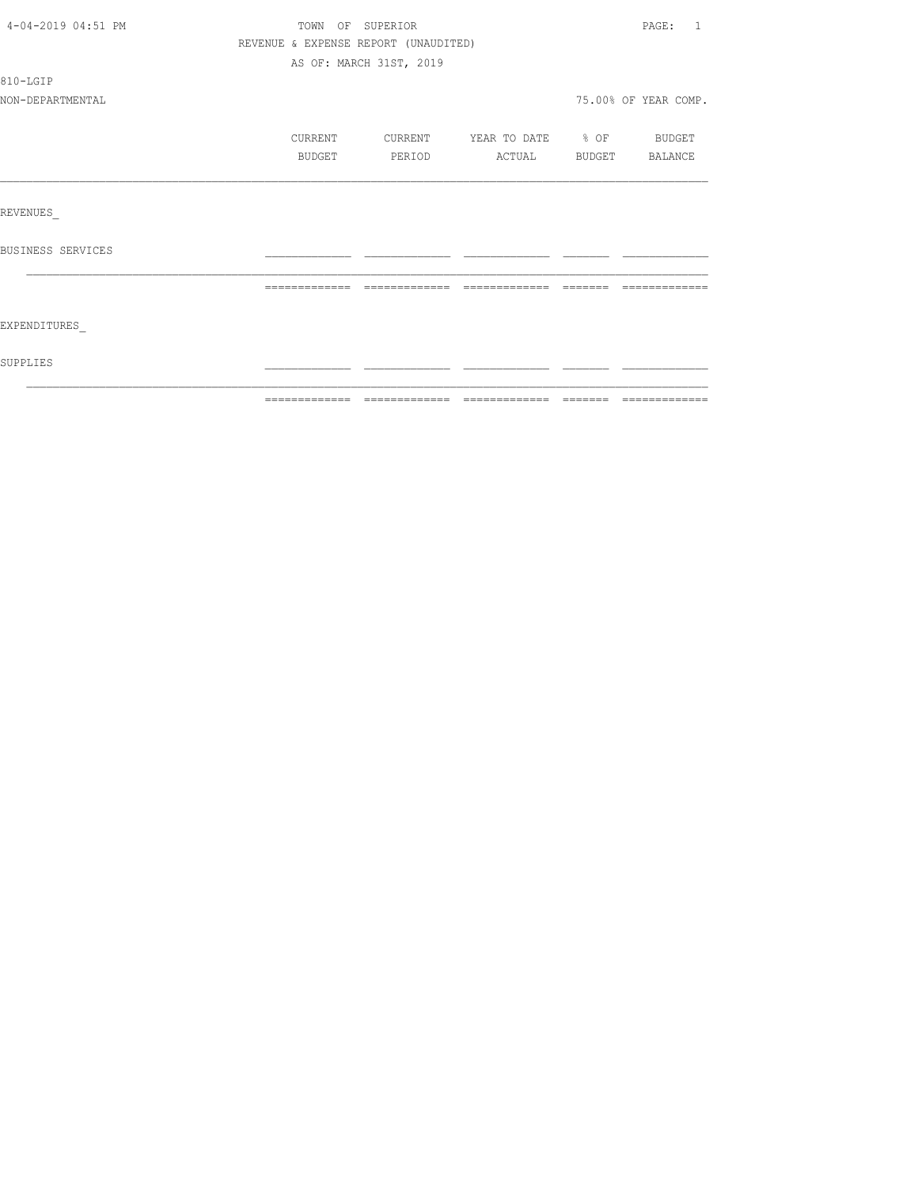|                   | BUDGET        | PERIOD        | ACTUAL BUDGET BALANCE |         |               |
|-------------------|---------------|---------------|-----------------------|---------|---------------|
|                   |               |               |                       |         |               |
|                   |               |               |                       |         |               |
|                   |               |               |                       |         |               |
| REVENUES          |               |               |                       |         |               |
|                   |               |               |                       |         |               |
| BUSINESS SERVICES |               |               |                       |         |               |
|                   |               |               |                       |         |               |
|                   | ============= | ============= |                       | ======= | ------------- |
|                   |               |               |                       |         |               |
|                   |               |               |                       |         |               |
|                   |               |               |                       |         |               |
| EXPENDITURES      |               |               |                       |         |               |
| SUPPLIES          |               |               |                       |         |               |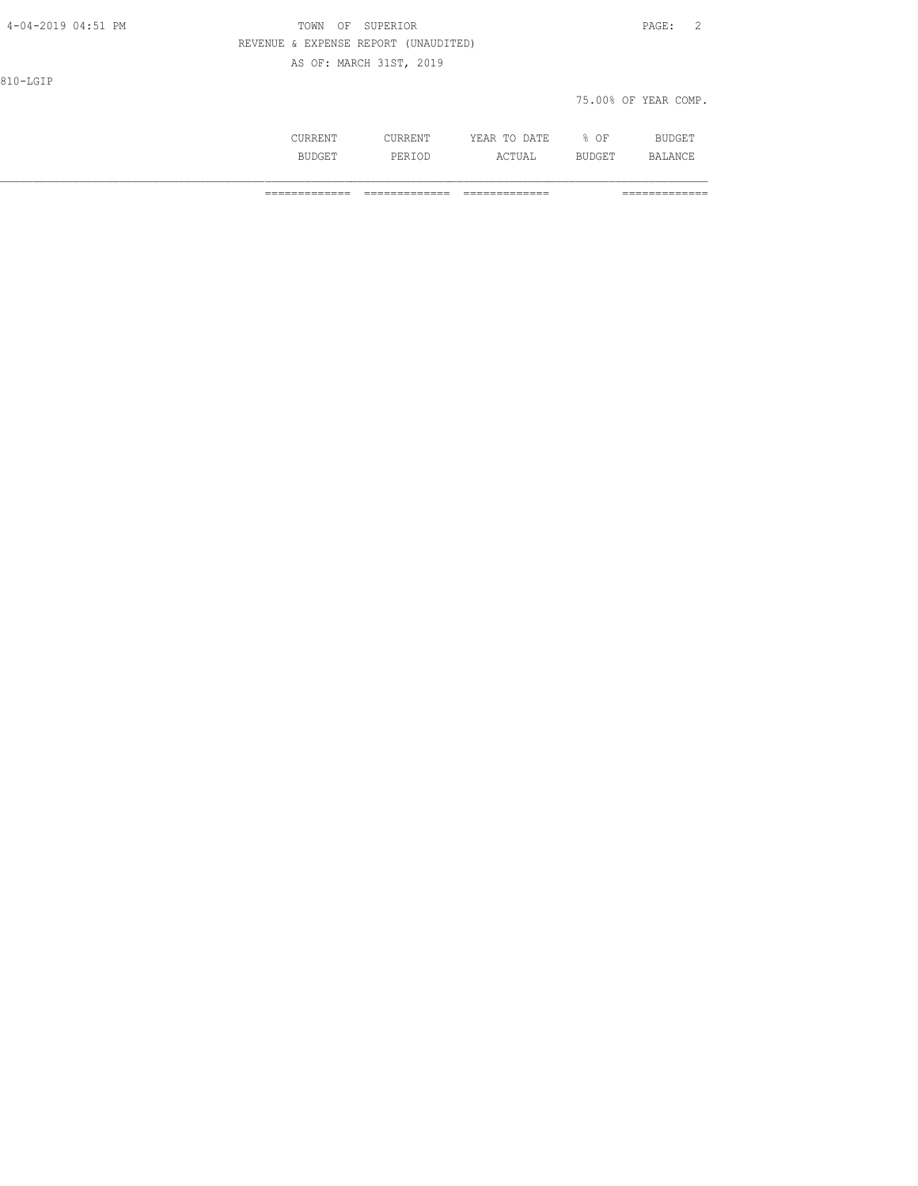| 4-04-2019 04:51 PM | TOWN    | SUPERIOR<br>OF                       |              |      | $\overline{2}$<br>$\mathtt{PAGE}$ : |
|--------------------|---------|--------------------------------------|--------------|------|-------------------------------------|
|                    |         | REVENUE & EXPENSE REPORT (UNAUDITED) |              |      |                                     |
|                    |         | AS OF: MARCH 31ST, 2019              |              |      |                                     |
| 810-LGIP           |         |                                      |              |      |                                     |
|                    |         |                                      |              |      | 75.00% OF YEAR COMP.                |
|                    |         |                                      |              |      |                                     |
|                    | CURRENT | CURRENT                              | YEAR TO DATE | % OF | BUDGET                              |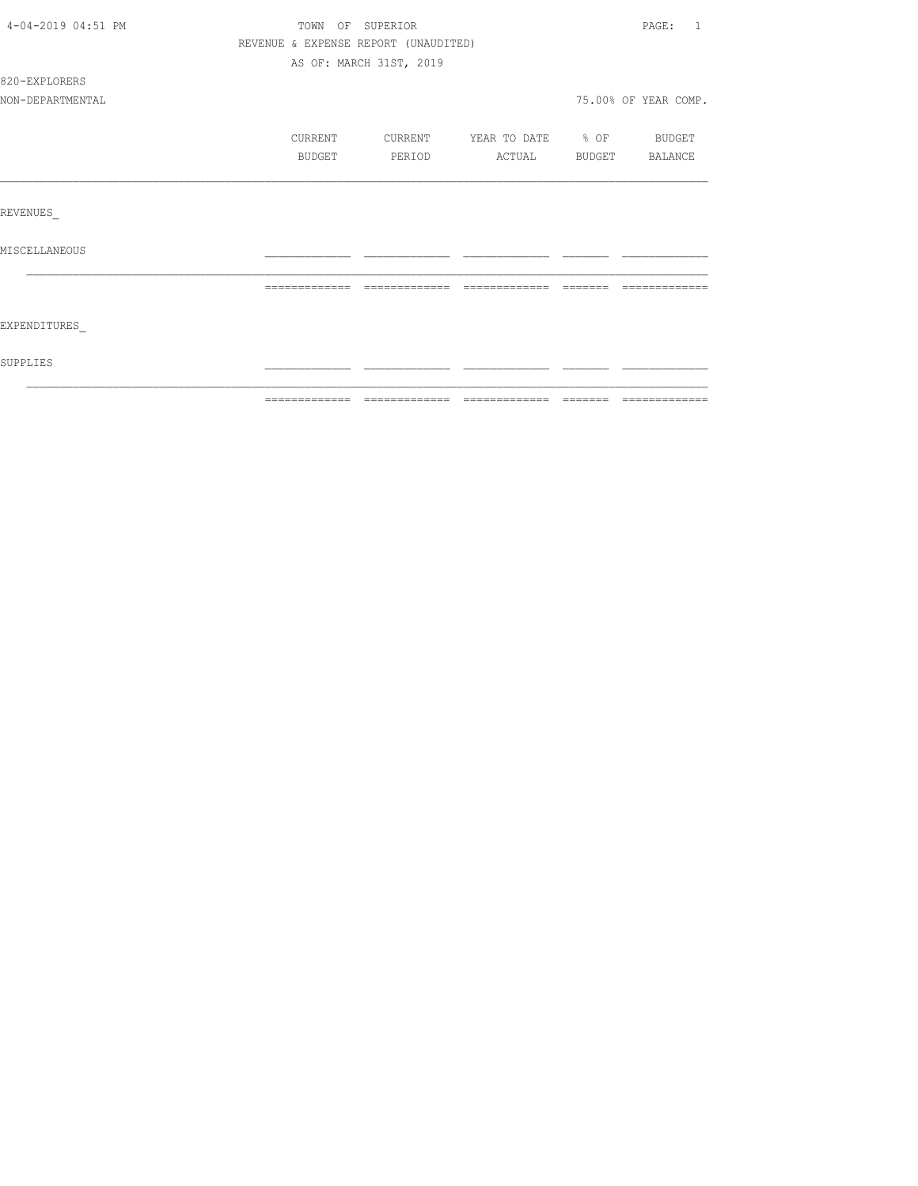| SUPPLIES           |                                      |                         |                          |          |                         |
|--------------------|--------------------------------------|-------------------------|--------------------------|----------|-------------------------|
| EXPENDITURES       |                                      |                         |                          |          |                         |
|                    | -------------                        | -------------           |                          | -------- |                         |
| MISCELLANEOUS      |                                      |                         |                          |          |                         |
| REVENUES           |                                      |                         |                          |          |                         |
|                    |                                      |                         |                          |          |                         |
|                    | BUDGET                               | PERIOD                  | ACTUAL                   |          | BUDGET BALANCE          |
|                    | CURRENT                              | CURRENT                 | YEAR TO DATE % OF BUDGET |          |                         |
| NON-DEPARTMENTAL   |                                      |                         |                          |          | 75.00% OF YEAR COMP.    |
| 820-EXPLORERS      |                                      |                         |                          |          |                         |
|                    |                                      | AS OF: MARCH 31ST, 2019 |                          |          |                         |
|                    | REVENUE & EXPENSE REPORT (UNAUDITED) |                         |                          |          |                         |
| 4-04-2019 04:51 PM | TOWN OF SUPERIOR                     |                         |                          |          | PAGE:<br>$\overline{1}$ |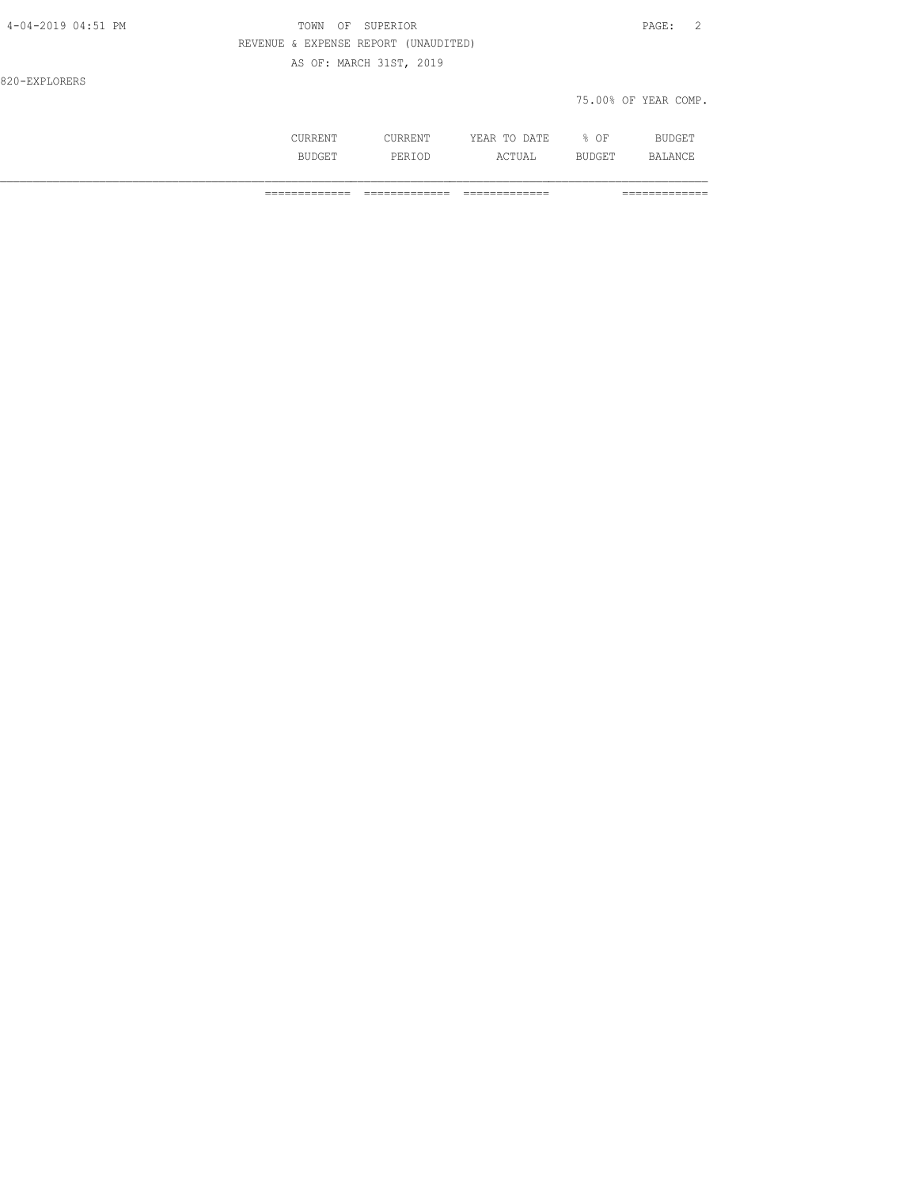| 4-04-2019 04:51 PM | TOWN<br>OF                           | SUPERIOR                |              |        | PAGE:<br>- 2         |
|--------------------|--------------------------------------|-------------------------|--------------|--------|----------------------|
|                    | REVENUE & EXPENSE REPORT (UNAUDITED) |                         |              |        |                      |
|                    |                                      | AS OF: MARCH 31ST, 2019 |              |        |                      |
| 820-EXPLORERS      |                                      |                         |              |        |                      |
|                    |                                      |                         |              |        | 75.00% OF YEAR COMP. |
|                    | CURRENT                              | CURRENT                 | YEAR TO DATE | $8$ OF | <b>BUDGET</b>        |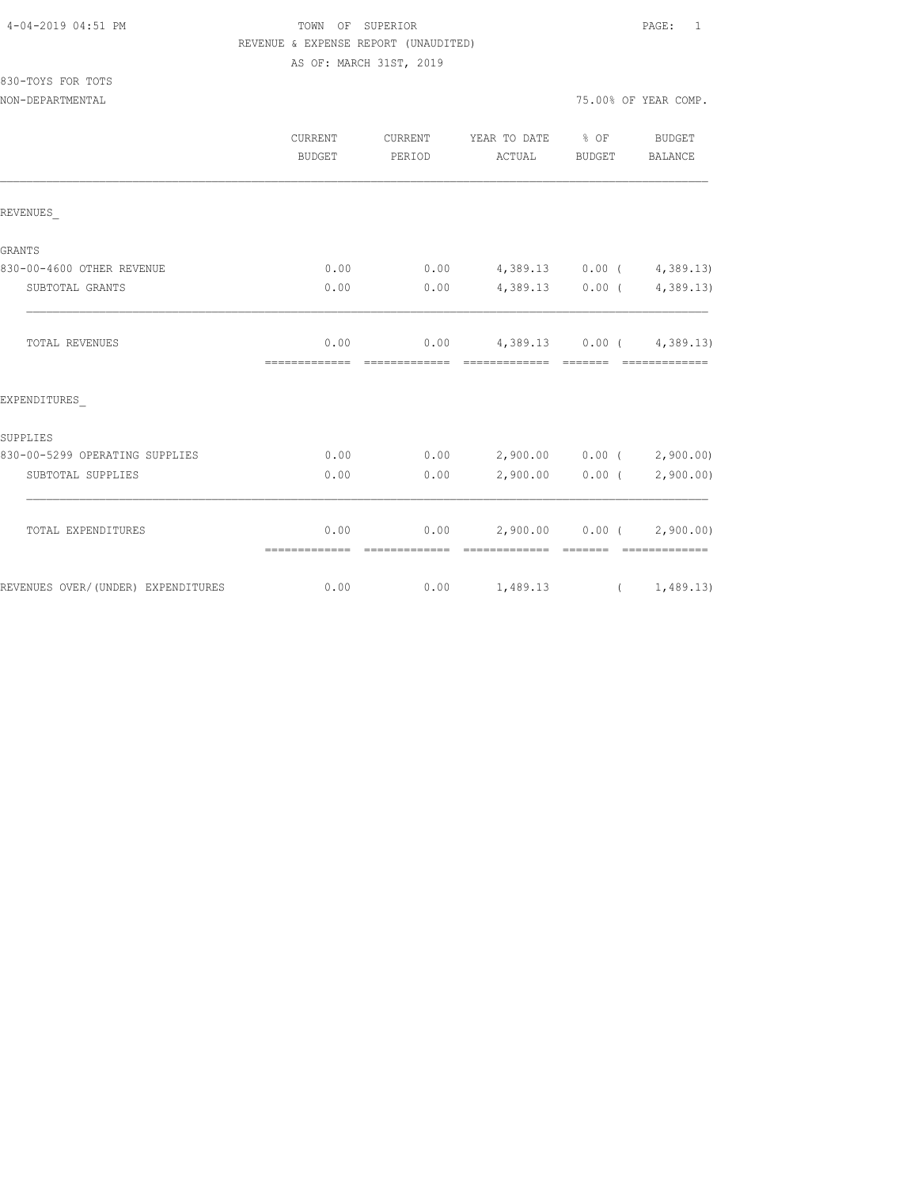## TOWN OF SUPERIOR **PAGE:** 1 REVENUE & EXPENSE REPORT (UNAUDITED) AS OF: MARCH 31ST, 2019

830-TOYS FOR TOTS

|                                    | CURRENT<br>BUDGET     | CURRENT<br>PERIOD             | YEAR TO DATE % OF<br>ACTUAL                                                                                                                                                                                                                                                                                                                                                                                                                                                                                                          | BUDGET                                                                                                                                                                                                                                                                                                                                                                                                                                                                               | <b>BUDGET</b><br>BALANCE    |
|------------------------------------|-----------------------|-------------------------------|--------------------------------------------------------------------------------------------------------------------------------------------------------------------------------------------------------------------------------------------------------------------------------------------------------------------------------------------------------------------------------------------------------------------------------------------------------------------------------------------------------------------------------------|--------------------------------------------------------------------------------------------------------------------------------------------------------------------------------------------------------------------------------------------------------------------------------------------------------------------------------------------------------------------------------------------------------------------------------------------------------------------------------------|-----------------------------|
| REVENUES                           |                       |                               |                                                                                                                                                                                                                                                                                                                                                                                                                                                                                                                                      |                                                                                                                                                                                                                                                                                                                                                                                                                                                                                      |                             |
| <b>GRANTS</b>                      |                       |                               |                                                                                                                                                                                                                                                                                                                                                                                                                                                                                                                                      |                                                                                                                                                                                                                                                                                                                                                                                                                                                                                      |                             |
| 830-00-4600 OTHER REVENUE          | 0.00                  | 0.00                          | 4,389.13 0.00 (4,389.13)                                                                                                                                                                                                                                                                                                                                                                                                                                                                                                             |                                                                                                                                                                                                                                                                                                                                                                                                                                                                                      |                             |
| SUBTOTAL GRANTS                    | 0.00                  | 0.00                          |                                                                                                                                                                                                                                                                                                                                                                                                                                                                                                                                      |                                                                                                                                                                                                                                                                                                                                                                                                                                                                                      | $4,389.13$ 0.00 ( 4,389.13) |
| <b>TOTAL REVENUES</b>              | 0.00                  | -------------- -------------- | $0.00 \qquad 4,389.13 \qquad 0.00 \qquad 4,389.13)$<br>$\begin{array}{cccccc} \multicolumn{2}{c}{{\color{red}c}} & \multicolumn{2}{c}{{\color{red}c}} & \multicolumn{2}{c}{{\color{red}c}} & \multicolumn{2}{c}{{\color{red}c}} & \multicolumn{2}{c}{{\color{red}c}} & \multicolumn{2}{c}{{\color{red}c}} & \multicolumn{2}{c}{{\color{red}c}} & \multicolumn{2}{c}{{\color{red}c}} & \multicolumn{2}{c}{{\color{red}c}} & \multicolumn{2}{c}{{\color{red}c}} & \multicolumn{2}{c}{{\color{red}c}} & \multicolumn{2}{c}{{\color{red$ |                                                                                                                                                                                                                                                                                                                                                                                                                                                                                      | - cocococococo              |
| EXPENDITURES                       |                       |                               |                                                                                                                                                                                                                                                                                                                                                                                                                                                                                                                                      |                                                                                                                                                                                                                                                                                                                                                                                                                                                                                      |                             |
| SUPPLIES                           |                       |                               |                                                                                                                                                                                                                                                                                                                                                                                                                                                                                                                                      |                                                                                                                                                                                                                                                                                                                                                                                                                                                                                      |                             |
| 830-00-5299 OPERATING SUPPLIES     | 0.00                  | 0.00                          | 2,900.00 0.00 (2,900.00)                                                                                                                                                                                                                                                                                                                                                                                                                                                                                                             |                                                                                                                                                                                                                                                                                                                                                                                                                                                                                      |                             |
| SUBTOTAL SUPPLIES                  | 0.00                  | 0.00                          |                                                                                                                                                                                                                                                                                                                                                                                                                                                                                                                                      | $2,900.00$ 0.00 (                                                                                                                                                                                                                                                                                                                                                                                                                                                                    | 2,900.00)                   |
| TOTAL EXPENDITURES                 | 0.00<br>============= | --------------                | $0.00$ 2,900.00 0.00 ( 2,900.00)<br>--------------                                                                                                                                                                                                                                                                                                                                                                                                                                                                                   | $\begin{array}{cccccc} \multicolumn{2}{c}{} & \multicolumn{2}{c}{} & \multicolumn{2}{c}{} & \multicolumn{2}{c}{} & \multicolumn{2}{c}{} & \multicolumn{2}{c}{} & \multicolumn{2}{c}{} & \multicolumn{2}{c}{} & \multicolumn{2}{c}{} & \multicolumn{2}{c}{} & \multicolumn{2}{c}{} & \multicolumn{2}{c}{} & \multicolumn{2}{c}{} & \multicolumn{2}{c}{} & \multicolumn{2}{c}{} & \multicolumn{2}{c}{} & \multicolumn{2}{c}{} & \multicolumn{2}{c}{} & \multicolumn{2}{c}{} & \multic$ | - cooccooccooc              |
| REVENUES OVER/(UNDER) EXPENDITURES | 0.00                  |                               | $0.00 \t 1,489.13 \t (1,489.13)$                                                                                                                                                                                                                                                                                                                                                                                                                                                                                                     |                                                                                                                                                                                                                                                                                                                                                                                                                                                                                      |                             |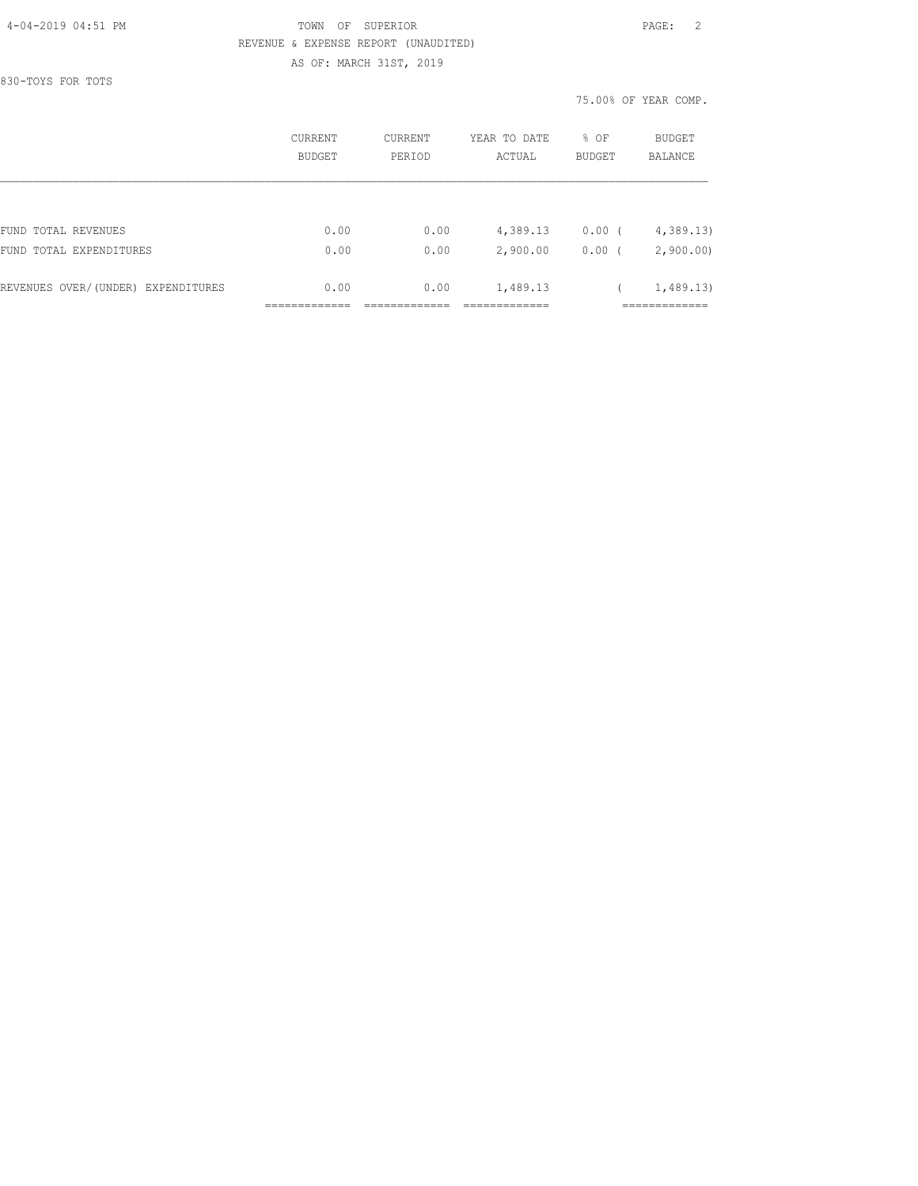### 4-04-2019 04:51 PM TOWN OF SUPERIOR PAGE: 2 REVENUE & EXPENSE REPORT (UNAUDITED) AS OF: MARCH 31ST, 2019

830-TOYS FOR TOTS

75.00% OF YEAR COMP.

|                                    | CURRENT<br>BUDGET | CURRENT<br>PERIOD | YEAR TO DATE<br>ACTUAL | % OF<br><b>BUDGET</b> | <b>BUDGET</b><br>BALANCE |
|------------------------------------|-------------------|-------------------|------------------------|-----------------------|--------------------------|
|                                    |                   |                   |                        |                       |                          |
| FUND TOTAL REVENUES                | 0.00              | 0.00              | 4,389.13               | $0.00$ (              | 4,389.13                 |
| FUND TOTAL EXPENDITURES            | 0.00              | 0.00              | 2,900.00               | 0.00(                 | 2,900.00                 |
| REVENUES OVER/(UNDER) EXPENDITURES | 0.00              | 0.00              | 1,489.13               |                       | 1,489.13                 |
|                                    |                   |                   |                        |                       |                          |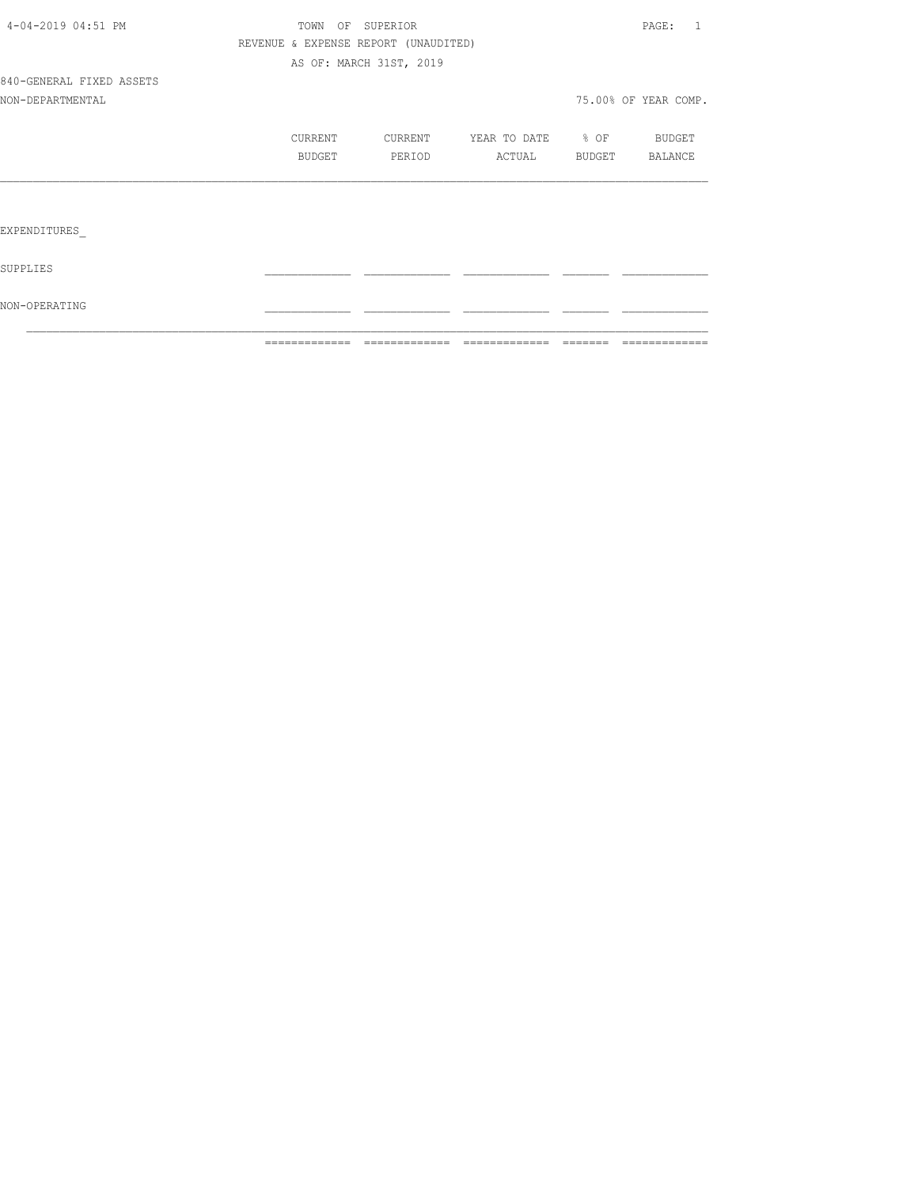|                          | =============                        | =============           | =============         | ======= | =============        |
|--------------------------|--------------------------------------|-------------------------|-----------------------|---------|----------------------|
| NON-OPERATING            |                                      |                         |                       |         |                      |
| SUPPLIES                 |                                      |                         |                       |         |                      |
| EXPENDITURES             |                                      |                         |                       |         |                      |
|                          |                                      |                         |                       |         |                      |
|                          | BUDGET                               | PERIOD                  | ACTUAL BUDGET BALANCE |         |                      |
|                          | CURRENT                              | CURRENT                 | YEAR TO DATE % OF     |         | BUDGET               |
| NON-DEPARTMENTAL         |                                      |                         |                       |         | 75.00% OF YEAR COMP. |
| 840-GENERAL FIXED ASSETS |                                      |                         |                       |         |                      |
|                          |                                      | AS OF: MARCH 31ST, 2019 |                       |         |                      |
|                          | REVENUE & EXPENSE REPORT (UNAUDITED) |                         |                       |         |                      |
| 4-04-2019 04:51 PM       |                                      | TOWN OF SUPERIOR        |                       |         | PAGE: 1              |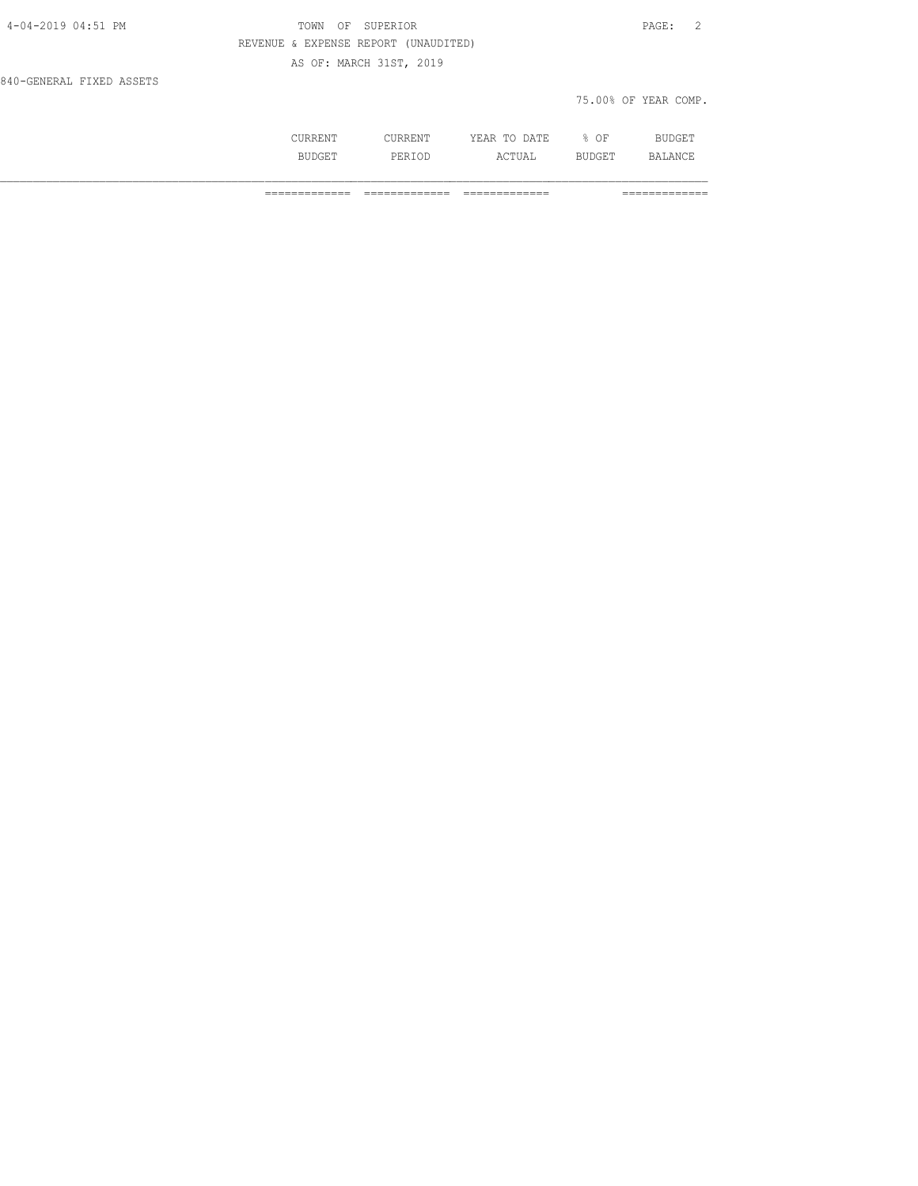| 4-04-2019 04:51 PM       | OF<br>TOWN                           | SUPERIOR |              |      | - 2<br>PAGE:         |  |
|--------------------------|--------------------------------------|----------|--------------|------|----------------------|--|
|                          | REVENUE & EXPENSE REPORT (UNAUDITED) |          |              |      |                      |  |
|                          | AS OF: MARCH 31ST, 2019              |          |              |      |                      |  |
| 840-GENERAL FIXED ASSETS |                                      |          |              |      |                      |  |
|                          |                                      |          |              |      | 75.00% OF YEAR COMP. |  |
|                          |                                      |          |              |      |                      |  |
|                          | CURRENT                              | CURRENT  | YEAR TO DATE | % OF | <b>BUDGET</b>        |  |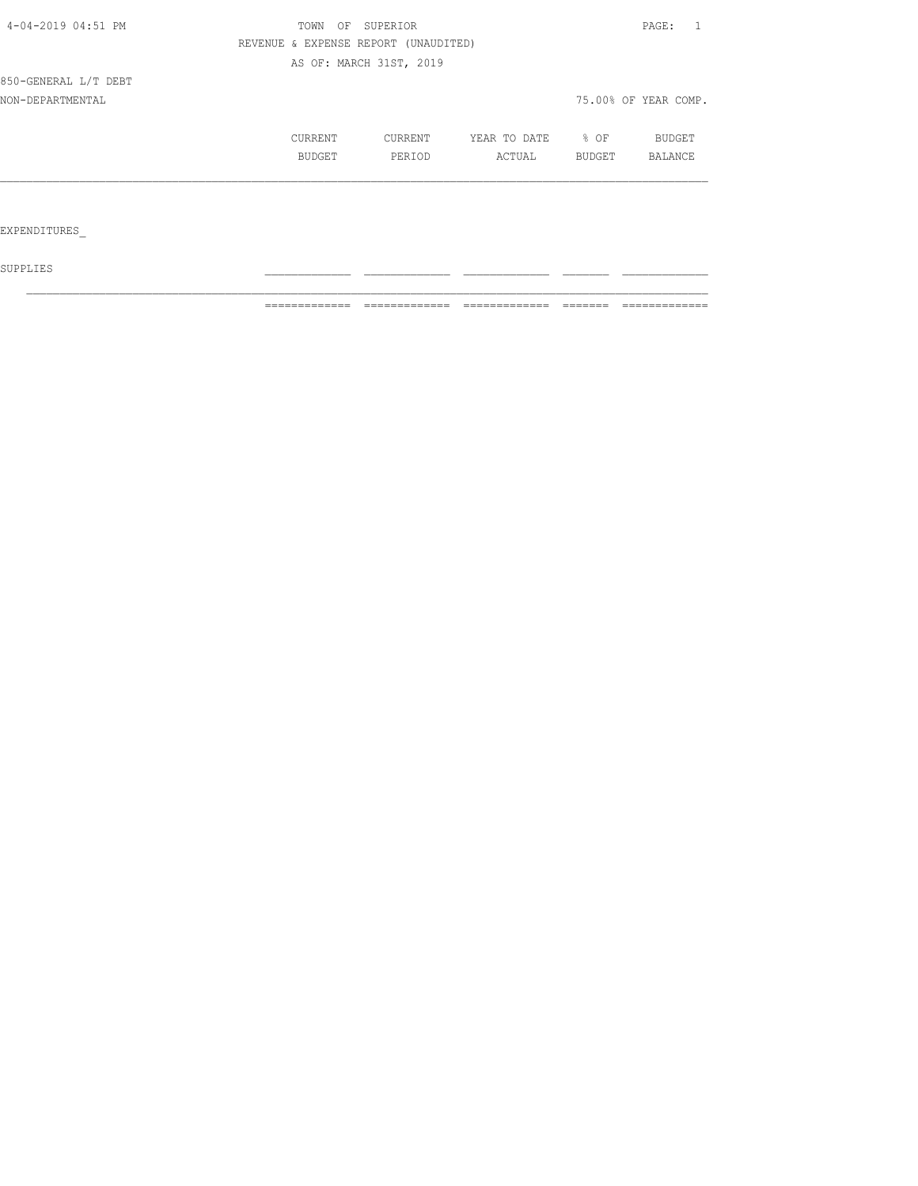| 4-04-2019 04:51 PM   |  | TOWN<br>OF<br>SUPERIOR<br>REVENUE & EXPENSE REPORT (UNAUDITED) |                         |              |        | PAGE:                |  |  |
|----------------------|--|----------------------------------------------------------------|-------------------------|--------------|--------|----------------------|--|--|
|                      |  |                                                                |                         |              |        |                      |  |  |
|                      |  |                                                                | AS OF: MARCH 31ST, 2019 |              |        |                      |  |  |
| 850-GENERAL L/T DEBT |  |                                                                |                         |              |        |                      |  |  |
| NON-DEPARTMENTAL     |  |                                                                |                         |              |        | 75.00% OF YEAR COMP. |  |  |
|                      |  | <b>CURRENT</b>                                                 | CURRENT                 | YEAR TO DATE | % OF   | BUDGET               |  |  |
|                      |  | BUDGET                                                         | PERIOD                  | ACTUAL       | BUDGET | BALANCE              |  |  |
|                      |  |                                                                |                         |              |        |                      |  |  |
|                      |  |                                                                |                         |              |        |                      |  |  |
| EXPENDITURES         |  |                                                                |                         |              |        |                      |  |  |

 ${\tt SUPPLIES}$